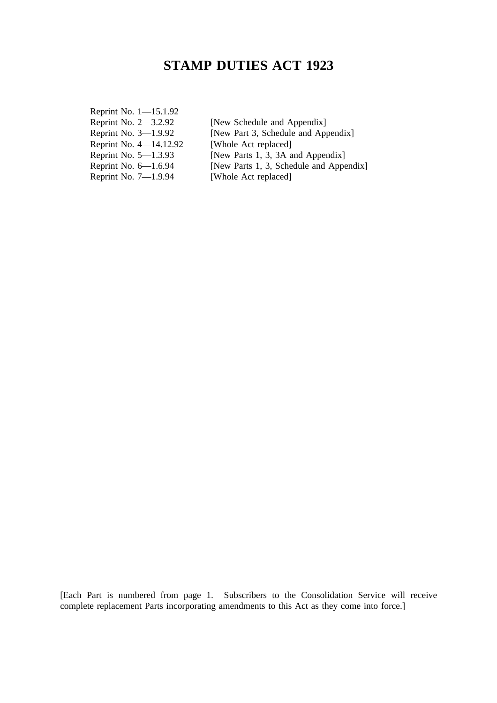# **STAMP DUTIES ACT 1923**

| Reprint No. 1-15.1.92  |                                         |
|------------------------|-----------------------------------------|
| Reprint No. 2–3.2.92   | [New Schedule and Appendix]             |
| Reprint No. 3–1.9.92   | [New Part 3, Schedule and Appendix]     |
| Reprint No. 4–14.12.92 | [Whole Act replaced]                    |
| Reprint No. 5–1.3.93   | [New Parts 1, 3, 3A and Appendix]       |
| Reprint No. 6-1.6.94   | [New Parts 1, 3, Schedule and Appendix] |
| Reprint No. 7-1.9.94   | [Whole Act replaced]                    |
|                        |                                         |

[Each Part is numbered from page 1. Subscribers to the Consolidation Service will receive complete replacement Parts incorporating amendments to this Act as they come into force.]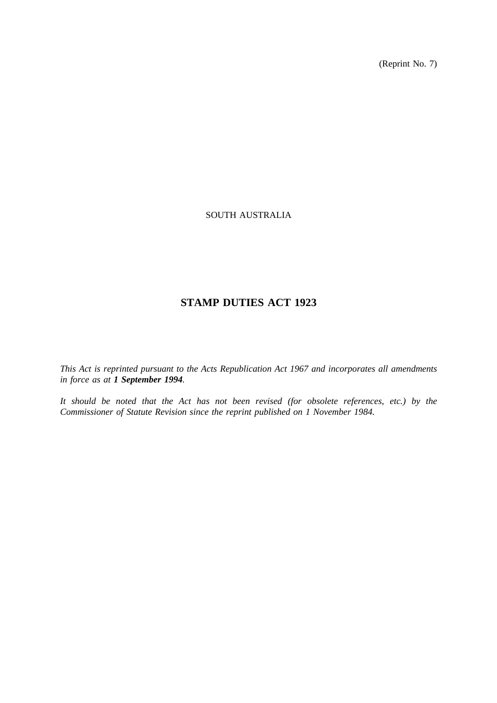(Reprint No. 7)

# SOUTH AUSTRALIA

# **STAMP DUTIES ACT 1923**

*This Act is reprinted pursuant to the Acts Republication Act 1967 and incorporates all amendments in force as at 1 September 1994.*

*It should be noted that the Act has not been revised (for obsolete references, etc.) by the Commissioner of Statute Revision since the reprint published on 1 November 1984.*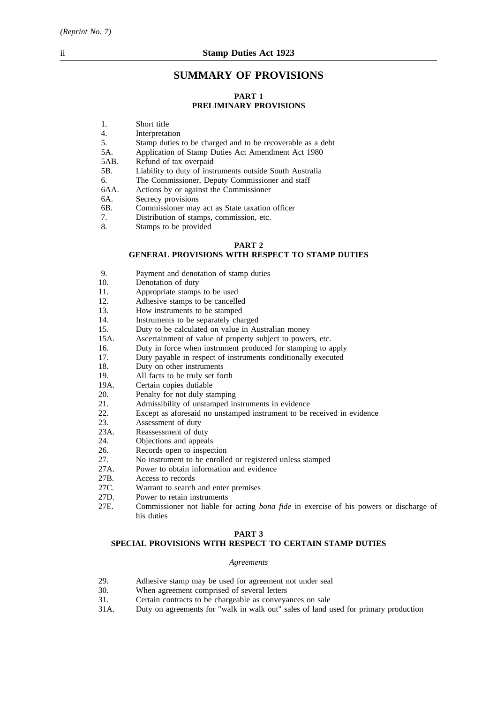# **SUMMARY OF PROVISIONS**

# **PART 1 PRELIMINARY PROVISIONS**

- 1. Short title
- 4. Interpretation
- 5. Stamp duties to be charged and to be recoverable as a debt
- 5A. Application of Stamp Duties Act Amendment Act 1980
- 5AB. Refund of tax overpaid
- 5B. Liability to duty of instruments outside South Australia
- 6. The Commissioner, Deputy Commissioner and staff
- 6AA. Actions by or against the Commissioner
- 6A. Secrecy provisions
- 6B. Commissioner may act as State taxation officer
- 7. Distribution of stamps, commission, etc.
- 8. Stamps to be provided

#### **PART 2**

#### **GENERAL PROVISIONS WITH RESPECT TO STAMP DUTIES**

- 9. Payment and denotation of stamp duties
- 10. Denotation of duty
- 11. Appropriate stamps to be used
- 12. Adhesive stamps to be cancelled
- 13. How instruments to be stamped
- 14. Instruments to be separately charged
- 15. Duty to be calculated on value in Australian money
- 15A. Ascertainment of value of property subject to powers, etc.
- 16. Duty in force when instrument produced for stamping to apply
- 17. Duty payable in respect of instruments conditionally executed
- 18. Duty on other instruments
- 19. All facts to be truly set forth
- 19A. Certain copies dutiable
- 20. Penalty for not duly stamping
- 21. Admissibility of unstamped instruments in evidence
- 22. Except as aforesaid no unstamped instrument to be received in evidence
- 23. Assessment of duty
- 23A. Reassessment of duty
- 24. Objections and appeals
- 26. Records open to inspection
- 27. No instrument to be enrolled or registered unless stamped
- 27A. Power to obtain information and evidence
- 27B. Access to records<br>27C. Warrant to search
- 27C. Warrant to search and enter premises 27D. Power to retain instruments
- 27D. Power to retain instruments<br>27E. Commissioner not liable for
- 27E. Commissioner not liable for acting *bona fide* in exercise of his powers or discharge of his duties

#### **PART 3**

## **SPECIAL PROVISIONS WITH RESPECT TO CERTAIN STAMP DUTIES**

#### *Agreements*

- 29. Adhesive stamp may be used for agreement not under seal<br>30. When agreement comprised of several letters
- When agreement comprised of several letters
- 31. Certain contracts to be chargeable as conveyances on sale
- 31A. Duty on agreements for "walk in walk out" sales of land used for primary production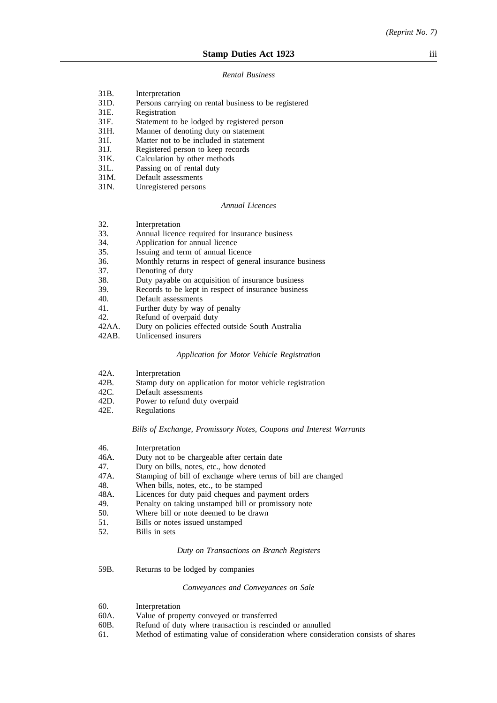#### *Rental Business*

| 31 <sub>B</sub> | Interpretation                                       |
|-----------------|------------------------------------------------------|
| 31D.            | Persons carrying on rental business to be registered |
| 31E.            | Registration                                         |
| 31F.            | Statement to be lodged by registered person          |
| 31H.            | Manner of denoting duty on statement                 |
| 31I.            | Matter not to be included in statement               |
| 31J.            | Registered person to keep records                    |
| 31K.            | Calculation by other methods                         |
| 31L.            | Passing on of rental duty                            |
| 31M.            | Default assessments                                  |
| 31N.            | Unregistered persons                                 |
|                 | Annual Licences                                      |
| 32.             | Interpretation                                       |
|                 |                                                      |

| 33.      | Annual licence required for insurance business           |
|----------|----------------------------------------------------------|
| 34.      | Application for annual licence                           |
| 35.      | Issuing and term of annual licence                       |
| 36.      | Monthly returns in respect of general insurance business |
| 37.      | Denoting of duty                                         |
| 38.      | Duty payable on acquisition of insurance business        |
| 39.      | Records to be kept in respect of insurance business      |
| 40.      | Default assessments                                      |
| 41.      | Further duty by way of penalty                           |
| 42.      | Refund of overpaid duty                                  |
| $42AA$ . | Duty on policies effected outside South Australia        |

42AB. Unlicensed insurers

#### *Application for Motor Vehicle Registration*

| 42A. | Interpretation |
|------|----------------|
|------|----------------|

- 42B. Stamp duty on application for motor vehicle registration 42C. Default assessments
- 42C. Default assessments<br>42D. Power to refund duty
- 42D. Power to refund duty overpaid<br>42E. Regulations
- Regulations

#### *Bills of Exchange, Promissory Notes, Coupons and Interest Warrants*

| 46.<br>Interpretation |
|-----------------------|
|-----------------------|

- 46A. Duty not to be chargeable after certain date
- 47. Duty on bills, notes, etc., how denoted
- 47A. Stamping of bill of exchange where terms of bill are changed
- 48. When bills, notes, etc., to be stamped
- 48A. Licences for duty paid cheques and payment orders
- 49. Penalty on taking unstamped bill or promissory note
- 50. Where bill or note deemed to be drawn
- 51. Bills or notes issued unstamped
- 52. Bills in sets

#### *Duty on Transactions on Branch Registers*

59B. Returns to be lodged by companies

#### *Conveyances and Conveyances on Sale*

| 60.  | Interpretation                                                                     |
|------|------------------------------------------------------------------------------------|
| 60A. | Value of property conveyed or transferred                                          |
| 60B. | Refund of duty where transaction is rescinded or annulled                          |
| 61.  | Method of estimating value of consideration where consideration consists of shares |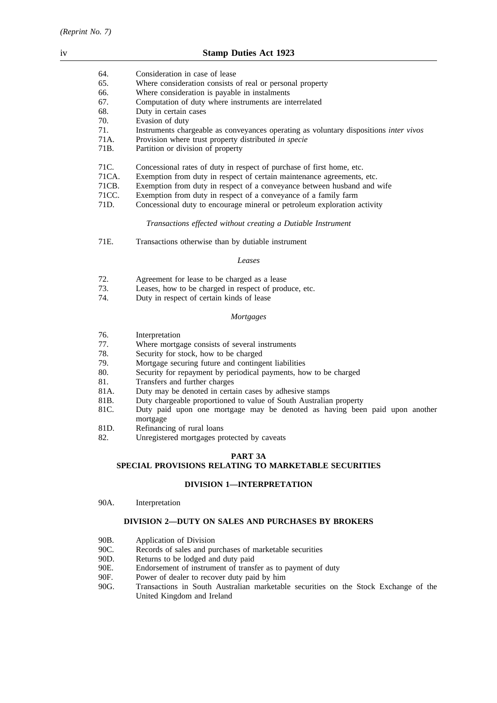| 64.                                                             | Consideration in case of lease                                                            |  |
|-----------------------------------------------------------------|-------------------------------------------------------------------------------------------|--|
| 65.                                                             | Where consideration consists of real or personal property                                 |  |
| 66.<br>67.                                                      | Where consideration is payable in instalments                                             |  |
| 68.                                                             | Computation of duty where instruments are interrelated<br>Duty in certain cases           |  |
| 70.                                                             |                                                                                           |  |
| 71.                                                             | Evasion of duty                                                                           |  |
| 71A.                                                            | Instruments chargeable as conveyances operating as voluntary dispositions inter vivos     |  |
| 71B.                                                            | Provision where trust property distributed in specie<br>Partition or division of property |  |
|                                                                 |                                                                                           |  |
| 71C.                                                            | Concessional rates of duty in respect of purchase of first home, etc.                     |  |
| 71 CA.                                                          | Exemption from duty in respect of certain maintenance agreements, etc.                    |  |
| 71CB.                                                           | Exemption from duty in respect of a conveyance between husband and wife                   |  |
| 71CC.                                                           | Exemption from duty in respect of a conveyance of a family farm                           |  |
| 71D.                                                            | Concessional duty to encourage mineral or petroleum exploration activity                  |  |
| Transactions effected without creating a Dutiable Instrument    |                                                                                           |  |
| 71E.                                                            | Transactions otherwise than by dutiable instrument                                        |  |
|                                                                 | Leases                                                                                    |  |
| 72.                                                             | Agreement for lease to be charged as a lease                                              |  |
| 73.                                                             | Leases, how to be charged in respect of produce, etc.                                     |  |
| 74.                                                             | Duty in respect of certain kinds of lease                                                 |  |
| Mortgages                                                       |                                                                                           |  |
| 76.                                                             | Interpretation                                                                            |  |
| 77.                                                             | Where mortgage consists of several instruments                                            |  |
| 78.                                                             | Security for stock, how to be charged                                                     |  |
| 79.                                                             | Mortgage securing future and contingent liabilities                                       |  |
| 80.                                                             | Security for repayment by periodical payments, how to be charged                          |  |
| 81.                                                             | Transfers and further charges                                                             |  |
| 81A.                                                            | Duty may be denoted in certain cases by adhesive stamps                                   |  |
| 81 <sub>B</sub>                                                 | Duty chargeable proportioned to value of South Australian property                        |  |
| 81C.                                                            | Duty paid upon one mortgage may be denoted as having been paid upon another               |  |
|                                                                 | mortgage                                                                                  |  |
| 81D.                                                            | Refinancing of rural loans                                                                |  |
| 82.                                                             | Unregistered mortgages protected by caveats                                               |  |
| PART 3A<br>SPECIAL PROVISIONS RELATING TO MARKETABLE SECURITIES |                                                                                           |  |
|                                                                 |                                                                                           |  |

# **DIVISION 1—INTERPRETATION**

90A. Interpretation

# **DIVISION 2—DUTY ON SALES AND PURCHASES BY BROKERS**

- 90B. Application of Division<br>90C. Records of sales and pu
- Records of sales and purchases of marketable securities
- 90D. Returns to be lodged and duty paid
- 90E. Endorsement of instrument of transfer as to payment of duty
- 90F. Power of dealer to recover duty paid by him
- 90G. Transactions in South Australian marketable securities on the Stock Exchange of the United Kingdom and Ireland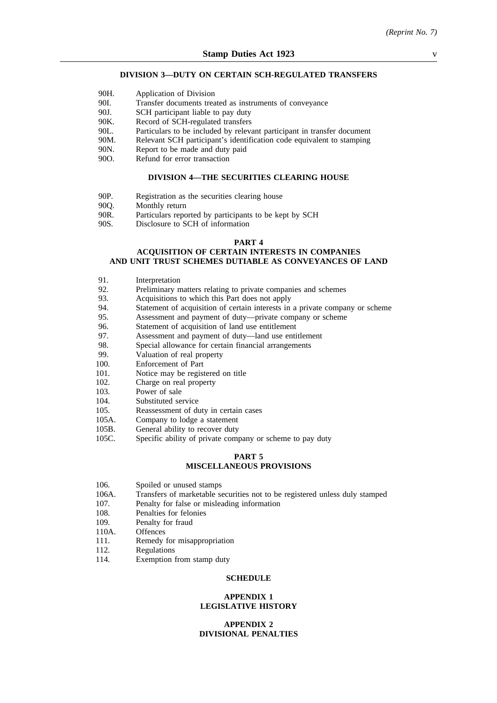#### **DIVISION 3—DUTY ON CERTAIN SCH-REGULATED TRANSFERS**

| 90H. | Application of Division                                                 |
|------|-------------------------------------------------------------------------|
| 90I. | Transfer documents treated as instruments of conveyance                 |
| 90J. | SCH participant liable to pay duty                                      |
| 90K. | Record of SCH-regulated transfers                                       |
| 90L. | Particulars to be included by relevant participant in transfer document |
| 90M. | Relevant SCH participant's identification code equivalent to stamping   |
| 90N. | Report to be made and duty paid                                         |
| 90O. | Refund for error transaction                                            |
|      |                                                                         |

#### **DIVISION 4—THE SECURITIES CLEARING HOUSE**

- 90P. Registration as the securities clearing house
- 90Q. Monthly return<br>90R. Particulars repo
- 90R. Particulars reported by participants to be kept by SCH<br>90S. Disclosure to SCH of information
- Disclosure to SCH of information

## **PART 4**

# **ACQUISITION OF CERTAIN INTERESTS IN COMPANIES AND UNIT TRUST SCHEMES DUTIABLE AS CONVEYANCES OF LAND**

- 91. Interpretation<br>92. Preliminary n
- 92. Preliminary matters relating to private companies and schemes<br>93. Acquisitions to which this Part does not apply
- 93. Acquisitions to which this Part does not apply<br>94 Statement of acquisition of certain interests in
- 94. Statement of acquisition of certain interests in a private company or scheme<br>95 Assessment and nayment of duty—private company or scheme
- 95. Assessment and payment of duty—private company or scheme<br>96. Statement of acquisition of land use entitlement
- Statement of acquisition of land use entitlement
- 97. Assessment and payment of duty—land use entitlement
- 98. Special allowance for certain financial arrangements
- 99. Valuation of real property
- 100. Enforcement of Part
- 101. Notice may be registered on title 102. Charge on real property
- 102. Charge on real property<br>103. Power of sale
- 103. Power of sale<br>104. Substituted se
- Substituted service
- 105. Reassessment of duty in certain cases
- 105A. Company to lodge a statement
- 105B. General ability to recover duty
- 105C. Specific ability of private company or scheme to pay duty

#### **PART 5 MISCELLANEOUS PROVISIONS**

- 106. Spoiled or unused stamps
- 106A. Transfers of marketable securities not to be registered unless duly stamped
- 107. Penalty for false or misleading information
- 108. Penalties for felonies
- 109. Penalty for fraud
- 110A. Offences
- 111. Remedy for misappropriation
- 112. Regulations
- 114. Exemption from stamp duty

#### **SCHEDULE**

#### **APPENDIX 1 LEGISLATIVE HISTORY**

#### **APPENDIX 2 DIVISIONAL PENALTIES**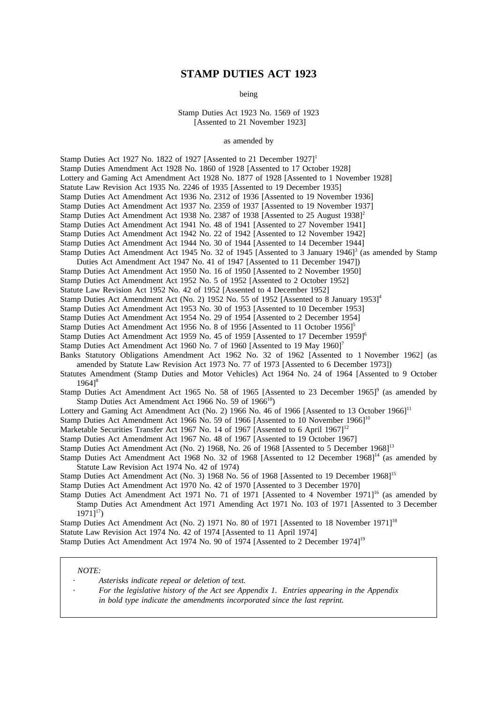# **STAMP DUTIES ACT 1923**

being

Stamp Duties Act 1923 No. 1569 of 1923 [Assented to 21 November 1923]

as amended by

Stamp Duties Act 1927 No. 1822 of 1927 [Assented to 21 December 1927]<sup>1</sup> Stamp Duties Amendment Act 1928 No. 1860 of 1928 [Assented to 17 October 1928] Lottery and Gaming Act Amendment Act 1928 No. 1877 of 1928 [Assented to 1 November 1928] Statute Law Revision Act 1935 No. 2246 of 1935 [Assented to 19 December 1935] Stamp Duties Act Amendment Act 1936 No. 2312 of 1936 [Assented to 19 November 1936] Stamp Duties Act Amendment Act 1937 No. 2359 of 1937 [Assented to 19 November 1937] Stamp Duties Act Amendment Act 1938 No. 2387 of 1938 [Assented to 25 August 1938]<sup>2</sup> Stamp Duties Act Amendment Act 1941 No. 48 of 1941 [Assented to 27 November 1941] Stamp Duties Act Amendment Act 1942 No. 22 of 1942 [Assented to 12 November 1942] Stamp Duties Act Amendment Act 1944 No. 30 of 1944 [Assented to 14 December 1944] Stamp Duties Act Amendment Act 1945 No. 32 of 1945 [Assented to 3 January 1946]<sup>3</sup> (as amended by Stamp Duties Act Amendment Act 1947 No. 41 of 1947 [Assented to 11 December 1947]) Stamp Duties Act Amendment Act 1950 No. 16 of 1950 [Assented to 2 November 1950] Stamp Duties Act Amendment Act 1952 No. 5 of 1952 [Assented to 2 October 1952] Statute Law Revision Act 1952 No. 42 of 1952 [Assented to 4 December 1952] Stamp Duties Act Amendment Act (No. 2) 1952 No. 55 of 1952 [Assented to 8 January 1953]<sup>4</sup> Stamp Duties Act Amendment Act 1953 No. 30 of 1953 [Assented to 10 December 1953] Stamp Duties Act Amendment Act 1954 No. 29 of 1954 [Assented to 2 December 1954] Stamp Duties Act Amendment Act 1956 No. 8 of 1956 [Assented to 11 October 1956]<sup>5</sup> Stamp Duties Act Amendment Act 1959 No. 45 of 1959 [Assented to 17 December 1959]<sup>6</sup> Stamp Duties Act Amendment Act 1960 No. 7 of 1960 [Assented to 19 May 1960]<sup>7</sup> Banks Statutory Obligations Amendment Act 1962 No. 32 of 1962 [Assented to 1 November 1962] (as amended by Statute Law Revision Act 1973 No. 77 of 1973 [Assented to 6 December 1973]) Statutes Amendment (Stamp Duties and Motor Vehicles) Act 1964 No. 24 of 1964 [Assented to 9 October 1964]8 Stamp Duties Act Amendment Act 1965 No. 58 of 1965 [Assented to 23 December 1965]<sup>9</sup> (as amended by Stamp Duties Act Amendment Act 1966 No. 59 of  $1966<sup>10</sup>$ ) Lottery and Gaming Act Amendment Act (No. 2) 1966 No. 46 of 1966 [Assented to 13 October 1966]<sup>11</sup> Stamp Duties Act Amendment Act 1966 No. 59 of 1966 [Assented to 10 November 1966]<sup>10</sup> Marketable Securities Transfer Act 1967 No. 14 of 1967 [Assented to 6 April 1967]<sup>12</sup> Stamp Duties Act Amendment Act 1967 No. 48 of 1967 [Assented to 19 October 1967] Stamp Duties Act Amendment Act (No. 2) 1968, No. 26 of 1968 [Assented to 5 December 1968]<sup>13</sup> Stamp Duties Act Amendment Act 1968 No. 32 of 1968 [Assented to 12 December 1968]<sup>14</sup> (as amended by Statute Law Revision Act 1974 No. 42 of 1974) Stamp Duties Act Amendment Act (No. 3) 1968 No. 56 of 1968 [Assented to 19 December 1968]<sup>15</sup> Stamp Duties Act Amendment Act 1970 No. 42 of 1970 [Assented to 3 December 1970] Stamp Duties Act Amendment Act 1971 No. 71 of 1971 [Assented to 4 November 1971]<sup>16</sup> (as amended by Stamp Duties Act Amendment Act 1971 Amending Act 1971 No. 103 of 1971 [Assented to 3 December  $19711^{17}$ Stamp Duties Act Amendment Act (No. 2) 1971 No. 80 of 1971 [Assented to 18 November 1971]<sup>18</sup> Statute Law Revision Act 1974 No. 42 of 1974 [Assented to 11 April 1974] Stamp Duties Act Amendment Act 1974 No. 90 of 1974 [Assented to 2 December 1974]19 *NOTE: Asterisks indicate repeal or deletion of text. For the legislative history of the Act see Appendix 1. Entries appearing in the Appendix*

*in bold type indicate the amendments incorporated since the last reprint.*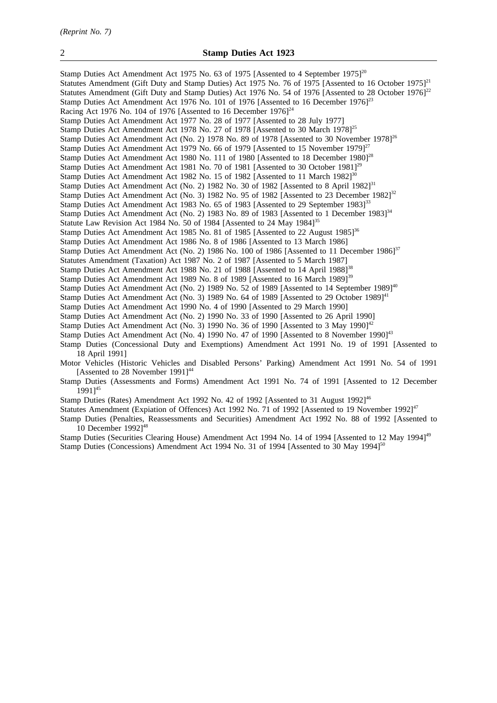Stamp Duties Act Amendment Act 1975 No. 63 of 1975 [Assented to 4 September 1975]<sup>20</sup> Statutes Amendment (Gift Duty and Stamp Duties) Act 1975 No. 76 of 1975 [Assented to 16 October 1975]<sup>21</sup> Statutes Amendment (Gift Duty and Stamp Duties) Act 1976 No. 54 of 1976 [Assented to 28 October 1976]<sup>22</sup> Stamp Duties Act Amendment Act 1976 No. 101 of 1976 [Assented to 16 December 1976]<sup>23</sup> Racing Act 1976 No. 104 of 1976 [Assented to 16 December  $1976$ ]<sup>24</sup> Stamp Duties Act Amendment Act 1977 No. 28 of 1977 [Assented to 28 July 1977] Stamp Duties Act Amendment Act 1978 No. 27 of 1978 [Assented to 30 March 1978]<sup>25</sup> Stamp Duties Act Amendment Act (No. 2) 1978 No. 89 of 1978 [Assented to 30 November 1978]<sup>26</sup> Stamp Duties Act Amendment Act 1979 No. 66 of 1979 [Assented to 15 November 1979]<sup>27</sup> Stamp Duties Act Amendment Act 1980 No. 111 of 1980 [Assented to 18 December 1980]<sup>28</sup> Stamp Duties Act Amendment Act 1981 No. 70 of 1981 [Assented to 30 October 1981]<sup>29</sup> Stamp Duties Act Amendment Act 1982 No. 15 of 1982 [Assented to 11 March 1982]<sup>30</sup> Stamp Duties Act Amendment Act (No. 2) 1982 No. 30 of 1982 [Assented to 8 April 1982] $^{31}$ Stamp Duties Act Amendment Act (No. 3) 1982 No. 95 of 1982 [Assented to 23 December  $1982$ ]<sup>32</sup> Stamp Duties Act Amendment Act 1983 No. 65 of 1983 [Assented to 29 September 1983]<sup>33</sup> Stamp Duties Act Amendment Act (No. 2) 1983 No. 89 of 1983 [Assented to 1 December 1983]<sup>34</sup> Statute Law Revision Act 1984 No. 50 of 1984 [Assented to 24 May 1984]<sup>35</sup> Stamp Duties Act Amendment Act 1985 No. 81 of 1985 [Assented to 22 August 1985]<sup>36</sup> Stamp Duties Act Amendment Act 1986 No. 8 of 1986 [Assented to 13 March 1986] Stamp Duties Act Amendment Act (No. 2) 1986 No. 100 of 1986 [Assented to 11 December 1986]<sup>37</sup> Statutes Amendment (Taxation) Act 1987 No. 2 of 1987 [Assented to 5 March 1987] Stamp Duties Act Amendment Act 1988 No. 21 of 1988 [Assented to 14 April 1988]<sup>38</sup> Stamp Duties Act Amendment Act 1989 No. 8 of 1989 [Assented to 16 March 1989]<sup>39</sup> Stamp Duties Act Amendment Act (No. 2) 1989 No. 52 of 1989 [Assented to 14 September 1989]<sup>40</sup> Stamp Duties Act Amendment Act (No. 3) 1989 No. 64 of 1989 [Assented to 29 October 1989]<sup>41</sup> Stamp Duties Act Amendment Act 1990 No. 4 of 1990 [Assented to 29 March 1990] Stamp Duties Act Amendment Act (No. 2) 1990 No. 33 of 1990 [Assented to 26 April 1990] Stamp Duties Act Amendment Act (No. 3) 1990 No. 36 of 1990 [Assented to 3 May 1990]<sup>42</sup> Stamp Duties Act Amendment Act (No. 4) 1990 No. 47 of 1990 [Assented to 8 November 1990]<sup>43</sup> Stamp Duties (Concessional Duty and Exemptions) Amendment Act 1991 No. 19 of 1991 [Assented to 18 April 1991] Motor Vehicles (Historic Vehicles and Disabled Persons' Parking) Amendment Act 1991 No. 54 of 1991 [Assented to 28 November 1991]<sup>44</sup> Stamp Duties (Assessments and Forms) Amendment Act 1991 No. 74 of 1991 [Assented to 12 December 1991<sup>145</sup> Stamp Duties (Rates) Amendment Act 1992 No. 42 of 1992 [Assented to 31 August 1992]<sup>46</sup> Statutes Amendment (Expiation of Offences) Act 1992 No. 71 of 1992 [Assented to 19 November 1992]<sup>47</sup> Stamp Duties (Penalties, Reassessments and Securities) Amendment Act 1992 No. 88 of 1992 [Assented to

10 December 1992]<sup>48</sup> Stamp Duties (Securities Clearing House) Amendment Act 1994 No. 14 of 1994 [Assented to 12 May 1994]<sup>49</sup> Stamp Duties (Concessions) Amendment Act 1994 No. 31 of 1994 [Assented to 30 May 1994]<sup>50</sup>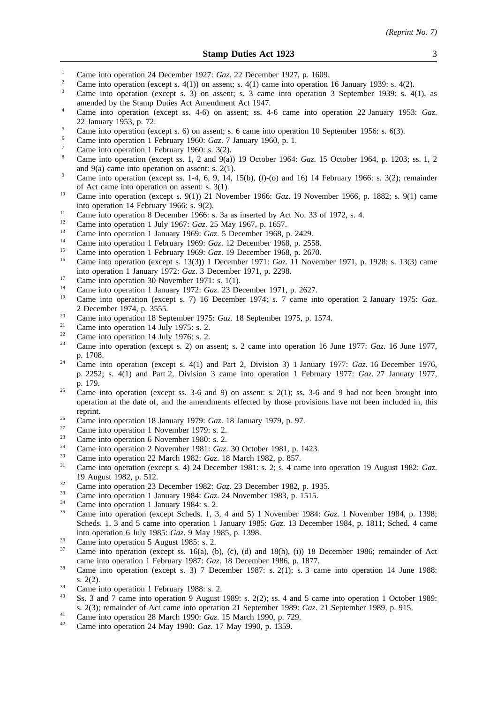- <sup>1</sup> Came into operation 24 December 1927: *Gaz.* 22 December 1927, p. 1609.
- <sup>2</sup> Came into operation (except s. 4(1)) on assent; s. 4(1) came into operation 16 January 1939: s. 4(2).
- <sup>3</sup> Came into operation (except s. 3) on assent; s. 3 came into operation 3 September 1939: s. 4(1), as amended by the Stamp Duties Act Amendment Act 1947.
- <sup>4</sup> Came into operation (except ss. 4-6) on assent; ss. 4-6 came into operation 22 January 1953: *Gaz*. 22 January 1953, p. 72.
- <sup>5</sup> Came into operation (except s. 6) on assent; s. 6 came into operation 10 September 1956: s. 6(3).
- <sup>6</sup> Came into operation 1 February 1960: *Gaz*. 7 January 1960, p. 1.
- Came into operation 1 February 1960: s. 3(2).
- <sup>8</sup> Came into operation (except ss. 1, 2 and 9(a)) 19 October 1964: *Gaz*. 15 October 1964, p. 1203; ss. 1, 2 and 9(a) came into operation on assent: s. 2(1).
- <sup>9</sup> Came into operation (except ss. 1-4, 6, 9, 14, 15(b),  $(l)$ -(o) and 16) 14 February 1966: s. 3(2); remainder of Act came into operation on assent: s. 3(1).
- <sup>10</sup> Came into operation (except s. 9(1)) 21 November 1966: *Gaz*. 19 November 1966, p. 1882; s. 9(1) came into operation 14 February 1966: s. 9(2).
- <sup>11</sup> Came into operation 8 December 1966: s. 3a as inserted by Act No. 33 of 1972, s. 4.
- <sup>12</sup> Came into operation 1 July 1967: *Gaz*. 25 May 1967, p. 1657.
- <sup>13</sup> Came into operation 1 January 1969: *Gaz*. 5 December 1968, p. 2429.
- <sup>14</sup> Came into operation 1 February 1969: *Gaz.* 12 December 1968, p. 2558.<br><sup>15</sup> Came into apartice 1 February 1969: *Gaz.* 19 December 1968, p. 2579.
- <sup>15</sup> Came into operation 1 February 1969: *Gaz*. 19 December 1968, p. 2670.
- <sup>16</sup> Came into operation (except s. 13(3)) 1 December 1971: *Gaz*. 11 November 1971, p. 1928; s. 13(3) came into operation 1 January 1972: *Gaz*. 3 December 1971, p. 2298.
- <sup>17</sup> Came into operation 30 November 1971: s. 1(1).
- <sup>18</sup> Came into operation 1 January 1972: *Gaz*. 23 December 1971, p. 2627.
- <sup>19</sup> Came into operation (except s. 7) 16 December 1974; s. 7 came into operation 2 January 1975: *Gaz*. 2 December 1974, p. 3555.
- <sup>20</sup> Came into operation 18 September 1975: *Gaz*. 18 September 1975, p. 1574.
- <sup>21</sup> Came into operation 14 July 1975: s. 2.<br>
<sup>22</sup> Came into operation 14 July 1976: s. 2.
- <sup>22</sup> Came into operation 14 July 1976: s. 2.<br><sup>23</sup> Came into operation (execute 2) on a
- <sup>23</sup> Came into operation (except s. 2) on assent; s. 2 came into operation 16 June 1977: *Gaz*. 16 June 1977, p. 1708.
- <sup>24</sup> Came into operation (except s. 4(1) and Part 2, Division 3) 1 January 1977: *Gaz*. 16 December 1976, p. 2252; s. 4(1) and Part 2, Division 3 came into operation 1 February 1977: *Gaz*. 27 January 1977, p. 179.
- <sup>25</sup> Came into operation (except ss. 3-6 and 9) on assent: s. 2(1); ss. 3-6 and 9 had not been brought into operation at the date of, and the amendments effected by those provisions have not been included in, this reprint.
- <sup>26</sup> Came into operation 18 January 1979: *Gaz*. 18 January 1979, p. 97.
- $\frac{27}{28}$  Came into operation 1 November 1979: s. 2.
- <sup>28</sup> Came into operation 6 November 1980: s. 2.
- <sup>29</sup> Came into operation 2 November 1981: *Gaz*. 30 October 1981, p. 1423.
- <sup>30</sup> Came into operation 22 March 1982: *Gaz*. 18 March 1982, p. 857.
- <sup>31</sup> Came into operation (except s. 4) 24 December 1981: s. 2; s. 4 came into operation 19 August 1982: *Gaz*. 19 August 1982, p. 512.
- <sup>32</sup> Came into operation 23 December 1982: *Gaz.* 23 December 1982, p. 1935.
- <sup>33</sup> Came into operation 1 January 1984: *Gaz*. 24 November 1983, p. 1515.
- $\frac{34}{35}$  Came into operation 1 January 1984: s. 2.
- <sup>35</sup> Came into operation (except Scheds. 1, 3, 4 and 5) 1 November 1984: *Gaz*. 1 November 1984, p. 1398; Scheds. 1, 3 and 5 came into operation 1 January 1985: *Gaz*. 13 December 1984, p. 1811; Sched. 4 came into operation 6 July 1985: *Gaz*. 9 May 1985, p. 1398.
- $\frac{36}{37}$  Came into operation 5 August 1985: s. 2.
- Came into operation (except ss. 16(a), (b), (c), (d) and 18(h), (i)) 18 December 1986; remainder of Act came into operation 1 February 1987: *Gaz*. 18 December 1986, p. 1877.
- <sup>38</sup> Came into operation (except s. 3) 7 December 1987: s. 2(1); s. 3 came into operation 14 June 1988: s. 2(2).
- $\frac{39}{40}$  Came into operation 1 February 1988: s. 2.
- Ss. 3 and 7 came into operation 9 August 1989: s. 2(2); ss. 4 and 5 came into operation 1 October 1989: s. 2(3); remainder of Act came into operation 21 September 1989: *Gaz*. 21 September 1989, p. 915.
- <sup>41</sup> Came into operation 28 March 1990: *Gaz*. 15 March 1990, p. 729.
- <sup>42</sup> Came into operation 24 May 1990: *Gaz*. 17 May 1990, p. 1359.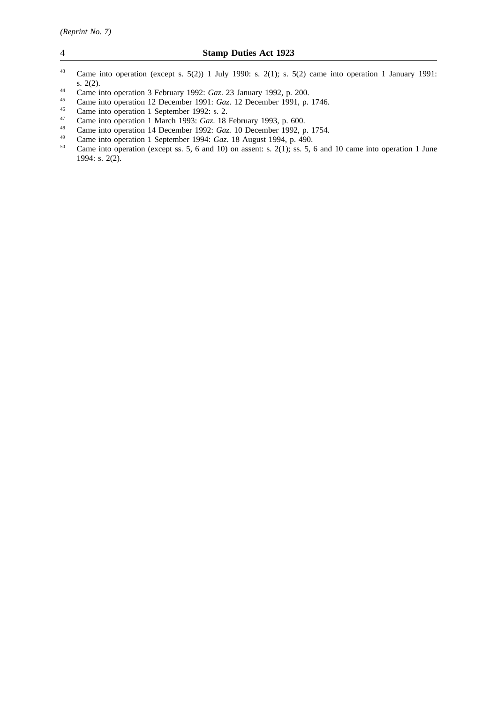- <sup>43</sup> Came into operation (except s. 5(2)) 1 July 1990: s. 2(1); s. 5(2) came into operation 1 January 1991: s. 2(2).
- <sup>44</sup> Came into operation 3 February 1992: *Gaz*. 23 January 1992, p. 200.
- <sup>45</sup> Came into operation 12 December 1991: *Gaz*. 12 December 1991, p. 1746.
- <sup>46</sup> Came into operation 1 September 1992: s. 2.<br><sup>47</sup> Came into operation 1 March 1993:  $C_{27}$  18
- <sup>47</sup> Came into operation 1 March 1993: *Gaz*. 18 February 1993, p. 600.
- <sup>48</sup> Came into operation 14 December 1992: *Gaz.* 10 December 1992, p. 1754.
- <sup>49</sup> Came into operation 1 September 1994: *Gaz*. 18 August 1994, p. 490.<br>Came into operation (except ss. 5, 6 and 10) on assent; s. 2(1): ss. 5, t.
- Came into operation (except ss. 5, 6 and 10) on assent: s.  $2(1)$ ; ss. 5, 6 and 10 came into operation 1 June 1994: s. 2(2).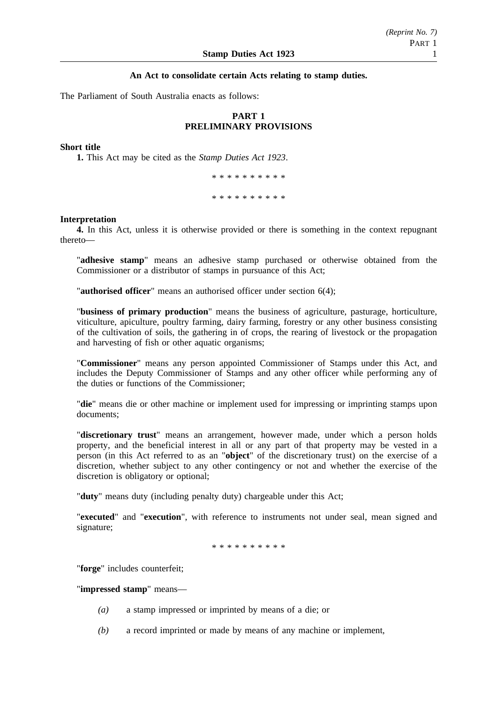#### **An Act to consolidate certain Acts relating to stamp duties.**

The Parliament of South Australia enacts as follows:

# **PART 1 PRELIMINARY PROVISIONS**

#### **Short title**

**1.** This Act may be cited as the *Stamp Duties Act 1923*.

\*\*\*\*\*\*\*\*\*\* \*\*\*\*\*\*\*\*\*\*

#### **Interpretation**

**4.** In this Act, unless it is otherwise provided or there is something in the context repugnant thereto—

"**adhesive stamp**" means an adhesive stamp purchased or otherwise obtained from the Commissioner or a distributor of stamps in pursuance of this Act;

"**authorised officer**" means an authorised officer under section 6(4);

"**business of primary production**" means the business of agriculture, pasturage, horticulture, viticulture, apiculture, poultry farming, dairy farming, forestry or any other business consisting of the cultivation of soils, the gathering in of crops, the rearing of livestock or the propagation and harvesting of fish or other aquatic organisms;

"**Commissioner**" means any person appointed Commissioner of Stamps under this Act, and includes the Deputy Commissioner of Stamps and any other officer while performing any of the duties or functions of the Commissioner;

"**die**" means die or other machine or implement used for impressing or imprinting stamps upon documents;

"**discretionary trust**" means an arrangement, however made, under which a person holds property, and the beneficial interest in all or any part of that property may be vested in a person (in this Act referred to as an "**object**" of the discretionary trust) on the exercise of a discretion, whether subject to any other contingency or not and whether the exercise of the discretion is obligatory or optional;

"**duty**" means duty (including penalty duty) chargeable under this Act;

"**executed**" and "**execution**", with reference to instruments not under seal, mean signed and signature;

\*\*\*\*\*\*\*\*\*\*

"**forge**" includes counterfeit;

"**impressed stamp**" means—

- *(a)* a stamp impressed or imprinted by means of a die; or
- *(b)* a record imprinted or made by means of any machine or implement,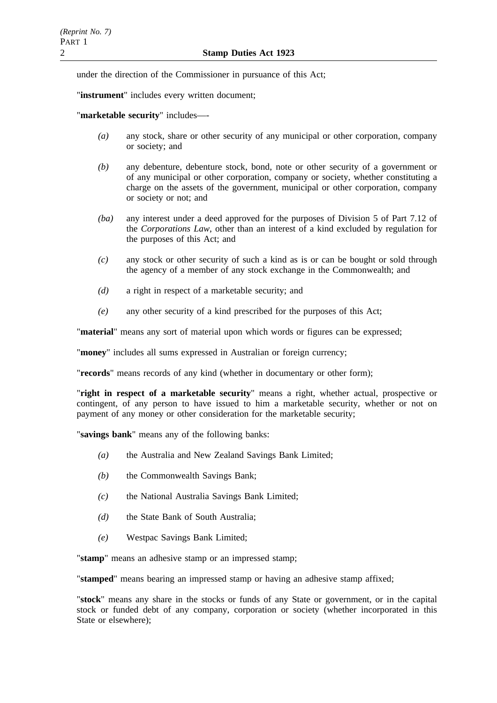under the direction of the Commissioner in pursuance of this Act;

"**instrument**" includes every written document;

"**marketable security**" includes—-

- *(a)* any stock, share or other security of any municipal or other corporation, company or society; and
- *(b)* any debenture, debenture stock, bond, note or other security of a government or of any municipal or other corporation, company or society, whether constituting a charge on the assets of the government, municipal or other corporation, company or society or not; and
- *(ba)* any interest under a deed approved for the purposes of Division 5 of Part 7.12 of the *Corporations Law*, other than an interest of a kind excluded by regulation for the purposes of this Act; and
- *(c)* any stock or other security of such a kind as is or can be bought or sold through the agency of a member of any stock exchange in the Commonwealth; and
- *(d)* a right in respect of a marketable security; and
- *(e)* any other security of a kind prescribed for the purposes of this Act;

"**material**" means any sort of material upon which words or figures can be expressed;

"**money**" includes all sums expressed in Australian or foreign currency;

"**records**" means records of any kind (whether in documentary or other form);

"**right in respect of a marketable security**" means a right, whether actual, prospective or contingent, of any person to have issued to him a marketable security, whether or not on payment of any money or other consideration for the marketable security;

"**savings bank**" means any of the following banks:

- *(a)* the Australia and New Zealand Savings Bank Limited;
- *(b)* the Commonwealth Savings Bank;
- *(c)* the National Australia Savings Bank Limited;
- *(d)* the State Bank of South Australia;
- *(e)* Westpac Savings Bank Limited;

"**stamp**" means an adhesive stamp or an impressed stamp;

"**stamped**" means bearing an impressed stamp or having an adhesive stamp affixed;

"**stock**" means any share in the stocks or funds of any State or government, or in the capital stock or funded debt of any company, corporation or society (whether incorporated in this State or elsewhere);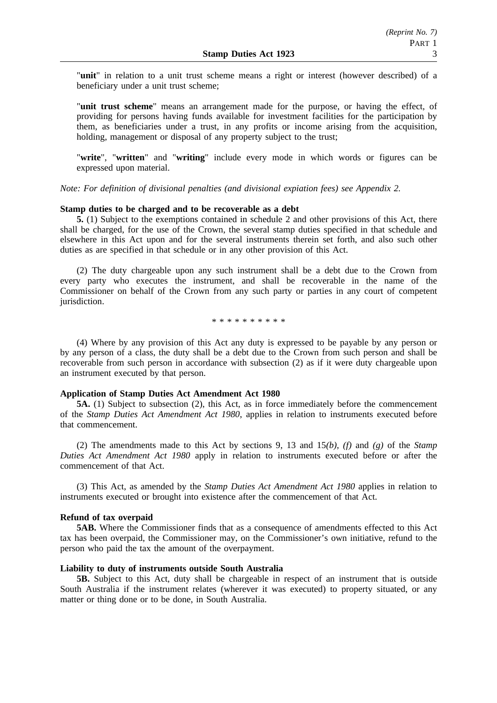"**unit**" in relation to a unit trust scheme means a right or interest (however described) of a beneficiary under a unit trust scheme;

"**unit trust scheme**" means an arrangement made for the purpose, or having the effect, of providing for persons having funds available for investment facilities for the participation by them, as beneficiaries under a trust, in any profits or income arising from the acquisition, holding, management or disposal of any property subject to the trust;

"**write**", "**written**" and "**writing**" include every mode in which words or figures can be expressed upon material.

#### *Note: For definition of divisional penalties (and divisional expiation fees) see Appendix 2.*

#### **Stamp duties to be charged and to be recoverable as a debt**

**5.** (1) Subject to the exemptions contained in schedule 2 and other provisions of this Act, there shall be charged, for the use of the Crown, the several stamp duties specified in that schedule and elsewhere in this Act upon and for the several instruments therein set forth, and also such other duties as are specified in that schedule or in any other provision of this Act.

(2) The duty chargeable upon any such instrument shall be a debt due to the Crown from every party who executes the instrument, and shall be recoverable in the name of the Commissioner on behalf of the Crown from any such party or parties in any court of competent jurisdiction.

\*\*\*\*\*\*\*\*\*\*

(4) Where by any provision of this Act any duty is expressed to be payable by any person or by any person of a class, the duty shall be a debt due to the Crown from such person and shall be recoverable from such person in accordance with subsection (2) as if it were duty chargeable upon an instrument executed by that person.

#### **Application of Stamp Duties Act Amendment Act 1980**

**5A.** (1) Subject to subsection (2), this Act, as in force immediately before the commencement of the *Stamp Duties Act Amendment Act 1980*, applies in relation to instruments executed before that commencement.

(2) The amendments made to this Act by sections 9, 13 and 15*(b)*, *(f)* and *(g)* of the *Stamp Duties Act Amendment Act 1980* apply in relation to instruments executed before or after the commencement of that Act.

(3) This Act, as amended by the *Stamp Duties Act Amendment Act 1980* applies in relation to instruments executed or brought into existence after the commencement of that Act.

#### **Refund of tax overpaid**

**5AB.** Where the Commissioner finds that as a consequence of amendments effected to this Act tax has been overpaid, the Commissioner may, on the Commissioner's own initiative, refund to the person who paid the tax the amount of the overpayment.

#### **Liability to duty of instruments outside South Australia**

**5B.** Subject to this Act, duty shall be chargeable in respect of an instrument that is outside South Australia if the instrument relates (wherever it was executed) to property situated, or any matter or thing done or to be done, in South Australia.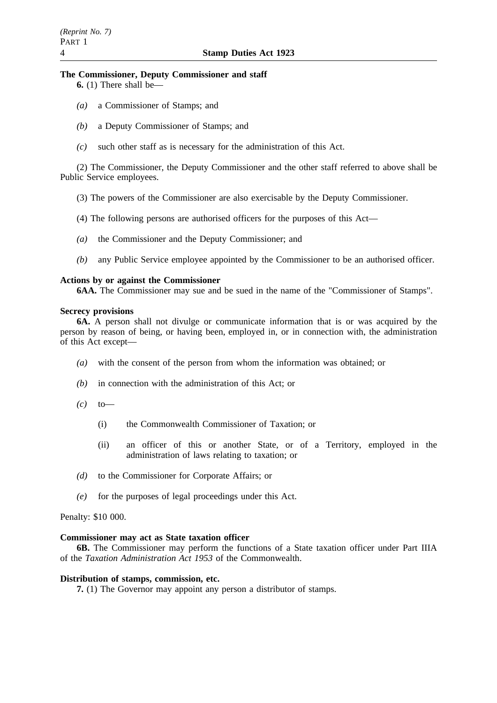# **The Commissioner, Deputy Commissioner and staff**

**6.** (1) There shall be—

- *(a)* a Commissioner of Stamps; and
- *(b)* a Deputy Commissioner of Stamps; and
- *(c)* such other staff as is necessary for the administration of this Act.

(2) The Commissioner, the Deputy Commissioner and the other staff referred to above shall be Public Service employees.

- (3) The powers of the Commissioner are also exercisable by the Deputy Commissioner.
- (4) The following persons are authorised officers for the purposes of this Act—
- *(a)* the Commissioner and the Deputy Commissioner; and
- *(b)* any Public Service employee appointed by the Commissioner to be an authorised officer.

## **Actions by or against the Commissioner**

**6AA.** The Commissioner may sue and be sued in the name of the "Commissioner of Stamps".

## **Secrecy provisions**

**6A.** A person shall not divulge or communicate information that is or was acquired by the person by reason of being, or having been, employed in, or in connection with, the administration of this Act except—

- *(a)* with the consent of the person from whom the information was obtained; or
- *(b)* in connection with the administration of this Act; or
- *(c)* to—
	- (i) the Commonwealth Commissioner of Taxation; or
	- (ii) an officer of this or another State, or of a Territory, employed in the administration of laws relating to taxation; or
- *(d)* to the Commissioner for Corporate Affairs; or
- *(e)* for the purposes of legal proceedings under this Act.

# Penalty: \$10 000.

## **Commissioner may act as State taxation officer**

**6B.** The Commissioner may perform the functions of a State taxation officer under Part IIIA of the *Taxation Administration Act 1953* of the Commonwealth.

## **Distribution of stamps, commission, etc.**

**7.** (1) The Governor may appoint any person a distributor of stamps.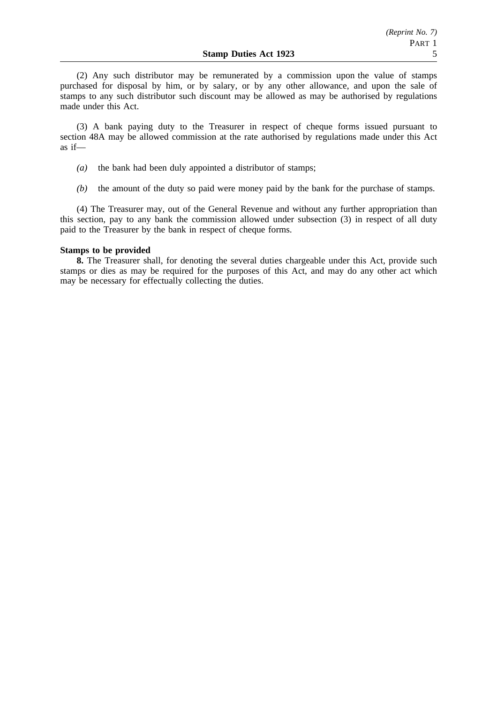(2) Any such distributor may be remunerated by a commission upon the value of stamps purchased for disposal by him, or by salary, or by any other allowance, and upon the sale of stamps to any such distributor such discount may be allowed as may be authorised by regulations made under this Act.

(3) A bank paying duty to the Treasurer in respect of cheque forms issued pursuant to section 48A may be allowed commission at the rate authorised by regulations made under this Act as if—

- *(a)* the bank had been duly appointed a distributor of stamps;
- *(b)* the amount of the duty so paid were money paid by the bank for the purchase of stamps.

(4) The Treasurer may, out of the General Revenue and without any further appropriation than this section, pay to any bank the commission allowed under subsection (3) in respect of all duty paid to the Treasurer by the bank in respect of cheque forms.

#### **Stamps to be provided**

**8.** The Treasurer shall, for denoting the several duties chargeable under this Act, provide such stamps or dies as may be required for the purposes of this Act, and may do any other act which may be necessary for effectually collecting the duties.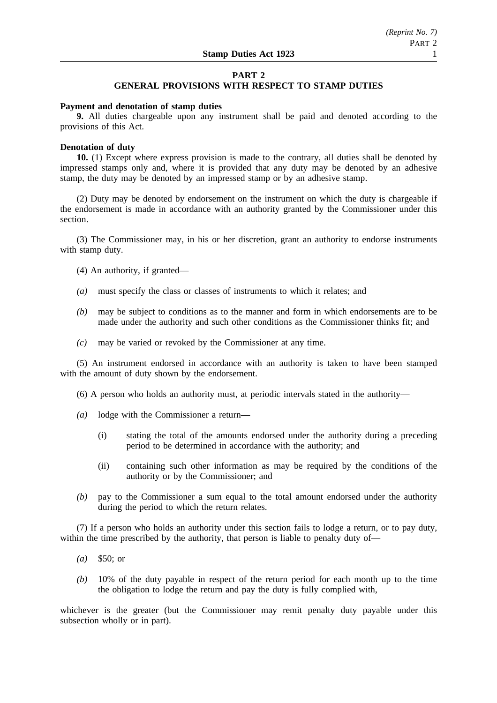## **PART 2**

# **GENERAL PROVISIONS WITH RESPECT TO STAMP DUTIES**

## **Payment and denotation of stamp duties**

**9.** All duties chargeable upon any instrument shall be paid and denoted according to the provisions of this Act.

#### **Denotation of duty**

**10.** (1) Except where express provision is made to the contrary, all duties shall be denoted by impressed stamps only and, where it is provided that any duty may be denoted by an adhesive stamp, the duty may be denoted by an impressed stamp or by an adhesive stamp.

(2) Duty may be denoted by endorsement on the instrument on which the duty is chargeable if the endorsement is made in accordance with an authority granted by the Commissioner under this section.

(3) The Commissioner may, in his or her discretion, grant an authority to endorse instruments with stamp duty.

(4) An authority, if granted—

- *(a)* must specify the class or classes of instruments to which it relates; and
- *(b)* may be subject to conditions as to the manner and form in which endorsements are to be made under the authority and such other conditions as the Commissioner thinks fit; and
- *(c)* may be varied or revoked by the Commissioner at any time.

(5) An instrument endorsed in accordance with an authority is taken to have been stamped with the amount of duty shown by the endorsement.

(6) A person who holds an authority must, at periodic intervals stated in the authority—

- *(a)* lodge with the Commissioner a return—
	- (i) stating the total of the amounts endorsed under the authority during a preceding period to be determined in accordance with the authority; and
	- (ii) containing such other information as may be required by the conditions of the authority or by the Commissioner; and
- *(b)* pay to the Commissioner a sum equal to the total amount endorsed under the authority during the period to which the return relates.

(7) If a person who holds an authority under this section fails to lodge a return, or to pay duty, within the time prescribed by the authority, that person is liable to penalty duty of—

- *(a)* \$50; or
- *(b)* 10% of the duty payable in respect of the return period for each month up to the time the obligation to lodge the return and pay the duty is fully complied with,

whichever is the greater (but the Commissioner may remit penalty duty payable under this subsection wholly or in part).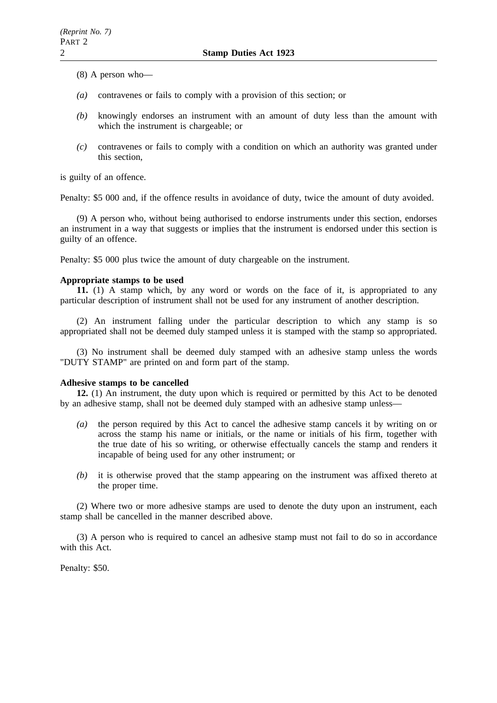(8) A person who—

- *(a)* contravenes or fails to comply with a provision of this section; or
- *(b)* knowingly endorses an instrument with an amount of duty less than the amount with which the instrument is chargeable; or
- *(c)* contravenes or fails to comply with a condition on which an authority was granted under this section,

is guilty of an offence.

Penalty: \$5 000 and, if the offence results in avoidance of duty, twice the amount of duty avoided.

(9) A person who, without being authorised to endorse instruments under this section, endorses an instrument in a way that suggests or implies that the instrument is endorsed under this section is guilty of an offence.

Penalty: \$5 000 plus twice the amount of duty chargeable on the instrument.

#### **Appropriate stamps to be used**

**11.** (1) A stamp which, by any word or words on the face of it, is appropriated to any particular description of instrument shall not be used for any instrument of another description.

(2) An instrument falling under the particular description to which any stamp is so appropriated shall not be deemed duly stamped unless it is stamped with the stamp so appropriated.

(3) No instrument shall be deemed duly stamped with an adhesive stamp unless the words "DUTY STAMP" are printed on and form part of the stamp.

#### **Adhesive stamps to be cancelled**

**12.** (1) An instrument, the duty upon which is required or permitted by this Act to be denoted by an adhesive stamp, shall not be deemed duly stamped with an adhesive stamp unless—

- *(a)* the person required by this Act to cancel the adhesive stamp cancels it by writing on or across the stamp his name or initials, or the name or initials of his firm, together with the true date of his so writing, or otherwise effectually cancels the stamp and renders it incapable of being used for any other instrument; or
- *(b)* it is otherwise proved that the stamp appearing on the instrument was affixed thereto at the proper time.

(2) Where two or more adhesive stamps are used to denote the duty upon an instrument, each stamp shall be cancelled in the manner described above.

(3) A person who is required to cancel an adhesive stamp must not fail to do so in accordance with this Act.

Penalty: \$50.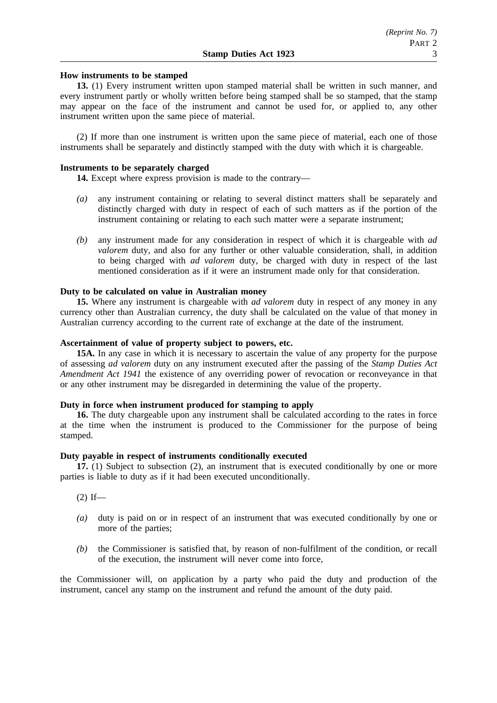#### **How instruments to be stamped**

**13.** (1) Every instrument written upon stamped material shall be written in such manner, and every instrument partly or wholly written before being stamped shall be so stamped, that the stamp may appear on the face of the instrument and cannot be used for, or applied to, any other instrument written upon the same piece of material.

(2) If more than one instrument is written upon the same piece of material, each one of those instruments shall be separately and distinctly stamped with the duty with which it is chargeable.

#### **Instruments to be separately charged**

**14.** Except where express provision is made to the contrary—

- *(a)* any instrument containing or relating to several distinct matters shall be separately and distinctly charged with duty in respect of each of such matters as if the portion of the instrument containing or relating to each such matter were a separate instrument;
- *(b)* any instrument made for any consideration in respect of which it is chargeable with *ad valorem* duty, and also for any further or other valuable consideration, shall, in addition to being charged with *ad valorem* duty, be charged with duty in respect of the last mentioned consideration as if it were an instrument made only for that consideration.

## **Duty to be calculated on value in Australian money**

**15.** Where any instrument is chargeable with *ad valorem* duty in respect of any money in any currency other than Australian currency, the duty shall be calculated on the value of that money in Australian currency according to the current rate of exchange at the date of the instrument.

## **Ascertainment of value of property subject to powers, etc.**

**15A.** In any case in which it is necessary to ascertain the value of any property for the purpose of assessing *ad valorem* duty on any instrument executed after the passing of the *Stamp Duties Act Amendment Act 1941* the existence of any overriding power of revocation or reconveyance in that or any other instrument may be disregarded in determining the value of the property.

#### **Duty in force when instrument produced for stamping to apply**

**16.** The duty chargeable upon any instrument shall be calculated according to the rates in force at the time when the instrument is produced to the Commissioner for the purpose of being stamped.

#### **Duty payable in respect of instruments conditionally executed**

**17.** (1) Subject to subsection (2), an instrument that is executed conditionally by one or more parties is liable to duty as if it had been executed unconditionally.

 $(2)$  If—

- *(a)* duty is paid on or in respect of an instrument that was executed conditionally by one or more of the parties;
- *(b)* the Commissioner is satisfied that, by reason of non-fulfilment of the condition, or recall of the execution, the instrument will never come into force,

the Commissioner will, on application by a party who paid the duty and production of the instrument, cancel any stamp on the instrument and refund the amount of the duty paid.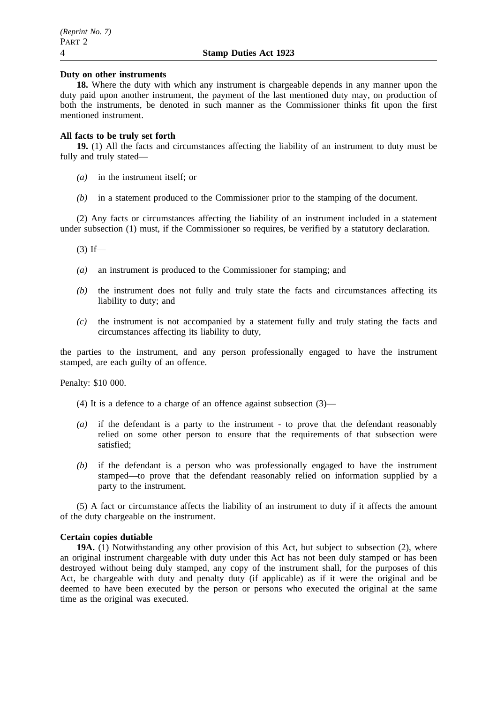# **Duty on other instruments**

**18.** Where the duty with which any instrument is chargeable depends in any manner upon the duty paid upon another instrument, the payment of the last mentioned duty may, on production of both the instruments, be denoted in such manner as the Commissioner thinks fit upon the first mentioned instrument.

## **All facts to be truly set forth**

**19.** (1) All the facts and circumstances affecting the liability of an instrument to duty must be fully and truly stated—

- *(a)* in the instrument itself; or
- *(b)* in a statement produced to the Commissioner prior to the stamping of the document.

(2) Any facts or circumstances affecting the liability of an instrument included in a statement under subsection (1) must, if the Commissioner so requires, be verified by a statutory declaration.

- $(3)$  If—
- *(a)* an instrument is produced to the Commissioner for stamping; and
- *(b)* the instrument does not fully and truly state the facts and circumstances affecting its liability to duty; and
- *(c)* the instrument is not accompanied by a statement fully and truly stating the facts and circumstances affecting its liability to duty,

the parties to the instrument, and any person professionally engaged to have the instrument stamped, are each guilty of an offence.

Penalty: \$10 000.

- (4) It is a defence to a charge of an offence against subsection (3)—
- *(a)* if the defendant is a party to the instrument to prove that the defendant reasonably relied on some other person to ensure that the requirements of that subsection were satisfied;
- *(b)* if the defendant is a person who was professionally engaged to have the instrument stamped—to prove that the defendant reasonably relied on information supplied by a party to the instrument.

(5) A fact or circumstance affects the liability of an instrument to duty if it affects the amount of the duty chargeable on the instrument.

# **Certain copies dutiable**

**19A.** (1) Notwithstanding any other provision of this Act, but subject to subsection (2), where an original instrument chargeable with duty under this Act has not been duly stamped or has been destroyed without being duly stamped, any copy of the instrument shall, for the purposes of this Act, be chargeable with duty and penalty duty (if applicable) as if it were the original and be deemed to have been executed by the person or persons who executed the original at the same time as the original was executed.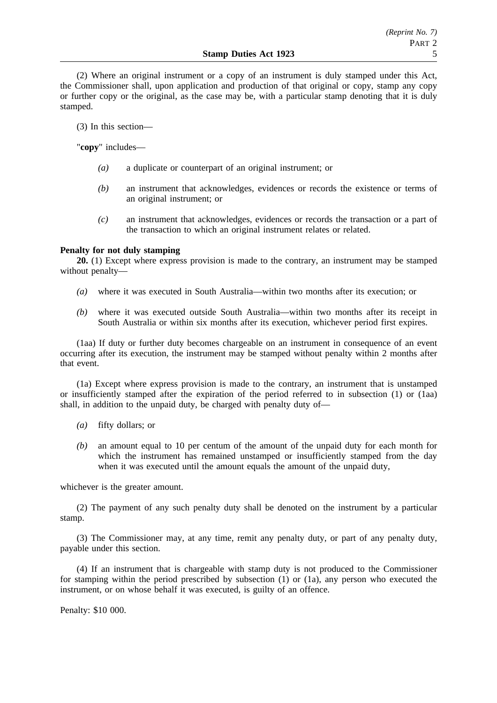(2) Where an original instrument or a copy of an instrument is duly stamped under this Act, the Commissioner shall, upon application and production of that original or copy, stamp any copy or further copy or the original, as the case may be, with a particular stamp denoting that it is duly stamped.

(3) In this section—

"**copy**" includes—

- *(a)* a duplicate or counterpart of an original instrument; or
- *(b)* an instrument that acknowledges, evidences or records the existence or terms of an original instrument; or
- *(c)* an instrument that acknowledges, evidences or records the transaction or a part of the transaction to which an original instrument relates or related.

## **Penalty for not duly stamping**

**20.** (1) Except where express provision is made to the contrary, an instrument may be stamped without penalty—

- *(a)* where it was executed in South Australia—within two months after its execution; or
- *(b)* where it was executed outside South Australia—within two months after its receipt in South Australia or within six months after its execution, whichever period first expires.

(1aa) If duty or further duty becomes chargeable on an instrument in consequence of an event occurring after its execution, the instrument may be stamped without penalty within 2 months after that event.

(1a) Except where express provision is made to the contrary, an instrument that is unstamped or insufficiently stamped after the expiration of the period referred to in subsection (1) or (1aa) shall, in addition to the unpaid duty, be charged with penalty duty of—

- *(a)* fifty dollars; or
- *(b)* an amount equal to 10 per centum of the amount of the unpaid duty for each month for which the instrument has remained unstamped or insufficiently stamped from the day when it was executed until the amount equals the amount of the unpaid duty,

whichever is the greater amount.

(2) The payment of any such penalty duty shall be denoted on the instrument by a particular stamp.

(3) The Commissioner may, at any time, remit any penalty duty, or part of any penalty duty, payable under this section.

(4) If an instrument that is chargeable with stamp duty is not produced to the Commissioner for stamping within the period prescribed by subsection (1) or (1a), any person who executed the instrument, or on whose behalf it was executed, is guilty of an offence.

Penalty: \$10 000.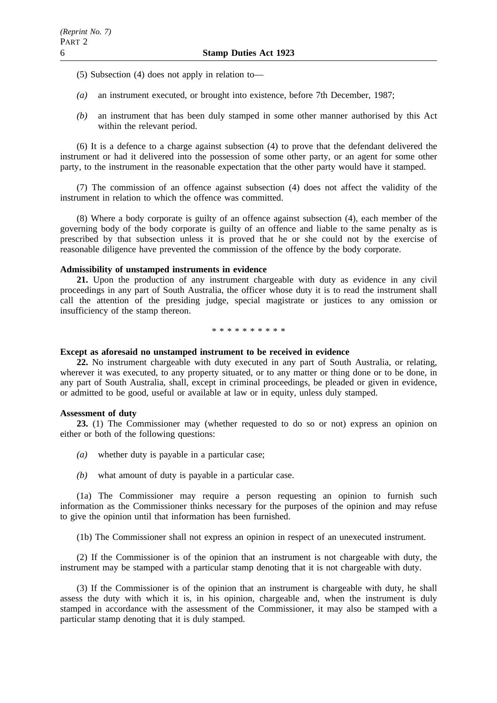- (5) Subsection (4) does not apply in relation to—
- *(a)* an instrument executed, or brought into existence, before 7th December, 1987;
- *(b)* an instrument that has been duly stamped in some other manner authorised by this Act within the relevant period.

(6) It is a defence to a charge against subsection (4) to prove that the defendant delivered the instrument or had it delivered into the possession of some other party, or an agent for some other party, to the instrument in the reasonable expectation that the other party would have it stamped.

(7) The commission of an offence against subsection (4) does not affect the validity of the instrument in relation to which the offence was committed.

(8) Where a body corporate is guilty of an offence against subsection (4), each member of the governing body of the body corporate is guilty of an offence and liable to the same penalty as is prescribed by that subsection unless it is proved that he or she could not by the exercise of reasonable diligence have prevented the commission of the offence by the body corporate.

# **Admissibility of unstamped instruments in evidence**

**21.** Upon the production of any instrument chargeable with duty as evidence in any civil proceedings in any part of South Australia, the officer whose duty it is to read the instrument shall call the attention of the presiding judge, special magistrate or justices to any omission or insufficiency of the stamp thereon.

\*\*\*\*\*\*\*\*\*\*

# **Except as aforesaid no unstamped instrument to be received in evidence**

**22.** No instrument chargeable with duty executed in any part of South Australia, or relating, wherever it was executed, to any property situated, or to any matter or thing done or to be done, in any part of South Australia, shall, except in criminal proceedings, be pleaded or given in evidence, or admitted to be good, useful or available at law or in equity, unless duly stamped.

#### **Assessment of duty**

**23.** (1) The Commissioner may (whether requested to do so or not) express an opinion on either or both of the following questions:

- *(a)* whether duty is payable in a particular case;
- *(b)* what amount of duty is payable in a particular case.

(1a) The Commissioner may require a person requesting an opinion to furnish such information as the Commissioner thinks necessary for the purposes of the opinion and may refuse to give the opinion until that information has been furnished.

(1b) The Commissioner shall not express an opinion in respect of an unexecuted instrument.

(2) If the Commissioner is of the opinion that an instrument is not chargeable with duty, the instrument may be stamped with a particular stamp denoting that it is not chargeable with duty.

(3) If the Commissioner is of the opinion that an instrument is chargeable with duty, he shall assess the duty with which it is, in his opinion, chargeable and, when the instrument is duly stamped in accordance with the assessment of the Commissioner, it may also be stamped with a particular stamp denoting that it is duly stamped.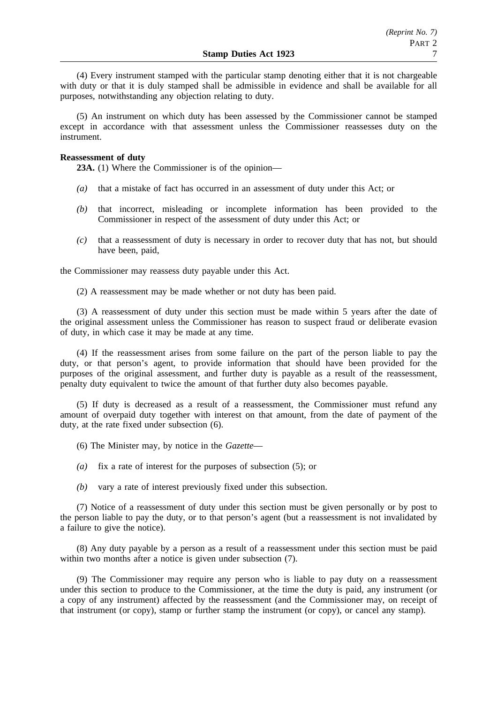(4) Every instrument stamped with the particular stamp denoting either that it is not chargeable with duty or that it is duly stamped shall be admissible in evidence and shall be available for all purposes, notwithstanding any objection relating to duty.

(5) An instrument on which duty has been assessed by the Commissioner cannot be stamped except in accordance with that assessment unless the Commissioner reassesses duty on the instrument.

#### **Reassessment of duty**

**23A.** (1) Where the Commissioner is of the opinion—

- *(a)* that a mistake of fact has occurred in an assessment of duty under this Act; or
- *(b)* that incorrect, misleading or incomplete information has been provided to the Commissioner in respect of the assessment of duty under this Act; or
- *(c)* that a reassessment of duty is necessary in order to recover duty that has not, but should have been, paid,

the Commissioner may reassess duty payable under this Act.

(2) A reassessment may be made whether or not duty has been paid.

(3) A reassessment of duty under this section must be made within 5 years after the date of the original assessment unless the Commissioner has reason to suspect fraud or deliberate evasion of duty, in which case it may be made at any time.

(4) If the reassessment arises from some failure on the part of the person liable to pay the duty, or that person's agent, to provide information that should have been provided for the purposes of the original assessment, and further duty is payable as a result of the reassessment, penalty duty equivalent to twice the amount of that further duty also becomes payable.

(5) If duty is decreased as a result of a reassessment, the Commissioner must refund any amount of overpaid duty together with interest on that amount, from the date of payment of the duty, at the rate fixed under subsection (6).

(6) The Minister may, by notice in the *Gazette*—

- *(a)* fix a rate of interest for the purposes of subsection (5); or
- *(b)* vary a rate of interest previously fixed under this subsection.

(7) Notice of a reassessment of duty under this section must be given personally or by post to the person liable to pay the duty, or to that person's agent (but a reassessment is not invalidated by a failure to give the notice).

(8) Any duty payable by a person as a result of a reassessment under this section must be paid within two months after a notice is given under subsection (7).

(9) The Commissioner may require any person who is liable to pay duty on a reassessment under this section to produce to the Commissioner, at the time the duty is paid, any instrument (or a copy of any instrument) affected by the reassessment (and the Commissioner may, on receipt of that instrument (or copy), stamp or further stamp the instrument (or copy), or cancel any stamp).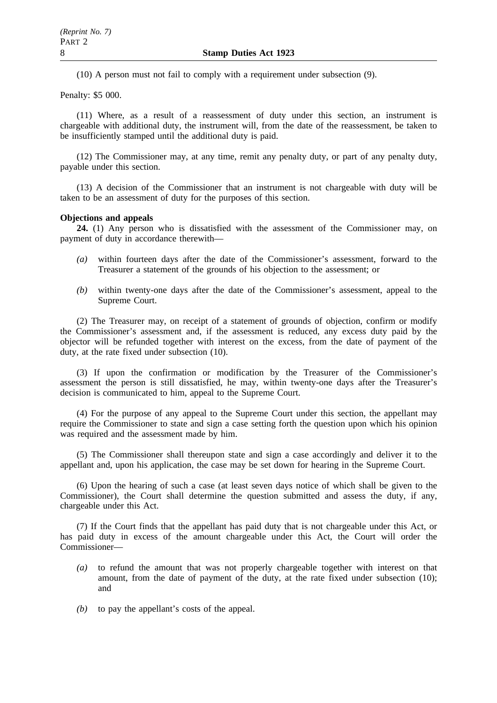(10) A person must not fail to comply with a requirement under subsection (9).

Penalty: \$5 000.

(11) Where, as a result of a reassessment of duty under this section, an instrument is chargeable with additional duty, the instrument will, from the date of the reassessment, be taken to be insufficiently stamped until the additional duty is paid.

(12) The Commissioner may, at any time, remit any penalty duty, or part of any penalty duty, payable under this section.

(13) A decision of the Commissioner that an instrument is not chargeable with duty will be taken to be an assessment of duty for the purposes of this section.

## **Objections and appeals**

**24.** (1) Any person who is dissatisfied with the assessment of the Commissioner may, on payment of duty in accordance therewith—

- *(a)* within fourteen days after the date of the Commissioner's assessment, forward to the Treasurer a statement of the grounds of his objection to the assessment; or
- *(b)* within twenty-one days after the date of the Commissioner's assessment, appeal to the Supreme Court.

(2) The Treasurer may, on receipt of a statement of grounds of objection, confirm or modify the Commissioner's assessment and, if the assessment is reduced, any excess duty paid by the objector will be refunded together with interest on the excess, from the date of payment of the duty, at the rate fixed under subsection (10).

(3) If upon the confirmation or modification by the Treasurer of the Commissioner's assessment the person is still dissatisfied, he may, within twenty-one days after the Treasurer's decision is communicated to him, appeal to the Supreme Court.

(4) For the purpose of any appeal to the Supreme Court under this section, the appellant may require the Commissioner to state and sign a case setting forth the question upon which his opinion was required and the assessment made by him.

(5) The Commissioner shall thereupon state and sign a case accordingly and deliver it to the appellant and, upon his application, the case may be set down for hearing in the Supreme Court.

(6) Upon the hearing of such a case (at least seven days notice of which shall be given to the Commissioner), the Court shall determine the question submitted and assess the duty, if any, chargeable under this Act.

(7) If the Court finds that the appellant has paid duty that is not chargeable under this Act, or has paid duty in excess of the amount chargeable under this Act, the Court will order the Commissioner—

- *(a)* to refund the amount that was not properly chargeable together with interest on that amount, from the date of payment of the duty, at the rate fixed under subsection (10); and
- *(b)* to pay the appellant's costs of the appeal.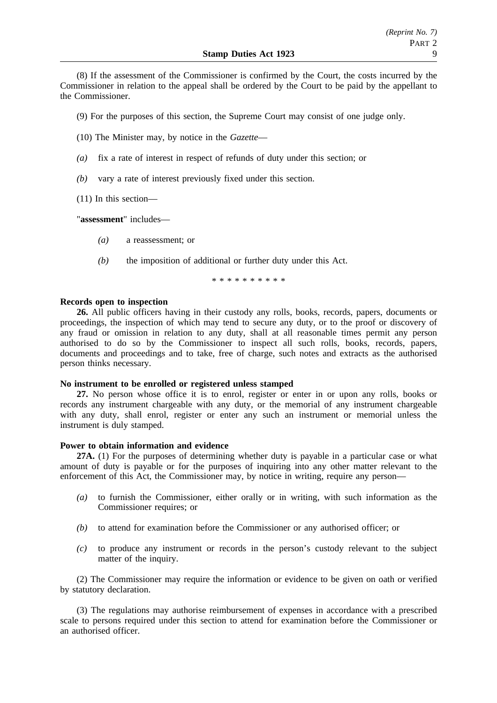(8) If the assessment of the Commissioner is confirmed by the Court, the costs incurred by the Commissioner in relation to the appeal shall be ordered by the Court to be paid by the appellant to the Commissioner.

(9) For the purposes of this section, the Supreme Court may consist of one judge only.

(10) The Minister may, by notice in the *Gazette*—

- *(a)* fix a rate of interest in respect of refunds of duty under this section; or
- *(b)* vary a rate of interest previously fixed under this section.

(11) In this section—

"**assessment**" includes—

- *(a)* a reassessment; or
- *(b)* the imposition of additional or further duty under this Act.

\*\*\*\*\*\*\*\*\*\*

## **Records open to inspection**

**26.** All public officers having in their custody any rolls, books, records, papers, documents or proceedings, the inspection of which may tend to secure any duty, or to the proof or discovery of any fraud or omission in relation to any duty, shall at all reasonable times permit any person authorised to do so by the Commissioner to inspect all such rolls, books, records, papers, documents and proceedings and to take, free of charge, such notes and extracts as the authorised person thinks necessary.

## **No instrument to be enrolled or registered unless stamped**

**27.** No person whose office it is to enrol, register or enter in or upon any rolls, books or records any instrument chargeable with any duty, or the memorial of any instrument chargeable with any duty, shall enrol, register or enter any such an instrument or memorial unless the instrument is duly stamped.

## **Power to obtain information and evidence**

**27A.** (1) For the purposes of determining whether duty is payable in a particular case or what amount of duty is payable or for the purposes of inquiring into any other matter relevant to the enforcement of this Act, the Commissioner may, by notice in writing, require any person—

- *(a)* to furnish the Commissioner, either orally or in writing, with such information as the Commissioner requires; or
- *(b)* to attend for examination before the Commissioner or any authorised officer; or
- *(c)* to produce any instrument or records in the person's custody relevant to the subject matter of the inquiry.

(2) The Commissioner may require the information or evidence to be given on oath or verified by statutory declaration.

(3) The regulations may authorise reimbursement of expenses in accordance with a prescribed scale to persons required under this section to attend for examination before the Commissioner or an authorised officer.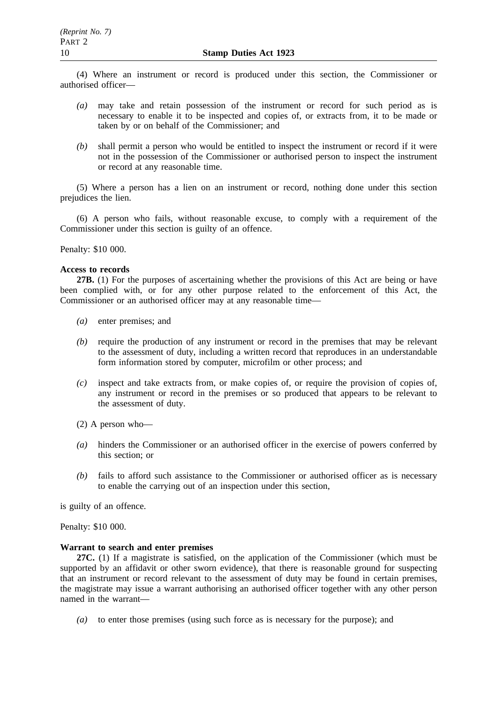(4) Where an instrument or record is produced under this section, the Commissioner or authorised officer—

- *(a)* may take and retain possession of the instrument or record for such period as is necessary to enable it to be inspected and copies of, or extracts from, it to be made or taken by or on behalf of the Commissioner; and
- *(b)* shall permit a person who would be entitled to inspect the instrument or record if it were not in the possession of the Commissioner or authorised person to inspect the instrument or record at any reasonable time.

(5) Where a person has a lien on an instrument or record, nothing done under this section prejudices the lien.

(6) A person who fails, without reasonable excuse, to comply with a requirement of the Commissioner under this section is guilty of an offence.

Penalty: \$10 000.

#### **Access to records**

**27B.** (1) For the purposes of ascertaining whether the provisions of this Act are being or have been complied with, or for any other purpose related to the enforcement of this Act, the Commissioner or an authorised officer may at any reasonable time—

- *(a)* enter premises; and
- *(b)* require the production of any instrument or record in the premises that may be relevant to the assessment of duty, including a written record that reproduces in an understandable form information stored by computer, microfilm or other process; and
- *(c)* inspect and take extracts from, or make copies of, or require the provision of copies of, any instrument or record in the premises or so produced that appears to be relevant to the assessment of duty.
- (2) A person who—
- *(a)* hinders the Commissioner or an authorised officer in the exercise of powers conferred by this section; or
- *(b)* fails to afford such assistance to the Commissioner or authorised officer as is necessary to enable the carrying out of an inspection under this section,

is guilty of an offence.

Penalty: \$10 000.

# **Warrant to search and enter premises**

**27C.** (1) If a magistrate is satisfied, on the application of the Commissioner (which must be supported by an affidavit or other sworn evidence), that there is reasonable ground for suspecting that an instrument or record relevant to the assessment of duty may be found in certain premises, the magistrate may issue a warrant authorising an authorised officer together with any other person named in the warrant—

*(a)* to enter those premises (using such force as is necessary for the purpose); and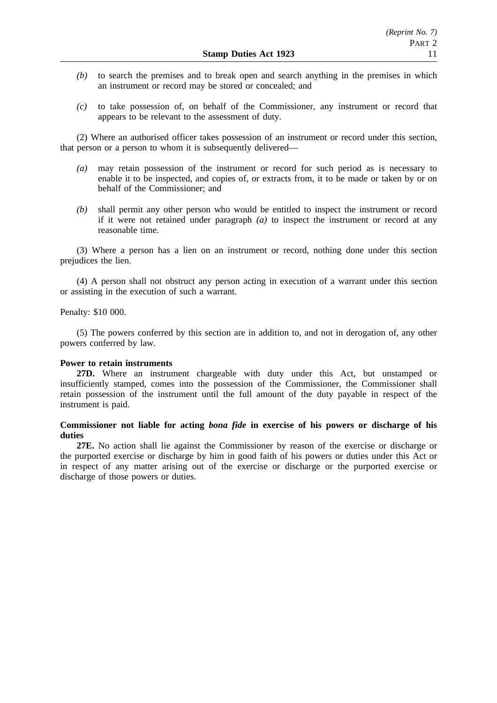- *(b)* to search the premises and to break open and search anything in the premises in which an instrument or record may be stored or concealed; and
- *(c)* to take possession of, on behalf of the Commissioner, any instrument or record that appears to be relevant to the assessment of duty.

(2) Where an authorised officer takes possession of an instrument or record under this section, that person or a person to whom it is subsequently delivered—

- *(a)* may retain possession of the instrument or record for such period as is necessary to enable it to be inspected, and copies of, or extracts from, it to be made or taken by or on behalf of the Commissioner; and
- *(b)* shall permit any other person who would be entitled to inspect the instrument or record if it were not retained under paragraph *(a)* to inspect the instrument or record at any reasonable time.

(3) Where a person has a lien on an instrument or record, nothing done under this section prejudices the lien.

(4) A person shall not obstruct any person acting in execution of a warrant under this section or assisting in the execution of such a warrant.

Penalty: \$10 000.

(5) The powers conferred by this section are in addition to, and not in derogation of, any other powers conferred by law.

#### **Power to retain instruments**

**27D.** Where an instrument chargeable with duty under this Act, but unstamped or insufficiently stamped, comes into the possession of the Commissioner, the Commissioner shall retain possession of the instrument until the full amount of the duty payable in respect of the instrument is paid.

# **Commissioner not liable for acting** *bona fide* **in exercise of his powers or discharge of his duties**

**27E.** No action shall lie against the Commissioner by reason of the exercise or discharge or the purported exercise or discharge by him in good faith of his powers or duties under this Act or in respect of any matter arising out of the exercise or discharge or the purported exercise or discharge of those powers or duties.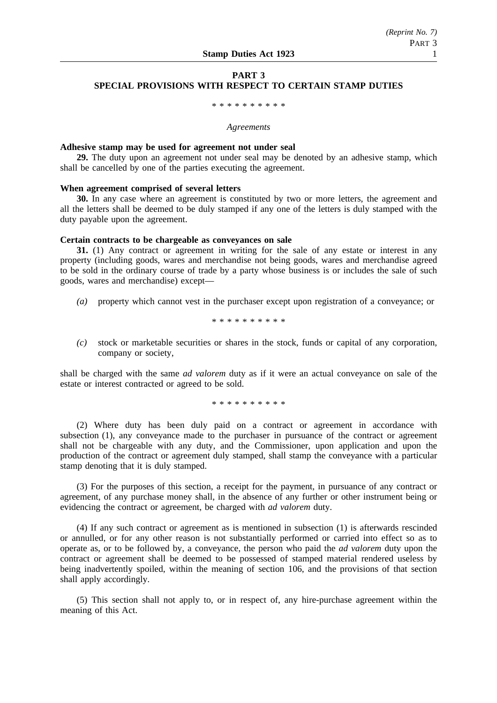# **PART 3 SPECIAL PROVISIONS WITH RESPECT TO CERTAIN STAMP DUTIES**

\*\*\*\*\*\*\*\*\*\*

#### *Agreements*

#### **Adhesive stamp may be used for agreement not under seal**

**29.** The duty upon an agreement not under seal may be denoted by an adhesive stamp, which shall be cancelled by one of the parties executing the agreement.

#### **When agreement comprised of several letters**

**30.** In any case where an agreement is constituted by two or more letters, the agreement and all the letters shall be deemed to be duly stamped if any one of the letters is duly stamped with the duty payable upon the agreement.

#### **Certain contracts to be chargeable as conveyances on sale**

**31.** (1) Any contract or agreement in writing for the sale of any estate or interest in any property (including goods, wares and merchandise not being goods, wares and merchandise agreed to be sold in the ordinary course of trade by a party whose business is or includes the sale of such goods, wares and merchandise) except—

*(a)* property which cannot vest in the purchaser except upon registration of a conveyance; or

\*\*\*\*\*\*\*\*\*\*

*(c)* stock or marketable securities or shares in the stock, funds or capital of any corporation, company or society,

shall be charged with the same *ad valorem* duty as if it were an actual conveyance on sale of the estate or interest contracted or agreed to be sold.

\*\*\*\*\*\*\*\*\*\*

(2) Where duty has been duly paid on a contract or agreement in accordance with subsection (1), any conveyance made to the purchaser in pursuance of the contract or agreement shall not be chargeable with any duty, and the Commissioner, upon application and upon the production of the contract or agreement duly stamped, shall stamp the conveyance with a particular stamp denoting that it is duly stamped.

(3) For the purposes of this section, a receipt for the payment, in pursuance of any contract or agreement, of any purchase money shall, in the absence of any further or other instrument being or evidencing the contract or agreement, be charged with *ad valorem* duty.

(4) If any such contract or agreement as is mentioned in subsection (1) is afterwards rescinded or annulled, or for any other reason is not substantially performed or carried into effect so as to operate as, or to be followed by, a conveyance, the person who paid the *ad valorem* duty upon the contract or agreement shall be deemed to be possessed of stamped material rendered useless by being inadvertently spoiled, within the meaning of section 106, and the provisions of that section shall apply accordingly.

(5) This section shall not apply to, or in respect of, any hire-purchase agreement within the meaning of this Act.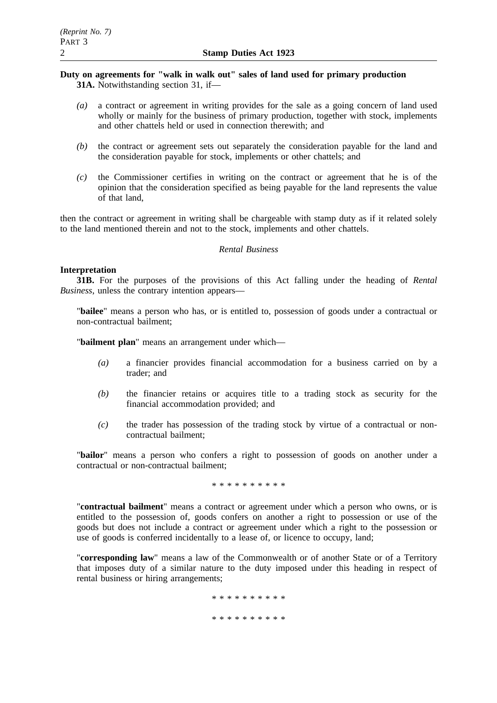# **Duty on agreements for "walk in walk out" sales of land used for primary production 31A.** Notwithstanding section 31, if—

- *(a)* a contract or agreement in writing provides for the sale as a going concern of land used wholly or mainly for the business of primary production, together with stock, implements and other chattels held or used in connection therewith; and
- *(b)* the contract or agreement sets out separately the consideration payable for the land and the consideration payable for stock, implements or other chattels; and
- *(c)* the Commissioner certifies in writing on the contract or agreement that he is of the opinion that the consideration specified as being payable for the land represents the value of that land,

then the contract or agreement in writing shall be chargeable with stamp duty as if it related solely to the land mentioned therein and not to the stock, implements and other chattels.

## *Rental Business*

# **Interpretation**

**31B.** For the purposes of the provisions of this Act falling under the heading of *Rental Business*, unless the contrary intention appears—

"**bailee**" means a person who has, or is entitled to, possession of goods under a contractual or non-contractual bailment;

"**bailment plan**" means an arrangement under which—

- *(a)* a financier provides financial accommodation for a business carried on by a trader; and
- *(b)* the financier retains or acquires title to a trading stock as security for the financial accommodation provided; and
- *(c)* the trader has possession of the trading stock by virtue of a contractual or noncontractual bailment;

"**bailor**" means a person who confers a right to possession of goods on another under a contractual or non-contractual bailment;

\*\*\*\*\*\*\*\*\*\*

"**contractual bailment**" means a contract or agreement under which a person who owns, or is entitled to the possession of, goods confers on another a right to possession or use of the goods but does not include a contract or agreement under which a right to the possession or use of goods is conferred incidentally to a lease of, or licence to occupy, land;

"**corresponding law**" means a law of the Commonwealth or of another State or of a Territory that imposes duty of a similar nature to the duty imposed under this heading in respect of rental business or hiring arrangements;

> \*\*\*\*\*\*\*\*\*\* \*\*\*\*\*\*\*\*\*\*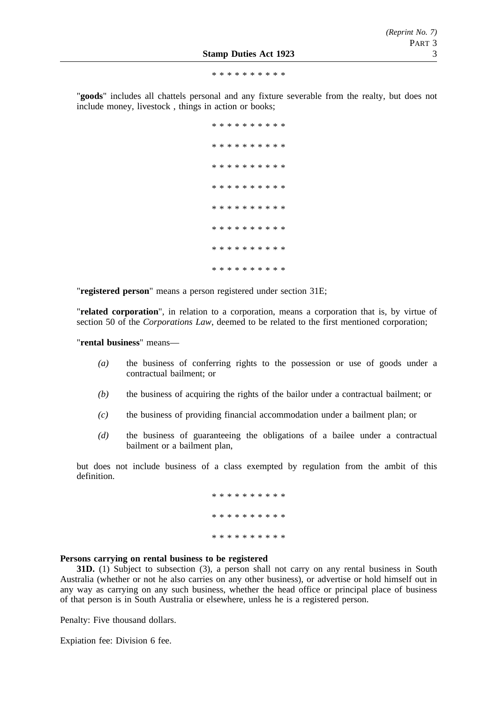#### \*\*\*\*\*\*\*\*\*\*

"**goods**" includes all chattels personal and any fixture severable from the realty, but does not include money, livestock , things in action or books;

> \*\*\*\*\*\*\*\*\*\*\*\*\*\*\*\*\* \*\*\*\*\*\*\*\*\*\* \*\*\*\*\*\*\*\*\*\* \*\*\*\*\*\*\*\*\*\* \*\*\*\*\*\*\*\*\*\* \*\*\*\*\*\*\*\*\*\*\*\* \*\*\*\*\*\*\*\*\*\* \*\*\*\*\*\*\*\*\*\*

"**registered person**" means a person registered under section 31E;

"**related corporation**", in relation to a corporation, means a corporation that is, by virtue of section 50 of the *Corporations Law*, deemed to be related to the first mentioned corporation;

"**rental business**" means—

- *(a)* the business of conferring rights to the possession or use of goods under a contractual bailment; or
- *(b)* the business of acquiring the rights of the bailor under a contractual bailment; or
- *(c)* the business of providing financial accommodation under a bailment plan; or
- *(d)* the business of guaranteeing the obligations of a bailee under a contractual bailment or a bailment plan,

but does not include business of a class exempted by regulation from the ambit of this definition.

> \* \* \* \* \* \* \* \* \* \*\*\*\*\*\*\*\*\*\* \*\*\*\*\*\*\*\*\*\*

#### **Persons carrying on rental business to be registered**

**31D.** (1) Subject to subsection (3), a person shall not carry on any rental business in South Australia (whether or not he also carries on any other business), or advertise or hold himself out in any way as carrying on any such business, whether the head office or principal place of business of that person is in South Australia or elsewhere, unless he is a registered person.

Penalty: Five thousand dollars.

Expiation fee: Division 6 fee.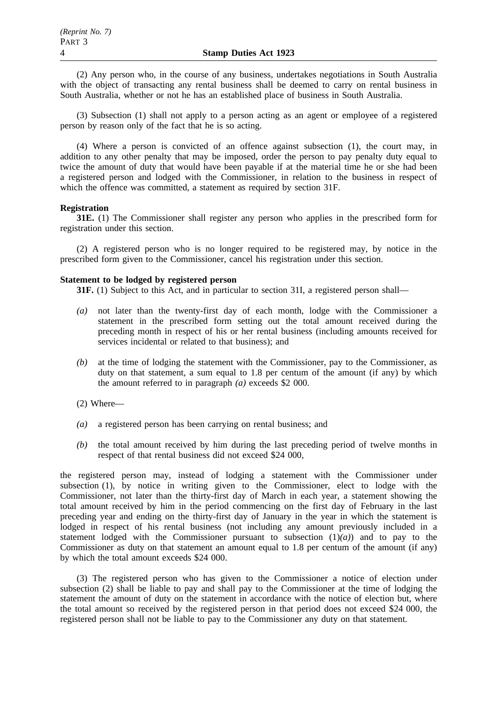(2) Any person who, in the course of any business, undertakes negotiations in South Australia with the object of transacting any rental business shall be deemed to carry on rental business in South Australia, whether or not he has an established place of business in South Australia.

(3) Subsection (1) shall not apply to a person acting as an agent or employee of a registered person by reason only of the fact that he is so acting.

(4) Where a person is convicted of an offence against subsection (1), the court may, in addition to any other penalty that may be imposed, order the person to pay penalty duty equal to twice the amount of duty that would have been payable if at the material time he or she had been a registered person and lodged with the Commissioner, in relation to the business in respect of which the offence was committed, a statement as required by section 31F.

## **Registration**

**31E.** (1) The Commissioner shall register any person who applies in the prescribed form for registration under this section.

(2) A registered person who is no longer required to be registered may, by notice in the prescribed form given to the Commissioner, cancel his registration under this section.

# **Statement to be lodged by registered person**

**31F.** (1) Subject to this Act, and in particular to section 31I, a registered person shall—

- *(a)* not later than the twenty-first day of each month, lodge with the Commissioner a statement in the prescribed form setting out the total amount received during the preceding month in respect of his or her rental business (including amounts received for services incidental or related to that business); and
- *(b)* at the time of lodging the statement with the Commissioner, pay to the Commissioner, as duty on that statement, a sum equal to 1.8 per centum of the amount (if any) by which the amount referred to in paragraph *(a)* exceeds \$2 000.
- (2) Where—
- *(a)* a registered person has been carrying on rental business; and
- *(b)* the total amount received by him during the last preceding period of twelve months in respect of that rental business did not exceed \$24 000,

the registered person may, instead of lodging a statement with the Commissioner under subsection (1), by notice in writing given to the Commissioner, elect to lodge with the Commissioner, not later than the thirty-first day of March in each year, a statement showing the total amount received by him in the period commencing on the first day of February in the last preceding year and ending on the thirty-first day of January in the year in which the statement is lodged in respect of his rental business (not including any amount previously included in a statement lodged with the Commissioner pursuant to subsection  $(1)(a)$  and to pay to the Commissioner as duty on that statement an amount equal to 1.8 per centum of the amount (if any) by which the total amount exceeds \$24 000.

(3) The registered person who has given to the Commissioner a notice of election under subsection (2) shall be liable to pay and shall pay to the Commissioner at the time of lodging the statement the amount of duty on the statement in accordance with the notice of election but, where the total amount so received by the registered person in that period does not exceed \$24 000, the registered person shall not be liable to pay to the Commissioner any duty on that statement.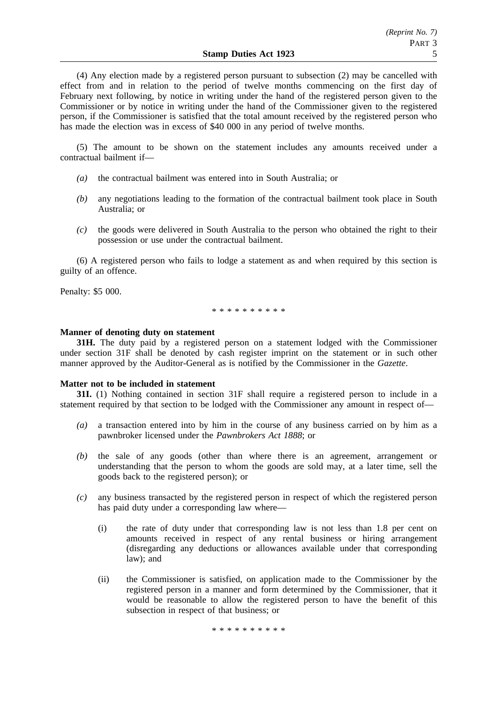(4) Any election made by a registered person pursuant to subsection (2) may be cancelled with effect from and in relation to the period of twelve months commencing on the first day of February next following, by notice in writing under the hand of the registered person given to the Commissioner or by notice in writing under the hand of the Commissioner given to the registered person, if the Commissioner is satisfied that the total amount received by the registered person who has made the election was in excess of \$40 000 in any period of twelve months.

(5) The amount to be shown on the statement includes any amounts received under a contractual bailment if—

- *(a)* the contractual bailment was entered into in South Australia; or
- *(b)* any negotiations leading to the formation of the contractual bailment took place in South Australia; or
- *(c)* the goods were delivered in South Australia to the person who obtained the right to their possession or use under the contractual bailment.

(6) A registered person who fails to lodge a statement as and when required by this section is guilty of an offence.

Penalty: \$5 000.

\*\*\*\*\*\*\*\*\*\*

#### **Manner of denoting duty on statement**

**31H.** The duty paid by a registered person on a statement lodged with the Commissioner under section 31F shall be denoted by cash register imprint on the statement or in such other manner approved by the Auditor-General as is notified by the Commissioner in the *Gazette*.

## **Matter not to be included in statement**

**31I.** (1) Nothing contained in section 31F shall require a registered person to include in a statement required by that section to be lodged with the Commissioner any amount in respect of—

- *(a)* a transaction entered into by him in the course of any business carried on by him as a pawnbroker licensed under the *Pawnbrokers Act 1888*; or
- *(b)* the sale of any goods (other than where there is an agreement, arrangement or understanding that the person to whom the goods are sold may, at a later time, sell the goods back to the registered person); or
- *(c)* any business transacted by the registered person in respect of which the registered person has paid duty under a corresponding law where—
	- (i) the rate of duty under that corresponding law is not less than 1.8 per cent on amounts received in respect of any rental business or hiring arrangement (disregarding any deductions or allowances available under that corresponding law); and
	- (ii) the Commissioner is satisfied, on application made to the Commissioner by the registered person in a manner and form determined by the Commissioner, that it would be reasonable to allow the registered person to have the benefit of this subsection in respect of that business; or

\*\*\*\*\*\*\*\*\*\*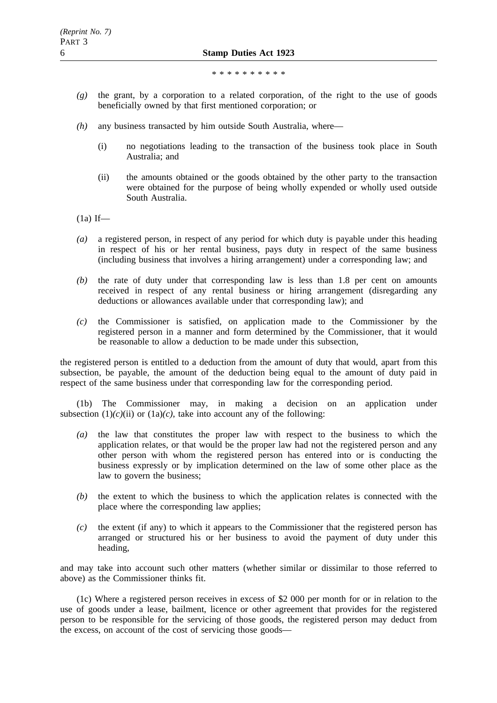#### \*\*\*\*\*\*\*\*\*\*

- *(g)* the grant, by a corporation to a related corporation, of the right to the use of goods beneficially owned by that first mentioned corporation; or
- *(h)* any business transacted by him outside South Australia, where—
	- (i) no negotiations leading to the transaction of the business took place in South Australia; and
	- (ii) the amounts obtained or the goods obtained by the other party to the transaction were obtained for the purpose of being wholly expended or wholly used outside South Australia.

 $(1a)$  If—

- *(a)* a registered person, in respect of any period for which duty is payable under this heading in respect of his or her rental business, pays duty in respect of the same business (including business that involves a hiring arrangement) under a corresponding law; and
- *(b)* the rate of duty under that corresponding law is less than 1.8 per cent on amounts received in respect of any rental business or hiring arrangement (disregarding any deductions or allowances available under that corresponding law); and
- *(c)* the Commissioner is satisfied, on application made to the Commissioner by the registered person in a manner and form determined by the Commissioner, that it would be reasonable to allow a deduction to be made under this subsection,

the registered person is entitled to a deduction from the amount of duty that would, apart from this subsection, be payable, the amount of the deduction being equal to the amount of duty paid in respect of the same business under that corresponding law for the corresponding period.

(1b) The Commissioner may, in making a decision on an application under subsection  $(1)(c)(ii)$  or  $(1a)(c)$ , take into account any of the following:

- *(a)* the law that constitutes the proper law with respect to the business to which the application relates, or that would be the proper law had not the registered person and any other person with whom the registered person has entered into or is conducting the business expressly or by implication determined on the law of some other place as the law to govern the business;
- *(b)* the extent to which the business to which the application relates is connected with the place where the corresponding law applies;
- *(c)* the extent (if any) to which it appears to the Commissioner that the registered person has arranged or structured his or her business to avoid the payment of duty under this heading,

and may take into account such other matters (whether similar or dissimilar to those referred to above) as the Commissioner thinks fit.

(1c) Where a registered person receives in excess of \$2 000 per month for or in relation to the use of goods under a lease, bailment, licence or other agreement that provides for the registered person to be responsible for the servicing of those goods, the registered person may deduct from the excess, on account of the cost of servicing those goods—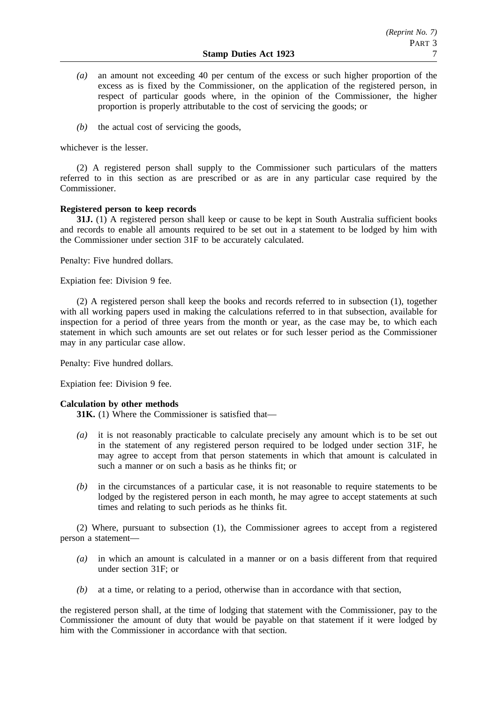- *(a)* an amount not exceeding 40 per centum of the excess or such higher proportion of the excess as is fixed by the Commissioner, on the application of the registered person, in respect of particular goods where, in the opinion of the Commissioner, the higher proportion is properly attributable to the cost of servicing the goods; or
- *(b)* the actual cost of servicing the goods,

whichever is the lesser.

(2) A registered person shall supply to the Commissioner such particulars of the matters referred to in this section as are prescribed or as are in any particular case required by the Commissioner.

## **Registered person to keep records**

**31J.** (1) A registered person shall keep or cause to be kept in South Australia sufficient books and records to enable all amounts required to be set out in a statement to be lodged by him with the Commissioner under section 31F to be accurately calculated.

Penalty: Five hundred dollars.

Expiation fee: Division 9 fee.

(2) A registered person shall keep the books and records referred to in subsection (1), together with all working papers used in making the calculations referred to in that subsection, available for inspection for a period of three years from the month or year, as the case may be, to which each statement in which such amounts are set out relates or for such lesser period as the Commissioner may in any particular case allow.

Penalty: Five hundred dollars.

Expiation fee: Division 9 fee.

# **Calculation by other methods**

**31K.** (1) Where the Commissioner is satisfied that—

- *(a)* it is not reasonably practicable to calculate precisely any amount which is to be set out in the statement of any registered person required to be lodged under section 31F, he may agree to accept from that person statements in which that amount is calculated in such a manner or on such a basis as he thinks fit; or
- *(b)* in the circumstances of a particular case, it is not reasonable to require statements to be lodged by the registered person in each month, he may agree to accept statements at such times and relating to such periods as he thinks fit.

(2) Where, pursuant to subsection (1), the Commissioner agrees to accept from a registered person a statement—

- *(a)* in which an amount is calculated in a manner or on a basis different from that required under section 31F; or
- *(b)* at a time, or relating to a period, otherwise than in accordance with that section,

the registered person shall, at the time of lodging that statement with the Commissioner, pay to the Commissioner the amount of duty that would be payable on that statement if it were lodged by him with the Commissioner in accordance with that section.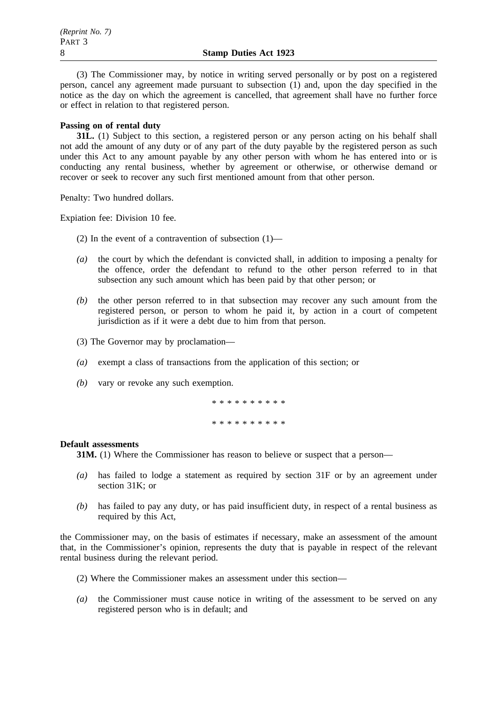(3) The Commissioner may, by notice in writing served personally or by post on a registered person, cancel any agreement made pursuant to subsection (1) and, upon the day specified in the notice as the day on which the agreement is cancelled, that agreement shall have no further force or effect in relation to that registered person.

# **Passing on of rental duty**

**31L.** (1) Subject to this section, a registered person or any person acting on his behalf shall not add the amount of any duty or of any part of the duty payable by the registered person as such under this Act to any amount payable by any other person with whom he has entered into or is conducting any rental business, whether by agreement or otherwise, or otherwise demand or recover or seek to recover any such first mentioned amount from that other person.

Penalty: Two hundred dollars.

Expiation fee: Division 10 fee.

- (2) In the event of a contravention of subsection  $(1)$ —
- *(a)* the court by which the defendant is convicted shall, in addition to imposing a penalty for the offence, order the defendant to refund to the other person referred to in that subsection any such amount which has been paid by that other person; or
- *(b)* the other person referred to in that subsection may recover any such amount from the registered person, or person to whom he paid it, by action in a court of competent jurisdiction as if it were a debt due to him from that person.
- (3) The Governor may by proclamation—
- *(a)* exempt a class of transactions from the application of this section; or
- *(b)* vary or revoke any such exemption.

\*\*\*\*\*\*\*\*\*\* \*\*\*\*\*\*\*\*\*\*

## **Default assessments**

**31M.** (1) Where the Commissioner has reason to believe or suspect that a person—

- *(a)* has failed to lodge a statement as required by section 31F or by an agreement under section 31K; or
- *(b)* has failed to pay any duty, or has paid insufficient duty, in respect of a rental business as required by this Act,

the Commissioner may, on the basis of estimates if necessary, make an assessment of the amount that, in the Commissioner's opinion, represents the duty that is payable in respect of the relevant rental business during the relevant period.

- (2) Where the Commissioner makes an assessment under this section—
- *(a)* the Commissioner must cause notice in writing of the assessment to be served on any registered person who is in default; and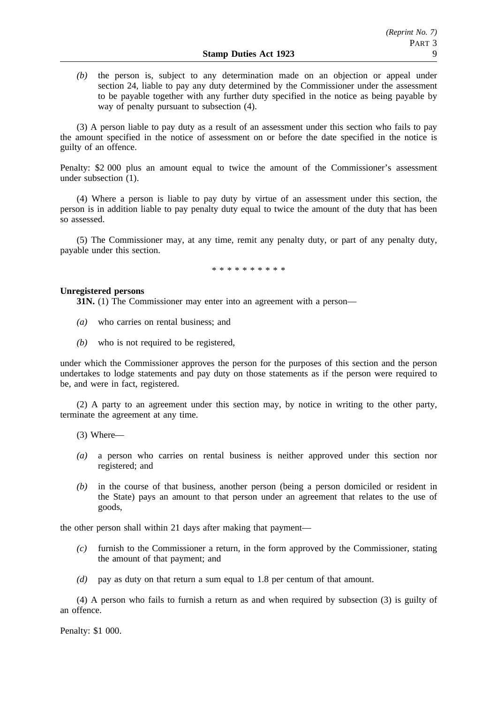*(b)* the person is, subject to any determination made on an objection or appeal under section 24, liable to pay any duty determined by the Commissioner under the assessment to be payable together with any further duty specified in the notice as being payable by way of penalty pursuant to subsection (4).

(3) A person liable to pay duty as a result of an assessment under this section who fails to pay the amount specified in the notice of assessment on or before the date specified in the notice is guilty of an offence.

Penalty: \$2 000 plus an amount equal to twice the amount of the Commissioner's assessment under subsection (1).

(4) Where a person is liable to pay duty by virtue of an assessment under this section, the person is in addition liable to pay penalty duty equal to twice the amount of the duty that has been so assessed.

(5) The Commissioner may, at any time, remit any penalty duty, or part of any penalty duty, payable under this section.

\*\*\*\*\*\*\*\*\*\*

#### **Unregistered persons**

**31N.** (1) The Commissioner may enter into an agreement with a person—

- *(a)* who carries on rental business; and
- *(b)* who is not required to be registered,

under which the Commissioner approves the person for the purposes of this section and the person undertakes to lodge statements and pay duty on those statements as if the person were required to be, and were in fact, registered.

(2) A party to an agreement under this section may, by notice in writing to the other party, terminate the agreement at any time.

(3) Where—

- *(a)* a person who carries on rental business is neither approved under this section nor registered; and
- *(b)* in the course of that business, another person (being a person domiciled or resident in the State) pays an amount to that person under an agreement that relates to the use of goods,

the other person shall within 21 days after making that payment—

- *(c)* furnish to the Commissioner a return, in the form approved by the Commissioner, stating the amount of that payment; and
- *(d)* pay as duty on that return a sum equal to 1.8 per centum of that amount.

(4) A person who fails to furnish a return as and when required by subsection (3) is guilty of an offence.

Penalty: \$1 000.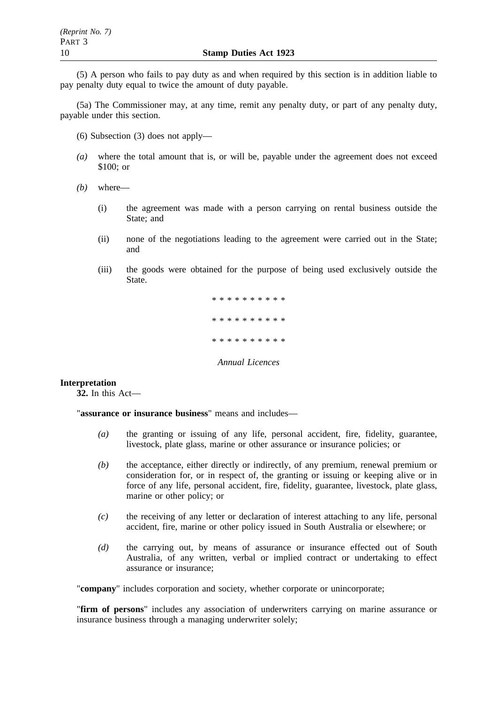(5) A person who fails to pay duty as and when required by this section is in addition liable to pay penalty duty equal to twice the amount of duty payable.

(5a) The Commissioner may, at any time, remit any penalty duty, or part of any penalty duty, payable under this section.

- (6) Subsection (3) does not apply—
- *(a)* where the total amount that is, or will be, payable under the agreement does not exceed \$100; or
- *(b)* where—
	- (i) the agreement was made with a person carrying on rental business outside the State; and
	- (ii) none of the negotiations leading to the agreement were carried out in the State; and
	- (iii) the goods were obtained for the purpose of being used exclusively outside the State.



## **Interpretation**

**32.** In this Act—

"**assurance or insurance business**" means and includes—

- *(a)* the granting or issuing of any life, personal accident, fire, fidelity, guarantee, livestock, plate glass, marine or other assurance or insurance policies; or
- *(b)* the acceptance, either directly or indirectly, of any premium, renewal premium or consideration for, or in respect of, the granting or issuing or keeping alive or in force of any life, personal accident, fire, fidelity, guarantee, livestock, plate glass, marine or other policy; or
- *(c)* the receiving of any letter or declaration of interest attaching to any life, personal accident, fire, marine or other policy issued in South Australia or elsewhere; or
- *(d)* the carrying out, by means of assurance or insurance effected out of South Australia, of any written, verbal or implied contract or undertaking to effect assurance or insurance;

"company" includes corporation and society, whether corporate or unincorporate;

"**firm of persons**" includes any association of underwriters carrying on marine assurance or insurance business through a managing underwriter solely;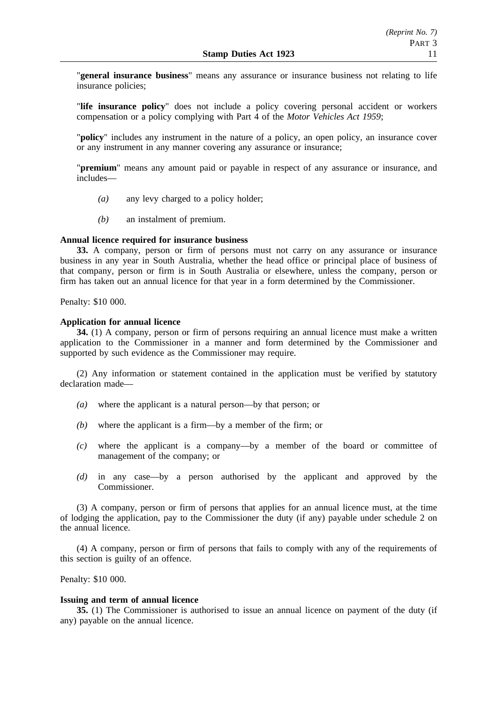"**general insurance business**" means any assurance or insurance business not relating to life insurance policies;

"**life insurance policy**" does not include a policy covering personal accident or workers compensation or a policy complying with Part 4 of the *Motor Vehicles Act 1959*;

"**policy**" includes any instrument in the nature of a policy, an open policy, an insurance cover or any instrument in any manner covering any assurance or insurance;

"**premium**" means any amount paid or payable in respect of any assurance or insurance, and includes—

- *(a)* any levy charged to a policy holder;
- *(b)* an instalment of premium.

## **Annual licence required for insurance business**

**33.** A company, person or firm of persons must not carry on any assurance or insurance business in any year in South Australia, whether the head office or principal place of business of that company, person or firm is in South Australia or elsewhere, unless the company, person or firm has taken out an annual licence for that year in a form determined by the Commissioner.

Penalty: \$10 000.

## **Application for annual licence**

**34.** (1) A company, person or firm of persons requiring an annual licence must make a written application to the Commissioner in a manner and form determined by the Commissioner and supported by such evidence as the Commissioner may require.

(2) Any information or statement contained in the application must be verified by statutory declaration made—

- *(a)* where the applicant is a natural person—by that person; or
- *(b)* where the applicant is a firm—by a member of the firm; or
- *(c)* where the applicant is a company—by a member of the board or committee of management of the company; or
- *(d)* in any case—by a person authorised by the applicant and approved by the Commissioner.

(3) A company, person or firm of persons that applies for an annual licence must, at the time of lodging the application, pay to the Commissioner the duty (if any) payable under schedule 2 on the annual licence.

(4) A company, person or firm of persons that fails to comply with any of the requirements of this section is guilty of an offence.

Penalty: \$10 000.

#### **Issuing and term of annual licence**

**35.** (1) The Commissioner is authorised to issue an annual licence on payment of the duty (if any) payable on the annual licence.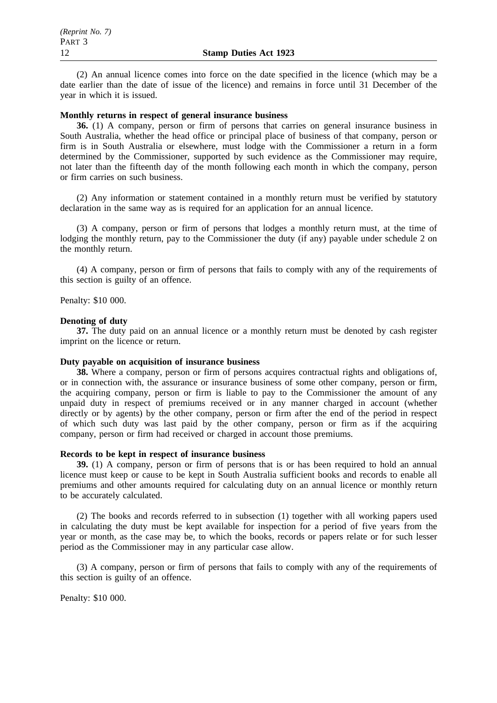(2) An annual licence comes into force on the date specified in the licence (which may be a date earlier than the date of issue of the licence) and remains in force until 31 December of the year in which it is issued.

# **Monthly returns in respect of general insurance business**

**36.** (1) A company, person or firm of persons that carries on general insurance business in South Australia, whether the head office or principal place of business of that company, person or firm is in South Australia or elsewhere, must lodge with the Commissioner a return in a form determined by the Commissioner, supported by such evidence as the Commissioner may require, not later than the fifteenth day of the month following each month in which the company, person or firm carries on such business.

(2) Any information or statement contained in a monthly return must be verified by statutory declaration in the same way as is required for an application for an annual licence.

(3) A company, person or firm of persons that lodges a monthly return must, at the time of lodging the monthly return, pay to the Commissioner the duty (if any) payable under schedule 2 on the monthly return.

(4) A company, person or firm of persons that fails to comply with any of the requirements of this section is guilty of an offence.

Penalty: \$10 000.

## **Denoting of duty**

**37.** The duty paid on an annual licence or a monthly return must be denoted by cash register imprint on the licence or return.

# **Duty payable on acquisition of insurance business**

**38.** Where a company, person or firm of persons acquires contractual rights and obligations of, or in connection with, the assurance or insurance business of some other company, person or firm, the acquiring company, person or firm is liable to pay to the Commissioner the amount of any unpaid duty in respect of premiums received or in any manner charged in account (whether directly or by agents) by the other company, person or firm after the end of the period in respect of which such duty was last paid by the other company, person or firm as if the acquiring company, person or firm had received or charged in account those premiums.

#### **Records to be kept in respect of insurance business**

**39.** (1) A company, person or firm of persons that is or has been required to hold an annual licence must keep or cause to be kept in South Australia sufficient books and records to enable all premiums and other amounts required for calculating duty on an annual licence or monthly return to be accurately calculated.

(2) The books and records referred to in subsection (1) together with all working papers used in calculating the duty must be kept available for inspection for a period of five years from the year or month, as the case may be, to which the books, records or papers relate or for such lesser period as the Commissioner may in any particular case allow.

(3) A company, person or firm of persons that fails to comply with any of the requirements of this section is guilty of an offence.

Penalty: \$10 000.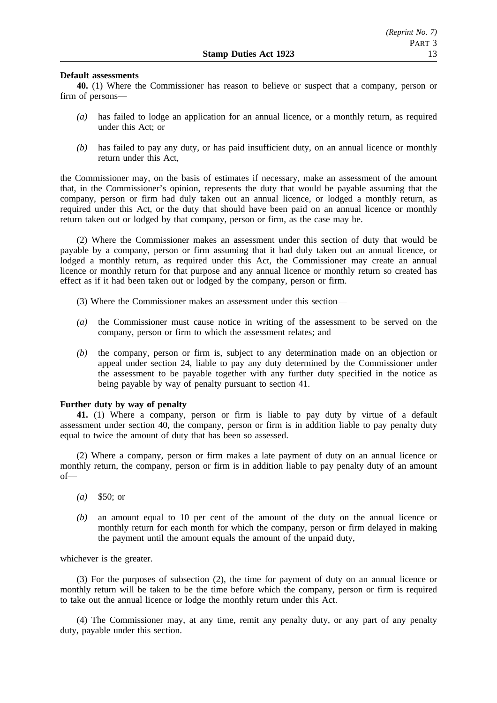#### **Default assessments**

**40.** (1) Where the Commissioner has reason to believe or suspect that a company, person or firm of persons—

- *(a)* has failed to lodge an application for an annual licence, or a monthly return, as required under this Act; or
- *(b)* has failed to pay any duty, or has paid insufficient duty, on an annual licence or monthly return under this Act,

the Commissioner may, on the basis of estimates if necessary, make an assessment of the amount that, in the Commissioner's opinion, represents the duty that would be payable assuming that the company, person or firm had duly taken out an annual licence, or lodged a monthly return, as required under this Act, or the duty that should have been paid on an annual licence or monthly return taken out or lodged by that company, person or firm, as the case may be.

(2) Where the Commissioner makes an assessment under this section of duty that would be payable by a company, person or firm assuming that it had duly taken out an annual licence, or lodged a monthly return, as required under this Act, the Commissioner may create an annual licence or monthly return for that purpose and any annual licence or monthly return so created has effect as if it had been taken out or lodged by the company, person or firm.

- (3) Where the Commissioner makes an assessment under this section—
- *(a)* the Commissioner must cause notice in writing of the assessment to be served on the company, person or firm to which the assessment relates; and
- *(b)* the company, person or firm is, subject to any determination made on an objection or appeal under section 24, liable to pay any duty determined by the Commissioner under the assessment to be payable together with any further duty specified in the notice as being payable by way of penalty pursuant to section 41.

#### **Further duty by way of penalty**

**41.** (1) Where a company, person or firm is liable to pay duty by virtue of a default assessment under section 40, the company, person or firm is in addition liable to pay penalty duty equal to twice the amount of duty that has been so assessed.

(2) Where a company, person or firm makes a late payment of duty on an annual licence or monthly return, the company, person or firm is in addition liable to pay penalty duty of an amount of—

- *(a)* \$50; or
- *(b)* an amount equal to 10 per cent of the amount of the duty on the annual licence or monthly return for each month for which the company, person or firm delayed in making the payment until the amount equals the amount of the unpaid duty,

whichever is the greater.

(3) For the purposes of subsection (2), the time for payment of duty on an annual licence or monthly return will be taken to be the time before which the company, person or firm is required to take out the annual licence or lodge the monthly return under this Act.

(4) The Commissioner may, at any time, remit any penalty duty, or any part of any penalty duty, payable under this section.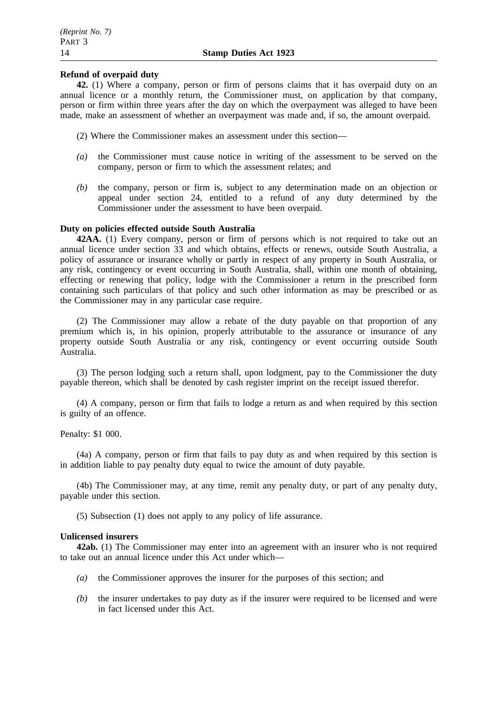### **Refund of overpaid duty**

**42.** (1) Where a company, person or firm of persons claims that it has overpaid duty on an annual licence or a monthly return, the Commissioner must, on application by that company, person or firm within three years after the day on which the overpayment was alleged to have been made, make an assessment of whether an overpayment was made and, if so, the amount overpaid.

- (2) Where the Commissioner makes an assessment under this section—
- *(a)* the Commissioner must cause notice in writing of the assessment to be served on the company, person or firm to which the assessment relates; and
- *(b)* the company, person or firm is, subject to any determination made on an objection or appeal under section 24, entitled to a refund of any duty determined by the Commissioner under the assessment to have been overpaid.

## **Duty on policies effected outside South Australia**

**42AA.** (1) Every company, person or firm of persons which is not required to take out an annual licence under section 33 and which obtains, effects or renews, outside South Australia, a policy of assurance or insurance wholly or partly in respect of any property in South Australia, or any risk, contingency or event occurring in South Australia, shall, within one month of obtaining, effecting or renewing that policy, lodge with the Commissioner a return in the prescribed form containing such particulars of that policy and such other information as may be prescribed or as the Commissioner may in any particular case require.

(2) The Commissioner may allow a rebate of the duty payable on that proportion of any premium which is, in his opinion, properly attributable to the assurance or insurance of any property outside South Australia or any risk, contingency or event occurring outside South Australia.

(3) The person lodging such a return shall, upon lodgment, pay to the Commissioner the duty payable thereon, which shall be denoted by cash register imprint on the receipt issued therefor.

(4) A company, person or firm that fails to lodge a return as and when required by this section is guilty of an offence.

### Penalty: \$1 000.

(4a) A company, person or firm that fails to pay duty as and when required by this section is in addition liable to pay penalty duty equal to twice the amount of duty payable.

(4b) The Commissioner may, at any time, remit any penalty duty, or part of any penalty duty, payable under this section.

(5) Subsection (1) does not apply to any policy of life assurance.

#### **Unlicensed insurers**

**42ab.** (1) The Commissioner may enter into an agreement with an insurer who is not required to take out an annual licence under this Act under which—

- *(a)* the Commissioner approves the insurer for the purposes of this section; and
- *(b)* the insurer undertakes to pay duty as if the insurer were required to be licensed and were in fact licensed under this Act.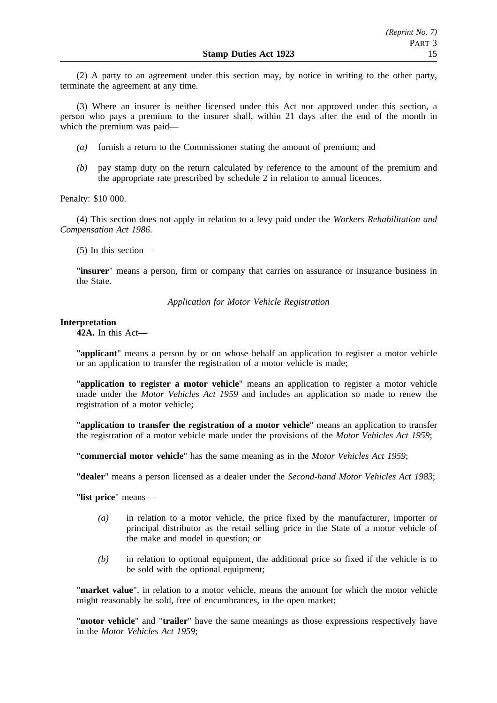(2) A party to an agreement under this section may, by notice in writing to the other party, terminate the agreement at any time.

(3) Where an insurer is neither licensed under this Act nor approved under this section, a person who pays a premium to the insurer shall, within 21 days after the end of the month in which the premium was paid—

- *(a)* furnish a return to the Commissioner stating the amount of premium; and
- *(b)* pay stamp duty on the return calculated by reference to the amount of the premium and the appropriate rate prescribed by schedule 2 in relation to annual licences.

Penalty: \$10 000.

(4) This section does not apply in relation to a levy paid under the *Workers Rehabilitation and Compensation Act 1986*.

(5) In this section—

"**insurer**" means a person, firm or company that carries on assurance or insurance business in the State.

*Application for Motor Vehicle Registration*

# **Interpretation**

**42A.** In this Act—

"**applicant**" means a person by or on whose behalf an application to register a motor vehicle or an application to transfer the registration of a motor vehicle is made;

"**application to register a motor vehicle**" means an application to register a motor vehicle made under the *Motor Vehicles Act 1959* and includes an application so made to renew the registration of a motor vehicle;

"**application to transfer the registration of a motor vehicle**" means an application to transfer the registration of a motor vehicle made under the provisions of the *Motor Vehicles Act 1959*;

"**commercial motor vehicle**" has the same meaning as in the *Motor Vehicles Act 1959*;

"**dealer**" means a person licensed as a dealer under the *Second-hand Motor Vehicles Act 1983*;

"**list price**" means—

- *(a)* in relation to a motor vehicle, the price fixed by the manufacturer, importer or principal distributor as the retail selling price in the State of a motor vehicle of the make and model in question; or
- *(b)* in relation to optional equipment, the additional price so fixed if the vehicle is to be sold with the optional equipment:

"**market value**", in relation to a motor vehicle, means the amount for which the motor vehicle might reasonably be sold, free of encumbrances, in the open market;

"**motor vehicle**" and "**trailer**" have the same meanings as those expressions respectively have in the *Motor Vehicles Act 1959*;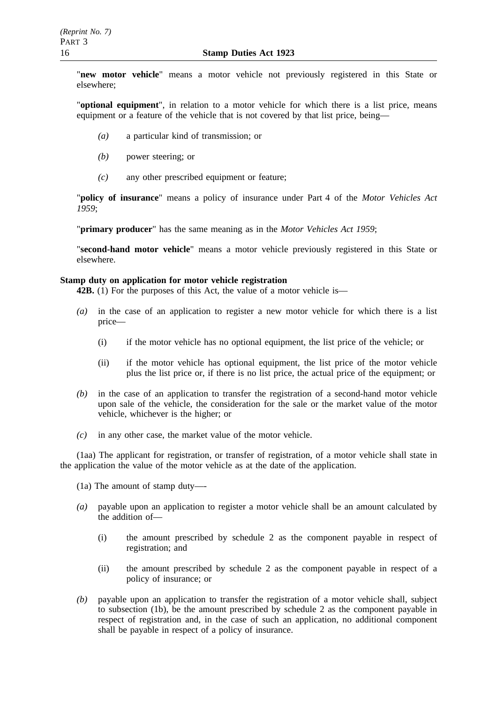"**new motor vehicle**" means a motor vehicle not previously registered in this State or elsewhere;

"**optional equipment**", in relation to a motor vehicle for which there is a list price, means equipment or a feature of the vehicle that is not covered by that list price, being—

- *(a)* a particular kind of transmission; or
- *(b)* power steering; or
- *(c)* any other prescribed equipment or feature;

"**policy of insurance**" means a policy of insurance under Part 4 of the *Motor Vehicles Act 1959*;

"**primary producer**" has the same meaning as in the *Motor Vehicles Act 1959*;

"**second-hand motor vehicle**" means a motor vehicle previously registered in this State or elsewhere.

## **Stamp duty on application for motor vehicle registration**

**42B.** (1) For the purposes of this Act, the value of a motor vehicle is—

- *(a)* in the case of an application to register a new motor vehicle for which there is a list price—
	- (i) if the motor vehicle has no optional equipment, the list price of the vehicle; or
	- (ii) if the motor vehicle has optional equipment, the list price of the motor vehicle plus the list price or, if there is no list price, the actual price of the equipment; or
- *(b)* in the case of an application to transfer the registration of a second-hand motor vehicle upon sale of the vehicle, the consideration for the sale or the market value of the motor vehicle, whichever is the higher; or
- *(c)* in any other case, the market value of the motor vehicle.

(1aa) The applicant for registration, or transfer of registration, of a motor vehicle shall state in the application the value of the motor vehicle as at the date of the application.

- (1a) The amount of stamp duty—-
- *(a)* payable upon an application to register a motor vehicle shall be an amount calculated by the addition of—
	- (i) the amount prescribed by schedule 2 as the component payable in respect of registration; and
	- (ii) the amount prescribed by schedule 2 as the component payable in respect of a policy of insurance; or
- *(b)* payable upon an application to transfer the registration of a motor vehicle shall, subject to subsection (1b), be the amount prescribed by schedule 2 as the component payable in respect of registration and, in the case of such an application, no additional component shall be payable in respect of a policy of insurance.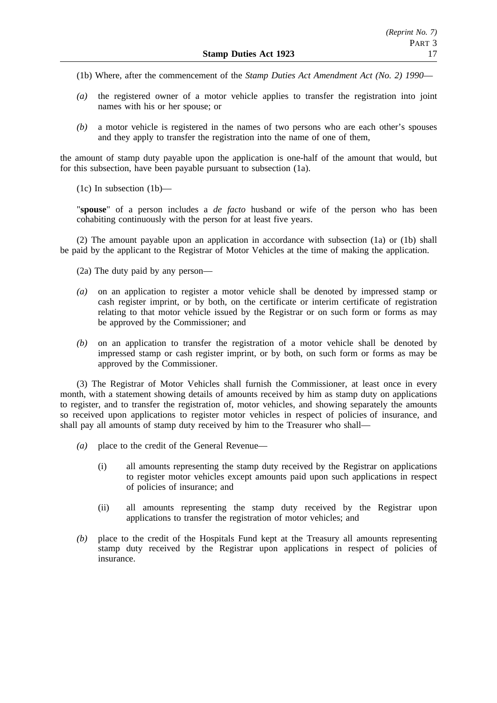- (1b) Where, after the commencement of the *Stamp Duties Act Amendment Act (No. 2) 1990*—
- *(a)* the registered owner of a motor vehicle applies to transfer the registration into joint names with his or her spouse; or
- *(b)* a motor vehicle is registered in the names of two persons who are each other's spouses and they apply to transfer the registration into the name of one of them,

the amount of stamp duty payable upon the application is one-half of the amount that would, but for this subsection, have been payable pursuant to subsection (1a).

(1c) In subsection (1b)—

"**spouse**" of a person includes a *de facto* husband or wife of the person who has been cohabiting continuously with the person for at least five years.

(2) The amount payable upon an application in accordance with subsection (1a) or (1b) shall be paid by the applicant to the Registrar of Motor Vehicles at the time of making the application.

(2a) The duty paid by any person—

- *(a)* on an application to register a motor vehicle shall be denoted by impressed stamp or cash register imprint, or by both, on the certificate or interim certificate of registration relating to that motor vehicle issued by the Registrar or on such form or forms as may be approved by the Commissioner; and
- *(b)* on an application to transfer the registration of a motor vehicle shall be denoted by impressed stamp or cash register imprint, or by both, on such form or forms as may be approved by the Commissioner.

(3) The Registrar of Motor Vehicles shall furnish the Commissioner, at least once in every month, with a statement showing details of amounts received by him as stamp duty on applications to register, and to transfer the registration of, motor vehicles, and showing separately the amounts so received upon applications to register motor vehicles in respect of policies of insurance, and shall pay all amounts of stamp duty received by him to the Treasurer who shall—

- *(a)* place to the credit of the General Revenue—
	- (i) all amounts representing the stamp duty received by the Registrar on applications to register motor vehicles except amounts paid upon such applications in respect of policies of insurance; and
	- (ii) all amounts representing the stamp duty received by the Registrar upon applications to transfer the registration of motor vehicles; and
- *(b)* place to the credit of the Hospitals Fund kept at the Treasury all amounts representing stamp duty received by the Registrar upon applications in respect of policies of insurance.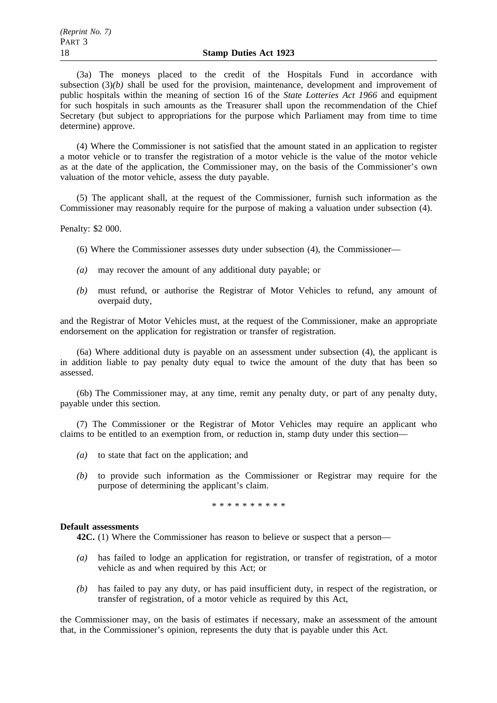(3a) The moneys placed to the credit of the Hospitals Fund in accordance with subsection (3)(b) shall be used for the provision, maintenance, development and improvement of public hospitals within the meaning of section 16 of the *State Lotteries Act 1966* and equipment for such hospitals in such amounts as the Treasurer shall upon the recommendation of the Chief Secretary (but subject to appropriations for the purpose which Parliament may from time to time determine) approve.

(4) Where the Commissioner is not satisfied that the amount stated in an application to register a motor vehicle or to transfer the registration of a motor vehicle is the value of the motor vehicle as at the date of the application, the Commissioner may, on the basis of the Commissioner's own valuation of the motor vehicle, assess the duty payable.

(5) The applicant shall, at the request of the Commissioner, furnish such information as the Commissioner may reasonably require for the purpose of making a valuation under subsection (4).

Penalty: \$2 000.

- (6) Where the Commissioner assesses duty under subsection (4), the Commissioner—
- *(a)* may recover the amount of any additional duty payable; or
- *(b)* must refund, or authorise the Registrar of Motor Vehicles to refund, any amount of overpaid duty,

and the Registrar of Motor Vehicles must, at the request of the Commissioner, make an appropriate endorsement on the application for registration or transfer of registration.

(6a) Where additional duty is payable on an assessment under subsection (4), the applicant is in addition liable to pay penalty duty equal to twice the amount of the duty that has been so assessed.

(6b) The Commissioner may, at any time, remit any penalty duty, or part of any penalty duty, payable under this section.

(7) The Commissioner or the Registrar of Motor Vehicles may require an applicant who claims to be entitled to an exemption from, or reduction in, stamp duty under this section—

- *(a)* to state that fact on the application; and
- *(b)* to provide such information as the Commissioner or Registrar may require for the purpose of determining the applicant's claim.

\*\*\*\*\*\*\*\*\*\*

#### **Default assessments**

**42C.** (1) Where the Commissioner has reason to believe or suspect that a person—

- *(a)* has failed to lodge an application for registration, or transfer of registration, of a motor vehicle as and when required by this Act; or
- *(b)* has failed to pay any duty, or has paid insufficient duty, in respect of the registration, or transfer of registration, of a motor vehicle as required by this Act,

the Commissioner may, on the basis of estimates if necessary, make an assessment of the amount that, in the Commissioner's opinion, represents the duty that is payable under this Act.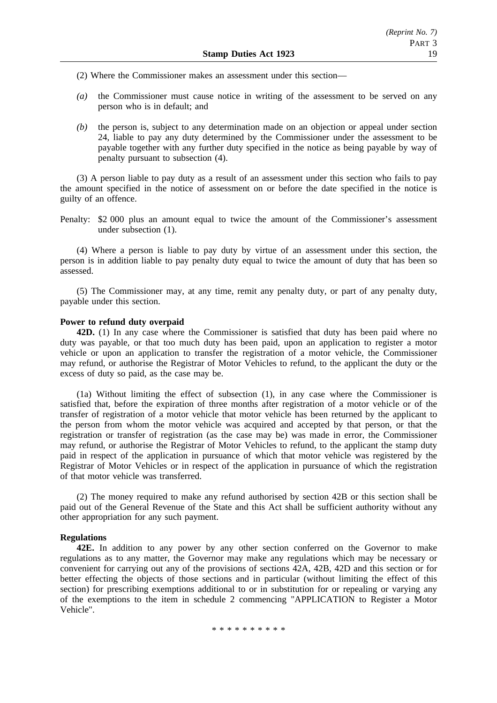- (2) Where the Commissioner makes an assessment under this section—
- *(a)* the Commissioner must cause notice in writing of the assessment to be served on any person who is in default; and
- *(b)* the person is, subject to any determination made on an objection or appeal under section 24, liable to pay any duty determined by the Commissioner under the assessment to be payable together with any further duty specified in the notice as being payable by way of penalty pursuant to subsection (4).

(3) A person liable to pay duty as a result of an assessment under this section who fails to pay the amount specified in the notice of assessment on or before the date specified in the notice is guilty of an offence.

Penalty: \$2 000 plus an amount equal to twice the amount of the Commissioner's assessment under subsection (1).

(4) Where a person is liable to pay duty by virtue of an assessment under this section, the person is in addition liable to pay penalty duty equal to twice the amount of duty that has been so assessed.

(5) The Commissioner may, at any time, remit any penalty duty, or part of any penalty duty, payable under this section.

### **Power to refund duty overpaid**

**42D.** (1) In any case where the Commissioner is satisfied that duty has been paid where no duty was payable, or that too much duty has been paid, upon an application to register a motor vehicle or upon an application to transfer the registration of a motor vehicle, the Commissioner may refund, or authorise the Registrar of Motor Vehicles to refund, to the applicant the duty or the excess of duty so paid, as the case may be.

(1a) Without limiting the effect of subsection (1), in any case where the Commissioner is satisfied that, before the expiration of three months after registration of a motor vehicle or of the transfer of registration of a motor vehicle that motor vehicle has been returned by the applicant to the person from whom the motor vehicle was acquired and accepted by that person, or that the registration or transfer of registration (as the case may be) was made in error, the Commissioner may refund, or authorise the Registrar of Motor Vehicles to refund, to the applicant the stamp duty paid in respect of the application in pursuance of which that motor vehicle was registered by the Registrar of Motor Vehicles or in respect of the application in pursuance of which the registration of that motor vehicle was transferred.

(2) The money required to make any refund authorised by section 42B or this section shall be paid out of the General Revenue of the State and this Act shall be sufficient authority without any other appropriation for any such payment.

### **Regulations**

**42E.** In addition to any power by any other section conferred on the Governor to make regulations as to any matter, the Governor may make any regulations which may be necessary or convenient for carrying out any of the provisions of sections 42A, 42B, 42D and this section or for better effecting the objects of those sections and in particular (without limiting the effect of this section) for prescribing exemptions additional to or in substitution for or repealing or varying any of the exemptions to the item in schedule 2 commencing "APPLICATION to Register a Motor Vehicle".

\*\*\*\*\*\*\*\*\*\*\*\*\*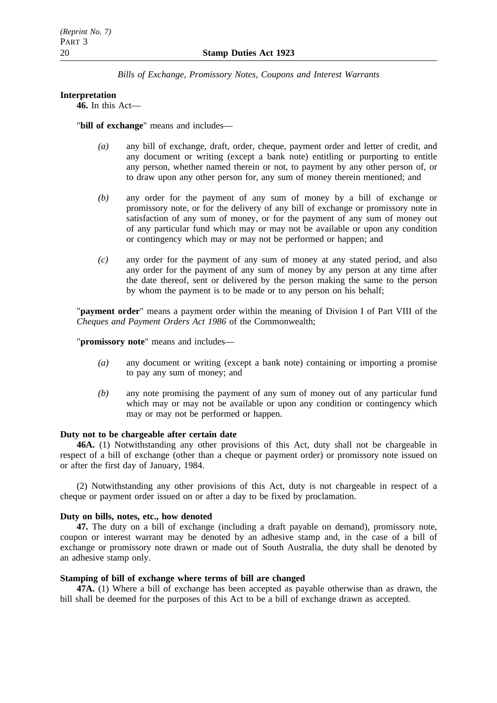*Bills of Exchange, Promissory Notes, Coupons and Interest Warrants*

#### **Interpretation**

**46.** In this Act—

"**bill of exchange**" means and includes—

- *(a)* any bill of exchange, draft, order, cheque, payment order and letter of credit, and any document or writing (except a bank note) entitling or purporting to entitle any person, whether named therein or not, to payment by any other person of, or to draw upon any other person for, any sum of money therein mentioned; and
- *(b)* any order for the payment of any sum of money by a bill of exchange or promissory note, or for the delivery of any bill of exchange or promissory note in satisfaction of any sum of money, or for the payment of any sum of money out of any particular fund which may or may not be available or upon any condition or contingency which may or may not be performed or happen; and
- *(c)* any order for the payment of any sum of money at any stated period, and also any order for the payment of any sum of money by any person at any time after the date thereof, sent or delivered by the person making the same to the person by whom the payment is to be made or to any person on his behalf;

"**payment order**" means a payment order within the meaning of Division I of Part VIII of the *Cheques and Payment Orders Act 1986* of the Commonwealth;

"**promissory note**" means and includes—

- *(a)* any document or writing (except a bank note) containing or importing a promise to pay any sum of money; and
- *(b)* any note promising the payment of any sum of money out of any particular fund which may or may not be available or upon any condition or contingency which may or may not be performed or happen.

## **Duty not to be chargeable after certain date**

**46A.** (1) Notwithstanding any other provisions of this Act, duty shall not be chargeable in respect of a bill of exchange (other than a cheque or payment order) or promissory note issued on or after the first day of January, 1984.

(2) Notwithstanding any other provisions of this Act, duty is not chargeable in respect of a cheque or payment order issued on or after a day to be fixed by proclamation.

## **Duty on bills, notes, etc., how denoted**

**47.** The duty on a bill of exchange (including a draft payable on demand), promissory note, coupon or interest warrant may be denoted by an adhesive stamp and, in the case of a bill of exchange or promissory note drawn or made out of South Australia, the duty shall be denoted by an adhesive stamp only.

#### **Stamping of bill of exchange where terms of bill are changed**

**47A.** (1) Where a bill of exchange has been accepted as payable otherwise than as drawn, the bill shall be deemed for the purposes of this Act to be a bill of exchange drawn as accepted.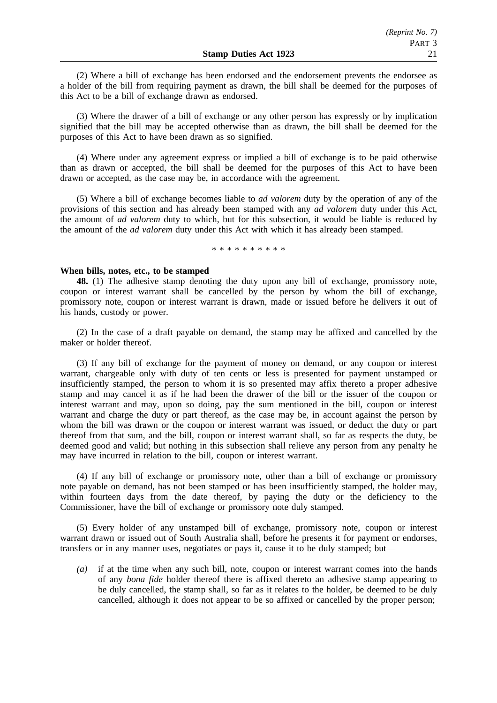(2) Where a bill of exchange has been endorsed and the endorsement prevents the endorsee as a holder of the bill from requiring payment as drawn, the bill shall be deemed for the purposes of this Act to be a bill of exchange drawn as endorsed.

(3) Where the drawer of a bill of exchange or any other person has expressly or by implication signified that the bill may be accepted otherwise than as drawn, the bill shall be deemed for the purposes of this Act to have been drawn as so signified.

(4) Where under any agreement express or implied a bill of exchange is to be paid otherwise than as drawn or accepted, the bill shall be deemed for the purposes of this Act to have been drawn or accepted, as the case may be, in accordance with the agreement.

(5) Where a bill of exchange becomes liable to *ad valorem* duty by the operation of any of the provisions of this section and has already been stamped with any *ad valorem* duty under this Act, the amount of *ad valorem* duty to which, but for this subsection, it would be liable is reduced by the amount of the *ad valorem* duty under this Act with which it has already been stamped.

\*\*\*\*\*\*\*\*\*\*

# **When bills, notes, etc., to be stamped**

**48.** (1) The adhesive stamp denoting the duty upon any bill of exchange, promissory note, coupon or interest warrant shall be cancelled by the person by whom the bill of exchange, promissory note, coupon or interest warrant is drawn, made or issued before he delivers it out of his hands, custody or power.

(2) In the case of a draft payable on demand, the stamp may be affixed and cancelled by the maker or holder thereof.

(3) If any bill of exchange for the payment of money on demand, or any coupon or interest warrant, chargeable only with duty of ten cents or less is presented for payment unstamped or insufficiently stamped, the person to whom it is so presented may affix thereto a proper adhesive stamp and may cancel it as if he had been the drawer of the bill or the issuer of the coupon or interest warrant and may, upon so doing, pay the sum mentioned in the bill, coupon or interest warrant and charge the duty or part thereof, as the case may be, in account against the person by whom the bill was drawn or the coupon or interest warrant was issued, or deduct the duty or part thereof from that sum, and the bill, coupon or interest warrant shall, so far as respects the duty, be deemed good and valid; but nothing in this subsection shall relieve any person from any penalty he may have incurred in relation to the bill, coupon or interest warrant.

(4) If any bill of exchange or promissory note, other than a bill of exchange or promissory note payable on demand, has not been stamped or has been insufficiently stamped, the holder may, within fourteen days from the date thereof, by paying the duty or the deficiency to the Commissioner, have the bill of exchange or promissory note duly stamped.

(5) Every holder of any unstamped bill of exchange, promissory note, coupon or interest warrant drawn or issued out of South Australia shall, before he presents it for payment or endorses, transfers or in any manner uses, negotiates or pays it, cause it to be duly stamped; but—

*(a)* if at the time when any such bill, note, coupon or interest warrant comes into the hands of any *bona fide* holder thereof there is affixed thereto an adhesive stamp appearing to be duly cancelled, the stamp shall, so far as it relates to the holder, be deemed to be duly cancelled, although it does not appear to be so affixed or cancelled by the proper person;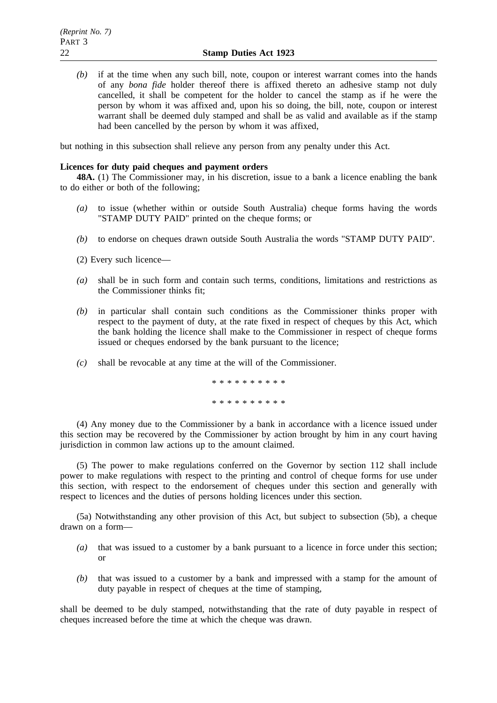*(b)* if at the time when any such bill, note, coupon or interest warrant comes into the hands of any *bona fide* holder thereof there is affixed thereto an adhesive stamp not duly cancelled, it shall be competent for the holder to cancel the stamp as if he were the person by whom it was affixed and, upon his so doing, the bill, note, coupon or interest warrant shall be deemed duly stamped and shall be as valid and available as if the stamp had been cancelled by the person by whom it was affixed,

but nothing in this subsection shall relieve any person from any penalty under this Act.

# **Licences for duty paid cheques and payment orders**

**48A.** (1) The Commissioner may, in his discretion, issue to a bank a licence enabling the bank to do either or both of the following;

- *(a)* to issue (whether within or outside South Australia) cheque forms having the words "STAMP DUTY PAID" printed on the cheque forms; or
- *(b)* to endorse on cheques drawn outside South Australia the words "STAMP DUTY PAID".
- (2) Every such licence—
- *(a)* shall be in such form and contain such terms, conditions, limitations and restrictions as the Commissioner thinks fit;
- *(b)* in particular shall contain such conditions as the Commissioner thinks proper with respect to the payment of duty, at the rate fixed in respect of cheques by this Act, which the bank holding the licence shall make to the Commissioner in respect of cheque forms issued or cheques endorsed by the bank pursuant to the licence;
- *(c)* shall be revocable at any time at the will of the Commissioner.

\*\*\*\*\*\*\*\*\*\* \*\*\*\*\*\*\*\*\*\*

(4) Any money due to the Commissioner by a bank in accordance with a licence issued under this section may be recovered by the Commissioner by action brought by him in any court having jurisdiction in common law actions up to the amount claimed.

(5) The power to make regulations conferred on the Governor by section 112 shall include power to make regulations with respect to the printing and control of cheque forms for use under this section, with respect to the endorsement of cheques under this section and generally with respect to licences and the duties of persons holding licences under this section.

(5a) Notwithstanding any other provision of this Act, but subject to subsection (5b), a cheque drawn on a form—

- *(a)* that was issued to a customer by a bank pursuant to a licence in force under this section; or
- *(b)* that was issued to a customer by a bank and impressed with a stamp for the amount of duty payable in respect of cheques at the time of stamping,

shall be deemed to be duly stamped, notwithstanding that the rate of duty payable in respect of cheques increased before the time at which the cheque was drawn.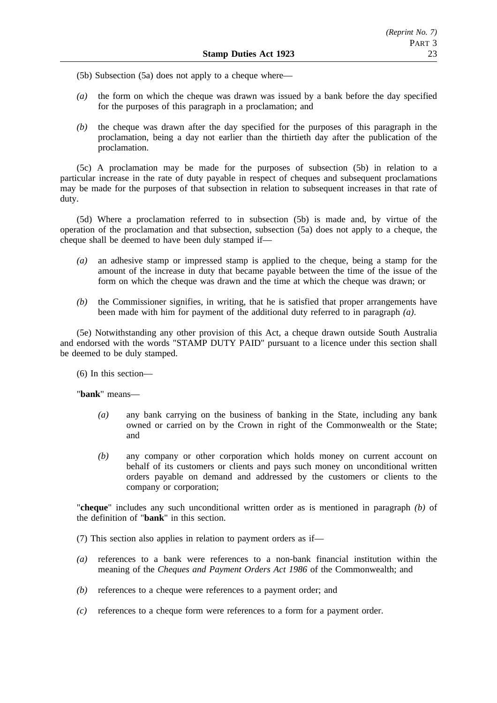(5b) Subsection (5a) does not apply to a cheque where—

- *(a)* the form on which the cheque was drawn was issued by a bank before the day specified for the purposes of this paragraph in a proclamation; and
- *(b)* the cheque was drawn after the day specified for the purposes of this paragraph in the proclamation, being a day not earlier than the thirtieth day after the publication of the proclamation.

(5c) A proclamation may be made for the purposes of subsection (5b) in relation to a particular increase in the rate of duty payable in respect of cheques and subsequent proclamations may be made for the purposes of that subsection in relation to subsequent increases in that rate of duty.

(5d) Where a proclamation referred to in subsection (5b) is made and, by virtue of the operation of the proclamation and that subsection, subsection (5a) does not apply to a cheque, the cheque shall be deemed to have been duly stamped if—

- *(a)* an adhesive stamp or impressed stamp is applied to the cheque, being a stamp for the amount of the increase in duty that became payable between the time of the issue of the form on which the cheque was drawn and the time at which the cheque was drawn; or
- *(b)* the Commissioner signifies, in writing, that he is satisfied that proper arrangements have been made with him for payment of the additional duty referred to in paragraph *(a)*.

(5e) Notwithstanding any other provision of this Act, a cheque drawn outside South Australia and endorsed with the words "STAMP DUTY PAID" pursuant to a licence under this section shall be deemed to be duly stamped.

(6) In this section—

"**bank**" means—

- *(a)* any bank carrying on the business of banking in the State, including any bank owned or carried on by the Crown in right of the Commonwealth or the State; and
- *(b)* any company or other corporation which holds money on current account on behalf of its customers or clients and pays such money on unconditional written orders payable on demand and addressed by the customers or clients to the company or corporation;

"**cheque**" includes any such unconditional written order as is mentioned in paragraph *(b)* of the definition of "**bank**" in this section.

- (7) This section also applies in relation to payment orders as if—
- *(a)* references to a bank were references to a non-bank financial institution within the meaning of the *Cheques and Payment Orders Act 1986* of the Commonwealth; and
- *(b)* references to a cheque were references to a payment order; and
- *(c)* references to a cheque form were references to a form for a payment order.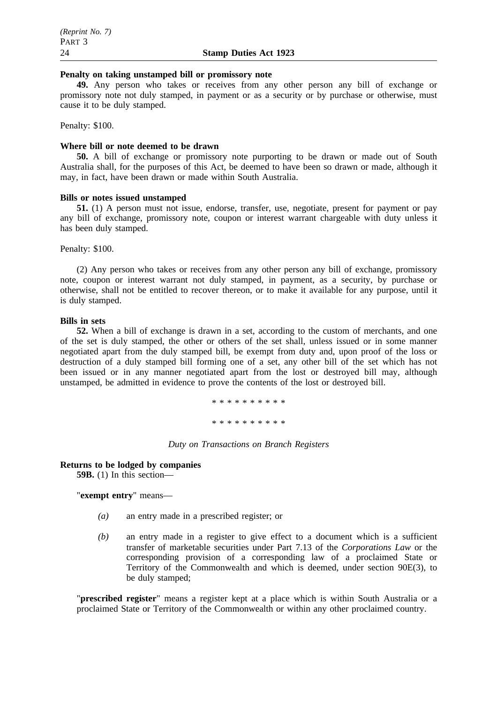#### **Penalty on taking unstamped bill or promissory note**

**49.** Any person who takes or receives from any other person any bill of exchange or promissory note not duly stamped, in payment or as a security or by purchase or otherwise, must cause it to be duly stamped.

Penalty: \$100.

#### **Where bill or note deemed to be drawn**

**50.** A bill of exchange or promissory note purporting to be drawn or made out of South Australia shall, for the purposes of this Act, be deemed to have been so drawn or made, although it may, in fact, have been drawn or made within South Australia.

### **Bills or notes issued unstamped**

**51.** (1) A person must not issue, endorse, transfer, use, negotiate, present for payment or pay any bill of exchange, promissory note, coupon or interest warrant chargeable with duty unless it has been duly stamped.

Penalty: \$100.

(2) Any person who takes or receives from any other person any bill of exchange, promissory note, coupon or interest warrant not duly stamped, in payment, as a security, by purchase or otherwise, shall not be entitled to recover thereon, or to make it available for any purpose, until it is duly stamped.

### **Bills in sets**

**52.** When a bill of exchange is drawn in a set, according to the custom of merchants, and one of the set is duly stamped, the other or others of the set shall, unless issued or in some manner negotiated apart from the duly stamped bill, be exempt from duty and, upon proof of the loss or destruction of a duly stamped bill forming one of a set, any other bill of the set which has not been issued or in any manner negotiated apart from the lost or destroyed bill may, although unstamped, be admitted in evidence to prove the contents of the lost or destroyed bill.

\*\*\*\*\*\*\*\*\*\*

\*\*\*\*\*\*\*\*\*\*

*Duty on Transactions on Branch Registers*

### **Returns to be lodged by companies**

**59B.** (1) In this section—

"**exempt entry**" means—

- *(a)* an entry made in a prescribed register; or
- *(b)* an entry made in a register to give effect to a document which is a sufficient transfer of marketable securities under Part 7.13 of the *Corporations Law* or the corresponding provision of a corresponding law of a proclaimed State or Territory of the Commonwealth and which is deemed, under section 90E(3), to be duly stamped;

"**prescribed register**" means a register kept at a place which is within South Australia or a proclaimed State or Territory of the Commonwealth or within any other proclaimed country.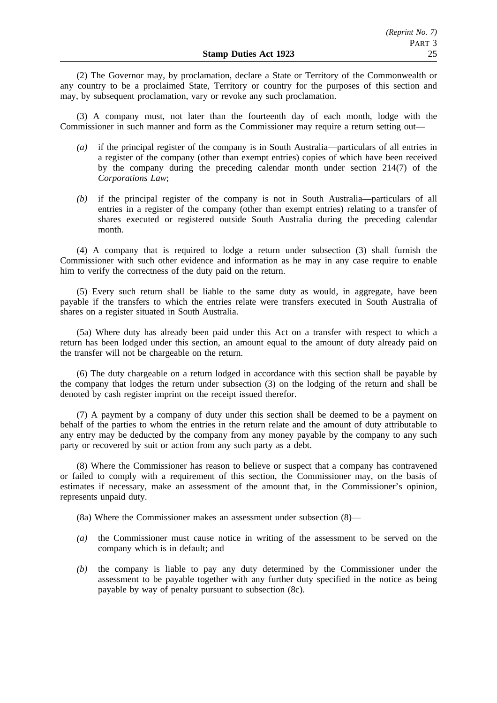(2) The Governor may, by proclamation, declare a State or Territory of the Commonwealth or any country to be a proclaimed State, Territory or country for the purposes of this section and may, by subsequent proclamation, vary or revoke any such proclamation.

(3) A company must, not later than the fourteenth day of each month, lodge with the Commissioner in such manner and form as the Commissioner may require a return setting out—

- *(a)* if the principal register of the company is in South Australia—particulars of all entries in a register of the company (other than exempt entries) copies of which have been received by the company during the preceding calendar month under section 214(7) of the *Corporations Law*;
- *(b)* if the principal register of the company is not in South Australia—particulars of all entries in a register of the company (other than exempt entries) relating to a transfer of shares executed or registered outside South Australia during the preceding calendar month.

(4) A company that is required to lodge a return under subsection (3) shall furnish the Commissioner with such other evidence and information as he may in any case require to enable him to verify the correctness of the duty paid on the return.

(5) Every such return shall be liable to the same duty as would, in aggregate, have been payable if the transfers to which the entries relate were transfers executed in South Australia of shares on a register situated in South Australia.

(5a) Where duty has already been paid under this Act on a transfer with respect to which a return has been lodged under this section, an amount equal to the amount of duty already paid on the transfer will not be chargeable on the return.

(6) The duty chargeable on a return lodged in accordance with this section shall be payable by the company that lodges the return under subsection (3) on the lodging of the return and shall be denoted by cash register imprint on the receipt issued therefor.

(7) A payment by a company of duty under this section shall be deemed to be a payment on behalf of the parties to whom the entries in the return relate and the amount of duty attributable to any entry may be deducted by the company from any money payable by the company to any such party or recovered by suit or action from any such party as a debt.

(8) Where the Commissioner has reason to believe or suspect that a company has contravened or failed to comply with a requirement of this section, the Commissioner may, on the basis of estimates if necessary, make an assessment of the amount that, in the Commissioner's opinion, represents unpaid duty.

(8a) Where the Commissioner makes an assessment under subsection (8)—

- *(a)* the Commissioner must cause notice in writing of the assessment to be served on the company which is in default; and
- *(b)* the company is liable to pay any duty determined by the Commissioner under the assessment to be payable together with any further duty specified in the notice as being payable by way of penalty pursuant to subsection (8c).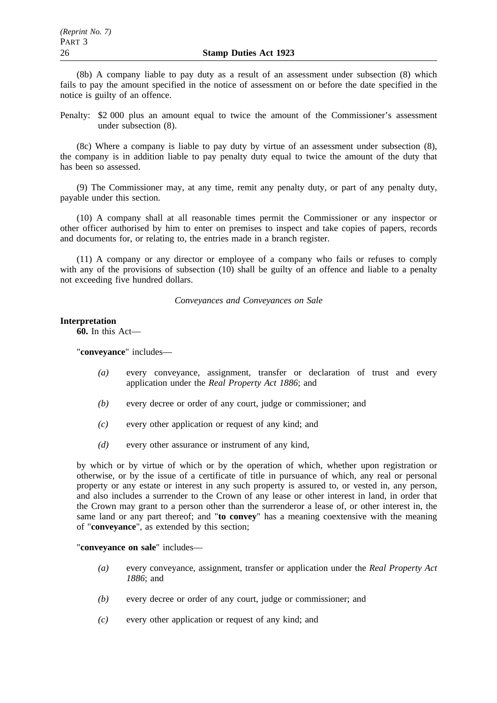(8b) A company liable to pay duty as a result of an assessment under subsection (8) which fails to pay the amount specified in the notice of assessment on or before the date specified in the notice is guilty of an offence.

Penalty: \$2 000 plus an amount equal to twice the amount of the Commissioner's assessment under subsection (8).

(8c) Where a company is liable to pay duty by virtue of an assessment under subsection (8), the company is in addition liable to pay penalty duty equal to twice the amount of the duty that has been so assessed.

(9) The Commissioner may, at any time, remit any penalty duty, or part of any penalty duty, payable under this section.

(10) A company shall at all reasonable times permit the Commissioner or any inspector or other officer authorised by him to enter on premises to inspect and take copies of papers, records and documents for, or relating to, the entries made in a branch register.

(11) A company or any director or employee of a company who fails or refuses to comply with any of the provisions of subsection (10) shall be guilty of an offence and liable to a penalty not exceeding five hundred dollars.

### *Conveyances and Conveyances on Sale*

## **Interpretation**

**60.** In this Act—

"**conveyance**" includes—

- *(a)* every conveyance, assignment, transfer or declaration of trust and every application under the *Real Property Act 1886*; and
- *(b)* every decree or order of any court, judge or commissioner; and
- *(c)* every other application or request of any kind; and
- *(d)* every other assurance or instrument of any kind,

by which or by virtue of which or by the operation of which, whether upon registration or otherwise, or by the issue of a certificate of title in pursuance of which, any real or personal property or any estate or interest in any such property is assured to, or vested in, any person, and also includes a surrender to the Crown of any lease or other interest in land, in order that the Crown may grant to a person other than the surrenderor a lease of, or other interest in, the same land or any part thereof; and "**to convey**" has a meaning coextensive with the meaning of "**conveyance**", as extended by this section;

"**conveyance on sale**" includes—

- *(a)* every conveyance, assignment, transfer or application under the *Real Property Act 1886*; and
- *(b)* every decree or order of any court, judge or commissioner; and
- *(c)* every other application or request of any kind; and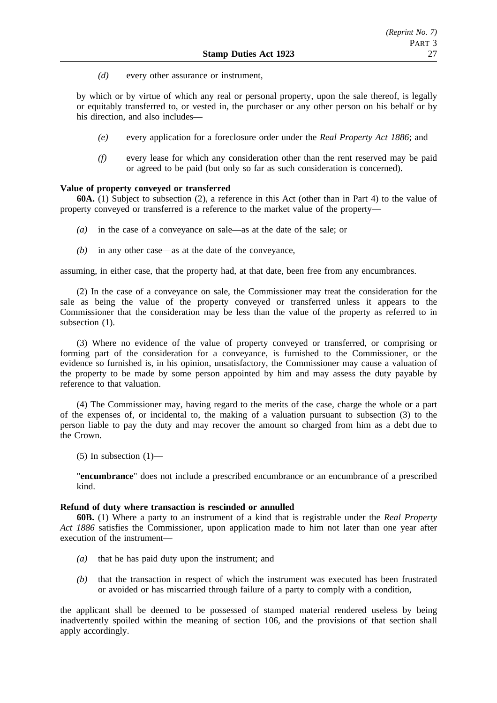*(d)* every other assurance or instrument,

by which or by virtue of which any real or personal property, upon the sale thereof, is legally or equitably transferred to, or vested in, the purchaser or any other person on his behalf or by his direction, and also includes—

- *(e)* every application for a foreclosure order under the *Real Property Act 1886*; and
- *(f)* every lease for which any consideration other than the rent reserved may be paid or agreed to be paid (but only so far as such consideration is concerned).

### **Value of property conveyed or transferred**

**60A.** (1) Subject to subsection (2), a reference in this Act (other than in Part 4) to the value of property conveyed or transferred is a reference to the market value of the property—

- *(a)* in the case of a conveyance on sale—as at the date of the sale; or
- *(b)* in any other case—as at the date of the conveyance,

assuming, in either case, that the property had, at that date, been free from any encumbrances.

(2) In the case of a conveyance on sale, the Commissioner may treat the consideration for the sale as being the value of the property conveyed or transferred unless it appears to the Commissioner that the consideration may be less than the value of the property as referred to in subsection  $(1)$ .

(3) Where no evidence of the value of property conveyed or transferred, or comprising or forming part of the consideration for a conveyance, is furnished to the Commissioner, or the evidence so furnished is, in his opinion, unsatisfactory, the Commissioner may cause a valuation of the property to be made by some person appointed by him and may assess the duty payable by reference to that valuation.

(4) The Commissioner may, having regard to the merits of the case, charge the whole or a part of the expenses of, or incidental to, the making of a valuation pursuant to subsection (3) to the person liable to pay the duty and may recover the amount so charged from him as a debt due to the Crown.

 $(5)$  In subsection  $(1)$ —

"**encumbrance**" does not include a prescribed encumbrance or an encumbrance of a prescribed kind.

### **Refund of duty where transaction is rescinded or annulled**

**60B.** (1) Where a party to an instrument of a kind that is registrable under the *Real Property Act 1886* satisfies the Commissioner, upon application made to him not later than one year after execution of the instrument—

- *(a)* that he has paid duty upon the instrument; and
- *(b)* that the transaction in respect of which the instrument was executed has been frustrated or avoided or has miscarried through failure of a party to comply with a condition,

the applicant shall be deemed to be possessed of stamped material rendered useless by being inadvertently spoiled within the meaning of section 106, and the provisions of that section shall apply accordingly.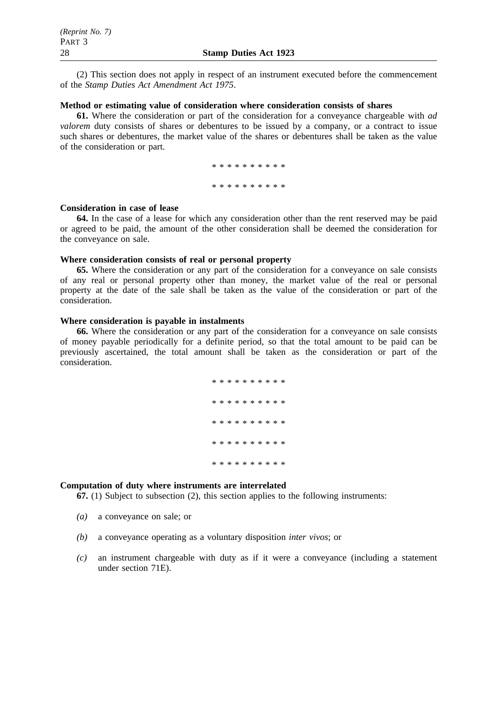(2) This section does not apply in respect of an instrument executed before the commencement of the *Stamp Duties Act Amendment Act 1975*.

#### **Method or estimating value of consideration where consideration consists of shares**

**61.** Where the consideration or part of the consideration for a conveyance chargeable with *ad valorem* duty consists of shares or debentures to be issued by a company, or a contract to issue such shares or debentures, the market value of the shares or debentures shall be taken as the value of the consideration or part.

> \*\*\*\*\*\*\*\*\*\* \*\*\*\*\*\*\*\*\*\*

#### **Consideration in case of lease**

**64.** In the case of a lease for which any consideration other than the rent reserved may be paid or agreed to be paid, the amount of the other consideration shall be deemed the consideration for the conveyance on sale.

#### **Where consideration consists of real or personal property**

**65.** Where the consideration or any part of the consideration for a conveyance on sale consists of any real or personal property other than money, the market value of the real or personal property at the date of the sale shall be taken as the value of the consideration or part of the consideration.

#### **Where consideration is payable in instalments**

**66.** Where the consideration or any part of the consideration for a conveyance on sale consists of money payable periodically for a definite period, so that the total amount to be paid can be previously ascertained, the total amount shall be taken as the consideration or part of the consideration.



#### **Computation of duty where instruments are interrelated**

**67.** (1) Subject to subsection (2), this section applies to the following instruments:

- *(a)* a conveyance on sale; or
- *(b)* a conveyance operating as a voluntary disposition *inter vivos*; or
- *(c)* an instrument chargeable with duty as if it were a conveyance (including a statement under section 71E).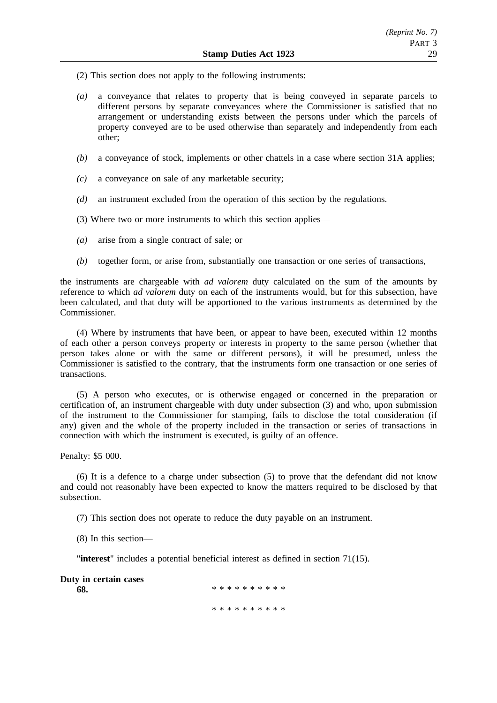- (2) This section does not apply to the following instruments:
- *(a)* a conveyance that relates to property that is being conveyed in separate parcels to different persons by separate conveyances where the Commissioner is satisfied that no arrangement or understanding exists between the persons under which the parcels of property conveyed are to be used otherwise than separately and independently from each other;
- *(b)* a conveyance of stock, implements or other chattels in a case where section 31A applies;
- *(c)* a conveyance on sale of any marketable security;
- *(d)* an instrument excluded from the operation of this section by the regulations.
- (3) Where two or more instruments to which this section applies—
- *(a)* arise from a single contract of sale; or
- *(b)* together form, or arise from, substantially one transaction or one series of transactions,

the instruments are chargeable with *ad valorem* duty calculated on the sum of the amounts by reference to which *ad valorem* duty on each of the instruments would, but for this subsection, have been calculated, and that duty will be apportioned to the various instruments as determined by the Commissioner.

(4) Where by instruments that have been, or appear to have been, executed within 12 months of each other a person conveys property or interests in property to the same person (whether that person takes alone or with the same or different persons), it will be presumed, unless the Commissioner is satisfied to the contrary, that the instruments form one transaction or one series of transactions.

(5) A person who executes, or is otherwise engaged or concerned in the preparation or certification of, an instrument chargeable with duty under subsection (3) and who, upon submission of the instrument to the Commissioner for stamping, fails to disclose the total consideration (if any) given and the whole of the property included in the transaction or series of transactions in connection with which the instrument is executed, is guilty of an offence.

Penalty: \$5 000.

(6) It is a defence to a charge under subsection (5) to prove that the defendant did not know and could not reasonably have been expected to know the matters required to be disclosed by that subsection.

(7) This section does not operate to reduce the duty payable on an instrument.

(8) In this section—

"**interest**" includes a potential beneficial interest as defined in section 71(15).

# **Duty in certain cases 68.** \*\*\*\*\*\*\*\*\*\*\*

\*\*\*\*\*\*\*\*\*\*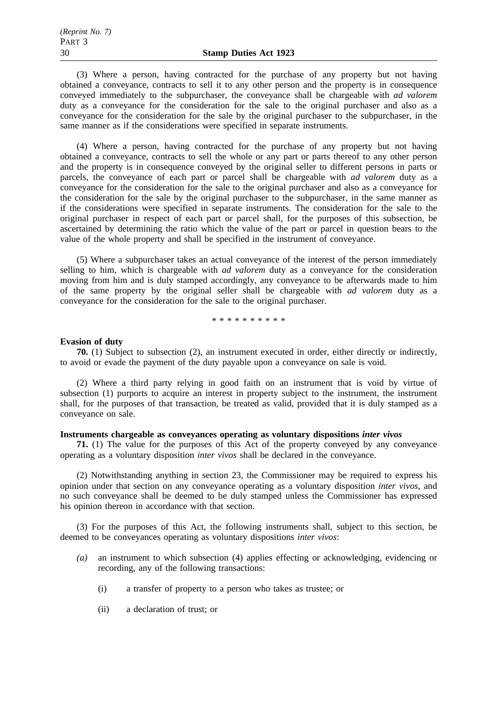(3) Where a person, having contracted for the purchase of any property but not having obtained a conveyance, contracts to sell it to any other person and the property is in consequence conveyed immediately to the subpurchaser, the conveyance shall be chargeable with *ad valorem* duty as a conveyance for the consideration for the sale to the original purchaser and also as a conveyance for the consideration for the sale by the original purchaser to the subpurchaser, in the same manner as if the considerations were specified in separate instruments.

(4) Where a person, having contracted for the purchase of any property but not having obtained a conveyance, contracts to sell the whole or any part or parts thereof to any other person and the property is in consequence conveyed by the original seller to different persons in parts or parcels, the conveyance of each part or parcel shall be chargeable with *ad valorem* duty as a conveyance for the consideration for the sale to the original purchaser and also as a conveyance for the consideration for the sale by the original purchaser to the subpurchaser, in the same manner as if the considerations were specified in separate instruments. The consideration for the sale to the original purchaser in respect of each part or parcel shall, for the purposes of this subsection, be ascertained by determining the ratio which the value of the part or parcel in question bears to the value of the whole property and shall be specified in the instrument of conveyance.

(5) Where a subpurchaser takes an actual conveyance of the interest of the person immediately selling to him, which is chargeable with *ad valorem* duty as a conveyance for the consideration moving from him and is duly stamped accordingly, any conveyance to be afterwards made to him of the same property by the original seller shall be chargeable with *ad valorem* duty as a conveyance for the consideration for the sale to the original purchaser.

\*\*\*\*\*\*\*\*\*\*

### **Evasion of duty**

**70.** (1) Subject to subsection (2), an instrument executed in order, either directly or indirectly, to avoid or evade the payment of the duty payable upon a conveyance on sale is void.

(2) Where a third party relying in good faith on an instrument that is void by virtue of subsection (1) purports to acquire an interest in property subject to the instrument, the instrument shall, for the purposes of that transaction, be treated as valid, provided that it is duly stamped as a conveyance on sale.

## **Instruments chargeable as conveyances operating as voluntary dispositions** *inter vivos*

**71.** (1) The value for the purposes of this Act of the property conveyed by any conveyance operating as a voluntary disposition *inter vivos* shall be declared in the conveyance.

(2) Notwithstanding anything in section 23, the Commissioner may be required to express his opinion under that section on any conveyance operating as a voluntary disposition *inter vivos*, and no such conveyance shall be deemed to be duly stamped unless the Commissioner has expressed his opinion thereon in accordance with that section.

(3) For the purposes of this Act, the following instruments shall, subject to this section, be deemed to be conveyances operating as voluntary dispositions *inter vivos*:

- *(a)* an instrument to which subsection (4) applies effecting or acknowledging, evidencing or recording, any of the following transactions:
	- (i) a transfer of property to a person who takes as trustee; or
	- (ii) a declaration of trust; or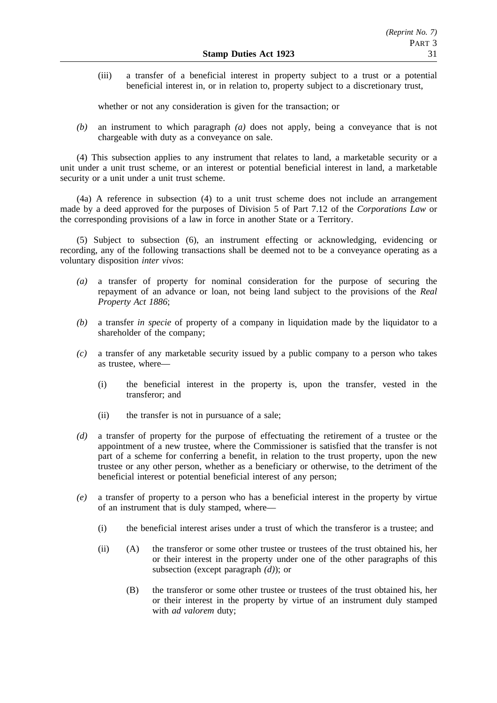(iii) a transfer of a beneficial interest in property subject to a trust or a potential beneficial interest in, or in relation to, property subject to a discretionary trust,

whether or not any consideration is given for the transaction; or

*(b)* an instrument to which paragraph *(a)* does not apply, being a conveyance that is not chargeable with duty as a conveyance on sale.

(4) This subsection applies to any instrument that relates to land, a marketable security or a unit under a unit trust scheme, or an interest or potential beneficial interest in land, a marketable security or a unit under a unit trust scheme.

(4a) A reference in subsection (4) to a unit trust scheme does not include an arrangement made by a deed approved for the purposes of Division 5 of Part 7.12 of the *Corporations Law* or the corresponding provisions of a law in force in another State or a Territory.

(5) Subject to subsection (6), an instrument effecting or acknowledging, evidencing or recording, any of the following transactions shall be deemed not to be a conveyance operating as a voluntary disposition *inter vivos*:

- *(a)* a transfer of property for nominal consideration for the purpose of securing the repayment of an advance or loan, not being land subject to the provisions of the *Real Property Act 1886*;
- *(b)* a transfer *in specie* of property of a company in liquidation made by the liquidator to a shareholder of the company;
- *(c)* a transfer of any marketable security issued by a public company to a person who takes as trustee, where—
	- (i) the beneficial interest in the property is, upon the transfer, vested in the transferor; and
	- (ii) the transfer is not in pursuance of a sale;
- *(d)* a transfer of property for the purpose of effectuating the retirement of a trustee or the appointment of a new trustee, where the Commissioner is satisfied that the transfer is not part of a scheme for conferring a benefit, in relation to the trust property, upon the new trustee or any other person, whether as a beneficiary or otherwise, to the detriment of the beneficial interest or potential beneficial interest of any person;
- *(e)* a transfer of property to a person who has a beneficial interest in the property by virtue of an instrument that is duly stamped, where—
	- (i) the beneficial interest arises under a trust of which the transferor is a trustee; and
	- (ii) (A) the transferor or some other trustee or trustees of the trust obtained his, her or their interest in the property under one of the other paragraphs of this subsection (except paragraph *(d)*); or
		- (B) the transferor or some other trustee or trustees of the trust obtained his, her or their interest in the property by virtue of an instrument duly stamped with *ad valorem* duty;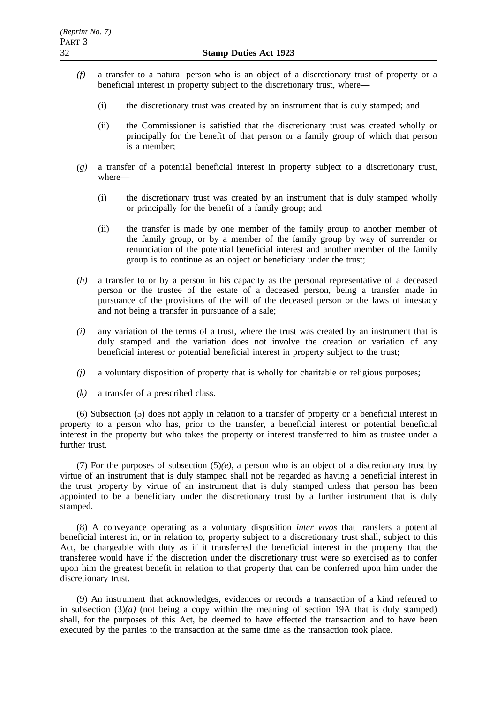- *(f)* a transfer to a natural person who is an object of a discretionary trust of property or a beneficial interest in property subject to the discretionary trust, where—
	- (i) the discretionary trust was created by an instrument that is duly stamped; and
	- (ii) the Commissioner is satisfied that the discretionary trust was created wholly or principally for the benefit of that person or a family group of which that person is a member;
- *(g)* a transfer of a potential beneficial interest in property subject to a discretionary trust, where—
	- (i) the discretionary trust was created by an instrument that is duly stamped wholly or principally for the benefit of a family group; and
	- (ii) the transfer is made by one member of the family group to another member of the family group, or by a member of the family group by way of surrender or renunciation of the potential beneficial interest and another member of the family group is to continue as an object or beneficiary under the trust;
- *(h)* a transfer to or by a person in his capacity as the personal representative of a deceased person or the trustee of the estate of a deceased person, being a transfer made in pursuance of the provisions of the will of the deceased person or the laws of intestacy and not being a transfer in pursuance of a sale;
- *(i)* any variation of the terms of a trust, where the trust was created by an instrument that is duly stamped and the variation does not involve the creation or variation of any beneficial interest or potential beneficial interest in property subject to the trust;
- *(j)* a voluntary disposition of property that is wholly for charitable or religious purposes;
- *(k)* a transfer of a prescribed class.

(6) Subsection (5) does not apply in relation to a transfer of property or a beneficial interest in property to a person who has, prior to the transfer, a beneficial interest or potential beneficial interest in the property but who takes the property or interest transferred to him as trustee under a further trust.

(7) For the purposes of subsection  $(5)(e)$ , a person who is an object of a discretionary trust by virtue of an instrument that is duly stamped shall not be regarded as having a beneficial interest in the trust property by virtue of an instrument that is duly stamped unless that person has been appointed to be a beneficiary under the discretionary trust by a further instrument that is duly stamped.

(8) A conveyance operating as a voluntary disposition *inter vivos* that transfers a potential beneficial interest in, or in relation to, property subject to a discretionary trust shall, subject to this Act, be chargeable with duty as if it transferred the beneficial interest in the property that the transferee would have if the discretion under the discretionary trust were so exercised as to confer upon him the greatest benefit in relation to that property that can be conferred upon him under the discretionary trust.

(9) An instrument that acknowledges, evidences or records a transaction of a kind referred to in subsection  $(3)(a)$  (not being a copy within the meaning of section 19A that is duly stamped) shall, for the purposes of this Act, be deemed to have effected the transaction and to have been executed by the parties to the transaction at the same time as the transaction took place.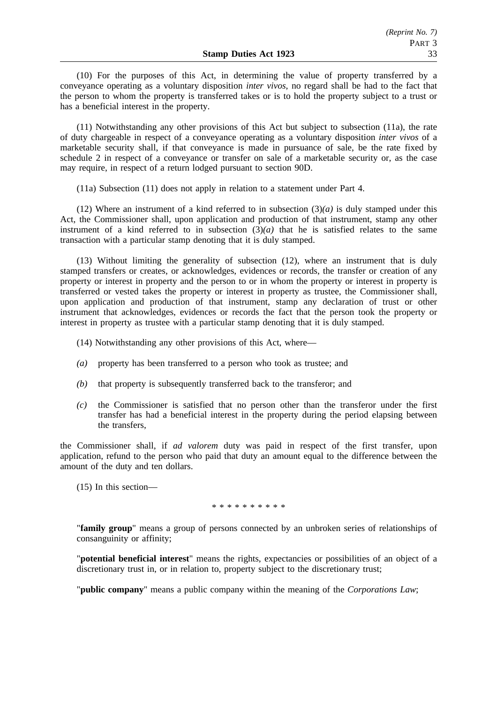(10) For the purposes of this Act, in determining the value of property transferred by a conveyance operating as a voluntary disposition *inter vivos*, no regard shall be had to the fact that the person to whom the property is transferred takes or is to hold the property subject to a trust or has a beneficial interest in the property.

(11) Notwithstanding any other provisions of this Act but subject to subsection (11a), the rate of duty chargeable in respect of a conveyance operating as a voluntary disposition *inter vivos* of a marketable security shall, if that conveyance is made in pursuance of sale, be the rate fixed by schedule 2 in respect of a conveyance or transfer on sale of a marketable security or, as the case may require, in respect of a return lodged pursuant to section 90D.

(11a) Subsection (11) does not apply in relation to a statement under Part 4.

(12) Where an instrument of a kind referred to in subsection  $(3)(a)$  is duly stamped under this Act, the Commissioner shall, upon application and production of that instrument, stamp any other instrument of a kind referred to in subsection  $(3)(a)$  that he is satisfied relates to the same transaction with a particular stamp denoting that it is duly stamped.

(13) Without limiting the generality of subsection (12), where an instrument that is duly stamped transfers or creates, or acknowledges, evidences or records, the transfer or creation of any property or interest in property and the person to or in whom the property or interest in property is transferred or vested takes the property or interest in property as trustee, the Commissioner shall, upon application and production of that instrument, stamp any declaration of trust or other instrument that acknowledges, evidences or records the fact that the person took the property or interest in property as trustee with a particular stamp denoting that it is duly stamped.

(14) Notwithstanding any other provisions of this Act, where—

- *(a)* property has been transferred to a person who took as trustee; and
- *(b)* that property is subsequently transferred back to the transferor; and
- *(c)* the Commissioner is satisfied that no person other than the transferor under the first transfer has had a beneficial interest in the property during the period elapsing between the transfers,

the Commissioner shall, if *ad valorem* duty was paid in respect of the first transfer, upon application, refund to the person who paid that duty an amount equal to the difference between the amount of the duty and ten dollars.

(15) In this section—

\*\*\*\*\*\*\*\*\*\*

"**family group**" means a group of persons connected by an unbroken series of relationships of consanguinity or affinity;

"**potential beneficial interest**" means the rights, expectancies or possibilities of an object of a discretionary trust in, or in relation to, property subject to the discretionary trust;

"**public company**" means a public company within the meaning of the *Corporations Law*;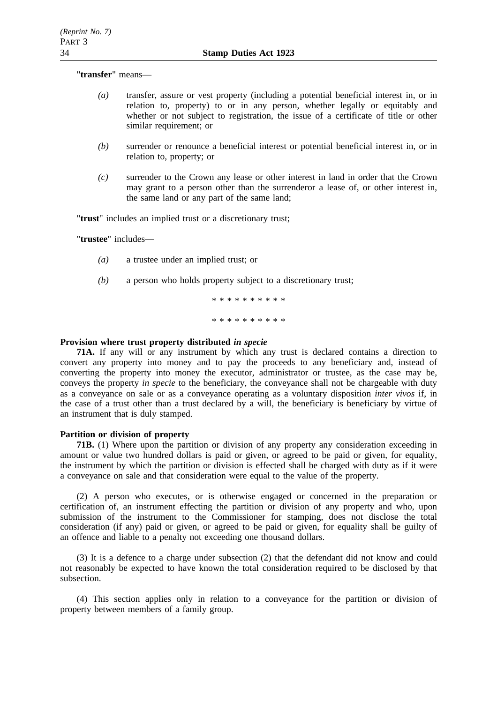"**transfer**" means—

- *(a)* transfer, assure or vest property (including a potential beneficial interest in, or in relation to, property) to or in any person, whether legally or equitably and whether or not subject to registration, the issue of a certificate of title or other similar requirement; or
- *(b)* surrender or renounce a beneficial interest or potential beneficial interest in, or in relation to, property; or
- *(c)* surrender to the Crown any lease or other interest in land in order that the Crown may grant to a person other than the surrenderor a lease of, or other interest in, the same land or any part of the same land;

"**trust**" includes an implied trust or a discretionary trust;

"**trustee**" includes—

- *(a)* a trustee under an implied trust; or
- *(b)* a person who holds property subject to a discretionary trust;

\*\*\*\*\*\*\*\*\*\* \*\*\*\*\*\*\*\*\*\*

# **Provision where trust property distributed** *in specie*

**71A.** If any will or any instrument by which any trust is declared contains a direction to convert any property into money and to pay the proceeds to any beneficiary and, instead of converting the property into money the executor, administrator or trustee, as the case may be, conveys the property *in specie* to the beneficiary, the conveyance shall not be chargeable with duty as a conveyance on sale or as a conveyance operating as a voluntary disposition *inter vivos* if, in the case of a trust other than a trust declared by a will, the beneficiary is beneficiary by virtue of an instrument that is duly stamped.

### **Partition or division of property**

**71B.** (1) Where upon the partition or division of any property any consideration exceeding in amount or value two hundred dollars is paid or given, or agreed to be paid or given, for equality, the instrument by which the partition or division is effected shall be charged with duty as if it were a conveyance on sale and that consideration were equal to the value of the property.

(2) A person who executes, or is otherwise engaged or concerned in the preparation or certification of, an instrument effecting the partition or division of any property and who, upon submission of the instrument to the Commissioner for stamping, does not disclose the total consideration (if any) paid or given, or agreed to be paid or given, for equality shall be guilty of an offence and liable to a penalty not exceeding one thousand dollars.

(3) It is a defence to a charge under subsection (2) that the defendant did not know and could not reasonably be expected to have known the total consideration required to be disclosed by that subsection.

(4) This section applies only in relation to a conveyance for the partition or division of property between members of a family group.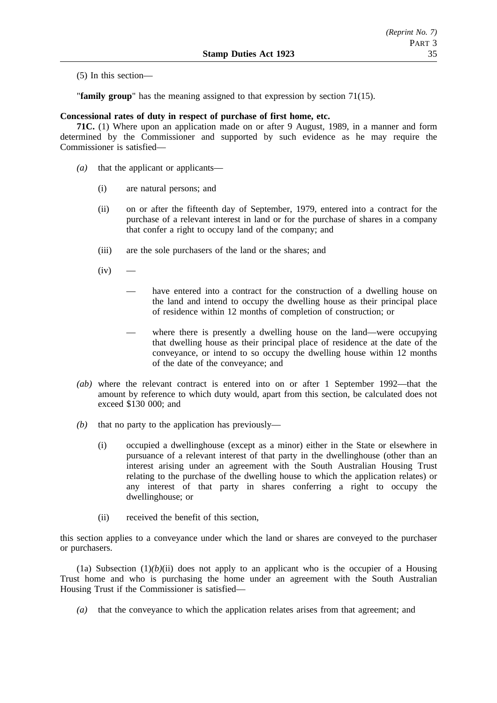(5) In this section—

"**family group**" has the meaning assigned to that expression by section 71(15).

## **Concessional rates of duty in respect of purchase of first home, etc.**

**71C.** (1) Where upon an application made on or after 9 August, 1989, in a manner and form determined by the Commissioner and supported by such evidence as he may require the Commissioner is satisfied—

- *(a)* that the applicant or applicants—
	- (i) are natural persons; and
	- (ii) on or after the fifteenth day of September, 1979, entered into a contract for the purchase of a relevant interest in land or for the purchase of shares in a company that confer a right to occupy land of the company; and
	- (iii) are the sole purchasers of the land or the shares; and
	- $(iv)$ 
		- have entered into a contract for the construction of a dwelling house on the land and intend to occupy the dwelling house as their principal place of residence within 12 months of completion of construction; or
		- where there is presently a dwelling house on the land—were occupying that dwelling house as their principal place of residence at the date of the conveyance, or intend to so occupy the dwelling house within 12 months of the date of the conveyance; and
- *(ab)* where the relevant contract is entered into on or after 1 September 1992—that the amount by reference to which duty would, apart from this section, be calculated does not exceed \$130 000; and
- *(b)* that no party to the application has previously—
	- (i) occupied a dwellinghouse (except as a minor) either in the State or elsewhere in pursuance of a relevant interest of that party in the dwellinghouse (other than an interest arising under an agreement with the South Australian Housing Trust relating to the purchase of the dwelling house to which the application relates) or any interest of that party in shares conferring a right to occupy the dwellinghouse; or
	- (ii) received the benefit of this section,

this section applies to a conveyance under which the land or shares are conveyed to the purchaser or purchasers.

(1a) Subsection  $(1)(b)(ii)$  does not apply to an applicant who is the occupier of a Housing Trust home and who is purchasing the home under an agreement with the South Australian Housing Trust if the Commissioner is satisfied—

*(a)* that the conveyance to which the application relates arises from that agreement; and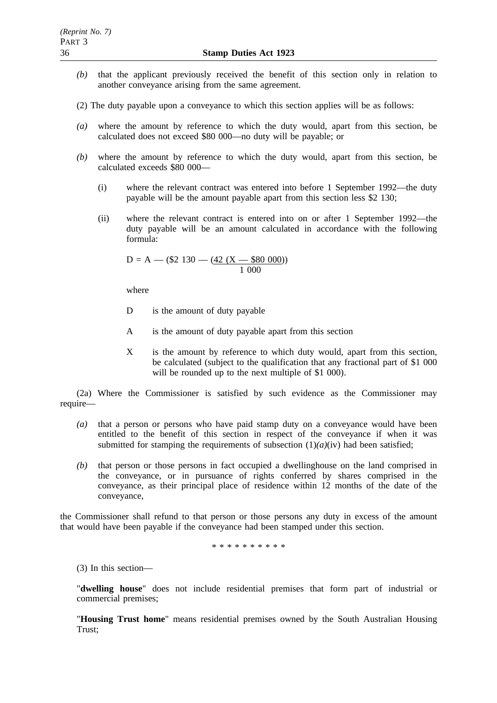- *(b)* that the applicant previously received the benefit of this section only in relation to another conveyance arising from the same agreement.
- (2) The duty payable upon a conveyance to which this section applies will be as follows:
- *(a)* where the amount by reference to which the duty would, apart from this section, be calculated does not exceed \$80 000—no duty will be payable; or
- *(b)* where the amount by reference to which the duty would, apart from this section, be calculated exceeds \$80 000—
	- (i) where the relevant contract was entered into before 1 September 1992—the duty payable will be the amount payable apart from this section less \$2 130;
	- (ii) where the relevant contract is entered into on or after 1 September 1992—the duty payable will be an amount calculated in accordance with the following formula:

$$
D = A - ($2 130 - \underbrace{(42 (X - $80 000))}_{1 000})
$$

where

- D is the amount of duty payable
- A is the amount of duty payable apart from this section
- X is the amount by reference to which duty would, apart from this section, be calculated (subject to the qualification that any fractional part of \$1 000 will be rounded up to the next multiple of \$1 000).

(2a) Where the Commissioner is satisfied by such evidence as the Commissioner may require—

- *(a)* that a person or persons who have paid stamp duty on a conveyance would have been entitled to the benefit of this section in respect of the conveyance if when it was submitted for stamping the requirements of subsection  $(1)(a)(iv)$  had been satisfied;
- *(b)* that person or those persons in fact occupied a dwellinghouse on the land comprised in the conveyance, or in pursuance of rights conferred by shares comprised in the conveyance, as their principal place of residence within 12 months of the date of the conveyance,

the Commissioner shall refund to that person or those persons any duty in excess of the amount that would have been payable if the conveyance had been stamped under this section.

\*\*\*\*\*\*\*\*\*\*

(3) In this section—

"**dwelling house**" does not include residential premises that form part of industrial or commercial premises;

"**Housing Trust home**" means residential premises owned by the South Australian Housing Trust;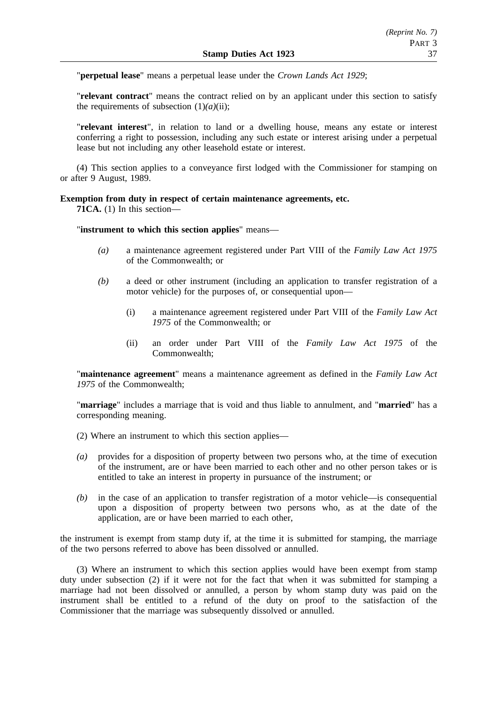"**perpetual lease**" means a perpetual lease under the *Crown Lands Act 1929*;

"**relevant contract**" means the contract relied on by an applicant under this section to satisfy the requirements of subsection  $(1)(a)(ii)$ ;

"**relevant interest**", in relation to land or a dwelling house, means any estate or interest conferring a right to possession, including any such estate or interest arising under a perpetual lease but not including any other leasehold estate or interest.

(4) This section applies to a conveyance first lodged with the Commissioner for stamping on or after 9 August, 1989.

## **Exemption from duty in respect of certain maintenance agreements, etc.**

**71CA.** (1) In this section—

"**instrument to which this section applies**" means—

- *(a)* a maintenance agreement registered under Part VIII of the *Family Law Act 1975* of the Commonwealth; or
- *(b)* a deed or other instrument (including an application to transfer registration of a motor vehicle) for the purposes of, or consequential upon—
	- (i) a maintenance agreement registered under Part VIII of the *Family Law Act 1975* of the Commonwealth; or
	- (ii) an order under Part VIII of the *Family Law Act 1975* of the Commonwealth;

"**maintenance agreement**" means a maintenance agreement as defined in the *Family Law Act 1975* of the Commonwealth;

"**marriage**" includes a marriage that is void and thus liable to annulment, and "**married**" has a corresponding meaning.

- (2) Where an instrument to which this section applies—
- *(a)* provides for a disposition of property between two persons who, at the time of execution of the instrument, are or have been married to each other and no other person takes or is entitled to take an interest in property in pursuance of the instrument; or
- *(b)* in the case of an application to transfer registration of a motor vehicle—is consequential upon a disposition of property between two persons who, as at the date of the application, are or have been married to each other,

the instrument is exempt from stamp duty if, at the time it is submitted for stamping, the marriage of the two persons referred to above has been dissolved or annulled.

(3) Where an instrument to which this section applies would have been exempt from stamp duty under subsection (2) if it were not for the fact that when it was submitted for stamping a marriage had not been dissolved or annulled, a person by whom stamp duty was paid on the instrument shall be entitled to a refund of the duty on proof to the satisfaction of the Commissioner that the marriage was subsequently dissolved or annulled.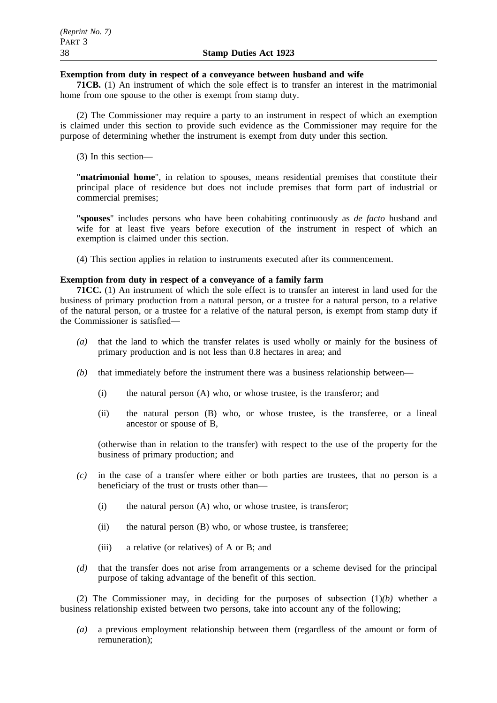### **Exemption from duty in respect of a conveyance between husband and wife**

**71CB.** (1) An instrument of which the sole effect is to transfer an interest in the matrimonial home from one spouse to the other is exempt from stamp duty.

(2) The Commissioner may require a party to an instrument in respect of which an exemption is claimed under this section to provide such evidence as the Commissioner may require for the purpose of determining whether the instrument is exempt from duty under this section.

(3) In this section—

"**matrimonial home**", in relation to spouses, means residential premises that constitute their principal place of residence but does not include premises that form part of industrial or commercial premises;

"**spouses**" includes persons who have been cohabiting continuously as *de facto* husband and wife for at least five years before execution of the instrument in respect of which an exemption is claimed under this section.

(4) This section applies in relation to instruments executed after its commencement.

# **Exemption from duty in respect of a conveyance of a family farm**

**71CC.** (1) An instrument of which the sole effect is to transfer an interest in land used for the business of primary production from a natural person, or a trustee for a natural person, to a relative of the natural person, or a trustee for a relative of the natural person, is exempt from stamp duty if the Commissioner is satisfied—

- *(a)* that the land to which the transfer relates is used wholly or mainly for the business of primary production and is not less than 0.8 hectares in area; and
- *(b)* that immediately before the instrument there was a business relationship between—
	- (i) the natural person (A) who, or whose trustee, is the transferor; and
	- (ii) the natural person (B) who, or whose trustee, is the transferee, or a lineal ancestor or spouse of B,

(otherwise than in relation to the transfer) with respect to the use of the property for the business of primary production; and

- *(c)* in the case of a transfer where either or both parties are trustees, that no person is a beneficiary of the trust or trusts other than—
	- (i) the natural person (A) who, or whose trustee, is transferor;
	- (ii) the natural person (B) who, or whose trustee, is transferee;
	- (iii) a relative (or relatives) of A or B; and
- *(d)* that the transfer does not arise from arrangements or a scheme devised for the principal purpose of taking advantage of the benefit of this section.

(2) The Commissioner may, in deciding for the purposes of subsection (1)*(b)* whether a business relationship existed between two persons, take into account any of the following;

*(a)* a previous employment relationship between them (regardless of the amount or form of remuneration);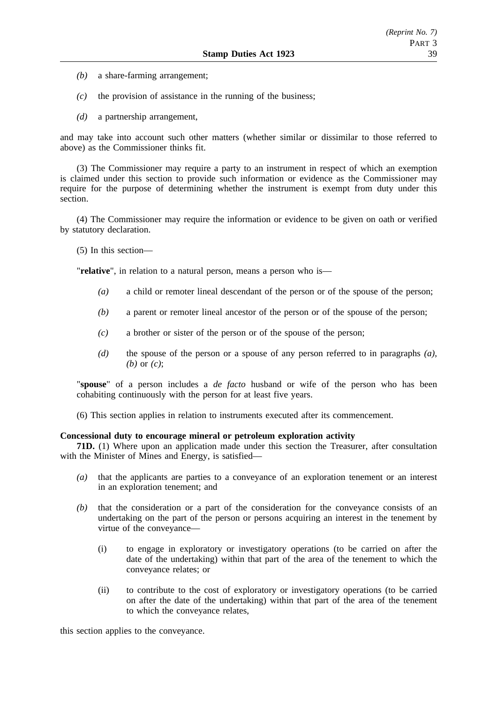- *(b)* a share-farming arrangement;
- *(c)* the provision of assistance in the running of the business;
- *(d)* a partnership arrangement,

and may take into account such other matters (whether similar or dissimilar to those referred to above) as the Commissioner thinks fit.

(3) The Commissioner may require a party to an instrument in respect of which an exemption is claimed under this section to provide such information or evidence as the Commissioner may require for the purpose of determining whether the instrument is exempt from duty under this section.

(4) The Commissioner may require the information or evidence to be given on oath or verified by statutory declaration.

(5) In this section—

"**relative**", in relation to a natural person, means a person who is—

- *(a)* a child or remoter lineal descendant of the person or of the spouse of the person;
- *(b)* a parent or remoter lineal ancestor of the person or of the spouse of the person;
- *(c)* a brother or sister of the person or of the spouse of the person;
- *(d)* the spouse of the person or a spouse of any person referred to in paragraphs *(a)*, *(b)* or *(c)*;

"**spouse**" of a person includes a *de facto* husband or wife of the person who has been cohabiting continuously with the person for at least five years.

(6) This section applies in relation to instruments executed after its commencement.

## **Concessional duty to encourage mineral or petroleum exploration activity**

**71D.** (1) Where upon an application made under this section the Treasurer, after consultation with the Minister of Mines and Energy, is satisfied—

- *(a)* that the applicants are parties to a conveyance of an exploration tenement or an interest in an exploration tenement; and
- *(b)* that the consideration or a part of the consideration for the conveyance consists of an undertaking on the part of the person or persons acquiring an interest in the tenement by virtue of the conveyance—
	- (i) to engage in exploratory or investigatory operations (to be carried on after the date of the undertaking) within that part of the area of the tenement to which the conveyance relates; or
	- (ii) to contribute to the cost of exploratory or investigatory operations (to be carried on after the date of the undertaking) within that part of the area of the tenement to which the conveyance relates,

this section applies to the conveyance.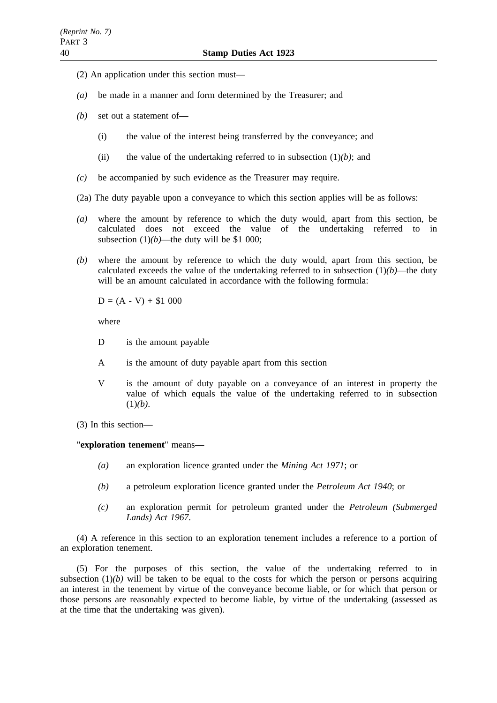- (2) An application under this section must—
- *(a)* be made in a manner and form determined by the Treasurer; and
- *(b)* set out a statement of—
	- (i) the value of the interest being transferred by the conveyance; and
	- (ii) the value of the undertaking referred to in subsection  $(1)(b)$ ; and
- *(c)* be accompanied by such evidence as the Treasurer may require.
- (2a) The duty payable upon a conveyance to which this section applies will be as follows:
- *(a)* where the amount by reference to which the duty would, apart from this section, be calculated does not exceed the value of the undertaking referred to in subsection  $(1)(b)$ —the duty will be \$1 000;
- *(b)* where the amount by reference to which the duty would, apart from this section, be calculated exceeds the value of the undertaking referred to in subsection  $(1)(b)$ —the duty will be an amount calculated in accordance with the following formula:

 $D = (A - V) + $1,000$ 

where

- D is the amount payable
- A is the amount of duty payable apart from this section
- V is the amount of duty payable on a conveyance of an interest in property the value of which equals the value of the undertaking referred to in subsection  $(1)(b)$ .

(3) In this section—

"**exploration tenement**" means—

- *(a)* an exploration licence granted under the *Mining Act 1971*; or
- *(b)* a petroleum exploration licence granted under the *Petroleum Act 1940*; or
- *(c)* an exploration permit for petroleum granted under the *Petroleum (Submerged Lands) Act 1967*.

(4) A reference in this section to an exploration tenement includes a reference to a portion of an exploration tenement.

(5) For the purposes of this section, the value of the undertaking referred to in subsection  $(1)(b)$  will be taken to be equal to the costs for which the person or persons acquiring an interest in the tenement by virtue of the conveyance become liable, or for which that person or those persons are reasonably expected to become liable, by virtue of the undertaking (assessed as at the time that the undertaking was given).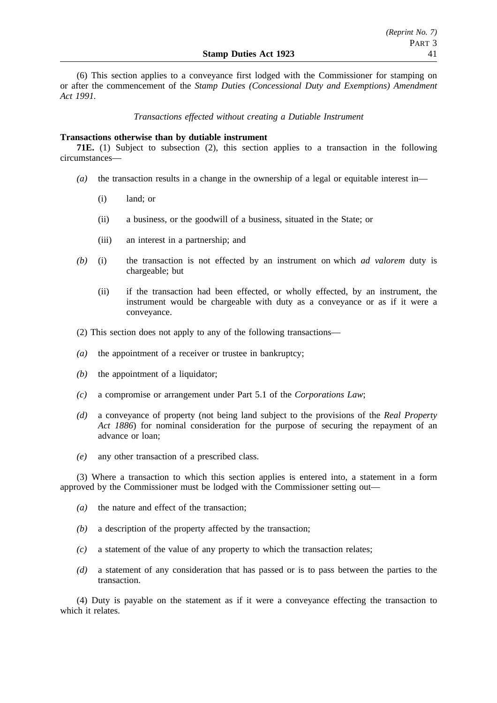(6) This section applies to a conveyance first lodged with the Commissioner for stamping on or after the commencement of the *Stamp Duties (Concessional Duty and Exemptions) Amendment Act 1991.*

*Transactions effected without creating a Dutiable Instrument*

### **Transactions otherwise than by dutiable instrument**

**71E.** (1) Subject to subsection (2), this section applies to a transaction in the following circumstances—

- *(a)* the transaction results in a change in the ownership of a legal or equitable interest in—
	- (i) land; or
	- (ii) a business, or the goodwill of a business, situated in the State; or
	- (iii) an interest in a partnership; and
- *(b)* (i) the transaction is not effected by an instrument on which *ad valorem* duty is chargeable; but
	- (ii) if the transaction had been effected, or wholly effected, by an instrument, the instrument would be chargeable with duty as a conveyance or as if it were a conveyance.
- (2) This section does not apply to any of the following transactions—
- *(a)* the appointment of a receiver or trustee in bankruptcy;
- *(b)* the appointment of a liquidator;
- *(c)* a compromise or arrangement under Part 5.1 of the *Corporations Law*;
- *(d)* a conveyance of property (not being land subject to the provisions of the *Real Property Act 1886*) for nominal consideration for the purpose of securing the repayment of an advance or loan;
- *(e)* any other transaction of a prescribed class.

(3) Where a transaction to which this section applies is entered into, a statement in a form approved by the Commissioner must be lodged with the Commissioner setting out—

- *(a)* the nature and effect of the transaction;
- *(b)* a description of the property affected by the transaction;
- *(c)* a statement of the value of any property to which the transaction relates;
- *(d)* a statement of any consideration that has passed or is to pass between the parties to the transaction.

(4) Duty is payable on the statement as if it were a conveyance effecting the transaction to which it relates.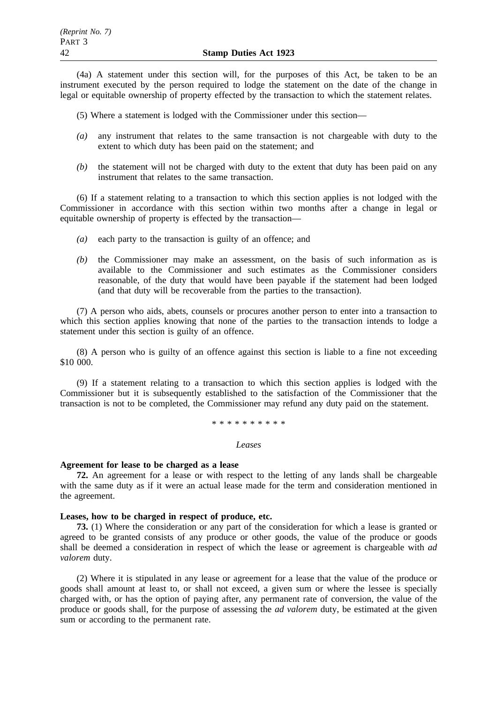(4a) A statement under this section will, for the purposes of this Act, be taken to be an instrument executed by the person required to lodge the statement on the date of the change in legal or equitable ownership of property effected by the transaction to which the statement relates.

- (5) Where a statement is lodged with the Commissioner under this section—
- *(a)* any instrument that relates to the same transaction is not chargeable with duty to the extent to which duty has been paid on the statement; and
- *(b)* the statement will not be charged with duty to the extent that duty has been paid on any instrument that relates to the same transaction.

(6) If a statement relating to a transaction to which this section applies is not lodged with the Commissioner in accordance with this section within two months after a change in legal or equitable ownership of property is effected by the transaction—

- *(a)* each party to the transaction is guilty of an offence; and
- *(b)* the Commissioner may make an assessment, on the basis of such information as is available to the Commissioner and such estimates as the Commissioner considers reasonable, of the duty that would have been payable if the statement had been lodged (and that duty will be recoverable from the parties to the transaction).

(7) A person who aids, abets, counsels or procures another person to enter into a transaction to which this section applies knowing that none of the parties to the transaction intends to lodge a statement under this section is guilty of an offence.

(8) A person who is guilty of an offence against this section is liable to a fine not exceeding \$10 000.

(9) If a statement relating to a transaction to which this section applies is lodged with the Commissioner but it is subsequently established to the satisfaction of the Commissioner that the transaction is not to be completed, the Commissioner may refund any duty paid on the statement.

\*\*\*\*\*\*\*\*\*\*

### *Leases*

### **Agreement for lease to be charged as a lease**

**72.** An agreement for a lease or with respect to the letting of any lands shall be chargeable with the same duty as if it were an actual lease made for the term and consideration mentioned in the agreement.

## **Leases, how to be charged in respect of produce, etc.**

**73.** (1) Where the consideration or any part of the consideration for which a lease is granted or agreed to be granted consists of any produce or other goods, the value of the produce or goods shall be deemed a consideration in respect of which the lease or agreement is chargeable with *ad valorem* duty.

(2) Where it is stipulated in any lease or agreement for a lease that the value of the produce or goods shall amount at least to, or shall not exceed, a given sum or where the lessee is specially charged with, or has the option of paying after, any permanent rate of conversion, the value of the produce or goods shall, for the purpose of assessing the *ad valorem* duty, be estimated at the given sum or according to the permanent rate.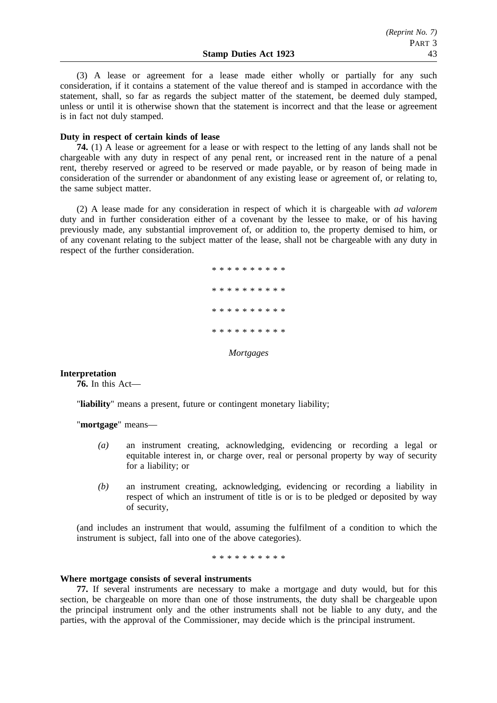(3) A lease or agreement for a lease made either wholly or partially for any such consideration, if it contains a statement of the value thereof and is stamped in accordance with the statement, shall, so far as regards the subject matter of the statement, be deemed duly stamped, unless or until it is otherwise shown that the statement is incorrect and that the lease or agreement is in fact not duly stamped.

### **Duty in respect of certain kinds of lease**

**74.** (1) A lease or agreement for a lease or with respect to the letting of any lands shall not be chargeable with any duty in respect of any penal rent, or increased rent in the nature of a penal rent, thereby reserved or agreed to be reserved or made payable, or by reason of being made in consideration of the surrender or abandonment of any existing lease or agreement of, or relating to, the same subject matter.

(2) A lease made for any consideration in respect of which it is chargeable with *ad valorem* duty and in further consideration either of a covenant by the lessee to make, or of his having previously made, any substantial improvement of, or addition to, the property demised to him, or of any covenant relating to the subject matter of the lease, shall not be chargeable with any duty in respect of the further consideration.

> \*\*\*\*\*\*\*\*\*\* \*\*\*\*\*\*\*\*\*\* \*\*\*\*\*\*\*\*\*\* \*\*\*\*\*\*\*\*\*\* *Mortgages*

### **Interpretation**

**76.** In this Act—

"**liability**" means a present, future or contingent monetary liability;

"**mortgage**" means—

- *(a)* an instrument creating, acknowledging, evidencing or recording a legal or equitable interest in, or charge over, real or personal property by way of security for a liability; or
- *(b)* an instrument creating, acknowledging, evidencing or recording a liability in respect of which an instrument of title is or is to be pledged or deposited by way of security,

(and includes an instrument that would, assuming the fulfilment of a condition to which the instrument is subject, fall into one of the above categories).

\*\*\*\*\*\*\*\*\*\*

### **Where mortgage consists of several instruments**

**77.** If several instruments are necessary to make a mortgage and duty would, but for this section, be chargeable on more than one of those instruments, the duty shall be chargeable upon the principal instrument only and the other instruments shall not be liable to any duty, and the parties, with the approval of the Commissioner, may decide which is the principal instrument.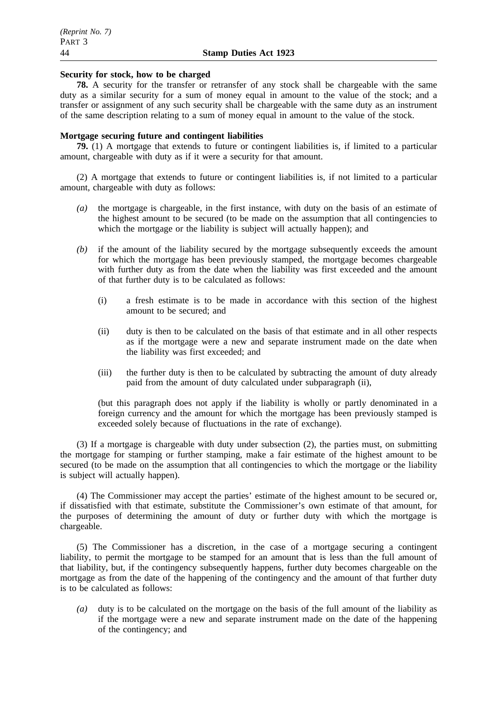### **Security for stock, how to be charged**

**78.** A security for the transfer or retransfer of any stock shall be chargeable with the same duty as a similar security for a sum of money equal in amount to the value of the stock; and a transfer or assignment of any such security shall be chargeable with the same duty as an instrument of the same description relating to a sum of money equal in amount to the value of the stock.

# **Mortgage securing future and contingent liabilities**

**79.** (1) A mortgage that extends to future or contingent liabilities is, if limited to a particular amount, chargeable with duty as if it were a security for that amount.

(2) A mortgage that extends to future or contingent liabilities is, if not limited to a particular amount, chargeable with duty as follows:

- *(a)* the mortgage is chargeable, in the first instance, with duty on the basis of an estimate of the highest amount to be secured (to be made on the assumption that all contingencies to which the mortgage or the liability is subject will actually happen); and
- *(b)* if the amount of the liability secured by the mortgage subsequently exceeds the amount for which the mortgage has been previously stamped, the mortgage becomes chargeable with further duty as from the date when the liability was first exceeded and the amount of that further duty is to be calculated as follows:
	- (i) a fresh estimate is to be made in accordance with this section of the highest amount to be secured; and
	- (ii) duty is then to be calculated on the basis of that estimate and in all other respects as if the mortgage were a new and separate instrument made on the date when the liability was first exceeded; and
	- (iii) the further duty is then to be calculated by subtracting the amount of duty already paid from the amount of duty calculated under subparagraph (ii),

(but this paragraph does not apply if the liability is wholly or partly denominated in a foreign currency and the amount for which the mortgage has been previously stamped is exceeded solely because of fluctuations in the rate of exchange).

(3) If a mortgage is chargeable with duty under subsection (2), the parties must, on submitting the mortgage for stamping or further stamping, make a fair estimate of the highest amount to be secured (to be made on the assumption that all contingencies to which the mortgage or the liability is subject will actually happen).

(4) The Commissioner may accept the parties' estimate of the highest amount to be secured or, if dissatisfied with that estimate, substitute the Commissioner's own estimate of that amount, for the purposes of determining the amount of duty or further duty with which the mortgage is chargeable.

(5) The Commissioner has a discretion, in the case of a mortgage securing a contingent liability, to permit the mortgage to be stamped for an amount that is less than the full amount of that liability, but, if the contingency subsequently happens, further duty becomes chargeable on the mortgage as from the date of the happening of the contingency and the amount of that further duty is to be calculated as follows:

*(a)* duty is to be calculated on the mortgage on the basis of the full amount of the liability as if the mortgage were a new and separate instrument made on the date of the happening of the contingency; and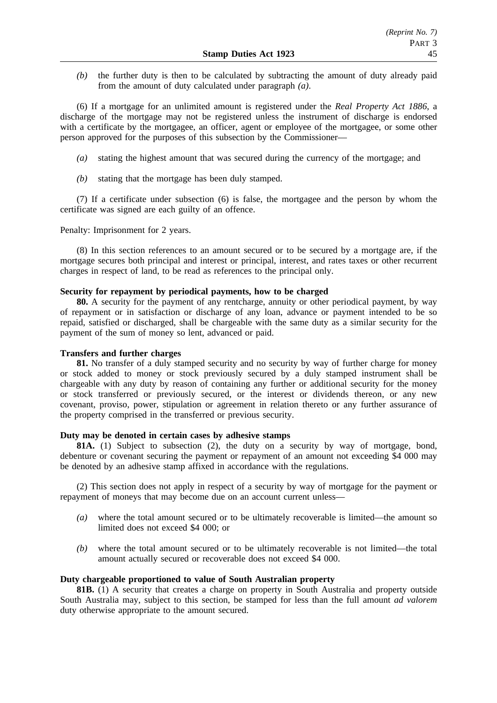*(b)* the further duty is then to be calculated by subtracting the amount of duty already paid from the amount of duty calculated under paragraph *(a)*.

(6) If a mortgage for an unlimited amount is registered under the *Real Property Act 1886*, a discharge of the mortgage may not be registered unless the instrument of discharge is endorsed with a certificate by the mortgagee, an officer, agent or employee of the mortgagee, or some other person approved for the purposes of this subsection by the Commissioner—

- *(a)* stating the highest amount that was secured during the currency of the mortgage; and
- *(b)* stating that the mortgage has been duly stamped.

(7) If a certificate under subsection (6) is false, the mortgagee and the person by whom the certificate was signed are each guilty of an offence.

Penalty: Imprisonment for 2 years.

(8) In this section references to an amount secured or to be secured by a mortgage are, if the mortgage secures both principal and interest or principal, interest, and rates taxes or other recurrent charges in respect of land, to be read as references to the principal only.

# **Security for repayment by periodical payments, how to be charged**

**80.** A security for the payment of any rentcharge, annuity or other periodical payment, by way of repayment or in satisfaction or discharge of any loan, advance or payment intended to be so repaid, satisfied or discharged, shall be chargeable with the same duty as a similar security for the payment of the sum of money so lent, advanced or paid.

### **Transfers and further charges**

**81.** No transfer of a duly stamped security and no security by way of further charge for money or stock added to money or stock previously secured by a duly stamped instrument shall be chargeable with any duty by reason of containing any further or additional security for the money or stock transferred or previously secured, or the interest or dividends thereon, or any new covenant, proviso, power, stipulation or agreement in relation thereto or any further assurance of the property comprised in the transferred or previous security.

### **Duty may be denoted in certain cases by adhesive stamps**

**81A.** (1) Subject to subsection (2), the duty on a security by way of mortgage, bond, debenture or covenant securing the payment or repayment of an amount not exceeding \$4 000 may be denoted by an adhesive stamp affixed in accordance with the regulations.

(2) This section does not apply in respect of a security by way of mortgage for the payment or repayment of moneys that may become due on an account current unless—

- *(a)* where the total amount secured or to be ultimately recoverable is limited—the amount so limited does not exceed \$4 000; or
- *(b)* where the total amount secured or to be ultimately recoverable is not limited—the total amount actually secured or recoverable does not exceed \$4 000.

# **Duty chargeable proportioned to value of South Australian property**

**81B.** (1) A security that creates a charge on property in South Australia and property outside South Australia may, subject to this section, be stamped for less than the full amount *ad valorem* duty otherwise appropriate to the amount secured.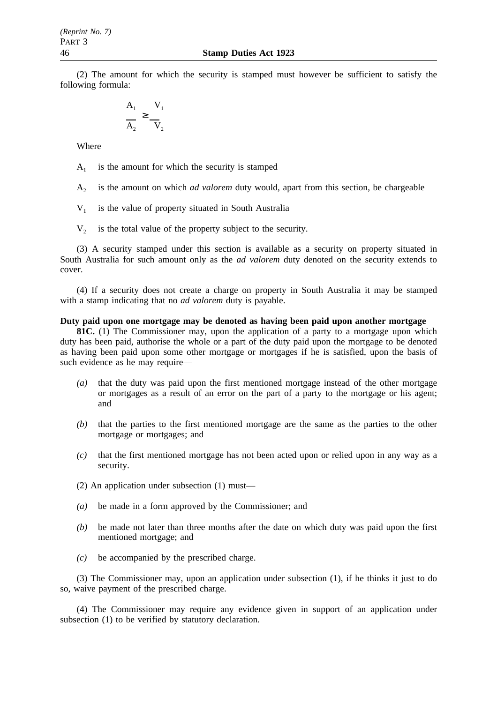(2) The amount for which the security is stamped must however be sufficient to satisfy the following formula:

$$
\frac{A_1}{A_2} \ge \frac{V_1}{V_2}
$$

Where

 $A_1$  is the amount for which the security is stamped

A2 is the amount on which *ad valorem* duty would, apart from this section, be chargeable

 $V_1$  is the value of property situated in South Australia

 $V_2$  is the total value of the property subject to the security.

(3) A security stamped under this section is available as a security on property situated in South Australia for such amount only as the *ad valorem* duty denoted on the security extends to cover.

(4) If a security does not create a charge on property in South Australia it may be stamped with a stamp indicating that no *ad valorem* duty is payable.

#### **Duty paid upon one mortgage may be denoted as having been paid upon another mortgage**

**81C.** (1) The Commissioner may, upon the application of a party to a mortgage upon which duty has been paid, authorise the whole or a part of the duty paid upon the mortgage to be denoted as having been paid upon some other mortgage or mortgages if he is satisfied, upon the basis of such evidence as he may require—

- *(a)* that the duty was paid upon the first mentioned mortgage instead of the other mortgage or mortgages as a result of an error on the part of a party to the mortgage or his agent; and
- *(b)* that the parties to the first mentioned mortgage are the same as the parties to the other mortgage or mortgages; and
- *(c)* that the first mentioned mortgage has not been acted upon or relied upon in any way as a security.
- (2) An application under subsection (1) must—
- *(a)* be made in a form approved by the Commissioner; and
- *(b)* be made not later than three months after the date on which duty was paid upon the first mentioned mortgage; and
- *(c)* be accompanied by the prescribed charge.

(3) The Commissioner may, upon an application under subsection (1), if he thinks it just to do so, waive payment of the prescribed charge.

(4) The Commissioner may require any evidence given in support of an application under subsection (1) to be verified by statutory declaration.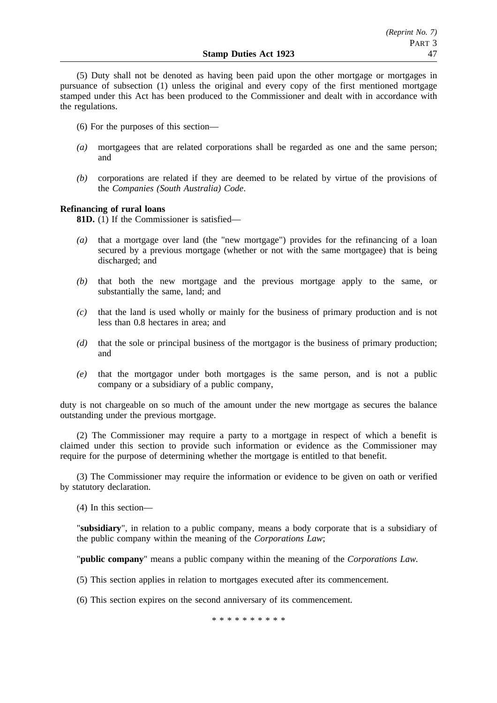(5) Duty shall not be denoted as having been paid upon the other mortgage or mortgages in pursuance of subsection (1) unless the original and every copy of the first mentioned mortgage stamped under this Act has been produced to the Commissioner and dealt with in accordance with the regulations.

- (6) For the purposes of this section—
- *(a)* mortgagees that are related corporations shall be regarded as one and the same person; and
- *(b)* corporations are related if they are deemed to be related by virtue of the provisions of the *Companies (South Australia) Code*.

#### **Refinancing of rural loans**

**81D.** (1) If the Commissioner is satisfied—

- *(a)* that a mortgage over land (the "new mortgage") provides for the refinancing of a loan secured by a previous mortgage (whether or not with the same mortgagee) that is being discharged; and
- *(b)* that both the new mortgage and the previous mortgage apply to the same, or substantially the same, land; and
- *(c)* that the land is used wholly or mainly for the business of primary production and is not less than 0.8 hectares in area; and
- *(d)* that the sole or principal business of the mortgagor is the business of primary production; and
- *(e)* that the mortgagor under both mortgages is the same person, and is not a public company or a subsidiary of a public company,

duty is not chargeable on so much of the amount under the new mortgage as secures the balance outstanding under the previous mortgage.

(2) The Commissioner may require a party to a mortgage in respect of which a benefit is claimed under this section to provide such information or evidence as the Commissioner may require for the purpose of determining whether the mortgage is entitled to that benefit.

(3) The Commissioner may require the information or evidence to be given on oath or verified by statutory declaration.

(4) In this section—

"**subsidiary**", in relation to a public company, means a body corporate that is a subsidiary of the public company within the meaning of the *Corporations Law*;

"**public company**" means a public company within the meaning of the *Corporations Law.*

(5) This section applies in relation to mortgages executed after its commencement.

(6) This section expires on the second anniversary of its commencement.

\*\*\*\*\*\*\*\*\*\*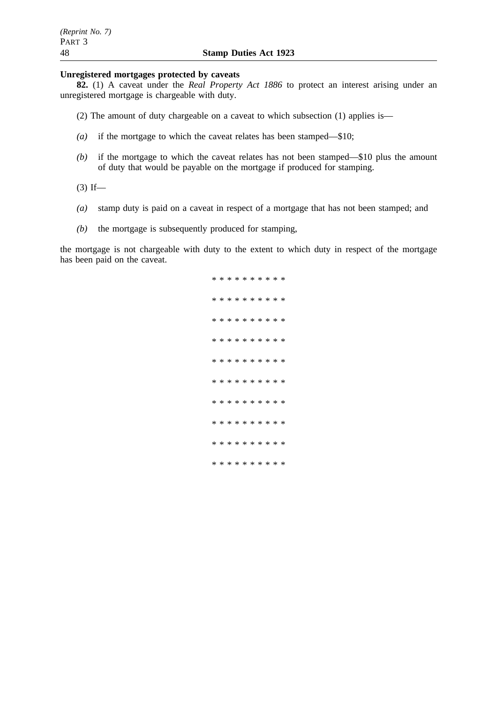#### **Unregistered mortgages protected by caveats**

**82.** (1) A caveat under the *Real Property Act 1886* to protect an interest arising under an unregistered mortgage is chargeable with duty.

- (2) The amount of duty chargeable on a caveat to which subsection (1) applies is—
- *(a)* if the mortgage to which the caveat relates has been stamped—\$10;
- *(b)* if the mortgage to which the caveat relates has not been stamped—\$10 plus the amount of duty that would be payable on the mortgage if produced for stamping.
- $(3)$  If—
- *(a)* stamp duty is paid on a caveat in respect of a mortgage that has not been stamped; and
- *(b)* the mortgage is subsequently produced for stamping,

the mortgage is not chargeable with duty to the extent to which duty in respect of the mortgage has been paid on the caveat.

> \*\*\*\*\*\*\*\*\*\* \*\*\*\*\*\*\*\*\*\* \*\*\*\*\*\*\*\*\*\* \*\*\*\*\*\*\*\*\*\* \*\*\*\*\*\*\*\*\*\* \*\*\*\*\*\*\*\*\*\* \*\*\*\*\*\*\*\*\*\*\*\*\*\*\*\* \*\*\*\*\*\*\*\*\*\* \*\*\*\*\*\*\*\*\*\* \*\*\*\*\*\*\*\*\*\*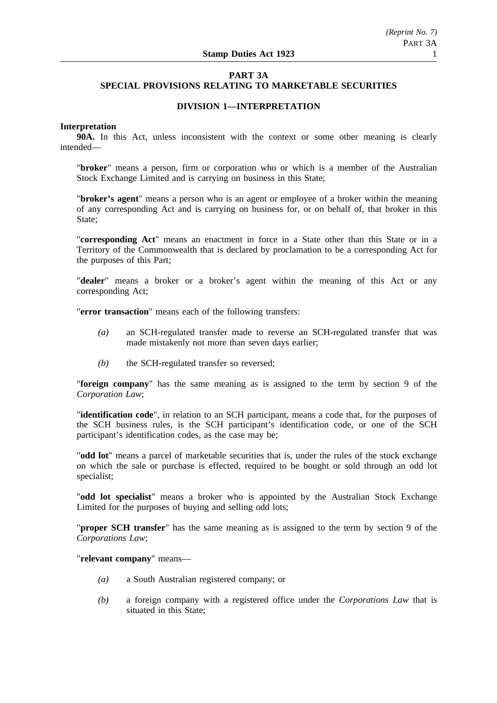# **PART 3A SPECIAL PROVISIONS RELATING TO MARKETABLE SECURITIES**

# **DIVISION 1—INTERPRETATION**

## **Interpretation**

**90A.** In this Act, unless inconsistent with the context or some other meaning is clearly intended—

"**broker**" means a person, firm or corporation who or which is a member of the Australian Stock Exchange Limited and is carrying on business in this State;

"**broker's agent**" means a person who is an agent or employee of a broker within the meaning of any corresponding Act and is carrying on business for, or on behalf of, that broker in this State;

"**corresponding Act**" means an enactment in force in a State other than this State or in a Territory of the Commonwealth that is declared by proclamation to be a corresponding Act for the purposes of this Part;

"**dealer**" means a broker or a broker's agent within the meaning of this Act or any corresponding Act;

"**error transaction**" means each of the following transfers:

- *(a)* an SCH-regulated transfer made to reverse an SCH-regulated transfer that was made mistakenly not more than seven days earlier;
- *(b)* the SCH-regulated transfer so reversed;

"**foreign company**" has the same meaning as is assigned to the term by section 9 of the *Corporation Law*;

"**identification code**", in relation to an SCH participant, means a code that, for the purposes of the SCH business rules, is the SCH participant's identification code, or one of the SCH participant's identification codes, as the case may be;

"**odd lot**" means a parcel of marketable securities that is, under the rules of the stock exchange on which the sale or purchase is effected, required to be bought or sold through an odd lot specialist;

"**odd lot specialist**" means a broker who is appointed by the Australian Stock Exchange Limited for the purposes of buying and selling odd lots;

"**proper SCH transfer**" has the same meaning as is assigned to the term by section 9 of the *Corporations Law*;

"**relevant company**" means—

- *(a)* a South Australian registered company; or
- *(b)* a foreign company with a registered office under the *Corporations Law* that is situated in this State;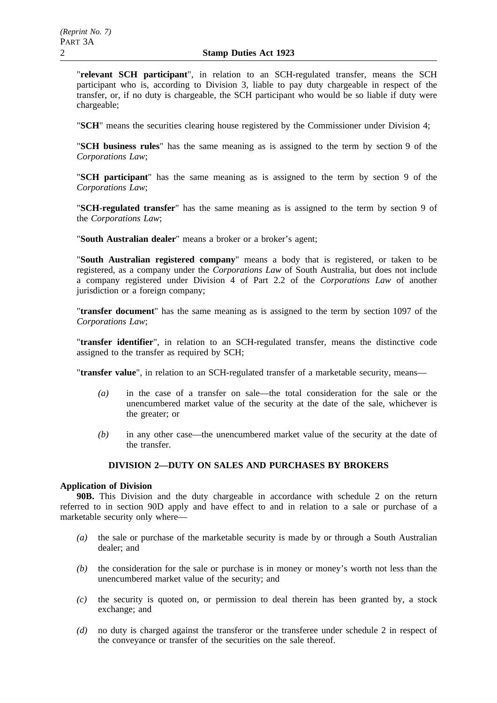"**relevant SCH participant**", in relation to an SCH-regulated transfer, means the SCH participant who is, according to Division 3, liable to pay duty chargeable in respect of the transfer, or, if no duty is chargeable, the SCH participant who would be so liable if duty were chargeable;

"**SCH**" means the securities clearing house registered by the Commissioner under Division 4;

"**SCH business rules**" has the same meaning as is assigned to the term by section 9 of the *Corporations Law*;

"**SCH participant**" has the same meaning as is assigned to the term by section 9 of the *Corporations Law*;

"**SCH-regulated transfer**" has the same meaning as is assigned to the term by section 9 of the *Corporations Law*;

"**South Australian dealer**" means a broker or a broker's agent;

"**South Australian registered company**" means a body that is registered, or taken to be registered, as a company under the *Corporations Law* of South Australia, but does not include a company registered under Division 4 of Part 2.2 of the *Corporations Law* of another jurisdiction or a foreign company;

"**transfer document**" has the same meaning as is assigned to the term by section 1097 of the *Corporations Law*;

"**transfer identifier**", in relation to an SCH-regulated transfer, means the distinctive code assigned to the transfer as required by SCH;

"**transfer value**", in relation to an SCH-regulated transfer of a marketable security, means—

- *(a)* in the case of a transfer on sale—the total consideration for the sale or the unencumbered market value of the security at the date of the sale, whichever is the greater; or
- *(b)* in any other case—the unencumbered market value of the security at the date of the transfer.

# **DIVISION 2—DUTY ON SALES AND PURCHASES BY BROKERS**

# **Application of Division**

**90B.** This Division and the duty chargeable in accordance with schedule 2 on the return referred to in section 90D apply and have effect to and in relation to a sale or purchase of a marketable security only where—

- *(a)* the sale or purchase of the marketable security is made by or through a South Australian dealer; and
- *(b)* the consideration for the sale or purchase is in money or money's worth not less than the unencumbered market value of the security; and
- *(c)* the security is quoted on, or permission to deal therein has been granted by, a stock exchange; and
- *(d)* no duty is charged against the transferor or the transferee under schedule 2 in respect of the conveyance or transfer of the securities on the sale thereof.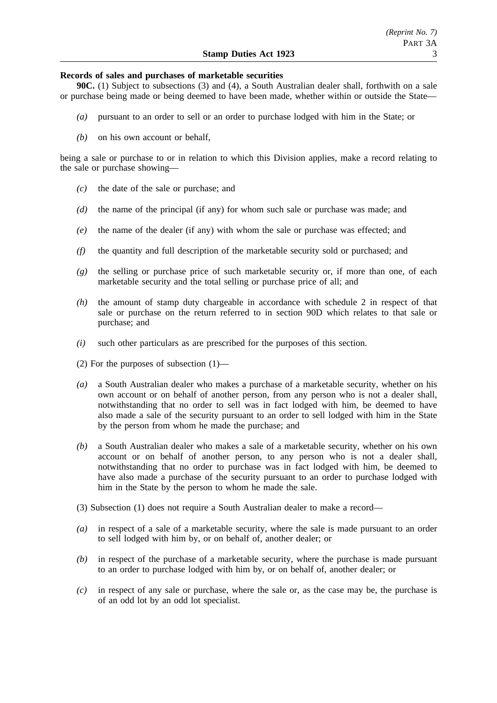#### **Records of sales and purchases of marketable securities**

**90C.** (1) Subject to subsections (3) and (4), a South Australian dealer shall, forthwith on a sale or purchase being made or being deemed to have been made, whether within or outside the State—

- *(a)* pursuant to an order to sell or an order to purchase lodged with him in the State; or
- *(b)* on his own account or behalf,

being a sale or purchase to or in relation to which this Division applies, make a record relating to the sale or purchase showing—

- *(c)* the date of the sale or purchase; and
- *(d)* the name of the principal (if any) for whom such sale or purchase was made; and
- *(e)* the name of the dealer (if any) with whom the sale or purchase was effected; and
- *(f)* the quantity and full description of the marketable security sold or purchased; and
- *(g)* the selling or purchase price of such marketable security or, if more than one, of each marketable security and the total selling or purchase price of all; and
- *(h)* the amount of stamp duty chargeable in accordance with schedule 2 in respect of that sale or purchase on the return referred to in section 90D which relates to that sale or purchase; and
- *(i)* such other particulars as are prescribed for the purposes of this section.
- (2) For the purposes of subsection  $(1)$ —
- *(a)* a South Australian dealer who makes a purchase of a marketable security, whether on his own account or on behalf of another person, from any person who is not a dealer shall, notwithstanding that no order to sell was in fact lodged with him, be deemed to have also made a sale of the security pursuant to an order to sell lodged with him in the State by the person from whom he made the purchase; and
- *(b)* a South Australian dealer who makes a sale of a marketable security, whether on his own account or on behalf of another person, to any person who is not a dealer shall, notwithstanding that no order to purchase was in fact lodged with him, be deemed to have also made a purchase of the security pursuant to an order to purchase lodged with him in the State by the person to whom he made the sale.
- (3) Subsection (1) does not require a South Australian dealer to make a record—
- *(a)* in respect of a sale of a marketable security, where the sale is made pursuant to an order to sell lodged with him by, or on behalf of, another dealer; or
- *(b)* in respect of the purchase of a marketable security, where the purchase is made pursuant to an order to purchase lodged with him by, or on behalf of, another dealer; or
- *(c)* in respect of any sale or purchase, where the sale or, as the case may be, the purchase is of an odd lot by an odd lot specialist.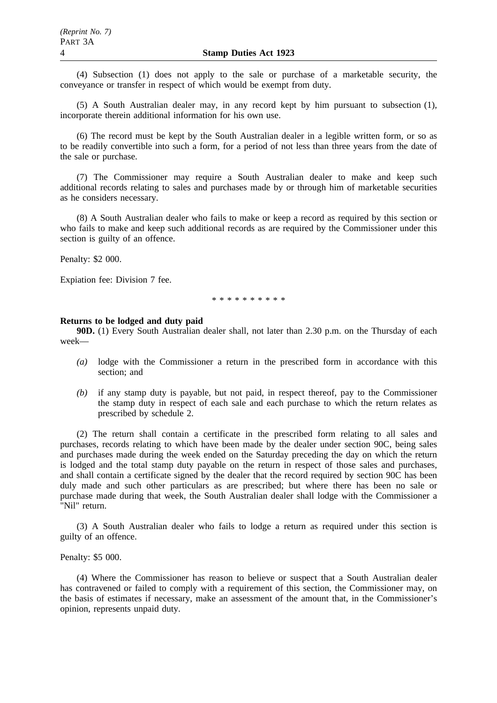(4) Subsection (1) does not apply to the sale or purchase of a marketable security, the conveyance or transfer in respect of which would be exempt from duty.

(5) A South Australian dealer may, in any record kept by him pursuant to subsection (1), incorporate therein additional information for his own use.

(6) The record must be kept by the South Australian dealer in a legible written form, or so as to be readily convertible into such a form, for a period of not less than three years from the date of the sale or purchase.

(7) The Commissioner may require a South Australian dealer to make and keep such additional records relating to sales and purchases made by or through him of marketable securities as he considers necessary.

(8) A South Australian dealer who fails to make or keep a record as required by this section or who fails to make and keep such additional records as are required by the Commissioner under this section is guilty of an offence.

Penalty: \$2 000.

Expiation fee: Division 7 fee.

\*\*\*\*\*\*\*\*\*\*

#### **Returns to be lodged and duty paid**

**90D.** (1) Every South Australian dealer shall, not later than 2.30 p.m. on the Thursday of each week—

- *(a)* lodge with the Commissioner a return in the prescribed form in accordance with this section; and
- *(b)* if any stamp duty is payable, but not paid, in respect thereof, pay to the Commissioner the stamp duty in respect of each sale and each purchase to which the return relates as prescribed by schedule 2.

(2) The return shall contain a certificate in the prescribed form relating to all sales and purchases, records relating to which have been made by the dealer under section 90C, being sales and purchases made during the week ended on the Saturday preceding the day on which the return is lodged and the total stamp duty payable on the return in respect of those sales and purchases, and shall contain a certificate signed by the dealer that the record required by section 90C has been duly made and such other particulars as are prescribed; but where there has been no sale or purchase made during that week, the South Australian dealer shall lodge with the Commissioner a "Nil" return.

(3) A South Australian dealer who fails to lodge a return as required under this section is guilty of an offence.

Penalty: \$5 000.

(4) Where the Commissioner has reason to believe or suspect that a South Australian dealer has contravened or failed to comply with a requirement of this section, the Commissioner may, on the basis of estimates if necessary, make an assessment of the amount that, in the Commissioner's opinion, represents unpaid duty.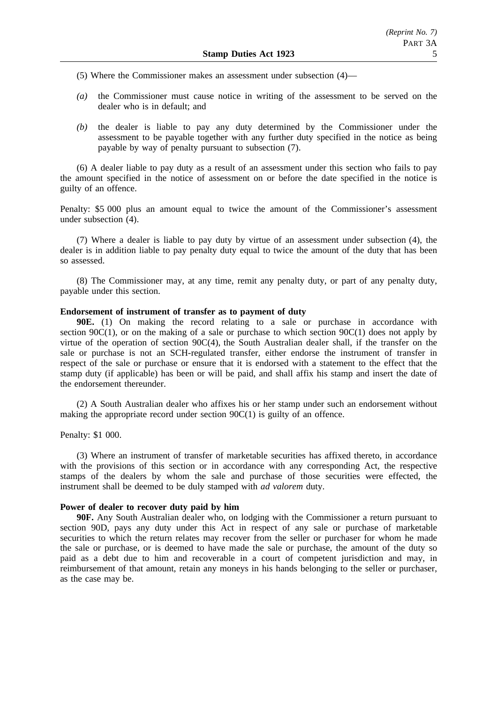(5) Where the Commissioner makes an assessment under subsection (4)—

- *(a)* the Commissioner must cause notice in writing of the assessment to be served on the dealer who is in default; and
- *(b)* the dealer is liable to pay any duty determined by the Commissioner under the assessment to be payable together with any further duty specified in the notice as being payable by way of penalty pursuant to subsection (7).

(6) A dealer liable to pay duty as a result of an assessment under this section who fails to pay the amount specified in the notice of assessment on or before the date specified in the notice is guilty of an offence.

Penalty: \$5 000 plus an amount equal to twice the amount of the Commissioner's assessment under subsection (4).

(7) Where a dealer is liable to pay duty by virtue of an assessment under subsection (4), the dealer is in addition liable to pay penalty duty equal to twice the amount of the duty that has been so assessed.

(8) The Commissioner may, at any time, remit any penalty duty, or part of any penalty duty, payable under this section.

#### **Endorsement of instrument of transfer as to payment of duty**

**90E.** (1) On making the record relating to a sale or purchase in accordance with section  $90C(1)$ , or on the making of a sale or purchase to which section  $90C(1)$  does not apply by virtue of the operation of section 90C(4), the South Australian dealer shall, if the transfer on the sale or purchase is not an SCH-regulated transfer, either endorse the instrument of transfer in respect of the sale or purchase or ensure that it is endorsed with a statement to the effect that the stamp duty (if applicable) has been or will be paid, and shall affix his stamp and insert the date of the endorsement thereunder.

(2) A South Australian dealer who affixes his or her stamp under such an endorsement without making the appropriate record under section 90C(1) is guilty of an offence.

## Penalty: \$1 000.

(3) Where an instrument of transfer of marketable securities has affixed thereto, in accordance with the provisions of this section or in accordance with any corresponding Act, the respective stamps of the dealers by whom the sale and purchase of those securities were effected, the instrument shall be deemed to be duly stamped with *ad valorem* duty.

### **Power of dealer to recover duty paid by him**

**90F.** Any South Australian dealer who, on lodging with the Commissioner a return pursuant to section 90D, pays any duty under this Act in respect of any sale or purchase of marketable securities to which the return relates may recover from the seller or purchaser for whom he made the sale or purchase, or is deemed to have made the sale or purchase, the amount of the duty so paid as a debt due to him and recoverable in a court of competent jurisdiction and may, in reimbursement of that amount, retain any moneys in his hands belonging to the seller or purchaser, as the case may be.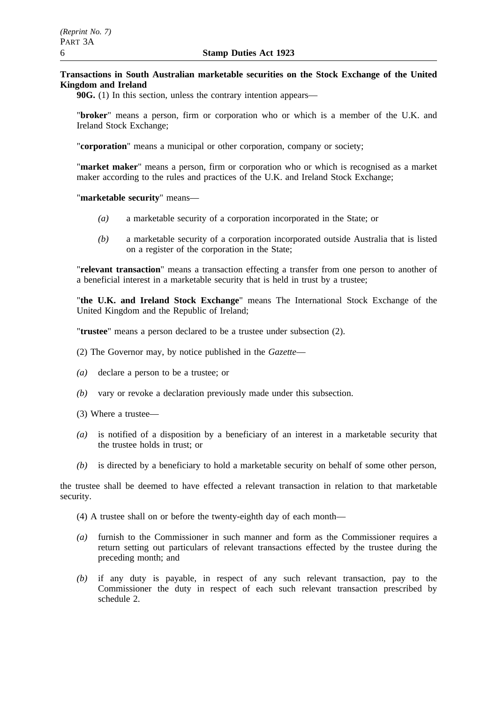# **Transactions in South Australian marketable securities on the Stock Exchange of the United Kingdom and Ireland**

**90G.** (1) In this section, unless the contrary intention appears—

"**broker**" means a person, firm or corporation who or which is a member of the U.K. and Ireland Stock Exchange;

"**corporation**" means a municipal or other corporation, company or society;

"**market maker**" means a person, firm or corporation who or which is recognised as a market maker according to the rules and practices of the U.K. and Ireland Stock Exchange;

"**marketable security**" means—

- *(a)* a marketable security of a corporation incorporated in the State; or
- *(b)* a marketable security of a corporation incorporated outside Australia that is listed on a register of the corporation in the State;

"**relevant transaction**" means a transaction effecting a transfer from one person to another of a beneficial interest in a marketable security that is held in trust by a trustee;

"**the U.K. and Ireland Stock Exchange**" means The International Stock Exchange of the United Kingdom and the Republic of Ireland;

"**trustee**" means a person declared to be a trustee under subsection (2).

- (2) The Governor may, by notice published in the *Gazette*—
- *(a)* declare a person to be a trustee; or
- *(b)* vary or revoke a declaration previously made under this subsection.
- (3) Where a trustee—
- *(a)* is notified of a disposition by a beneficiary of an interest in a marketable security that the trustee holds in trust; or
- *(b)* is directed by a beneficiary to hold a marketable security on behalf of some other person,

the trustee shall be deemed to have effected a relevant transaction in relation to that marketable security.

- (4) A trustee shall on or before the twenty-eighth day of each month—
- *(a)* furnish to the Commissioner in such manner and form as the Commissioner requires a return setting out particulars of relevant transactions effected by the trustee during the preceding month; and
- *(b)* if any duty is payable, in respect of any such relevant transaction, pay to the Commissioner the duty in respect of each such relevant transaction prescribed by schedule 2.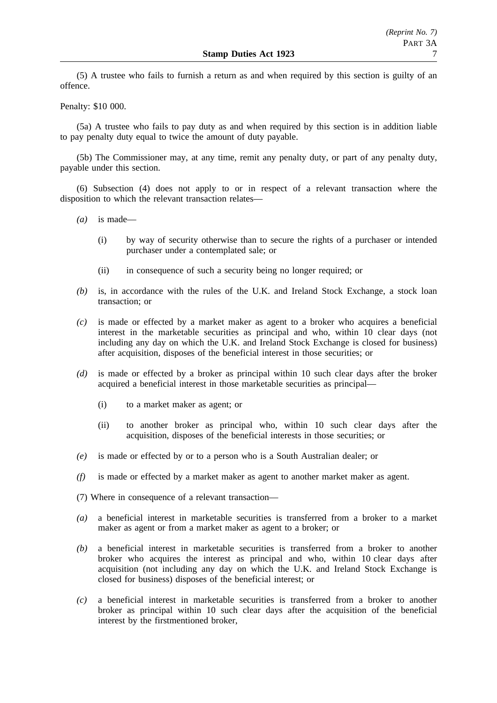(5) A trustee who fails to furnish a return as and when required by this section is guilty of an offence.

Penalty: \$10 000.

(5a) A trustee who fails to pay duty as and when required by this section is in addition liable to pay penalty duty equal to twice the amount of duty payable.

(5b) The Commissioner may, at any time, remit any penalty duty, or part of any penalty duty, payable under this section.

(6) Subsection (4) does not apply to or in respect of a relevant transaction where the disposition to which the relevant transaction relates—

- *(a)* is made—
	- (i) by way of security otherwise than to secure the rights of a purchaser or intended purchaser under a contemplated sale; or
	- (ii) in consequence of such a security being no longer required; or
- *(b)* is, in accordance with the rules of the U.K. and Ireland Stock Exchange, a stock loan transaction; or
- *(c)* is made or effected by a market maker as agent to a broker who acquires a beneficial interest in the marketable securities as principal and who, within 10 clear days (not including any day on which the U.K. and Ireland Stock Exchange is closed for business) after acquisition, disposes of the beneficial interest in those securities; or
- *(d)* is made or effected by a broker as principal within 10 such clear days after the broker acquired a beneficial interest in those marketable securities as principal—
	- (i) to a market maker as agent; or
	- (ii) to another broker as principal who, within 10 such clear days after the acquisition, disposes of the beneficial interests in those securities; or
- *(e)* is made or effected by or to a person who is a South Australian dealer; or
- *(f)* is made or effected by a market maker as agent to another market maker as agent.
- (7) Where in consequence of a relevant transaction—
- *(a)* a beneficial interest in marketable securities is transferred from a broker to a market maker as agent or from a market maker as agent to a broker; or
- *(b)* a beneficial interest in marketable securities is transferred from a broker to another broker who acquires the interest as principal and who, within 10 clear days after acquisition (not including any day on which the U.K. and Ireland Stock Exchange is closed for business) disposes of the beneficial interest; or
- *(c)* a beneficial interest in marketable securities is transferred from a broker to another broker as principal within 10 such clear days after the acquisition of the beneficial interest by the firstmentioned broker,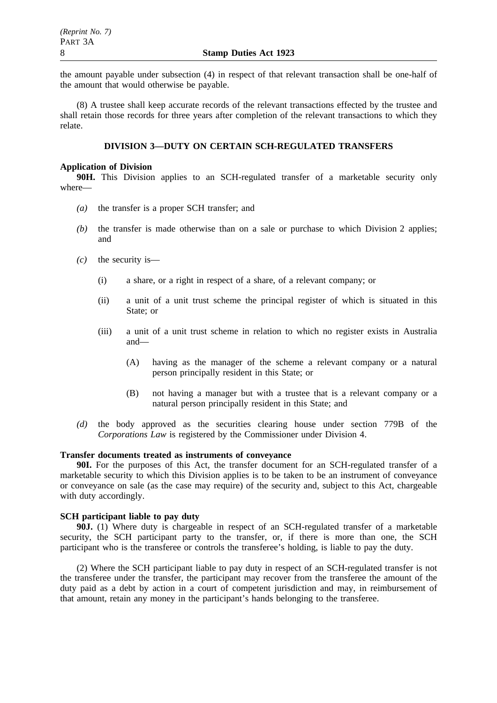the amount payable under subsection (4) in respect of that relevant transaction shall be one-half of the amount that would otherwise be payable.

(8) A trustee shall keep accurate records of the relevant transactions effected by the trustee and shall retain those records for three years after completion of the relevant transactions to which they relate.

# **DIVISION 3—DUTY ON CERTAIN SCH-REGULATED TRANSFERS**

### **Application of Division**

**90H.** This Division applies to an SCH-regulated transfer of a marketable security only where—

- *(a)* the transfer is a proper SCH transfer; and
- *(b)* the transfer is made otherwise than on a sale or purchase to which Division 2 applies; and
- *(c)* the security is—
	- (i) a share, or a right in respect of a share, of a relevant company; or
	- (ii) a unit of a unit trust scheme the principal register of which is situated in this State; or
	- (iii) a unit of a unit trust scheme in relation to which no register exists in Australia and—
		- (A) having as the manager of the scheme a relevant company or a natural person principally resident in this State; or
		- (B) not having a manager but with a trustee that is a relevant company or a natural person principally resident in this State; and
- *(d)* the body approved as the securities clearing house under section 779B of the *Corporations Law* is registered by the Commissioner under Division 4.

## **Transfer documents treated as instruments of conveyance**

**90I.** For the purposes of this Act, the transfer document for an SCH-regulated transfer of a marketable security to which this Division applies is to be taken to be an instrument of conveyance or conveyance on sale (as the case may require) of the security and, subject to this Act, chargeable with duty accordingly.

## **SCH participant liable to pay duty**

**90J.** (1) Where duty is chargeable in respect of an SCH-regulated transfer of a marketable security, the SCH participant party to the transfer, or, if there is more than one, the SCH participant who is the transferee or controls the transferee's holding, is liable to pay the duty.

(2) Where the SCH participant liable to pay duty in respect of an SCH-regulated transfer is not the transferee under the transfer, the participant may recover from the transferee the amount of the duty paid as a debt by action in a court of competent jurisdiction and may, in reimbursement of that amount, retain any money in the participant's hands belonging to the transferee.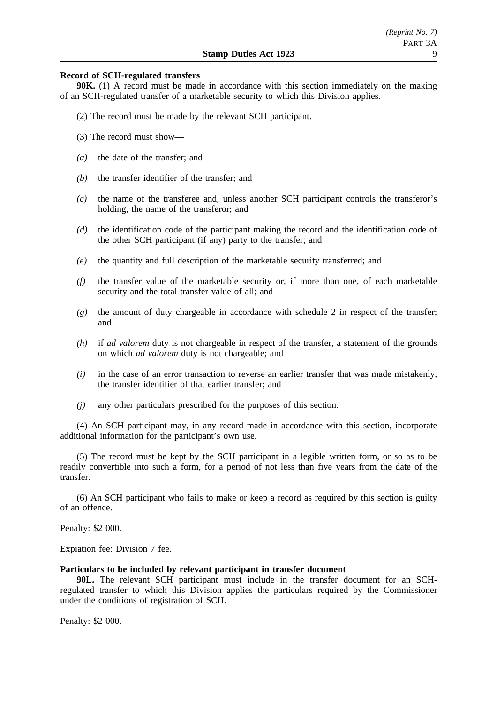### **Record of SCH-regulated transfers**

**90K.** (1) A record must be made in accordance with this section immediately on the making of an SCH-regulated transfer of a marketable security to which this Division applies.

- (2) The record must be made by the relevant SCH participant.
- (3) The record must show—
- *(a)* the date of the transfer; and
- *(b)* the transfer identifier of the transfer; and
- *(c)* the name of the transferee and, unless another SCH participant controls the transferor's holding, the name of the transferor; and
- *(d)* the identification code of the participant making the record and the identification code of the other SCH participant (if any) party to the transfer; and
- *(e)* the quantity and full description of the marketable security transferred; and
- *(f)* the transfer value of the marketable security or, if more than one, of each marketable security and the total transfer value of all; and
- *(g)* the amount of duty chargeable in accordance with schedule 2 in respect of the transfer; and
- *(h)* if *ad valorem* duty is not chargeable in respect of the transfer, a statement of the grounds on which *ad valorem* duty is not chargeable; and
- *(i)* in the case of an error transaction to reverse an earlier transfer that was made mistakenly, the transfer identifier of that earlier transfer; and
- *(j)* any other particulars prescribed for the purposes of this section.

(4) An SCH participant may, in any record made in accordance with this section, incorporate additional information for the participant's own use.

(5) The record must be kept by the SCH participant in a legible written form, or so as to be readily convertible into such a form, for a period of not less than five years from the date of the transfer.

(6) An SCH participant who fails to make or keep a record as required by this section is guilty of an offence.

Penalty: \$2 000.

Expiation fee: Division 7 fee.

#### **Particulars to be included by relevant participant in transfer document**

**90L.** The relevant SCH participant must include in the transfer document for an SCHregulated transfer to which this Division applies the particulars required by the Commissioner under the conditions of registration of SCH.

Penalty: \$2 000.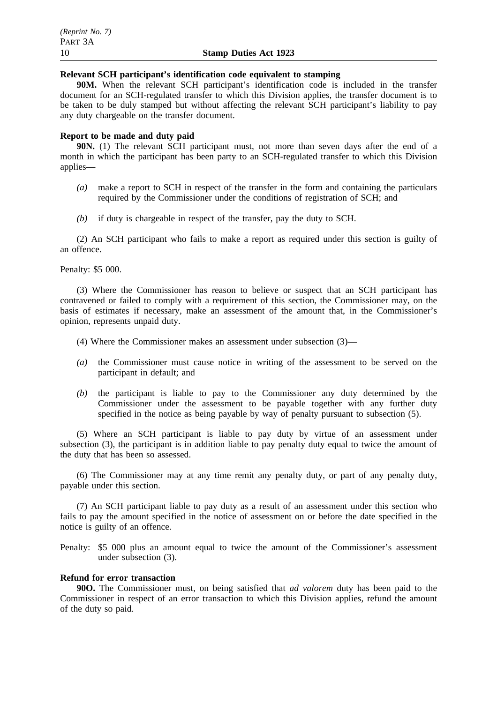# **Relevant SCH participant's identification code equivalent to stamping**

**90M.** When the relevant SCH participant's identification code is included in the transfer document for an SCH-regulated transfer to which this Division applies, the transfer document is to be taken to be duly stamped but without affecting the relevant SCH participant's liability to pay any duty chargeable on the transfer document.

## **Report to be made and duty paid**

**90N.** (1) The relevant SCH participant must, not more than seven days after the end of a month in which the participant has been party to an SCH-regulated transfer to which this Division applies—

- *(a)* make a report to SCH in respect of the transfer in the form and containing the particulars required by the Commissioner under the conditions of registration of SCH; and
- *(b)* if duty is chargeable in respect of the transfer, pay the duty to SCH.

(2) An SCH participant who fails to make a report as required under this section is guilty of an offence.

Penalty: \$5 000.

(3) Where the Commissioner has reason to believe or suspect that an SCH participant has contravened or failed to comply with a requirement of this section, the Commissioner may, on the basis of estimates if necessary, make an assessment of the amount that, in the Commissioner's opinion, represents unpaid duty.

- (4) Where the Commissioner makes an assessment under subsection (3)—
- *(a)* the Commissioner must cause notice in writing of the assessment to be served on the participant in default; and
- *(b)* the participant is liable to pay to the Commissioner any duty determined by the Commissioner under the assessment to be payable together with any further duty specified in the notice as being payable by way of penalty pursuant to subsection (5).

(5) Where an SCH participant is liable to pay duty by virtue of an assessment under subsection (3), the participant is in addition liable to pay penalty duty equal to twice the amount of the duty that has been so assessed.

(6) The Commissioner may at any time remit any penalty duty, or part of any penalty duty, payable under this section.

(7) An SCH participant liable to pay duty as a result of an assessment under this section who fails to pay the amount specified in the notice of assessment on or before the date specified in the notice is guilty of an offence.

Penalty: \$5 000 plus an amount equal to twice the amount of the Commissioner's assessment under subsection (3).

## **Refund for error transaction**

**90O.** The Commissioner must, on being satisfied that *ad valorem* duty has been paid to the Commissioner in respect of an error transaction to which this Division applies, refund the amount of the duty so paid.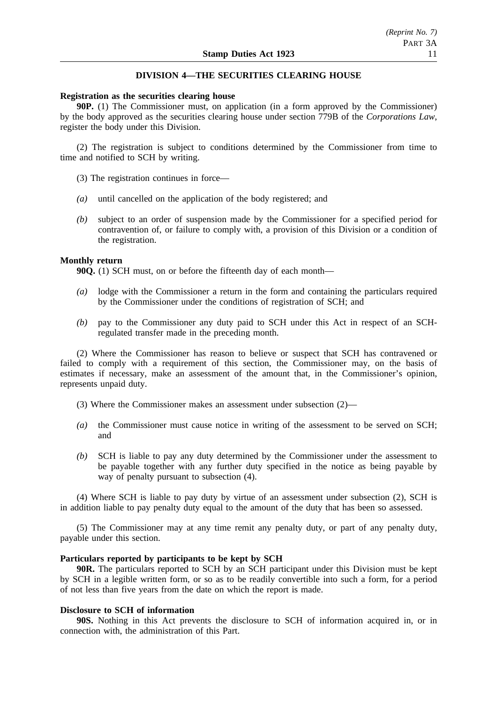## **DIVISION 4—THE SECURITIES CLEARING HOUSE**

#### **Registration as the securities clearing house**

**90P.** (1) The Commissioner must, on application (in a form approved by the Commissioner) by the body approved as the securities clearing house under section 779B of the *Corporations Law*, register the body under this Division.

(2) The registration is subject to conditions determined by the Commissioner from time to time and notified to SCH by writing.

(3) The registration continues in force—

- *(a)* until cancelled on the application of the body registered; and
- *(b)* subject to an order of suspension made by the Commissioner for a specified period for contravention of, or failure to comply with, a provision of this Division or a condition of the registration.

#### **Monthly return**

**90Q.** (1) SCH must, on or before the fifteenth day of each month—

- *(a)* lodge with the Commissioner a return in the form and containing the particulars required by the Commissioner under the conditions of registration of SCH; and
- *(b)* pay to the Commissioner any duty paid to SCH under this Act in respect of an SCHregulated transfer made in the preceding month.

(2) Where the Commissioner has reason to believe or suspect that SCH has contravened or failed to comply with a requirement of this section, the Commissioner may, on the basis of estimates if necessary, make an assessment of the amount that, in the Commissioner's opinion, represents unpaid duty.

- (3) Where the Commissioner makes an assessment under subsection (2)—
- *(a)* the Commissioner must cause notice in writing of the assessment to be served on SCH; and
- *(b)* SCH is liable to pay any duty determined by the Commissioner under the assessment to be payable together with any further duty specified in the notice as being payable by way of penalty pursuant to subsection (4).

(4) Where SCH is liable to pay duty by virtue of an assessment under subsection (2), SCH is in addition liable to pay penalty duty equal to the amount of the duty that has been so assessed.

(5) The Commissioner may at any time remit any penalty duty, or part of any penalty duty, payable under this section.

#### **Particulars reported by participants to be kept by SCH**

**90R.** The particulars reported to SCH by an SCH participant under this Division must be kept by SCH in a legible written form, or so as to be readily convertible into such a form, for a period of not less than five years from the date on which the report is made.

#### **Disclosure to SCH of information**

**90S.** Nothing in this Act prevents the disclosure to SCH of information acquired in, or in connection with, the administration of this Part.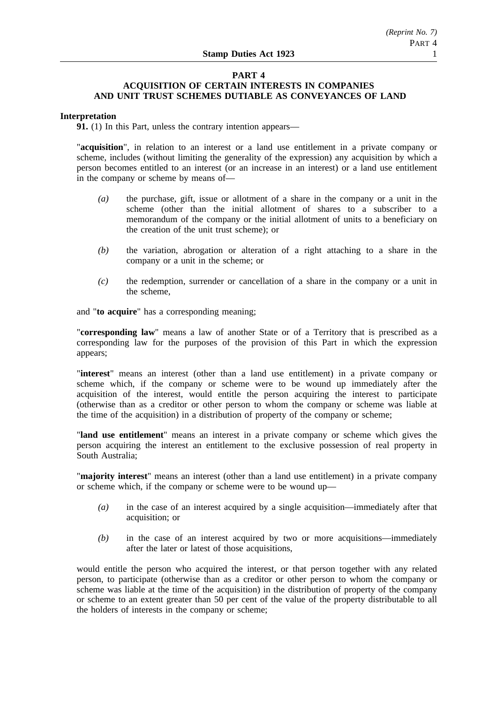## **PART 4 ACQUISITION OF CERTAIN INTERESTS IN COMPANIES AND UNIT TRUST SCHEMES DUTIABLE AS CONVEYANCES OF LAND**

## **Interpretation**

**91.** (1) In this Part, unless the contrary intention appears—

"**acquisition**", in relation to an interest or a land use entitlement in a private company or scheme, includes (without limiting the generality of the expression) any acquisition by which a person becomes entitled to an interest (or an increase in an interest) or a land use entitlement in the company or scheme by means of—

- *(a)* the purchase, gift, issue or allotment of a share in the company or a unit in the scheme (other than the initial allotment of shares to a subscriber to a memorandum of the company or the initial allotment of units to a beneficiary on the creation of the unit trust scheme); or
- *(b)* the variation, abrogation or alteration of a right attaching to a share in the company or a unit in the scheme; or
- *(c)* the redemption, surrender or cancellation of a share in the company or a unit in the scheme,

and "**to acquire**" has a corresponding meaning;

"**corresponding law**" means a law of another State or of a Territory that is prescribed as a corresponding law for the purposes of the provision of this Part in which the expression appears;

"**interest**" means an interest (other than a land use entitlement) in a private company or scheme which, if the company or scheme were to be wound up immediately after the acquisition of the interest, would entitle the person acquiring the interest to participate (otherwise than as a creditor or other person to whom the company or scheme was liable at the time of the acquisition) in a distribution of property of the company or scheme;

"**land use entitlement**" means an interest in a private company or scheme which gives the person acquiring the interest an entitlement to the exclusive possession of real property in South Australia;

"**majority interest**" means an interest (other than a land use entitlement) in a private company or scheme which, if the company or scheme were to be wound up—

- *(a)* in the case of an interest acquired by a single acquisition—immediately after that acquisition; or
- *(b)* in the case of an interest acquired by two or more acquisitions—immediately after the later or latest of those acquisitions,

would entitle the person who acquired the interest, or that person together with any related person, to participate (otherwise than as a creditor or other person to whom the company or scheme was liable at the time of the acquisition) in the distribution of property of the company or scheme to an extent greater than 50 per cent of the value of the property distributable to all the holders of interests in the company or scheme;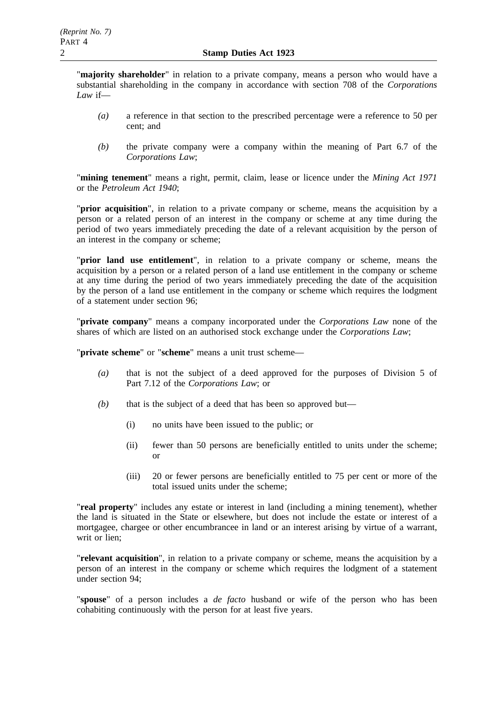"**majority shareholder**" in relation to a private company, means a person who would have a substantial shareholding in the company in accordance with section 708 of the *Corporations Law* if—

- *(a)* a reference in that section to the prescribed percentage were a reference to 50 per cent; and
- *(b)* the private company were a company within the meaning of Part 6.7 of the *Corporations Law*;

"**mining tenement**" means a right, permit, claim, lease or licence under the *Mining Act 1971* or the *Petroleum Act 1940*;

"**prior acquisition**", in relation to a private company or scheme, means the acquisition by a person or a related person of an interest in the company or scheme at any time during the period of two years immediately preceding the date of a relevant acquisition by the person of an interest in the company or scheme;

"**prior land use entitlement**", in relation to a private company or scheme, means the acquisition by a person or a related person of a land use entitlement in the company or scheme at any time during the period of two years immediately preceding the date of the acquisition by the person of a land use entitlement in the company or scheme which requires the lodgment of a statement under section 96;

"**private company**" means a company incorporated under the *Corporations Law* none of the shares of which are listed on an authorised stock exchange under the *Corporations Law*;

"**private scheme**" or "**scheme**" means a unit trust scheme—

- *(a)* that is not the subject of a deed approved for the purposes of Division 5 of Part 7.12 of the *Corporations Law*; or
- *(b)* that is the subject of a deed that has been so approved but—
	- (i) no units have been issued to the public; or
	- (ii) fewer than 50 persons are beneficially entitled to units under the scheme; or
	- (iii) 20 or fewer persons are beneficially entitled to 75 per cent or more of the total issued units under the scheme;

"**real property**" includes any estate or interest in land (including a mining tenement), whether the land is situated in the State or elsewhere, but does not include the estate or interest of a mortgagee, chargee or other encumbrancee in land or an interest arising by virtue of a warrant, writ or lien;

"**relevant acquisition**", in relation to a private company or scheme, means the acquisition by a person of an interest in the company or scheme which requires the lodgment of a statement under section 94;

"**spouse**" of a person includes a *de facto* husband or wife of the person who has been cohabiting continuously with the person for at least five years.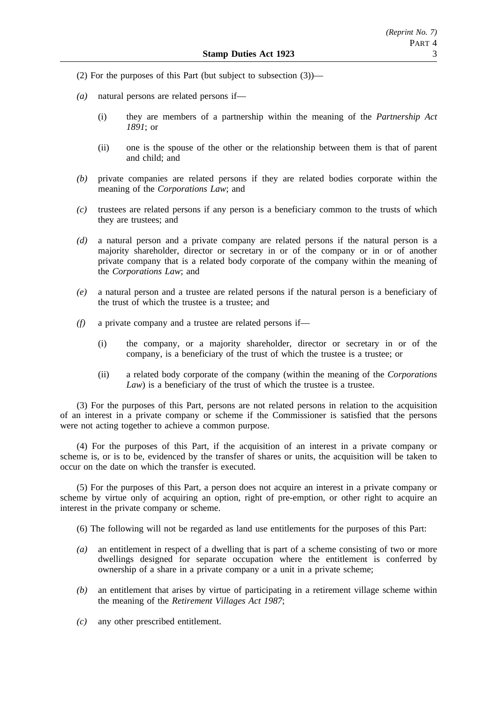- (2) For the purposes of this Part (but subject to subsection (3))—
- *(a)* natural persons are related persons if—
	- (i) they are members of a partnership within the meaning of the *Partnership Act 1891*; or
	- (ii) one is the spouse of the other or the relationship between them is that of parent and child; and
- *(b)* private companies are related persons if they are related bodies corporate within the meaning of the *Corporations Law*; and
- *(c)* trustees are related persons if any person is a beneficiary common to the trusts of which they are trustees; and
- *(d)* a natural person and a private company are related persons if the natural person is a majority shareholder, director or secretary in or of the company or in or of another private company that is a related body corporate of the company within the meaning of the *Corporations Law*; and
- *(e)* a natural person and a trustee are related persons if the natural person is a beneficiary of the trust of which the trustee is a trustee; and
- *(f)* a private company and a trustee are related persons if—
	- (i) the company, or a majority shareholder, director or secretary in or of the company, is a beneficiary of the trust of which the trustee is a trustee; or
	- (ii) a related body corporate of the company (within the meaning of the *Corporations Law*) is a beneficiary of the trust of which the trustee is a trustee.

(3) For the purposes of this Part, persons are not related persons in relation to the acquisition of an interest in a private company or scheme if the Commissioner is satisfied that the persons were not acting together to achieve a common purpose.

(4) For the purposes of this Part, if the acquisition of an interest in a private company or scheme is, or is to be, evidenced by the transfer of shares or units, the acquisition will be taken to occur on the date on which the transfer is executed.

(5) For the purposes of this Part, a person does not acquire an interest in a private company or scheme by virtue only of acquiring an option, right of pre-emption, or other right to acquire an interest in the private company or scheme.

- (6) The following will not be regarded as land use entitlements for the purposes of this Part:
- *(a)* an entitlement in respect of a dwelling that is part of a scheme consisting of two or more dwellings designed for separate occupation where the entitlement is conferred by ownership of a share in a private company or a unit in a private scheme;
- *(b)* an entitlement that arises by virtue of participating in a retirement village scheme within the meaning of the *Retirement Villages Act 1987*;
- *(c)* any other prescribed entitlement.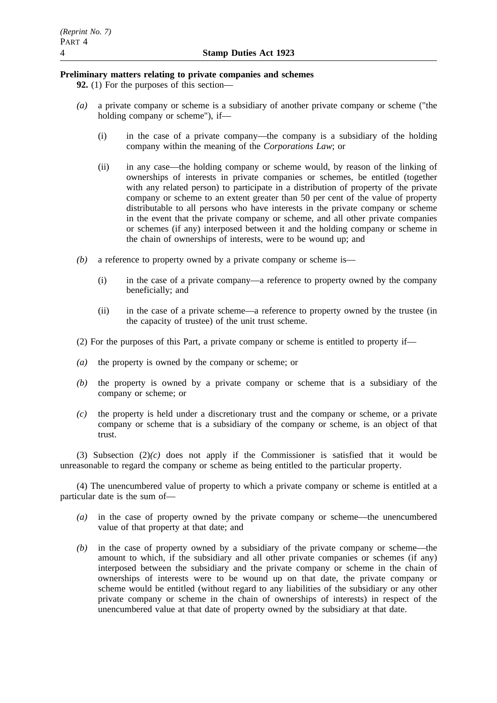## **Preliminary matters relating to private companies and schemes**

**92.** (1) For the purposes of this section—

- *(a)* a private company or scheme is a subsidiary of another private company or scheme ("the holding company or scheme"), if—
	- (i) in the case of a private company—the company is a subsidiary of the holding company within the meaning of the *Corporations Law*; or
	- (ii) in any case—the holding company or scheme would, by reason of the linking of ownerships of interests in private companies or schemes, be entitled (together with any related person) to participate in a distribution of property of the private company or scheme to an extent greater than 50 per cent of the value of property distributable to all persons who have interests in the private company or scheme in the event that the private company or scheme, and all other private companies or schemes (if any) interposed between it and the holding company or scheme in the chain of ownerships of interests, were to be wound up; and
- *(b)* a reference to property owned by a private company or scheme is—
	- (i) in the case of a private company—a reference to property owned by the company beneficially; and
	- (ii) in the case of a private scheme—a reference to property owned by the trustee (in the capacity of trustee) of the unit trust scheme.
- (2) For the purposes of this Part, a private company or scheme is entitled to property if—
- *(a)* the property is owned by the company or scheme; or
- *(b)* the property is owned by a private company or scheme that is a subsidiary of the company or scheme; or
- *(c)* the property is held under a discretionary trust and the company or scheme, or a private company or scheme that is a subsidiary of the company or scheme, is an object of that trust.

(3) Subsection (2)*(c)* does not apply if the Commissioner is satisfied that it would be unreasonable to regard the company or scheme as being entitled to the particular property.

(4) The unencumbered value of property to which a private company or scheme is entitled at a particular date is the sum of—

- *(a)* in the case of property owned by the private company or scheme—the unencumbered value of that property at that date; and
- *(b)* in the case of property owned by a subsidiary of the private company or scheme—the amount to which, if the subsidiary and all other private companies or schemes (if any) interposed between the subsidiary and the private company or scheme in the chain of ownerships of interests were to be wound up on that date, the private company or scheme would be entitled (without regard to any liabilities of the subsidiary or any other private company or scheme in the chain of ownerships of interests) in respect of the unencumbered value at that date of property owned by the subsidiary at that date.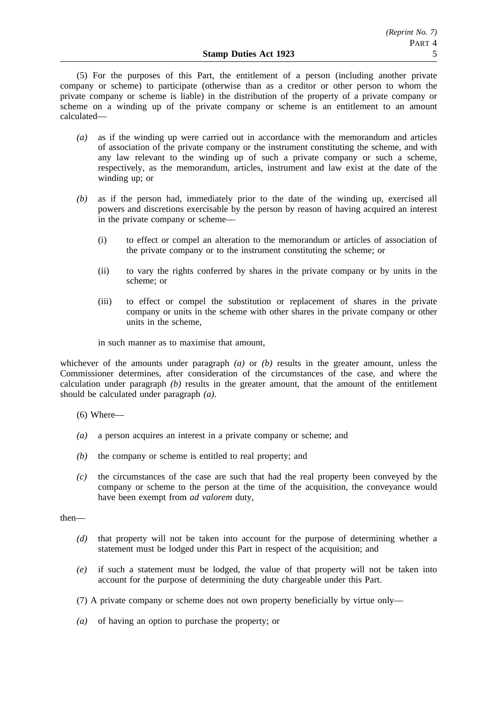(5) For the purposes of this Part, the entitlement of a person (including another private company or scheme) to participate (otherwise than as a creditor or other person to whom the private company or scheme is liable) in the distribution of the property of a private company or scheme on a winding up of the private company or scheme is an entitlement to an amount calculated—

- *(a)* as if the winding up were carried out in accordance with the memorandum and articles of association of the private company or the instrument constituting the scheme, and with any law relevant to the winding up of such a private company or such a scheme, respectively, as the memorandum, articles, instrument and law exist at the date of the winding up; or
- *(b)* as if the person had, immediately prior to the date of the winding up, exercised all powers and discretions exercisable by the person by reason of having acquired an interest in the private company or scheme—
	- (i) to effect or compel an alteration to the memorandum or articles of association of the private company or to the instrument constituting the scheme; or
	- (ii) to vary the rights conferred by shares in the private company or by units in the scheme; or
	- (iii) to effect or compel the substitution or replacement of shares in the private company or units in the scheme with other shares in the private company or other units in the scheme,

in such manner as to maximise that amount,

whichever of the amounts under paragraph *(a)* or *(b)* results in the greater amount, unless the Commissioner determines, after consideration of the circumstances of the case, and where the calculation under paragraph  $(b)$  results in the greater amount, that the amount of the entitlement should be calculated under paragraph *(a)*.

- (6) Where—
- *(a)* a person acquires an interest in a private company or scheme; and
- *(b)* the company or scheme is entitled to real property; and
- *(c)* the circumstances of the case are such that had the real property been conveyed by the company or scheme to the person at the time of the acquisition, the conveyance would have been exempt from *ad valorem* duty,

## then—

- *(d)* that property will not be taken into account for the purpose of determining whether a statement must be lodged under this Part in respect of the acquisition; and
- *(e)* if such a statement must be lodged, the value of that property will not be taken into account for the purpose of determining the duty chargeable under this Part.
- (7) A private company or scheme does not own property beneficially by virtue only—
- *(a)* of having an option to purchase the property; or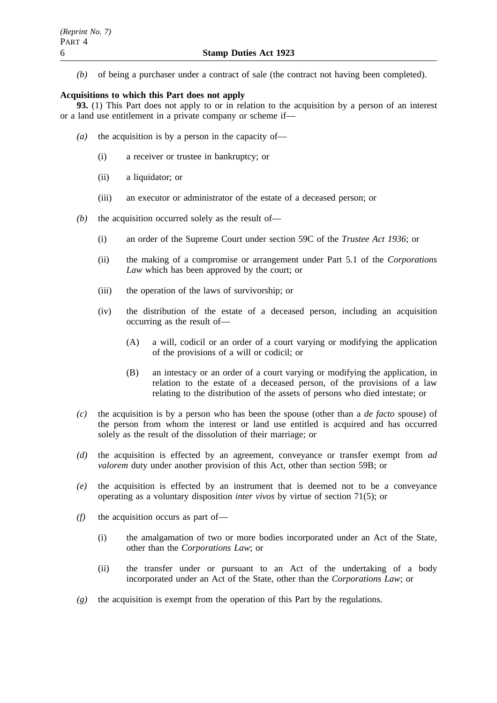*(b)* of being a purchaser under a contract of sale (the contract not having been completed).

## **Acquisitions to which this Part does not apply**

**93.** (1) This Part does not apply to or in relation to the acquisition by a person of an interest or a land use entitlement in a private company or scheme if—

- *(a)* the acquisition is by a person in the capacity of—
	- (i) a receiver or trustee in bankruptcy; or
	- (ii) a liquidator; or
	- (iii) an executor or administrator of the estate of a deceased person; or
- *(b)* the acquisition occurred solely as the result of—
	- (i) an order of the Supreme Court under section 59C of the *Trustee Act 1936*; or
	- (ii) the making of a compromise or arrangement under Part 5.1 of the *Corporations Law* which has been approved by the court; or
	- (iii) the operation of the laws of survivorship; or
	- (iv) the distribution of the estate of a deceased person, including an acquisition occurring as the result of—
		- (A) a will, codicil or an order of a court varying or modifying the application of the provisions of a will or codicil; or
		- (B) an intestacy or an order of a court varying or modifying the application, in relation to the estate of a deceased person, of the provisions of a law relating to the distribution of the assets of persons who died intestate; or
- *(c)* the acquisition is by a person who has been the spouse (other than a *de facto* spouse) of the person from whom the interest or land use entitled is acquired and has occurred solely as the result of the dissolution of their marriage; or
- *(d)* the acquisition is effected by an agreement, conveyance or transfer exempt from *ad valorem* duty under another provision of this Act, other than section 59B; or
- *(e)* the acquisition is effected by an instrument that is deemed not to be a conveyance operating as a voluntary disposition *inter vivos* by virtue of section 71(5); or
- *(f)* the acquisition occurs as part of—
	- (i) the amalgamation of two or more bodies incorporated under an Act of the State, other than the *Corporations Law*; or
	- (ii) the transfer under or pursuant to an Act of the undertaking of a body incorporated under an Act of the State, other than the *Corporations Law*; or
- *(g)* the acquisition is exempt from the operation of this Part by the regulations.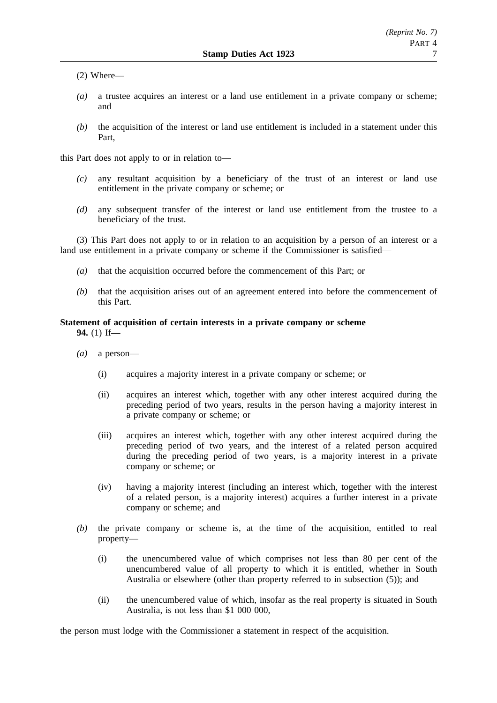(2) Where—

- *(a)* a trustee acquires an interest or a land use entitlement in a private company or scheme; and
- *(b)* the acquisition of the interest or land use entitlement is included in a statement under this Part,

this Part does not apply to or in relation to—

- *(c)* any resultant acquisition by a beneficiary of the trust of an interest or land use entitlement in the private company or scheme; or
- *(d)* any subsequent transfer of the interest or land use entitlement from the trustee to a beneficiary of the trust.

(3) This Part does not apply to or in relation to an acquisition by a person of an interest or a land use entitlement in a private company or scheme if the Commissioner is satisfied—

- *(a)* that the acquisition occurred before the commencement of this Part; or
- *(b)* that the acquisition arises out of an agreement entered into before the commencement of this Part.

## **Statement of acquisition of certain interests in a private company or scheme 94.** (1) If—

- *(a)* a person—
	- (i) acquires a majority interest in a private company or scheme; or
	- (ii) acquires an interest which, together with any other interest acquired during the preceding period of two years, results in the person having a majority interest in a private company or scheme; or
	- (iii) acquires an interest which, together with any other interest acquired during the preceding period of two years, and the interest of a related person acquired during the preceding period of two years, is a majority interest in a private company or scheme; or
	- (iv) having a majority interest (including an interest which, together with the interest of a related person, is a majority interest) acquires a further interest in a private company or scheme; and
- *(b)* the private company or scheme is, at the time of the acquisition, entitled to real property—
	- (i) the unencumbered value of which comprises not less than 80 per cent of the unencumbered value of all property to which it is entitled, whether in South Australia or elsewhere (other than property referred to in subsection (5)); and
	- (ii) the unencumbered value of which, insofar as the real property is situated in South Australia, is not less than \$1 000 000,

the person must lodge with the Commissioner a statement in respect of the acquisition.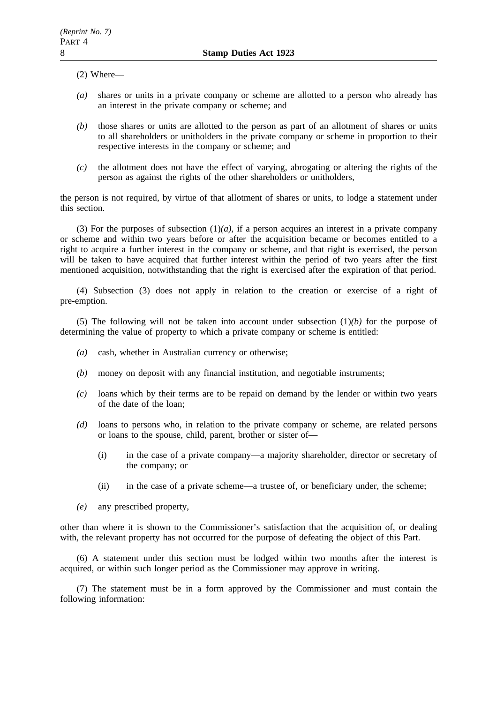(2) Where—

- *(a)* shares or units in a private company or scheme are allotted to a person who already has an interest in the private company or scheme; and
- *(b)* those shares or units are allotted to the person as part of an allotment of shares or units to all shareholders or unitholders in the private company or scheme in proportion to their respective interests in the company or scheme; and
- *(c)* the allotment does not have the effect of varying, abrogating or altering the rights of the person as against the rights of the other shareholders or unitholders,

the person is not required, by virtue of that allotment of shares or units, to lodge a statement under this section.

(3) For the purposes of subsection  $(1)(a)$ , if a person acquires an interest in a private company or scheme and within two years before or after the acquisition became or becomes entitled to a right to acquire a further interest in the company or scheme, and that right is exercised, the person will be taken to have acquired that further interest within the period of two years after the first mentioned acquisition, notwithstanding that the right is exercised after the expiration of that period.

(4) Subsection (3) does not apply in relation to the creation or exercise of a right of pre-emption.

(5) The following will not be taken into account under subsection (1)*(b)* for the purpose of determining the value of property to which a private company or scheme is entitled:

- *(a)* cash, whether in Australian currency or otherwise;
- *(b)* money on deposit with any financial institution, and negotiable instruments;
- *(c)* loans which by their terms are to be repaid on demand by the lender or within two years of the date of the loan;
- *(d)* loans to persons who, in relation to the private company or scheme, are related persons or loans to the spouse, child, parent, brother or sister of—
	- (i) in the case of a private company—a majority shareholder, director or secretary of the company; or
	- (ii) in the case of a private scheme—a trustee of, or beneficiary under, the scheme;
- *(e)* any prescribed property,

other than where it is shown to the Commissioner's satisfaction that the acquisition of, or dealing with, the relevant property has not occurred for the purpose of defeating the object of this Part.

(6) A statement under this section must be lodged within two months after the interest is acquired, or within such longer period as the Commissioner may approve in writing.

(7) The statement must be in a form approved by the Commissioner and must contain the following information: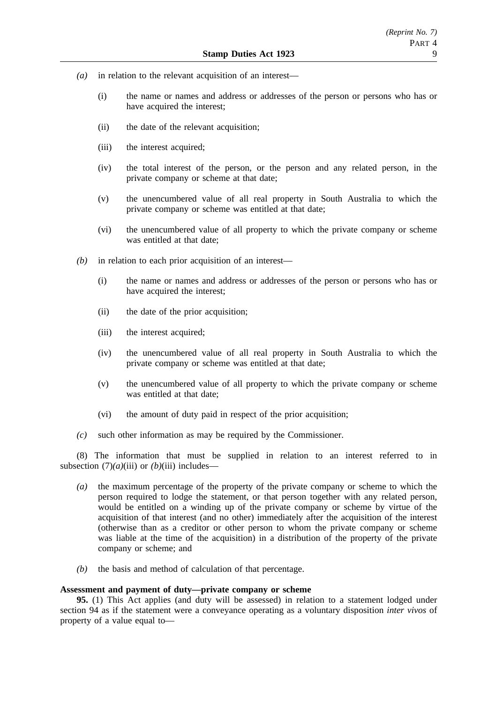- *(a)* in relation to the relevant acquisition of an interest—
	- (i) the name or names and address or addresses of the person or persons who has or have acquired the interest;
	- (ii) the date of the relevant acquisition;
	- (iii) the interest acquired;
	- (iv) the total interest of the person, or the person and any related person, in the private company or scheme at that date;
	- (v) the unencumbered value of all real property in South Australia to which the private company or scheme was entitled at that date;
	- (vi) the unencumbered value of all property to which the private company or scheme was entitled at that date;
- *(b)* in relation to each prior acquisition of an interest—
	- (i) the name or names and address or addresses of the person or persons who has or have acquired the interest;
	- (ii) the date of the prior acquisition;
	- (iii) the interest acquired;
	- (iv) the unencumbered value of all real property in South Australia to which the private company or scheme was entitled at that date;
	- (v) the unencumbered value of all property to which the private company or scheme was entitled at that date;
	- (vi) the amount of duty paid in respect of the prior acquisition;
- *(c)* such other information as may be required by the Commissioner.

(8) The information that must be supplied in relation to an interest referred to in subsection  $(7)(a)$ (iii) or  $(b)$ (iii) includes—

- *(a)* the maximum percentage of the property of the private company or scheme to which the person required to lodge the statement, or that person together with any related person, would be entitled on a winding up of the private company or scheme by virtue of the acquisition of that interest (and no other) immediately after the acquisition of the interest (otherwise than as a creditor or other person to whom the private company or scheme was liable at the time of the acquisition) in a distribution of the property of the private company or scheme; and
- *(b)* the basis and method of calculation of that percentage.

## **Assessment and payment of duty—private company or scheme**

**95.** (1) This Act applies (and duty will be assessed) in relation to a statement lodged under section 94 as if the statement were a conveyance operating as a voluntary disposition *inter vivos* of property of a value equal to—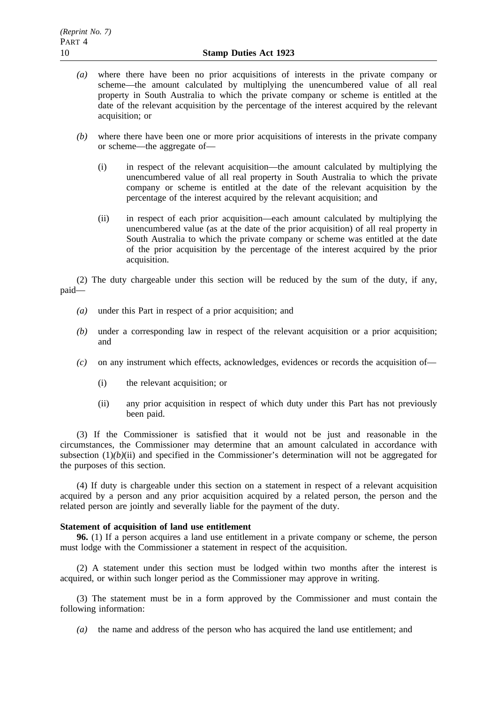- *(a)* where there have been no prior acquisitions of interests in the private company or scheme—the amount calculated by multiplying the unencumbered value of all real property in South Australia to which the private company or scheme is entitled at the date of the relevant acquisition by the percentage of the interest acquired by the relevant acquisition; or
- *(b)* where there have been one or more prior acquisitions of interests in the private company or scheme—the aggregate of—
	- (i) in respect of the relevant acquisition—the amount calculated by multiplying the unencumbered value of all real property in South Australia to which the private company or scheme is entitled at the date of the relevant acquisition by the percentage of the interest acquired by the relevant acquisition; and
	- (ii) in respect of each prior acquisition—each amount calculated by multiplying the unencumbered value (as at the date of the prior acquisition) of all real property in South Australia to which the private company or scheme was entitled at the date of the prior acquisition by the percentage of the interest acquired by the prior acquisition.

(2) The duty chargeable under this section will be reduced by the sum of the duty, if any, paid—

- *(a)* under this Part in respect of a prior acquisition; and
- *(b)* under a corresponding law in respect of the relevant acquisition or a prior acquisition; and
- *(c)* on any instrument which effects, acknowledges, evidences or records the acquisition of—
	- (i) the relevant acquisition; or
	- (ii) any prior acquisition in respect of which duty under this Part has not previously been paid.

(3) If the Commissioner is satisfied that it would not be just and reasonable in the circumstances, the Commissioner may determine that an amount calculated in accordance with subsection  $(1)(b)(ii)$  and specified in the Commissioner's determination will not be aggregated for the purposes of this section.

(4) If duty is chargeable under this section on a statement in respect of a relevant acquisition acquired by a person and any prior acquisition acquired by a related person, the person and the related person are jointly and severally liable for the payment of the duty.

## **Statement of acquisition of land use entitlement**

**96.** (1) If a person acquires a land use entitlement in a private company or scheme, the person must lodge with the Commissioner a statement in respect of the acquisition.

(2) A statement under this section must be lodged within two months after the interest is acquired, or within such longer period as the Commissioner may approve in writing.

(3) The statement must be in a form approved by the Commissioner and must contain the following information:

*(a)* the name and address of the person who has acquired the land use entitlement; and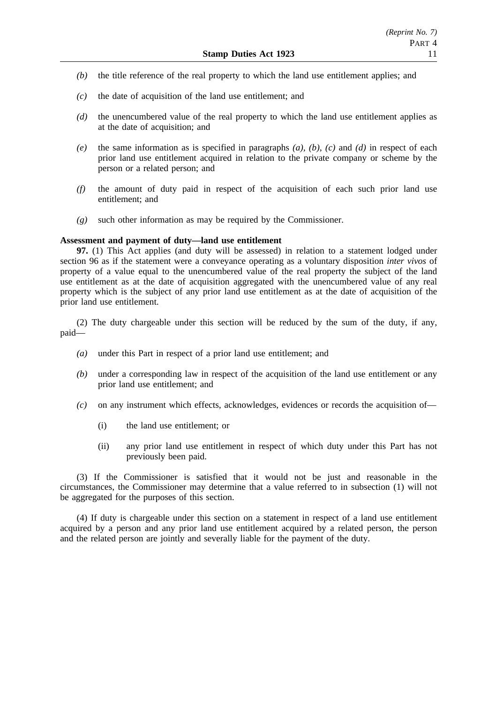- *(b)* the title reference of the real property to which the land use entitlement applies; and
- *(c)* the date of acquisition of the land use entitlement; and
- *(d)* the unencumbered value of the real property to which the land use entitlement applies as at the date of acquisition; and
- *(e)* the same information as is specified in paragraphs *(a)*, *(b)*, *(c)* and *(d)* in respect of each prior land use entitlement acquired in relation to the private company or scheme by the person or a related person; and
- *(f)* the amount of duty paid in respect of the acquisition of each such prior land use entitlement; and
- *(g)* such other information as may be required by the Commissioner.

## **Assessment and payment of duty—land use entitlement**

**97.** (1) This Act applies (and duty will be assessed) in relation to a statement lodged under section 96 as if the statement were a conveyance operating as a voluntary disposition *inter vivos* of property of a value equal to the unencumbered value of the real property the subject of the land use entitlement as at the date of acquisition aggregated with the unencumbered value of any real property which is the subject of any prior land use entitlement as at the date of acquisition of the prior land use entitlement.

(2) The duty chargeable under this section will be reduced by the sum of the duty, if any, paid—

- *(a)* under this Part in respect of a prior land use entitlement; and
- *(b)* under a corresponding law in respect of the acquisition of the land use entitlement or any prior land use entitlement; and
- *(c)* on any instrument which effects, acknowledges, evidences or records the acquisition of—
	- (i) the land use entitlement; or
	- (ii) any prior land use entitlement in respect of which duty under this Part has not previously been paid.

(3) If the Commissioner is satisfied that it would not be just and reasonable in the circumstances, the Commissioner may determine that a value referred to in subsection (1) will not be aggregated for the purposes of this section.

(4) If duty is chargeable under this section on a statement in respect of a land use entitlement acquired by a person and any prior land use entitlement acquired by a related person, the person and the related person are jointly and severally liable for the payment of the duty.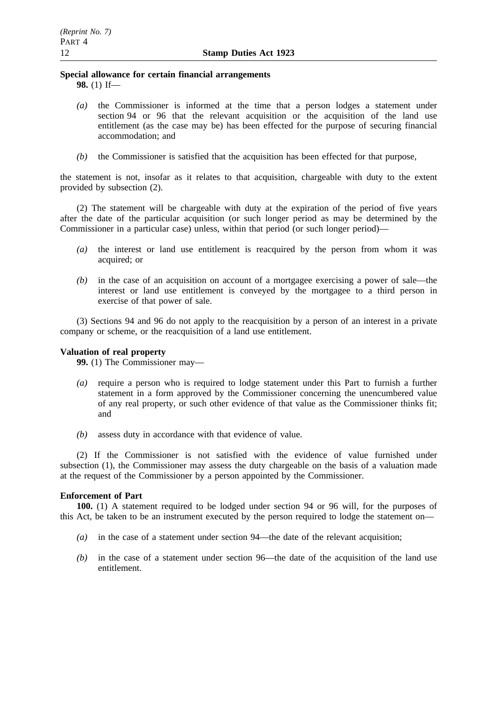## **Special allowance for certain financial arrangements 98.** (1) If—

- *(a)* the Commissioner is informed at the time that a person lodges a statement under section 94 or 96 that the relevant acquisition or the acquisition of the land use entitlement (as the case may be) has been effected for the purpose of securing financial accommodation; and
- *(b)* the Commissioner is satisfied that the acquisition has been effected for that purpose,

the statement is not, insofar as it relates to that acquisition, chargeable with duty to the extent provided by subsection (2).

(2) The statement will be chargeable with duty at the expiration of the period of five years after the date of the particular acquisition (or such longer period as may be determined by the Commissioner in a particular case) unless, within that period (or such longer period)—

- *(a)* the interest or land use entitlement is reacquired by the person from whom it was acquired; or
- *(b)* in the case of an acquisition on account of a mortgagee exercising a power of sale—the interest or land use entitlement is conveyed by the mortgagee to a third person in exercise of that power of sale.

(3) Sections 94 and 96 do not apply to the reacquisition by a person of an interest in a private company or scheme, or the reacquisition of a land use entitlement.

# **Valuation of real property**

**99.** (1) The Commissioner may—

- *(a)* require a person who is required to lodge statement under this Part to furnish a further statement in a form approved by the Commissioner concerning the unencumbered value of any real property, or such other evidence of that value as the Commissioner thinks fit; and
- *(b)* assess duty in accordance with that evidence of value.

(2) If the Commissioner is not satisfied with the evidence of value furnished under subsection (1), the Commissioner may assess the duty chargeable on the basis of a valuation made at the request of the Commissioner by a person appointed by the Commissioner.

# **Enforcement of Part**

**100.** (1) A statement required to be lodged under section 94 or 96 will, for the purposes of this Act, be taken to be an instrument executed by the person required to lodge the statement on—

- *(a)* in the case of a statement under section 94—the date of the relevant acquisition;
- *(b)* in the case of a statement under section 96—the date of the acquisition of the land use entitlement.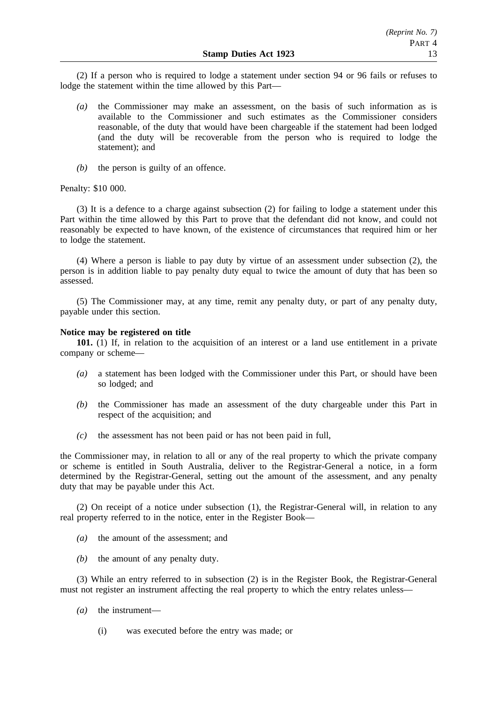(2) If a person who is required to lodge a statement under section 94 or 96 fails or refuses to lodge the statement within the time allowed by this Part—

- *(a)* the Commissioner may make an assessment, on the basis of such information as is available to the Commissioner and such estimates as the Commissioner considers reasonable, of the duty that would have been chargeable if the statement had been lodged (and the duty will be recoverable from the person who is required to lodge the statement); and
- *(b)* the person is guilty of an offence.

Penalty: \$10 000.

(3) It is a defence to a charge against subsection (2) for failing to lodge a statement under this Part within the time allowed by this Part to prove that the defendant did not know, and could not reasonably be expected to have known, of the existence of circumstances that required him or her to lodge the statement.

(4) Where a person is liable to pay duty by virtue of an assessment under subsection (2), the person is in addition liable to pay penalty duty equal to twice the amount of duty that has been so assessed.

(5) The Commissioner may, at any time, remit any penalty duty, or part of any penalty duty, payable under this section.

## **Notice may be registered on title**

**101.** (1) If, in relation to the acquisition of an interest or a land use entitlement in a private company or scheme—

- *(a)* a statement has been lodged with the Commissioner under this Part, or should have been so lodged; and
- *(b)* the Commissioner has made an assessment of the duty chargeable under this Part in respect of the acquisition; and
- *(c)* the assessment has not been paid or has not been paid in full,

the Commissioner may, in relation to all or any of the real property to which the private company or scheme is entitled in South Australia, deliver to the Registrar-General a notice, in a form determined by the Registrar-General, setting out the amount of the assessment, and any penalty duty that may be payable under this Act.

(2) On receipt of a notice under subsection (1), the Registrar-General will, in relation to any real property referred to in the notice, enter in the Register Book—

- *(a)* the amount of the assessment; and
- *(b)* the amount of any penalty duty.

(3) While an entry referred to in subsection (2) is in the Register Book, the Registrar-General must not register an instrument affecting the real property to which the entry relates unless—

- *(a)* the instrument—
	- (i) was executed before the entry was made; or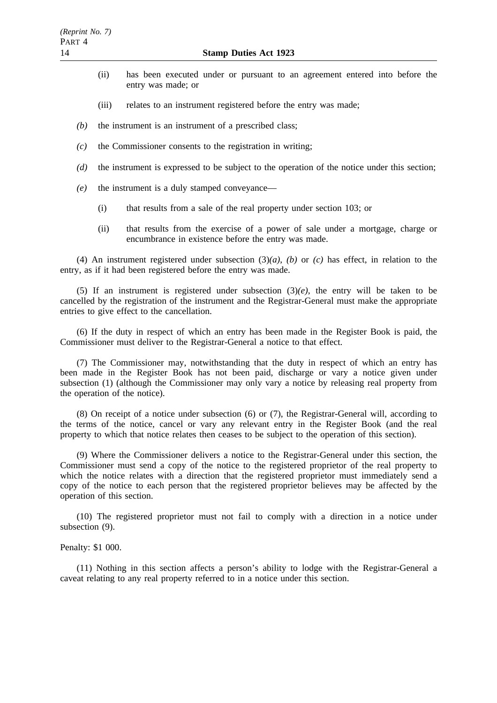- (ii) has been executed under or pursuant to an agreement entered into before the entry was made; or
- (iii) relates to an instrument registered before the entry was made;
- *(b)* the instrument is an instrument of a prescribed class;
- *(c)* the Commissioner consents to the registration in writing;
- *(d)* the instrument is expressed to be subject to the operation of the notice under this section;
- *(e)* the instrument is a duly stamped conveyance—
	- (i) that results from a sale of the real property under section 103; or
	- (ii) that results from the exercise of a power of sale under a mortgage, charge or encumbrance in existence before the entry was made.

(4) An instrument registered under subsection (3)*(a)*, *(b)* or *(c)* has effect, in relation to the entry, as if it had been registered before the entry was made.

(5) If an instrument is registered under subsection (3)*(e)*, the entry will be taken to be cancelled by the registration of the instrument and the Registrar-General must make the appropriate entries to give effect to the cancellation.

(6) If the duty in respect of which an entry has been made in the Register Book is paid, the Commissioner must deliver to the Registrar-General a notice to that effect.

(7) The Commissioner may, notwithstanding that the duty in respect of which an entry has been made in the Register Book has not been paid, discharge or vary a notice given under subsection (1) (although the Commissioner may only vary a notice by releasing real property from the operation of the notice).

(8) On receipt of a notice under subsection (6) or (7), the Registrar-General will, according to the terms of the notice, cancel or vary any relevant entry in the Register Book (and the real property to which that notice relates then ceases to be subject to the operation of this section).

(9) Where the Commissioner delivers a notice to the Registrar-General under this section, the Commissioner must send a copy of the notice to the registered proprietor of the real property to which the notice relates with a direction that the registered proprietor must immediately send a copy of the notice to each person that the registered proprietor believes may be affected by the operation of this section.

(10) The registered proprietor must not fail to comply with a direction in a notice under subsection (9).

Penalty: \$1 000.

(11) Nothing in this section affects a person's ability to lodge with the Registrar-General a caveat relating to any real property referred to in a notice under this section.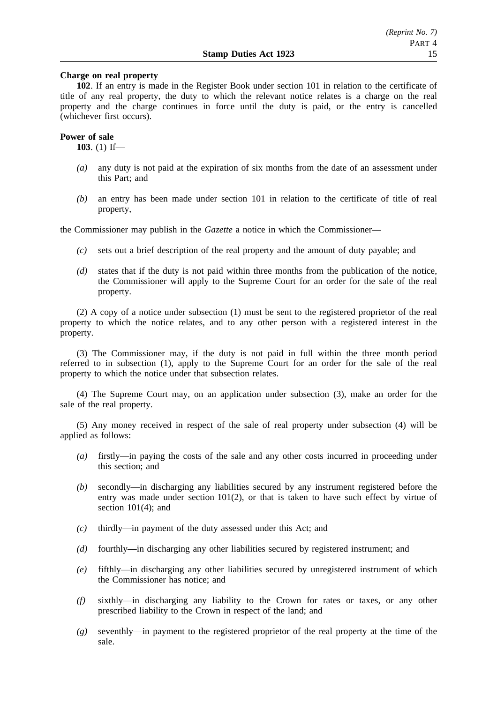### **Charge on real property**

**102**. If an entry is made in the Register Book under section 101 in relation to the certificate of title of any real property, the duty to which the relevant notice relates is a charge on the real property and the charge continues in force until the duty is paid, or the entry is cancelled (whichever first occurs).

#### **Power of sale**

**103**. (1) If—

- *(a)* any duty is not paid at the expiration of six months from the date of an assessment under this Part; and
- *(b)* an entry has been made under section 101 in relation to the certificate of title of real property,

the Commissioner may publish in the *Gazette* a notice in which the Commissioner—

- *(c)* sets out a brief description of the real property and the amount of duty payable; and
- *(d)* states that if the duty is not paid within three months from the publication of the notice, the Commissioner will apply to the Supreme Court for an order for the sale of the real property.

(2) A copy of a notice under subsection (1) must be sent to the registered proprietor of the real property to which the notice relates, and to any other person with a registered interest in the property.

(3) The Commissioner may, if the duty is not paid in full within the three month period referred to in subsection (1), apply to the Supreme Court for an order for the sale of the real property to which the notice under that subsection relates.

(4) The Supreme Court may, on an application under subsection (3), make an order for the sale of the real property.

(5) Any money received in respect of the sale of real property under subsection (4) will be applied as follows:

- *(a)* firstly—in paying the costs of the sale and any other costs incurred in proceeding under this section; and
- *(b)* secondly—in discharging any liabilities secured by any instrument registered before the entry was made under section 101(2), or that is taken to have such effect by virtue of section  $101(4)$ ; and
- *(c)* thirdly—in payment of the duty assessed under this Act; and
- *(d)* fourthly—in discharging any other liabilities secured by registered instrument; and
- *(e)* fifthly—in discharging any other liabilities secured by unregistered instrument of which the Commissioner has notice; and
- *(f)* sixthly—in discharging any liability to the Crown for rates or taxes, or any other prescribed liability to the Crown in respect of the land; and
- *(g)* seventhly—in payment to the registered proprietor of the real property at the time of the sale.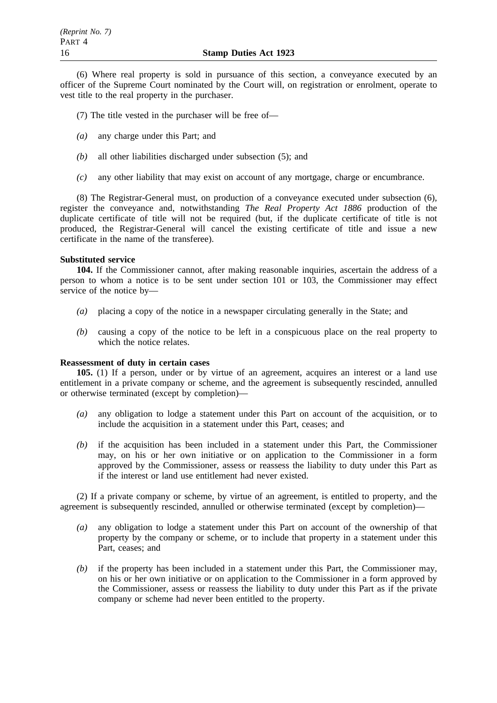(6) Where real property is sold in pursuance of this section, a conveyance executed by an officer of the Supreme Court nominated by the Court will, on registration or enrolment, operate to vest title to the real property in the purchaser.

(7) The title vested in the purchaser will be free of—

- *(a)* any charge under this Part; and
- *(b)* all other liabilities discharged under subsection (5); and
- *(c)* any other liability that may exist on account of any mortgage, charge or encumbrance.

(8) The Registrar-General must, on production of a conveyance executed under subsection (6), register the conveyance and, notwithstanding *The Real Property Act 1886* production of the duplicate certificate of title will not be required (but, if the duplicate certificate of title is not produced, the Registrar-General will cancel the existing certificate of title and issue a new certificate in the name of the transferee).

## **Substituted service**

**104.** If the Commissioner cannot, after making reasonable inquiries, ascertain the address of a person to whom a notice is to be sent under section 101 or 103, the Commissioner may effect service of the notice by—

- *(a)* placing a copy of the notice in a newspaper circulating generally in the State; and
- *(b)* causing a copy of the notice to be left in a conspicuous place on the real property to which the notice relates.

# **Reassessment of duty in certain cases**

**105.** (1) If a person, under or by virtue of an agreement, acquires an interest or a land use entitlement in a private company or scheme, and the agreement is subsequently rescinded, annulled or otherwise terminated (except by completion)—

- *(a)* any obligation to lodge a statement under this Part on account of the acquisition, or to include the acquisition in a statement under this Part, ceases; and
- *(b)* if the acquisition has been included in a statement under this Part, the Commissioner may, on his or her own initiative or on application to the Commissioner in a form approved by the Commissioner, assess or reassess the liability to duty under this Part as if the interest or land use entitlement had never existed.

(2) If a private company or scheme, by virtue of an agreement, is entitled to property, and the agreement is subsequently rescinded, annulled or otherwise terminated (except by completion)—

- *(a)* any obligation to lodge a statement under this Part on account of the ownership of that property by the company or scheme, or to include that property in a statement under this Part, ceases; and
- *(b)* if the property has been included in a statement under this Part, the Commissioner may, on his or her own initiative or on application to the Commissioner in a form approved by the Commissioner, assess or reassess the liability to duty under this Part as if the private company or scheme had never been entitled to the property.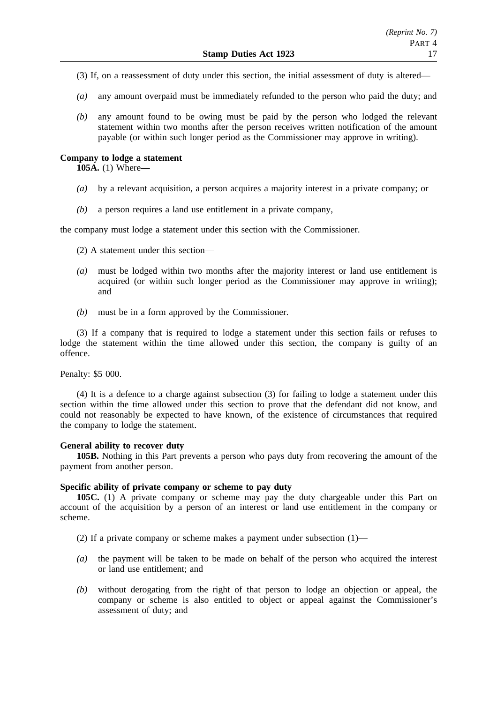- (3) If, on a reassessment of duty under this section, the initial assessment of duty is altered—
- *(a)* any amount overpaid must be immediately refunded to the person who paid the duty; and
- *(b)* any amount found to be owing must be paid by the person who lodged the relevant statement within two months after the person receives written notification of the amount payable (or within such longer period as the Commissioner may approve in writing).

#### **Company to lodge a statement**

**105A.** (1) Where—

- *(a)* by a relevant acquisition, a person acquires a majority interest in a private company; or
- *(b)* a person requires a land use entitlement in a private company,

the company must lodge a statement under this section with the Commissioner.

(2) A statement under this section—

- *(a)* must be lodged within two months after the majority interest or land use entitlement is acquired (or within such longer period as the Commissioner may approve in writing); and
- *(b)* must be in a form approved by the Commissioner.

(3) If a company that is required to lodge a statement under this section fails or refuses to lodge the statement within the time allowed under this section, the company is guilty of an offence.

Penalty: \$5 000.

(4) It is a defence to a charge against subsection (3) for failing to lodge a statement under this section within the time allowed under this section to prove that the defendant did not know, and could not reasonably be expected to have known, of the existence of circumstances that required the company to lodge the statement.

## **General ability to recover duty**

**105B.** Nothing in this Part prevents a person who pays duty from recovering the amount of the payment from another person.

#### **Specific ability of private company or scheme to pay duty**

**105C.** (1) A private company or scheme may pay the duty chargeable under this Part on account of the acquisition by a person of an interest or land use entitlement in the company or scheme.

- (2) If a private company or scheme makes a payment under subsection (1)—
- *(a)* the payment will be taken to be made on behalf of the person who acquired the interest or land use entitlement; and
- *(b)* without derogating from the right of that person to lodge an objection or appeal, the company or scheme is also entitled to object or appeal against the Commissioner's assessment of duty; and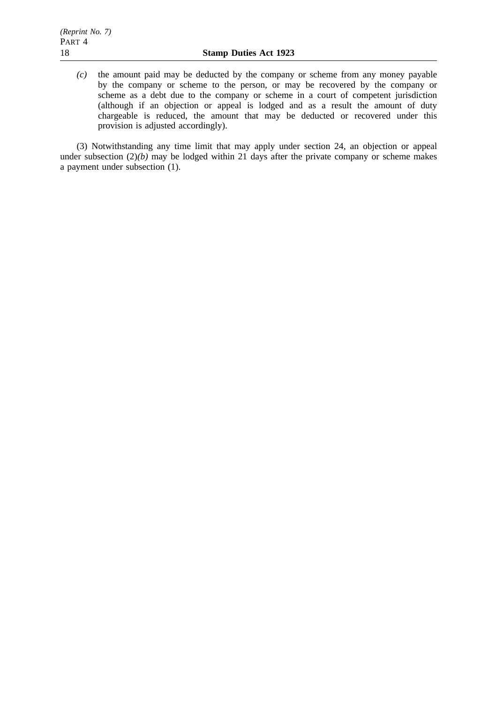*(c)* the amount paid may be deducted by the company or scheme from any money payable by the company or scheme to the person, or may be recovered by the company or scheme as a debt due to the company or scheme in a court of competent jurisdiction (although if an objection or appeal is lodged and as a result the amount of duty chargeable is reduced, the amount that may be deducted or recovered under this provision is adjusted accordingly).

(3) Notwithstanding any time limit that may apply under section 24, an objection or appeal under subsection  $(2)(b)$  may be lodged within 21 days after the private company or scheme makes a payment under subsection (1).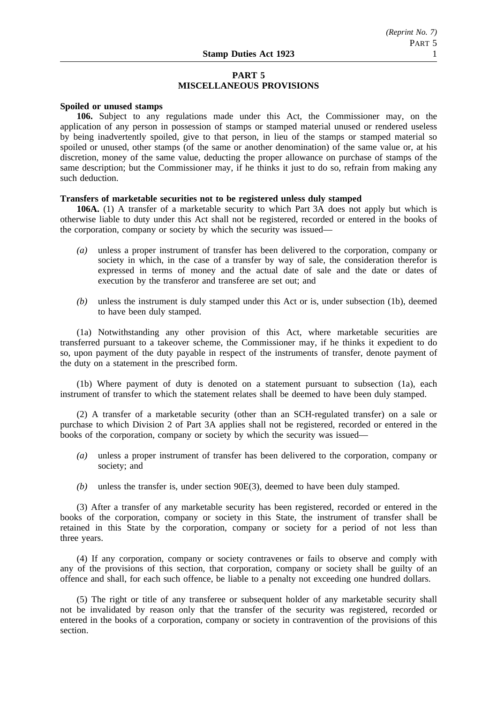# **PART 5 MISCELLANEOUS PROVISIONS**

#### **Spoiled or unused stamps**

**106.** Subject to any regulations made under this Act, the Commissioner may, on the application of any person in possession of stamps or stamped material unused or rendered useless by being inadvertently spoiled, give to that person, in lieu of the stamps or stamped material so spoiled or unused, other stamps (of the same or another denomination) of the same value or, at his discretion, money of the same value, deducting the proper allowance on purchase of stamps of the same description; but the Commissioner may, if he thinks it just to do so, refrain from making any such deduction.

#### **Transfers of marketable securities not to be registered unless duly stamped**

**106A.** (1) A transfer of a marketable security to which Part 3A does not apply but which is otherwise liable to duty under this Act shall not be registered, recorded or entered in the books of the corporation, company or society by which the security was issued—

- *(a)* unless a proper instrument of transfer has been delivered to the corporation, company or society in which, in the case of a transfer by way of sale, the consideration therefor is expressed in terms of money and the actual date of sale and the date or dates of execution by the transferor and transferee are set out; and
- *(b)* unless the instrument is duly stamped under this Act or is, under subsection (1b), deemed to have been duly stamped.

(1a) Notwithstanding any other provision of this Act, where marketable securities are transferred pursuant to a takeover scheme, the Commissioner may, if he thinks it expedient to do so, upon payment of the duty payable in respect of the instruments of transfer, denote payment of the duty on a statement in the prescribed form.

(1b) Where payment of duty is denoted on a statement pursuant to subsection (1a), each instrument of transfer to which the statement relates shall be deemed to have been duly stamped.

(2) A transfer of a marketable security (other than an SCH-regulated transfer) on a sale or purchase to which Division 2 of Part 3A applies shall not be registered, recorded or entered in the books of the corporation, company or society by which the security was issued—

- *(a)* unless a proper instrument of transfer has been delivered to the corporation, company or society; and
- *(b)* unless the transfer is, under section 90E(3), deemed to have been duly stamped.

(3) After a transfer of any marketable security has been registered, recorded or entered in the books of the corporation, company or society in this State, the instrument of transfer shall be retained in this State by the corporation, company or society for a period of not less than three years.

(4) If any corporation, company or society contravenes or fails to observe and comply with any of the provisions of this section, that corporation, company or society shall be guilty of an offence and shall, for each such offence, be liable to a penalty not exceeding one hundred dollars.

(5) The right or title of any transferee or subsequent holder of any marketable security shall not be invalidated by reason only that the transfer of the security was registered, recorded or entered in the books of a corporation, company or society in contravention of the provisions of this section.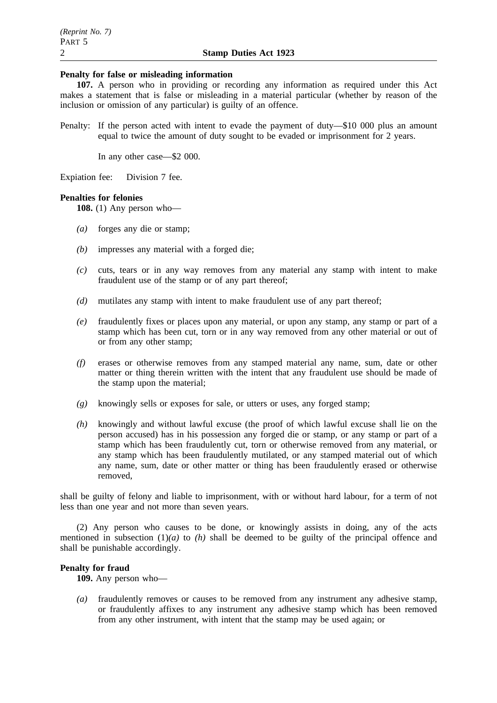## **Penalty for false or misleading information**

**107.** A person who in providing or recording any information as required under this Act makes a statement that is false or misleading in a material particular (whether by reason of the inclusion or omission of any particular) is guilty of an offence.

Penalty: If the person acted with intent to evade the payment of duty—\$10 000 plus an amount equal to twice the amount of duty sought to be evaded or imprisonment for 2 years.

In any other case—\$2 000.

Expiation fee: Division 7 fee.

## **Penalties for felonies**

**108.** (1) Any person who—

- *(a)* forges any die or stamp;
- *(b)* impresses any material with a forged die;
- *(c)* cuts, tears or in any way removes from any material any stamp with intent to make fraudulent use of the stamp or of any part thereof;
- *(d)* mutilates any stamp with intent to make fraudulent use of any part thereof;
- *(e)* fraudulently fixes or places upon any material, or upon any stamp, any stamp or part of a stamp which has been cut, torn or in any way removed from any other material or out of or from any other stamp;
- *(f)* erases or otherwise removes from any stamped material any name, sum, date or other matter or thing therein written with the intent that any fraudulent use should be made of the stamp upon the material;
- *(g)* knowingly sells or exposes for sale, or utters or uses, any forged stamp;
- *(h)* knowingly and without lawful excuse (the proof of which lawful excuse shall lie on the person accused) has in his possession any forged die or stamp, or any stamp or part of a stamp which has been fraudulently cut, torn or otherwise removed from any material, or any stamp which has been fraudulently mutilated, or any stamped material out of which any name, sum, date or other matter or thing has been fraudulently erased or otherwise removed,

shall be guilty of felony and liable to imprisonment, with or without hard labour, for a term of not less than one year and not more than seven years.

(2) Any person who causes to be done, or knowingly assists in doing, any of the acts mentioned in subsection  $(1)(a)$  to  $(h)$  shall be deemed to be guilty of the principal offence and shall be punishable accordingly.

# **Penalty for fraud**

**109.** Any person who—

*(a)* fraudulently removes or causes to be removed from any instrument any adhesive stamp, or fraudulently affixes to any instrument any adhesive stamp which has been removed from any other instrument, with intent that the stamp may be used again; or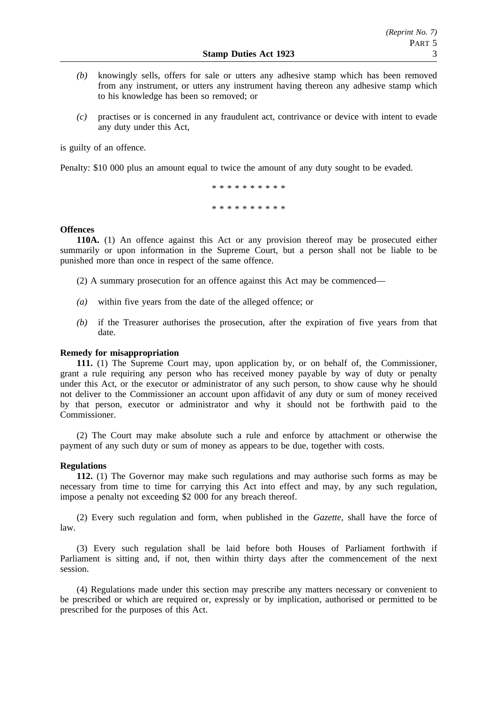- *(b)* knowingly sells, offers for sale or utters any adhesive stamp which has been removed from any instrument, or utters any instrument having thereon any adhesive stamp which to his knowledge has been so removed; or
- *(c)* practises or is concerned in any fraudulent act, contrivance or device with intent to evade any duty under this Act,

is guilty of an offence.

Penalty: \$10 000 plus an amount equal to twice the amount of any duty sought to be evaded.

\*\*\*\*\*\*\*\*\*\* \*\*\*\*\*\*\*\*\*\*

#### **Offences**

**110A.** (1) An offence against this Act or any provision thereof may be prosecuted either summarily or upon information in the Supreme Court, but a person shall not be liable to be punished more than once in respect of the same offence.

- (2) A summary prosecution for an offence against this Act may be commenced—
- *(a)* within five years from the date of the alleged offence; or
- *(b)* if the Treasurer authorises the prosecution, after the expiration of five years from that date.

#### **Remedy for misappropriation**

**111.** (1) The Supreme Court may, upon application by, or on behalf of, the Commissioner, grant a rule requiring any person who has received money payable by way of duty or penalty under this Act, or the executor or administrator of any such person, to show cause why he should not deliver to the Commissioner an account upon affidavit of any duty or sum of money received by that person, executor or administrator and why it should not be forthwith paid to the Commissioner.

(2) The Court may make absolute such a rule and enforce by attachment or otherwise the payment of any such duty or sum of money as appears to be due, together with costs.

## **Regulations**

**112.** (1) The Governor may make such regulations and may authorise such forms as may be necessary from time to time for carrying this Act into effect and may, by any such regulation, impose a penalty not exceeding \$2 000 for any breach thereof.

(2) Every such regulation and form, when published in the *Gazette*, shall have the force of law.

(3) Every such regulation shall be laid before both Houses of Parliament forthwith if Parliament is sitting and, if not, then within thirty days after the commencement of the next session.

(4) Regulations made under this section may prescribe any matters necessary or convenient to be prescribed or which are required or, expressly or by implication, authorised or permitted to be prescribed for the purposes of this Act.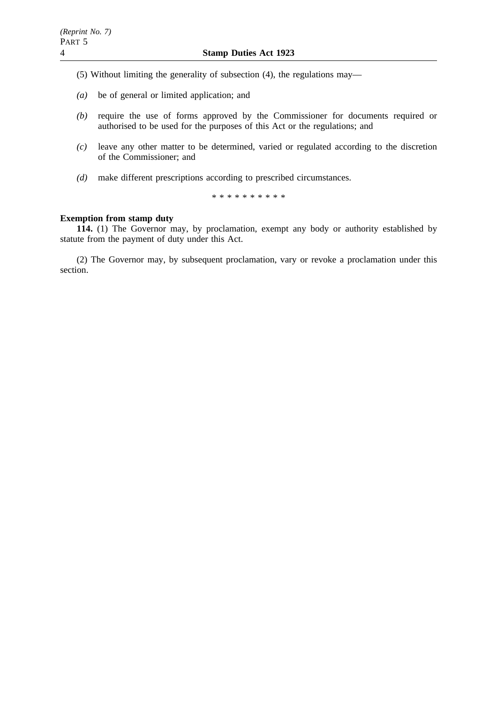- (5) Without limiting the generality of subsection (4), the regulations may—
- *(a)* be of general or limited application; and
- *(b)* require the use of forms approved by the Commissioner for documents required or authorised to be used for the purposes of this Act or the regulations; and
- *(c)* leave any other matter to be determined, varied or regulated according to the discretion of the Commissioner; and
- *(d)* make different prescriptions according to prescribed circumstances.

\*\*\*\*\*\*\*\*\*\*

## **Exemption from stamp duty**

**114.** (1) The Governor may, by proclamation, exempt any body or authority established by statute from the payment of duty under this Act.

(2) The Governor may, by subsequent proclamation, vary or revoke a proclamation under this section.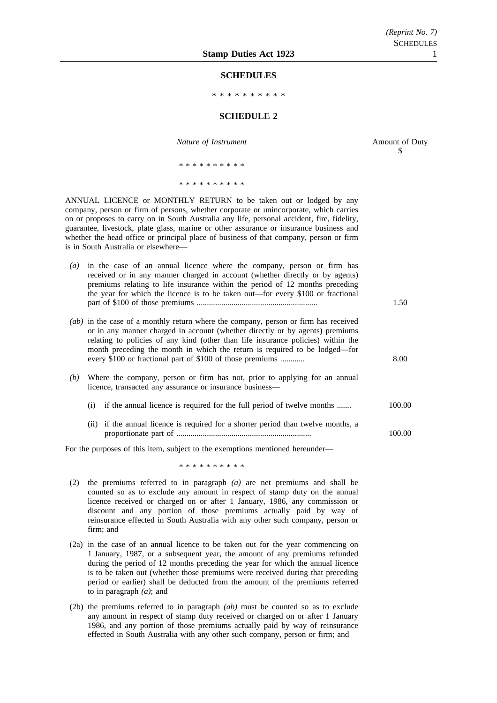\$

1.50

8.00

### **SCHEDULES**

\*\*\*\*\*\*\*\*\*\*

## **SCHEDULE 2**

*Nature of Instrument* Amount of Duty

\*\*\*\*\*\*\*\*\*\*

\*\*\*\*\*\*\*\*\*\*

ANNUAL LICENCE or MONTHLY RETURN to be taken out or lodged by any company, person or firm of persons, whether corporate or unincorporate, which carries on or proposes to carry on in South Australia any life, personal accident, fire, fidelity, guarantee, livestock, plate glass, marine or other assurance or insurance business and whether the head office or principal place of business of that company, person or firm is in South Australia or elsewhere—

| (a) in the case of an annual licence where the company, person or firm has      |
|---------------------------------------------------------------------------------|
| received or in any manner charged in account (whether directly or by agents)    |
| premiums relating to life insurance within the period of 12 months preceding    |
| the year for which the licence is to be taken out—for every \$100 or fractional |
|                                                                                 |

- *(ab)* in the case of a monthly return where the company, person or firm has received or in any manner charged in account (whether directly or by agents) premiums relating to policies of any kind (other than life insurance policies) within the month preceding the month in which the return is required to be lodged—for every \$100 or fractional part of \$100 of those premiums ............
- *(b)* Where the company, person or firm has not, prior to applying for an annual licence, transacted any assurance or insurance business—
	- (i) if the annual licence is required for the full period of twelve months ....... 100.00
	- (ii) if the annual licence is required for a shorter period than twelve months, a proportionate part of .................................................................. 100.00

For the purposes of this item, subject to the exemptions mentioned hereunder—

\*\*\*\*\*\*\*\*\*\*

- (2) the premiums referred to in paragraph *(a)* are net premiums and shall be counted so as to exclude any amount in respect of stamp duty on the annual licence received or charged on or after 1 January, 1986, any commission or discount and any portion of those premiums actually paid by way of reinsurance effected in South Australia with any other such company, person or firm; and
- (2a) in the case of an annual licence to be taken out for the year commencing on 1 January, 1987, or a subsequent year, the amount of any premiums refunded during the period of 12 months preceding the year for which the annual licence is to be taken out (whether those premiums were received during that preceding period or earlier) shall be deducted from the amount of the premiums referred to in paragraph *(a)*; and
- (2b) the premiums referred to in paragraph *(ab)* must be counted so as to exclude any amount in respect of stamp duty received or charged on or after 1 January 1986, and any portion of those premiums actually paid by way of reinsurance effected in South Australia with any other such company, person or firm; and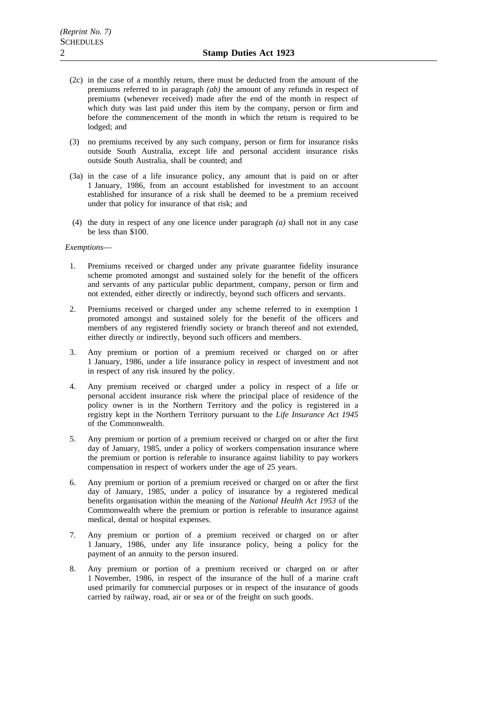- (2c) in the case of a monthly return, there must be deducted from the amount of the premiums referred to in paragraph *(ab)* the amount of any refunds in respect of premiums (whenever received) made after the end of the month in respect of which duty was last paid under this item by the company, person or firm and before the commencement of the month in which the return is required to be lodged; and
- (3) no premiums received by any such company, person or firm for insurance risks outside South Australia, except life and personal accident insurance risks outside South Australia, shall be counted; and
- (3a) in the case of a life insurance policy, any amount that is paid on or after 1 January, 1986, from an account established for investment to an account established for insurance of a risk shall be deemed to be a premium received under that policy for insurance of that risk; and
- (4) the duty in respect of any one licence under paragraph *(a)* shall not in any case be less than \$100.

### *Exemptions*—

- 1. Premiums received or charged under any private guarantee fidelity insurance scheme promoted amongst and sustained solely for the benefit of the officers and servants of any particular public department, company, person or firm and not extended, either directly or indirectly, beyond such officers and servants.
- 2. Premiums received or charged under any scheme referred to in exemption 1 promoted amongst and sustained solely for the benefit of the officers and members of any registered friendly society or branch thereof and not extended, either directly or indirectly, beyond such officers and members.
- 3. Any premium or portion of a premium received or charged on or after 1 January, 1986, under a life insurance policy in respect of investment and not in respect of any risk insured by the policy.
- 4. Any premium received or charged under a policy in respect of a life or personal accident insurance risk where the principal place of residence of the policy owner is in the Northern Territory and the policy is registered in a registry kept in the Northern Territory pursuant to the *Life Insurance Act 1945* of the Commonwealth.
- 5. Any premium or portion of a premium received or charged on or after the first day of January, 1985, under a policy of workers compensation insurance where the premium or portion is referable to insurance against liability to pay workers compensation in respect of workers under the age of 25 years.
- 6. Any premium or portion of a premium received or charged on or after the first day of January, 1985, under a policy of insurance by a registered medical benefits organisation within the meaning of the *National Health Act 1953* of the Commonwealth where the premium or portion is referable to insurance against medical, dental or hospital expenses.
- 7. Any premium or portion of a premium received or charged on or after 1 January, 1986, under any life insurance policy, being a policy for the payment of an annuity to the person insured.
- 8. Any premium or portion of a premium received or charged on or after 1 November, 1986, in respect of the insurance of the hull of a marine craft used primarily for commercial purposes or in respect of the insurance of goods carried by railway, road, air or sea or of the freight on such goods.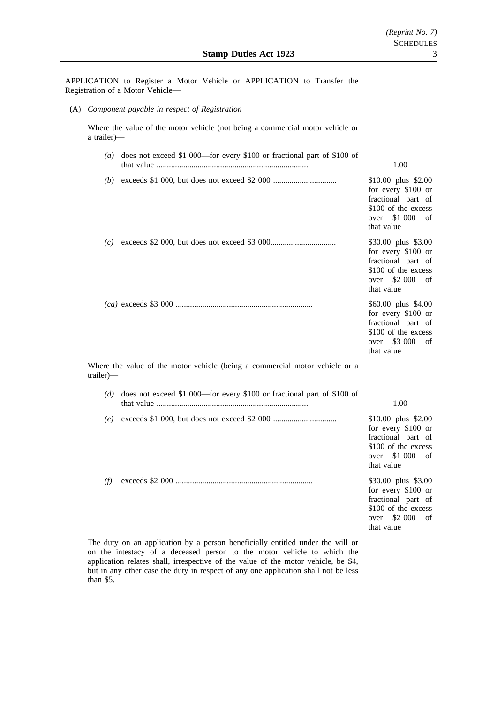APPLICATION to Register a Motor Vehicle or APPLICATION to Transfer the Registration of a Motor Vehicle—

(A) *Component payable in respect of Registration*

Where the value of the motor vehicle (not being a commercial motor vehicle or a trailer)—

|           | (a) does not exceed \$1 000—for every \$100 or fractional part of \$100 of   | 1.00                                                                                                                          |
|-----------|------------------------------------------------------------------------------|-------------------------------------------------------------------------------------------------------------------------------|
|           |                                                                              | $$10.00$ plus $$2.00$<br>for every \$100 or<br>fractional part of<br>\$100 of the excess<br>over \$1 000<br>of<br>that value  |
|           |                                                                              | \$30.00 plus \$3.00<br>for every \$100 or<br>fractional part of<br>\$100 of the excess<br>over \$2 000<br>of<br>that value    |
|           |                                                                              | \$60.00 plus \$4.00<br>for every \$100 or<br>fractional part of<br>\$100 of the excess<br>over \$3 000<br>of<br>that value    |
| trailer)— | Where the value of the motor vehicle (being a commercial motor vehicle or a  |                                                                                                                               |
|           | $(d)$ does not exceed \$1 000—for every \$100 or fractional part of \$100 of | 1.00                                                                                                                          |
|           |                                                                              | \$10.00 plus \$2.00<br>for every \$100 or<br>fractional part of<br>\$100 of the excess<br>over \$1 000<br>of<br>that value    |
| (f)       |                                                                              | \$30.00 plus \$3.00<br>for every \$100 or<br>fractional part of<br>\$100 of the excess<br>\$2 000<br>over<br>οf<br>that value |

The duty on an application by a person beneficially entitled under the will or on the intestacy of a deceased person to the motor vehicle to which the application relates shall, irrespective of the value of the motor vehicle, be \$4, but in any other case the duty in respect of any one application shall not be less than \$5.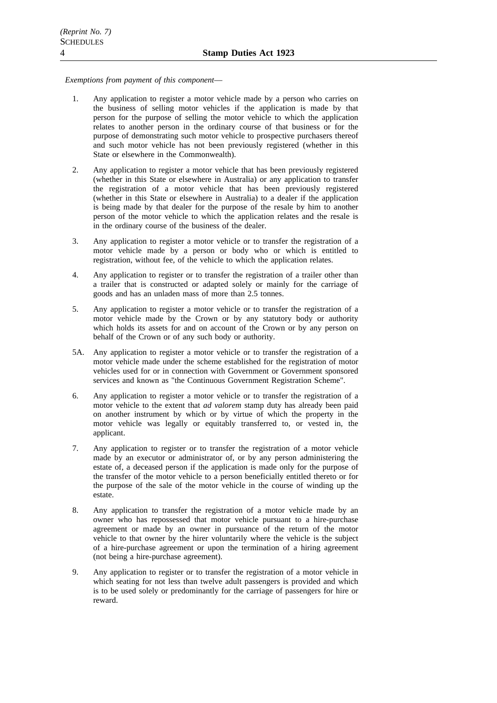*Exemptions from payment of this component*—

- 1. Any application to register a motor vehicle made by a person who carries on the business of selling motor vehicles if the application is made by that person for the purpose of selling the motor vehicle to which the application relates to another person in the ordinary course of that business or for the purpose of demonstrating such motor vehicle to prospective purchasers thereof and such motor vehicle has not been previously registered (whether in this State or elsewhere in the Commonwealth).
- 2. Any application to register a motor vehicle that has been previously registered (whether in this State or elsewhere in Australia) or any application to transfer the registration of a motor vehicle that has been previously registered (whether in this State or elsewhere in Australia) to a dealer if the application is being made by that dealer for the purpose of the resale by him to another person of the motor vehicle to which the application relates and the resale is in the ordinary course of the business of the dealer.
- 3. Any application to register a motor vehicle or to transfer the registration of a motor vehicle made by a person or body who or which is entitled to registration, without fee, of the vehicle to which the application relates.
- 4. Any application to register or to transfer the registration of a trailer other than a trailer that is constructed or adapted solely or mainly for the carriage of goods and has an unladen mass of more than 2.5 tonnes.
- 5. Any application to register a motor vehicle or to transfer the registration of a motor vehicle made by the Crown or by any statutory body or authority which holds its assets for and on account of the Crown or by any person on behalf of the Crown or of any such body or authority.
- 5A. Any application to register a motor vehicle or to transfer the registration of a motor vehicle made under the scheme established for the registration of motor vehicles used for or in connection with Government or Government sponsored services and known as "the Continuous Government Registration Scheme".
- 6. Any application to register a motor vehicle or to transfer the registration of a motor vehicle to the extent that *ad valorem* stamp duty has already been paid on another instrument by which or by virtue of which the property in the motor vehicle was legally or equitably transferred to, or vested in, the applicant.
- 7. Any application to register or to transfer the registration of a motor vehicle made by an executor or administrator of, or by any person administering the estate of, a deceased person if the application is made only for the purpose of the transfer of the motor vehicle to a person beneficially entitled thereto or for the purpose of the sale of the motor vehicle in the course of winding up the estate.
- 8. Any application to transfer the registration of a motor vehicle made by an owner who has repossessed that motor vehicle pursuant to a hire-purchase agreement or made by an owner in pursuance of the return of the motor vehicle to that owner by the hirer voluntarily where the vehicle is the subject of a hire-purchase agreement or upon the termination of a hiring agreement (not being a hire-purchase agreement).
- 9. Any application to register or to transfer the registration of a motor vehicle in which seating for not less than twelve adult passengers is provided and which is to be used solely or predominantly for the carriage of passengers for hire or reward.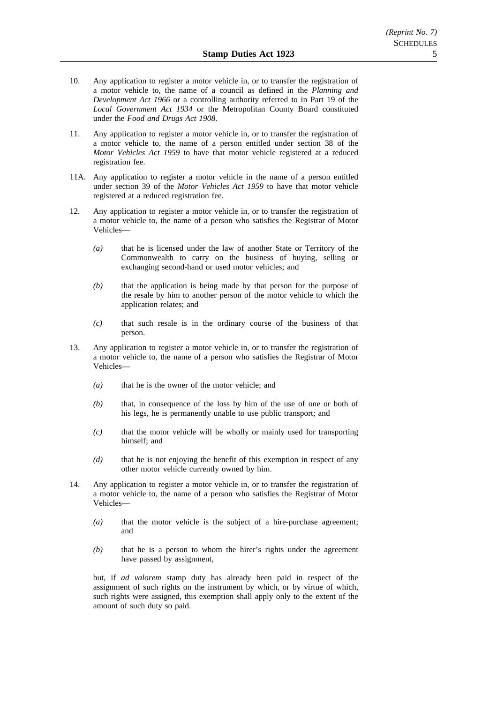- 10. Any application to register a motor vehicle in, or to transfer the registration of a motor vehicle to, the name of a council as defined in the *Planning and Development Act 1966* or a controlling authority referred to in Part 19 of the *Local Government Act 1934* or the Metropolitan County Board constituted under the *Food and Drugs Act 1908*.
- 11. Any application to register a motor vehicle in, or to transfer the registration of a motor vehicle to, the name of a person entitled under section 38 of the *Motor Vehicles Act 1959* to have that motor vehicle registered at a reduced registration fee.
- 11A. Any application to register a motor vehicle in the name of a person entitled under section 39 of the *Motor Vehicles Act 1959* to have that motor vehicle registered at a reduced registration fee.
- 12. Any application to register a motor vehicle in, or to transfer the registration of a motor vehicle to, the name of a person who satisfies the Registrar of Motor Vehicles—
	- *(a)* that he is licensed under the law of another State or Territory of the Commonwealth to carry on the business of buying, selling or exchanging second-hand or used motor vehicles; and
	- *(b)* that the application is being made by that person for the purpose of the resale by him to another person of the motor vehicle to which the application relates; and
	- *(c)* that such resale is in the ordinary course of the business of that person.
- 13. Any application to register a motor vehicle in, or to transfer the registration of a motor vehicle to, the name of a person who satisfies the Registrar of Motor Vehicles—
	- *(a)* that he is the owner of the motor vehicle; and
	- *(b)* that, in consequence of the loss by him of the use of one or both of his legs, he is permanently unable to use public transport; and
	- *(c)* that the motor vehicle will be wholly or mainly used for transporting himself; and
	- *(d)* that he is not enjoying the benefit of this exemption in respect of any other motor vehicle currently owned by him.
- 14. Any application to register a motor vehicle in, or to transfer the registration of a motor vehicle to, the name of a person who satisfies the Registrar of Motor Vehicles—
	- *(a)* that the motor vehicle is the subject of a hire-purchase agreement; and
	- *(b)* that he is a person to whom the hirer's rights under the agreement have passed by assignment,

but, if *ad valorem* stamp duty has already been paid in respect of the assignment of such rights on the instrument by which, or by virtue of which, such rights were assigned, this exemption shall apply only to the extent of the amount of such duty so paid.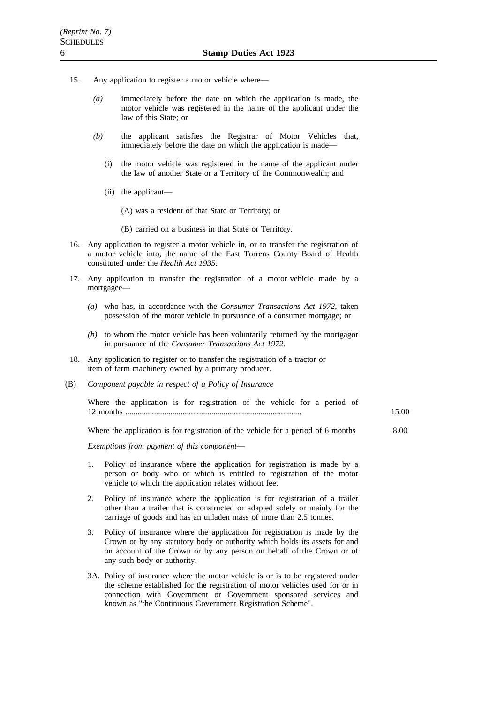- 15. Any application to register a motor vehicle where—
	- *(a)* immediately before the date on which the application is made, the motor vehicle was registered in the name of the applicant under the law of this State; or
	- *(b)* the applicant satisfies the Registrar of Motor Vehicles that, immediately before the date on which the application is made—
		- (i) the motor vehicle was registered in the name of the applicant under the law of another State or a Territory of the Commonwealth; and
		- (ii) the applicant—
			- (A) was a resident of that State or Territory; or
			- (B) carried on a business in that State or Territory.
- 16. Any application to register a motor vehicle in, or to transfer the registration of a motor vehicle into, the name of the East Torrens County Board of Health constituted under the *Health Act 1935*.
- 17. Any application to transfer the registration of a motor vehicle made by a mortgagee—
	- *(a)* who has, in accordance with the *Consumer Transactions Act 1972*, taken possession of the motor vehicle in pursuance of a consumer mortgage; or
	- *(b)* to whom the motor vehicle has been voluntarily returned by the mortgagor in pursuance of the *Consumer Transactions Act 1972*.
- 18. Any application to register or to transfer the registration of a tractor or item of farm machinery owned by a primary producer.
- (B) *Component payable in respect of a Policy of Insurance*

|  |  | Where the application is for registration of the vehicle for a period of |  |  |  |       |
|--|--|--------------------------------------------------------------------------|--|--|--|-------|
|  |  |                                                                          |  |  |  | 15.00 |

Where the application is for registration of the vehicle for a period of 6 months 8.00

*Exemptions from payment of this component*—

- 1. Policy of insurance where the application for registration is made by a person or body who or which is entitled to registration of the motor vehicle to which the application relates without fee.
- 2. Policy of insurance where the application is for registration of a trailer other than a trailer that is constructed or adapted solely or mainly for the carriage of goods and has an unladen mass of more than 2.5 tonnes.
- 3. Policy of insurance where the application for registration is made by the Crown or by any statutory body or authority which holds its assets for and on account of the Crown or by any person on behalf of the Crown or of any such body or authority.
- 3A. Policy of insurance where the motor vehicle is or is to be registered under the scheme established for the registration of motor vehicles used for or in connection with Government or Government sponsored services and known as "the Continuous Government Registration Scheme".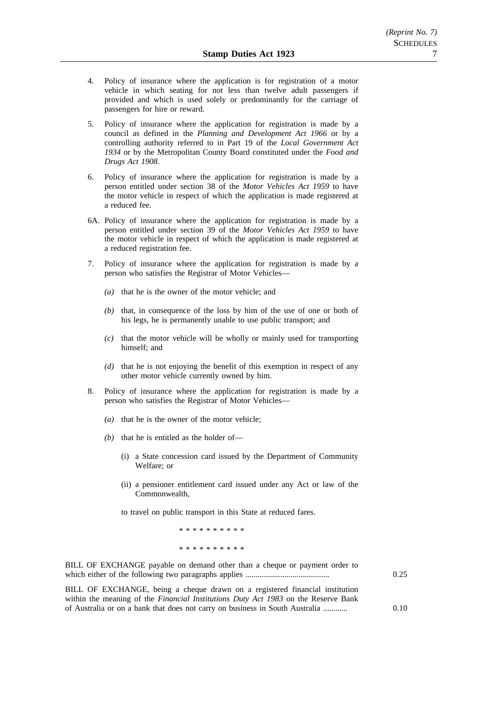- 4. Policy of insurance where the application is for registration of a motor vehicle in which seating for not less than twelve adult passengers if provided and which is used solely or predominantly for the carriage of passengers for hire or reward.
- 5. Policy of insurance where the application for registration is made by a council as defined in the *Planning and Development Act 1966* or by a controlling authority referred to in Part 19 of the *Local Government Act 1934* or by the Metropolitan County Board constituted under the *Food and Drugs Act 1908*.
- 6. Policy of insurance where the application for registration is made by a person entitled under section 38 of the *Motor Vehicles Act 1959* to have the motor vehicle in respect of which the application is made registered at a reduced fee.
- 6A. Policy of insurance where the application for registration is made by a person entitled under section 39 of the *Motor Vehicles Act 1959* to have the motor vehicle in respect of which the application is made registered at a reduced registration fee.
- 7. Policy of insurance where the application for registration is made by a person who satisfies the Registrar of Motor Vehicles—
	- *(a)* that he is the owner of the motor vehicle; and
	- *(b)* that, in consequence of the loss by him of the use of one or both of his legs, he is permanently unable to use public transport; and
	- *(c)* that the motor vehicle will be wholly or mainly used for transporting himself; and
	- *(d)* that he is not enjoying the benefit of this exemption in respect of any other motor vehicle currently owned by him.
- 8. Policy of insurance where the application for registration is made by a person who satisfies the Registrar of Motor Vehicles—
	- *(a)* that he is the owner of the motor vehicle;
	- *(b)* that he is entitled as the holder of—
		- (i) a State concession card issued by the Department of Community Welfare; or
		- (ii) a pensioner entitlement card issued under any Act or law of the Commonwealth,

to travel on public transport in this State at reduced fares.

\*\*\*\*\*\*\*\*\*\* \*\*\*\*\*\*\*\*\*\*

| BILL OF EXCHANGE payable on demand other than a cheque or payment order to                |      |
|-------------------------------------------------------------------------------------------|------|
|                                                                                           | 0.25 |
| BILL OF EXCHANGE, being a cheque drawn on a registered financial institution              |      |
| within the meaning of the <i>Financial Institutions Duty Act 1983</i> on the Reserve Bank |      |
| of Australia or on a bank that does not carry on business in South Australia              | 0.10 |
|                                                                                           |      |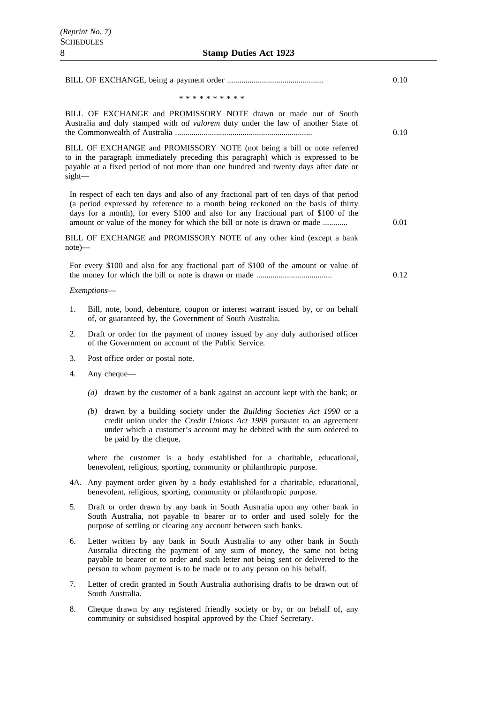|                                                                                                                                                                                                                                                                                                                                                | 0.10 |
|------------------------------------------------------------------------------------------------------------------------------------------------------------------------------------------------------------------------------------------------------------------------------------------------------------------------------------------------|------|
| * * * * * * * * * *                                                                                                                                                                                                                                                                                                                            |      |
| BILL OF EXCHANGE and PROMISSORY NOTE drawn or made out of South<br>Australia and duly stamped with <i>ad valorem</i> duty under the law of another State of                                                                                                                                                                                    | 0.10 |
| BILL OF EXCHANGE and PROMISSORY NOTE (not being a bill or note referred<br>to in the paragraph immediately preceding this paragraph) which is expressed to be<br>payable at a fixed period of not more than one hundred and twenty days after date or<br>sight-                                                                                |      |
| In respect of each ten days and also of any fractional part of ten days of that period<br>(a period expressed by reference to a month being reckoned on the basis of thirty<br>days for a month), for every \$100 and also for any fractional part of \$100 of the<br>amount or value of the money for which the bill or note is drawn or made | 0.01 |
| BILL OF EXCHANGE and PROMISSORY NOTE of any other kind (except a bank<br>$note)$ —                                                                                                                                                                                                                                                             |      |
| For every \$100 and also for any fractional part of \$100 of the amount or value of                                                                                                                                                                                                                                                            | 0.12 |
| Exemptions-                                                                                                                                                                                                                                                                                                                                    |      |
| Bill, note, bond, debenture, coupon or interest warrant issued by, or on behalf<br>1.<br>of, or guaranteed by, the Government of South Australia.                                                                                                                                                                                              |      |
| Draft or order for the payment of money issued by any duly authorised officer<br>2.<br>of the Government on account of the Public Service.                                                                                                                                                                                                     |      |
| 3.<br>Post office order or postal note.                                                                                                                                                                                                                                                                                                        |      |
| 4.<br>Any cheque—                                                                                                                                                                                                                                                                                                                              |      |
| drawn by the customer of a bank against an account kept with the bank; or<br>(a)                                                                                                                                                                                                                                                               |      |
| drawn by a building society under the Building Societies Act 1990 or a<br>(b)<br>credit union under the Credit Unions Act 1989 pursuant to an agreement<br>under which a customer's account may be debited with the sum ordered to<br>be paid by the cheque,                                                                                   |      |
| where the customer is a body established for a charitable, educational,                                                                                                                                                                                                                                                                        |      |

benevolent, religious, sporting, community or philanthropic purpose.

- 4A. Any payment order given by a body established for a charitable, educational, benevolent, religious, sporting, community or philanthropic purpose.
- 5. Draft or order drawn by any bank in South Australia upon any other bank in South Australia, not payable to bearer or to order and used solely for the purpose of settling or clearing any account between such banks.
- 6. Letter written by any bank in South Australia to any other bank in South Australia directing the payment of any sum of money, the same not being payable to bearer or to order and such letter not being sent or delivered to the person to whom payment is to be made or to any person on his behalf.
- 7. Letter of credit granted in South Australia authorising drafts to be drawn out of South Australia.
- 8. Cheque drawn by any registered friendly society or by, or on behalf of, any community or subsidised hospital approved by the Chief Secretary.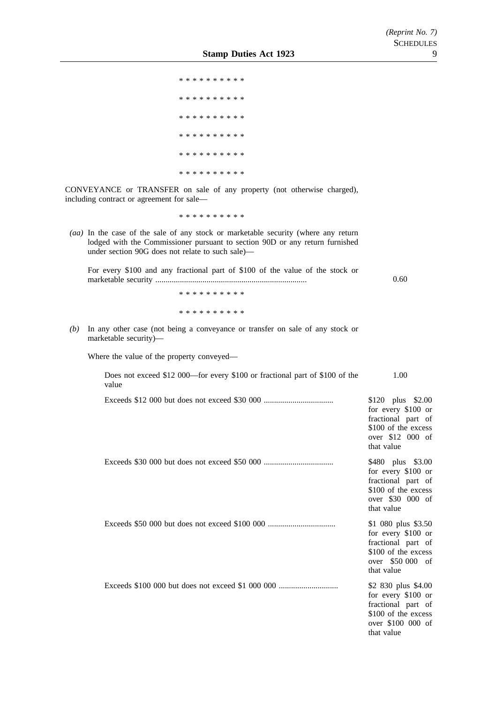\*\*\*\*\*\*\*\*\*\* \*\*\*\*\*\*\*\*\*\* \*\*\*\*\*\*\*\*\*\* \*\*\*\*\*\*\*\*\*\* \*\*\*\*\*\*\*\*\*\* \*\*\*\*\*\*\*\*\*\* CONVEYANCE or TRANSFER on sale of any property (not otherwise charged), including contract or agreement for sale—

\*\*\*\*\*\*\*\*\*\*

*(aa)* In the case of the sale of any stock or marketable security (where any return lodged with the Commissioner pursuant to section 90D or any return furnished under section 90G does not relate to such sale)—

| For every \$100 and any fractional part of \$100 of the value of the stock or | 0.60 |
|-------------------------------------------------------------------------------|------|
| * * * * * * * * * *                                                           |      |

\*\*\*\*\*\*\*\*\*\*

*(b)* In any other case (not being a conveyance or transfer on sale of any stock or marketable security)—

Where the value of the property conveyed—

| Does not exceed \$12 000—for every \$100 or fractional part of \$100 of the<br>value | 1.00                                                                                                                      |
|--------------------------------------------------------------------------------------|---------------------------------------------------------------------------------------------------------------------------|
|                                                                                      | \$120 plus \$2.00<br>for every $$100$ or<br>fractional part of<br>\$100 of the excess<br>over \$12 000 of<br>that value   |
|                                                                                      | \$480 plus \$3.00<br>for every $$100$ or<br>fractional part of<br>\$100 of the excess<br>over \$30 000 of<br>that value   |
|                                                                                      | \$1 080 plus \$3.50<br>for every \$100 or<br>fractional part of<br>\$100 of the excess<br>over \$50 000 of<br>that value  |
|                                                                                      | \$2 830 plus \$4.00<br>for every \$100 or<br>fractional part of<br>\$100 of the excess<br>over \$100 000 of<br>that value |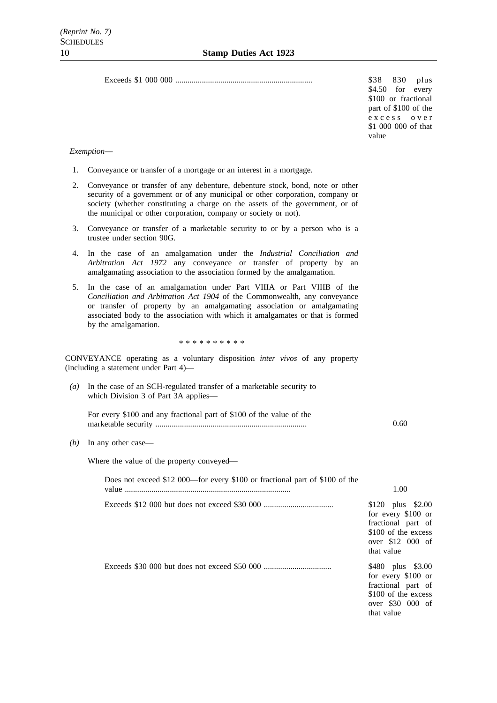Exceeds \$1 000 000 ................................................................... \$38 830 plus

 $$4.50$  for every \$100 or fractional part of \$100 of the excess over \$1 000 000 of that value

## *Exemption*—

- 1. Conveyance or transfer of a mortgage or an interest in a mortgage.
- 2. Conveyance or transfer of any debenture, debenture stock, bond, note or other security of a government or of any municipal or other corporation, company or society (whether constituting a charge on the assets of the government, or of the municipal or other corporation, company or society or not).
- 3. Conveyance or transfer of a marketable security to or by a person who is a trustee under section 90G.
- 4. In the case of an amalgamation under the *Industrial Conciliation and Arbitration Act 1972* any conveyance or transfer of property by an amalgamating association to the association formed by the amalgamation.
- 5. In the case of an amalgamation under Part VIIIA or Part VIIIB of the *Conciliation and Arbitration Act 1904* of the Commonwealth, any conveyance or transfer of property by an amalgamating association or amalgamating associated body to the association with which it amalgamates or that is formed by the amalgamation.

#### \*\*\*\*\*\*\*\*\*\*

CONVEYANCE operating as a voluntary disposition *inter vivos* of any property (including a statement under Part 4)—

*(a)* In the case of an SCH-regulated transfer of a marketable security to which Division 3 of Part 3A applies—

| For every \$100 and any fractional part of \$100 of the value of the |      |
|----------------------------------------------------------------------|------|
|                                                                      | 0.60 |

*(b)* In any other case—

Where the value of the property conveyed—

| Does not exceed \$12 000—for every \$100 or fractional part of \$100 of the | 1.00                                                                                                                      |
|-----------------------------------------------------------------------------|---------------------------------------------------------------------------------------------------------------------------|
|                                                                             | $$120$ plus $$2.00$<br>for every \$100 or<br>fractional part of<br>\$100 of the excess<br>over $$12,000$ of<br>that value |
|                                                                             | \$480 plus \$3.00<br>for every \$100 or<br>fractional part of<br>\$100 of the excess<br>over \$30 000 of<br>that value    |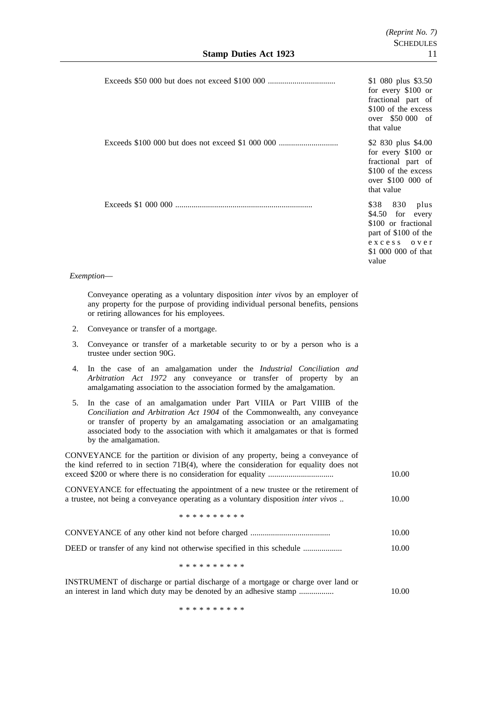|                                                                                                                                                                                                                                                                                                                                                | \$1 080 plus \$3.50<br>for every \$100 or<br>fractional part of<br>\$100 of the excess<br>over \$50,000 of<br>that value              |
|------------------------------------------------------------------------------------------------------------------------------------------------------------------------------------------------------------------------------------------------------------------------------------------------------------------------------------------------|---------------------------------------------------------------------------------------------------------------------------------------|
|                                                                                                                                                                                                                                                                                                                                                | \$2 830 plus \$4.00<br>for every \$100 or<br>fractional part of<br>\$100 of the excess<br>over \$100 000 of<br>that value             |
|                                                                                                                                                                                                                                                                                                                                                | \$38 830 plus<br>\$4.50 for every<br>\$100 or fractional<br>part of \$100 of the<br>excess<br>o v e r<br>\$1 000 000 of that<br>value |
| Exemption-                                                                                                                                                                                                                                                                                                                                     |                                                                                                                                       |
| Conveyance operating as a voluntary disposition <i>inter vivos</i> by an employer of<br>any property for the purpose of providing individual personal benefits, pensions<br>or retiring allowances for his employees.                                                                                                                          |                                                                                                                                       |
| 2.<br>Conveyance or transfer of a mortgage.                                                                                                                                                                                                                                                                                                    |                                                                                                                                       |
| 3.<br>Conveyance or transfer of a marketable security to or by a person who is a<br>trustee under section 90G.                                                                                                                                                                                                                                 |                                                                                                                                       |
| In the case of an amalgamation under the Industrial Conciliation and<br>4.<br>Arbitration Act 1972 any conveyance or transfer of property by<br>an<br>amalgamating association to the association formed by the amalgamation.                                                                                                                  |                                                                                                                                       |
| In the case of an amalgamation under Part VIIIA or Part VIIIB of the<br>5.<br>Conciliation and Arbitration Act 1904 of the Commonwealth, any conveyance<br>or transfer of property by an amalgamating association or an amalgamating<br>associated body to the association with which it amalgamates or that is formed<br>by the amalgamation. |                                                                                                                                       |
| CONVEYANCE for the partition or division of any property, being a conveyance of<br>the kind referred to in section $71B(4)$ , where the consideration for equality does not                                                                                                                                                                    | 10.00                                                                                                                                 |
| CONVEYANCE for effectuating the appointment of a new trustee or the retirement of<br>a trustee, not being a conveyance operating as a voluntary disposition inter vivos                                                                                                                                                                        | 10.00                                                                                                                                 |
| * * * * * * * * * *                                                                                                                                                                                                                                                                                                                            |                                                                                                                                       |
|                                                                                                                                                                                                                                                                                                                                                | 10.00                                                                                                                                 |
| DEED or transfer of any kind not otherwise specified in this schedule                                                                                                                                                                                                                                                                          | 10.00                                                                                                                                 |
| * * * * * * * * * *                                                                                                                                                                                                                                                                                                                            |                                                                                                                                       |
| INSTRUMENT of discharge or partial discharge of a mortgage or charge over land or<br>an interest in land which duty may be denoted by an adhesive stamp                                                                                                                                                                                        | 10.00                                                                                                                                 |
| * * * * * * * * * *                                                                                                                                                                                                                                                                                                                            |                                                                                                                                       |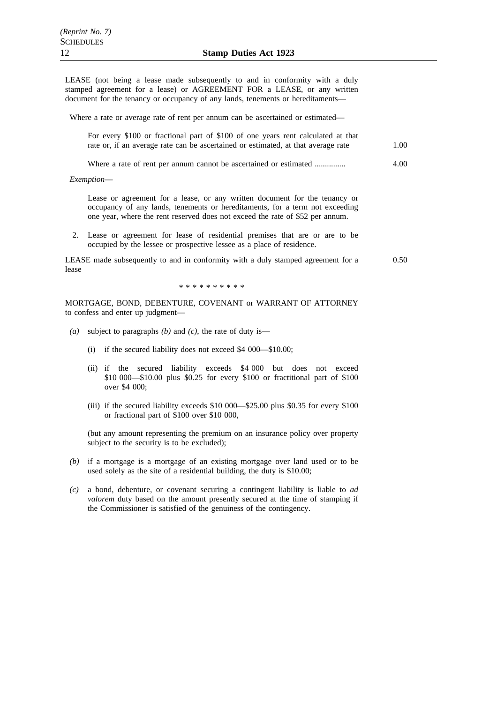LEASE (not being a lease made subsequently to and in conformity with a duly stamped agreement for a lease) or AGREEMENT FOR a LEASE, or any written document for the tenancy or occupancy of any lands, tenements or hereditaments—

Where a rate or average rate of rent per annum can be ascertained or estimated—

| For every \$100 or fractional part of \$100 of one years rent calculated at that  |      |
|-----------------------------------------------------------------------------------|------|
| rate or, if an average rate can be ascertained or estimated, at that average rate | 1.00 |

Where a rate of rent per annum cannot be ascertained or estimated ............... 4.00

*Exemption*—

Lease or agreement for a lease, or any written document for the tenancy or occupancy of any lands, tenements or hereditaments, for a term not exceeding one year, where the rent reserved does not exceed the rate of \$52 per annum.

2. Lease or agreement for lease of residential premises that are or are to be occupied by the lessee or prospective lessee as a place of residence.

LEASE made subsequently to and in conformity with a duly stamped agreement for a lease

0.50

#### \*\*\*\*\*\*\*\*\*\*

MORTGAGE, BOND, DEBENTURE, COVENANT or WARRANT OF ATTORNEY to confess and enter up judgment—

- *(a)* subject to paragraphs *(b)* and *(c)*, the rate of duty is—
	- (i) if the secured liability does not exceed \$4 000—\$10.00;
	- (ii) if the secured liability exceeds \$4 000 but does not exceed \$10 000—\$10.00 plus \$0.25 for every \$100 or fractitional part of \$100 over \$4 000;
	- (iii) if the secured liability exceeds \$10 000—\$25.00 plus \$0.35 for every \$100 or fractional part of \$100 over \$10 000,

(but any amount representing the premium on an insurance policy over property subject to the security is to be excluded);

- *(b)* if a mortgage is a mortgage of an existing mortgage over land used or to be used solely as the site of a residential building, the duty is \$10.00;
- *(c)* a bond, debenture, or covenant securing a contingent liability is liable to *ad valorem* duty based on the amount presently secured at the time of stamping if the Commissioner is satisfied of the genuiness of the contingency.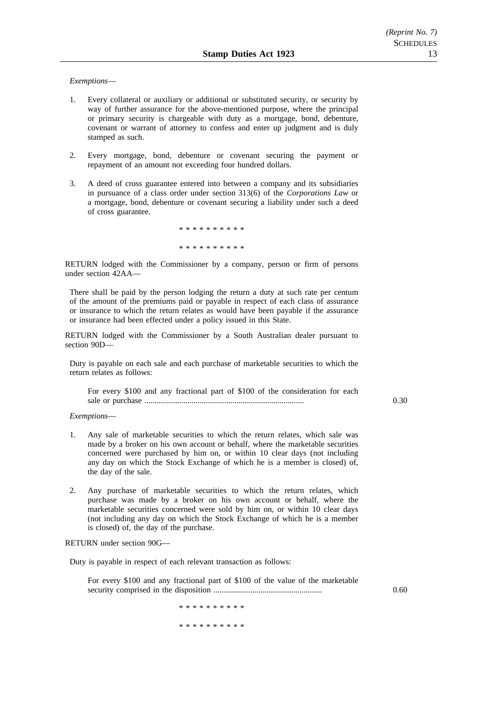#### *Exemptions*—

- 1. Every collateral or auxiliary or additional or substituted security, or security by way of further assurance for the above-mentioned purpose, where the principal or primary security is chargeable with duty as a mortgage, bond, debenture, covenant or warrant of attorney to confess and enter up judgment and is duly stamped as such.
- 2. Every mortgage, bond, debenture or covenant securing the payment or repayment of an amount not exceeding four hundred dollars.
- 3. A deed of cross guarantee entered into between a company and its subsidiaries in pursuance of a class order under section 313(6) of the *Corporations Law* or a mortgage, bond, debenture or covenant securing a liability under such a deed of cross guarantee.

\*\*\*\*\*\*\*\*\*\* \*\*\*\*\*\*\*\*\*\*

RETURN lodged with the Commissioner by a company, person or firm of persons under section 42AA—

There shall be paid by the person lodging the return a duty at such rate per centum of the amount of the premiums paid or payable in respect of each class of assurance or insurance to which the return relates as would have been payable if the assurance or insurance had been effected under a policy issued in this State.

RETURN lodged with the Commissioner by a South Australian dealer pursuant to section 90D—

Duty is payable on each sale and each purchase of marketable securities to which the return relates as follows:

For every \$100 and any fractional part of \$100 of the consideration for each sale or purchase .............................................................................. 0.30

*Exemptions*—

- 1. Any sale of marketable securities to which the return relates, which sale was made by a broker on his own account or behalf, where the marketable securities concerned were purchased by him on, or within 10 clear days (not including any day on which the Stock Exchange of which he is a member is closed) of, the day of the sale.
- 2. Any purchase of marketable securities to which the return relates, which purchase was made by a broker on his own account or behalf, where the marketable securities concerned were sold by him on, or within 10 clear days (not including any day on which the Stock Exchange of which he is a member is closed) of, the day of the purchase.

RETURN under section 90G—

Duty is payable in respect of each relevant transaction as follows:

For every \$100 and any fractional part of \$100 of the value of the marketable security comprised in the disposition .....................................................

> \*\*\*\*\*\*\*\*\*\* \*\*\*\*\*\*\*\*\*\*

0.60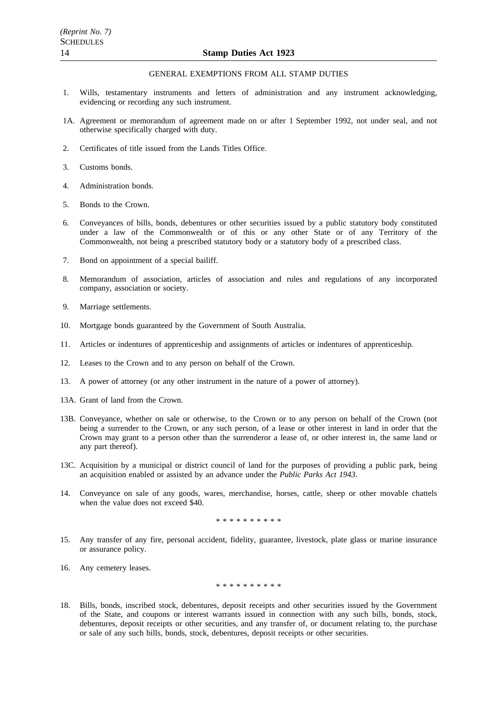#### GENERAL EXEMPTIONS FROM ALL STAMP DUTIES

- 1. Wills, testamentary instruments and letters of administration and any instrument acknowledging, evidencing or recording any such instrument.
- 1A. Agreement or memorandum of agreement made on or after 1 September 1992, not under seal, and not otherwise specifically charged with duty.
- 2. Certificates of title issued from the Lands Titles Office.
- 3. Customs bonds.
- 4. Administration bonds.
- 5. Bonds to the Crown.
- 6. Conveyances of bills, bonds, debentures or other securities issued by a public statutory body constituted under a law of the Commonwealth or of this or any other State or of any Territory of the Commonwealth, not being a prescribed statutory body or a statutory body of a prescribed class.
- 7. Bond on appointment of a special bailiff.
- 8. Memorandum of association, articles of association and rules and regulations of any incorporated company, association or society.
- 9. Marriage settlements.
- 10. Mortgage bonds guaranteed by the Government of South Australia.
- 11. Articles or indentures of apprenticeship and assignments of articles or indentures of apprenticeship.
- 12. Leases to the Crown and to any person on behalf of the Crown.
- 13. A power of attorney (or any other instrument in the nature of a power of attorney).
- 13A. Grant of land from the Crown.
- 13B. Conveyance, whether on sale or otherwise, to the Crown or to any person on behalf of the Crown (not being a surrender to the Crown, or any such person, of a lease or other interest in land in order that the Crown may grant to a person other than the surrenderor a lease of, or other interest in, the same land or any part thereof).
- 13C. Acquisition by a municipal or district council of land for the purposes of providing a public park, being an acquisition enabled or assisted by an advance under the *Public Parks Act 1943*.
- 14. Conveyance on sale of any goods, wares, merchandise, horses, cattle, sheep or other movable chattels when the value does not exceed \$40.

\*\*\*\*\*\*\*\*\*\*

- 15. Any transfer of any fire, personal accident, fidelity, guarantee, livestock, plate glass or marine insurance or assurance policy.
- 16. Any cemetery leases.

\*\*\*\*\*\*\*\*\*\*

18. Bills, bonds, inscribed stock, debentures, deposit receipts and other securities issued by the Government of the State, and coupons or interest warrants issued in connection with any such bills, bonds, stock, debentures, deposit receipts or other securities, and any transfer of, or document relating to, the purchase or sale of any such bills, bonds, stock, debentures, deposit receipts or other securities.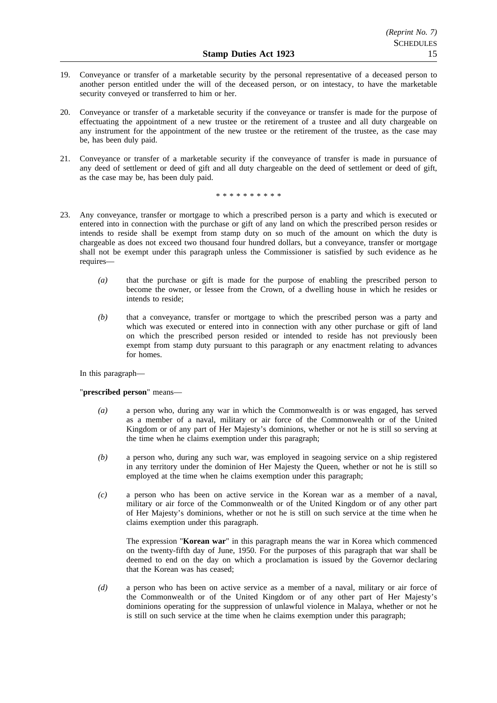- 19. Conveyance or transfer of a marketable security by the personal representative of a deceased person to another person entitled under the will of the deceased person, or on intestacy, to have the marketable security conveyed or transferred to him or her.
- 20. Conveyance or transfer of a marketable security if the conveyance or transfer is made for the purpose of effectuating the appointment of a new trustee or the retirement of a trustee and all duty chargeable on any instrument for the appointment of the new trustee or the retirement of the trustee, as the case may be, has been duly paid.
- 21. Conveyance or transfer of a marketable security if the conveyance of transfer is made in pursuance of any deed of settlement or deed of gift and all duty chargeable on the deed of settlement or deed of gift, as the case may be, has been duly paid.

\*\*\*\*\*\*\*\*\*\*

- 23. Any conveyance, transfer or mortgage to which a prescribed person is a party and which is executed or entered into in connection with the purchase or gift of any land on which the prescribed person resides or intends to reside shall be exempt from stamp duty on so much of the amount on which the duty is chargeable as does not exceed two thousand four hundred dollars, but a conveyance, transfer or mortgage shall not be exempt under this paragraph unless the Commissioner is satisfied by such evidence as he requires—
	- *(a)* that the purchase or gift is made for the purpose of enabling the prescribed person to become the owner, or lessee from the Crown, of a dwelling house in which he resides or intends to reside;
	- *(b)* that a conveyance, transfer or mortgage to which the prescribed person was a party and which was executed or entered into in connection with any other purchase or gift of land on which the prescribed person resided or intended to reside has not previously been exempt from stamp duty pursuant to this paragraph or any enactment relating to advances for homes.

In this paragraph—

## "**prescribed person**" means—

- *(a)* a person who, during any war in which the Commonwealth is or was engaged, has served as a member of a naval, military or air force of the Commonwealth or of the United Kingdom or of any part of Her Majesty's dominions, whether or not he is still so serving at the time when he claims exemption under this paragraph;
- *(b)* a person who, during any such war, was employed in seagoing service on a ship registered in any territory under the dominion of Her Majesty the Queen, whether or not he is still so employed at the time when he claims exemption under this paragraph;
- *(c)* a person who has been on active service in the Korean war as a member of a naval, military or air force of the Commonwealth or of the United Kingdom or of any other part of Her Majesty's dominions, whether or not he is still on such service at the time when he claims exemption under this paragraph.

The expression "**Korean war**" in this paragraph means the war in Korea which commenced on the twenty-fifth day of June, 1950. For the purposes of this paragraph that war shall be deemed to end on the day on which a proclamation is issued by the Governor declaring that the Korean was has ceased;

*(d)* a person who has been on active service as a member of a naval, military or air force of the Commonwealth or of the United Kingdom or of any other part of Her Majesty's dominions operating for the suppression of unlawful violence in Malaya, whether or not he is still on such service at the time when he claims exemption under this paragraph;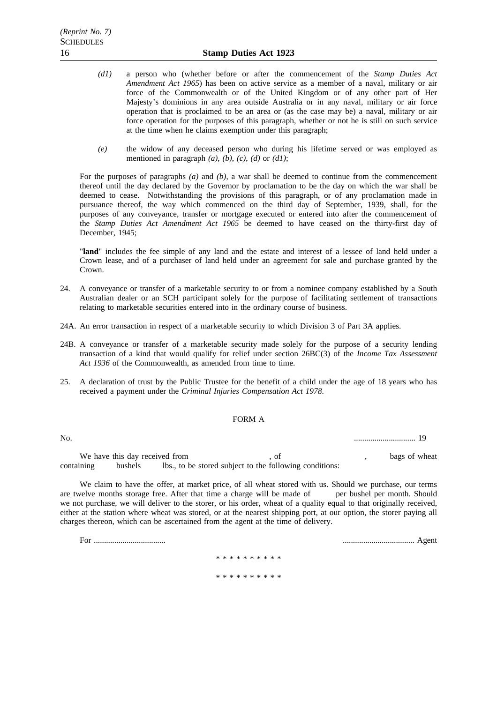- *(d1)* a person who (whether before or after the commencement of the *Stamp Duties Act Amendment Act 1965*) has been on active service as a member of a naval, military or air force of the Commonwealth or of the United Kingdom or of any other part of Her Majesty's dominions in any area outside Australia or in any naval, military or air force operation that is proclaimed to be an area or (as the case may be) a naval, military or air force operation for the purposes of this paragraph, whether or not he is still on such service at the time when he claims exemption under this paragraph;
- *(e)* the widow of any deceased person who during his lifetime served or was employed as mentioned in paragraph *(a)*, *(b)*, *(c)*, *(d)* or *(d1)*;

For the purposes of paragraphs *(a)* and *(b)*, a war shall be deemed to continue from the commencement thereof until the day declared by the Governor by proclamation to be the day on which the war shall be deemed to cease. Notwithstanding the provisions of this paragraph, or of any proclamation made in pursuance thereof, the way which commenced on the third day of September, 1939, shall, for the purposes of any conveyance, transfer or mortgage executed or entered into after the commencement of the *Stamp Duties Act Amendment Act 1965* be deemed to have ceased on the thirty-first day of December, 1945;

"**land**" includes the fee simple of any land and the estate and interest of a lessee of land held under a Crown lease, and of a purchaser of land held under an agreement for sale and purchase granted by the Crown.

- 24. A conveyance or transfer of a marketable security to or from a nominee company established by a South Australian dealer or an SCH participant solely for the purpose of facilitating settlement of transactions relating to marketable securities entered into in the ordinary course of business.
- 24A. An error transaction in respect of a marketable security to which Division 3 of Part 3A applies.
- 24B. A conveyance or transfer of a marketable security made solely for the purpose of a security lending transaction of a kind that would qualify for relief under section 26BC(3) of the *Income Tax Assessment Act 1936* of the Commonwealth, as amended from time to time.
- 25. A declaration of trust by the Public Trustee for the benefit of a child under the age of 18 years who has received a payment under the *Criminal Injuries Compensation Act 1978*.

#### FORM A

No. 19

We have this day received from , of , bags of wheat , bags of wheat containing bushels lbs., to be stored subject to the following conditions:

We claim to have the offer, at market price, of all wheat stored with us. Should we purchase, our terms velve months storage free. After that time a charge will be made of per bushel per month. Should are twelve months storage free. After that time a charge will be made of we not purchase, we will deliver to the storer, or his order, wheat of a quality equal to that originally received, either at the station where wheat was stored, or at the nearest shipping port, at our option, the storer paying all charges thereon, which can be ascertained from the agent at the time of delivery.

For ................................... ................................... Agent

\*\*\*\*\*\*\*\*\*\* \*\*\*\*\*\*\*\*\*\*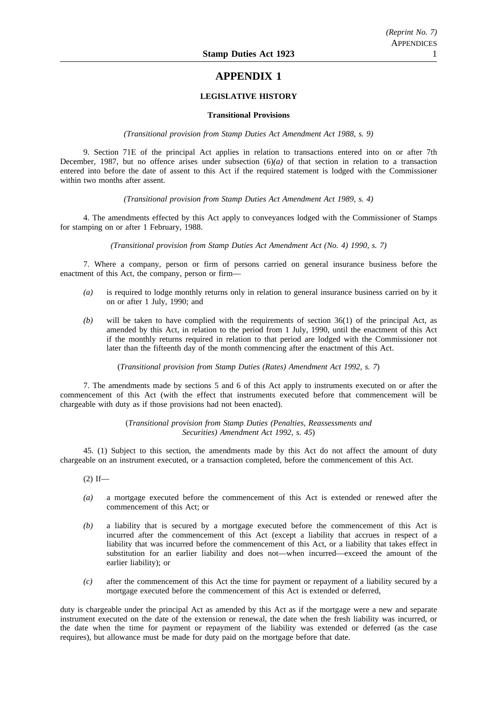# **APPENDIX 1**

## **LEGISLATIVE HISTORY**

## **Transitional Provisions**

*(Transitional provision from Stamp Duties Act Amendment Act 1988, s. 9)*

9. Section 71E of the principal Act applies in relation to transactions entered into on or after 7th December, 1987, but no offence arises under subsection  $(6)(a)$  of that section in relation to a transaction entered into before the date of assent to this Act if the required statement is lodged with the Commissioner within two months after assent.

*(Transitional provision from Stamp Duties Act Amendment Act 1989, s. 4)*

4. The amendments effected by this Act apply to conveyances lodged with the Commissioner of Stamps for stamping on or after 1 February, 1988.

*(Transitional provision from Stamp Duties Act Amendment Act (No. 4) 1990, s. 7)*

7. Where a company, person or firm of persons carried on general insurance business before the enactment of this Act, the company, person or firm—

- *(a)* is required to lodge monthly returns only in relation to general insurance business carried on by it on or after 1 July, 1990; and
- *(b)* will be taken to have complied with the requirements of section 36(1) of the principal Act, as amended by this Act, in relation to the period from 1 July, 1990, until the enactment of this Act if the monthly returns required in relation to that period are lodged with the Commissioner not later than the fifteenth day of the month commencing after the enactment of this Act.

(*Transitional provision from Stamp Duties (Rates) Amendment Act 1992, s. 7*)

7. The amendments made by sections 5 and 6 of this Act apply to instruments executed on or after the commencement of this Act (with the effect that instruments executed before that commencement will be chargeable with duty as if those provisions had not been enacted).

> (*Transitional provision from Stamp Duties (Penalties, Reassessments and Securities) Amendment Act 1992, s. 45*)

45. (1) Subject to this section, the amendments made by this Act do not affect the amount of duty chargeable on an instrument executed, or a transaction completed, before the commencement of this Act.

 $(2)$  If—

- *(a)* a mortgage executed before the commencement of this Act is extended or renewed after the commencement of this Act; or
- *(b)* a liability that is secured by a mortgage executed before the commencement of this Act is incurred after the commencement of this Act (except a liability that accrues in respect of a liability that was incurred before the commencement of this Act, or a liability that takes effect in substitution for an earlier liability and does not—when incurred—exceed the amount of the earlier liability); or
- *(c)* after the commencement of this Act the time for payment or repayment of a liability secured by a mortgage executed before the commencement of this Act is extended or deferred,

duty is chargeable under the principal Act as amended by this Act as if the mortgage were a new and separate instrument executed on the date of the extension or renewal, the date when the fresh liability was incurred, or the date when the time for payment or repayment of the liability was extended or deferred (as the case requires), but allowance must be made for duty paid on the mortgage before that date.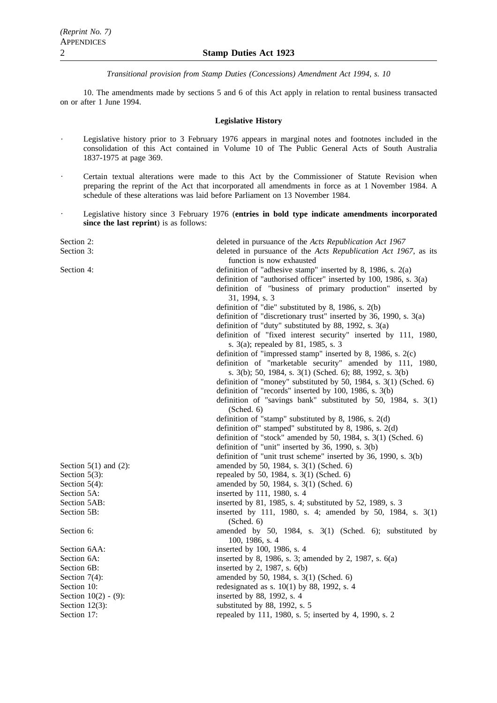*Transitional provision from Stamp Duties (Concessions) Amendment Act 1994, s. 10*

10. The amendments made by sections 5 and 6 of this Act apply in relation to rental business transacted on or after 1 June 1994.

## **Legislative History**

- Legislative history prior to 3 February 1976 appears in marginal notes and footnotes included in the  $\ddot{\phantom{1}}$ consolidation of this Act contained in Volume 10 of The Public General Acts of South Australia 1837-1975 at page 369.
- Certain textual alterations were made to this Act by the Commissioner of Statute Revision when preparing the reprint of the Act that incorporated all amendments in force as at 1 November 1984. A schedule of these alterations was laid before Parliament on 13 November 1984.
- Legislative history since 3 February 1976 (**entries in bold type indicate amendments incorporated since the last reprint**) is as follows:

| Section 2:                 | deleted in pursuance of the Acts Republication Act 1967           |
|----------------------------|-------------------------------------------------------------------|
| Section 3:                 | deleted in pursuance of the Acts Republication Act 1967, as its   |
|                            | function is now exhausted                                         |
| Section 4:                 | definition of "adhesive stamp" inserted by 8, 1986, s. 2(a)       |
|                            | definition of "authorised officer" inserted by 100, 1986, s. 3(a) |
|                            | definition of "business of primary production" inserted by        |
|                            | 31, 1994, s. 3                                                    |
|                            | definition of "die" substituted by 8, 1986, s. 2(b)               |
|                            | definition of "discretionary trust" inserted by 36, 1990, s. 3(a) |
|                            | definition of "duty" substituted by 88, 1992, s. 3(a)             |
|                            | definition of "fixed interest security" inserted by 111, 1980,    |
|                            | s. 3(a); repealed by 81, 1985, s. 3                               |
|                            | definition of "impressed stamp" inserted by 8, 1986, s. $2(c)$    |
|                            | definition of "marketable security" amended by 111, 1980,         |
|                            | s. 3(b); 50, 1984, s. 3(1) (Sched. 6); 88, 1992, s. 3(b)          |
|                            | definition of "money" substituted by 50, 1984, s. 3(1) (Sched. 6) |
|                            | definition of "records" inserted by 100, 1986, s. 3(b)            |
|                            | definition of "savings bank" substituted by 50, 1984, s. $3(1)$   |
|                            | (Sched. 6)                                                        |
|                            | definition of "stamp" substituted by 8, 1986, s. 2(d)             |
|                            | definition of" stamped" substituted by 8, 1986, s. $2(d)$         |
|                            | definition of "stock" amended by 50, 1984, s. 3(1) (Sched. 6)     |
|                            | definition of "unit" inserted by 36, 1990, s. 3(b)                |
|                            | definition of "unit trust scheme" inserted by 36, 1990, s. 3(b)   |
| Section $5(1)$ and $(2)$ : | amended by 50, 1984, s. 3(1) (Sched. 6)                           |
| Section $5(3)$ :           | repealed by 50, 1984, s. 3(1) (Sched. 6)                          |
| Section $5(4)$ :           | amended by 50, 1984, s. 3(1) (Sched. 6)                           |
| Section 5A:                | inserted by 111, 1980, s. 4                                       |
| Section 5AB:               | inserted by 81, 1985, s. 4; substituted by 52, 1989, s. 3         |
| Section 5B:                | inserted by 111, 1980, s. 4; amended by 50, 1984, s. 3(1)         |
|                            | (Sched. 6)                                                        |
| Section 6:                 | amended by 50, 1984, s. 3(1) (Sched. 6); substituted by           |
|                            | 100, 1986, s. 4                                                   |
| Section 6AA:               | inserted by 100, 1986, s. 4                                       |
| Section 6A:                | inserted by 8, 1986, s. 3; amended by 2, 1987, s. 6(a)            |
| Section 6B:                | inserted by 2, 1987, s. $6(b)$                                    |
| Section $7(4)$ :           | amended by 50, 1984, s. 3(1) (Sched. 6)                           |
| Section 10:                | redesignated as s. $10(1)$ by 88, 1992, s. 4                      |
| Section $10(2) - (9)$ :    | inserted by 88, 1992, s. 4                                        |
| Section $12(3)$ :          | substituted by 88, 1992, s. 5                                     |
| Section 17:                | repealed by 111, 1980, s. 5; inserted by 4, 1990, s. 2            |
|                            |                                                                   |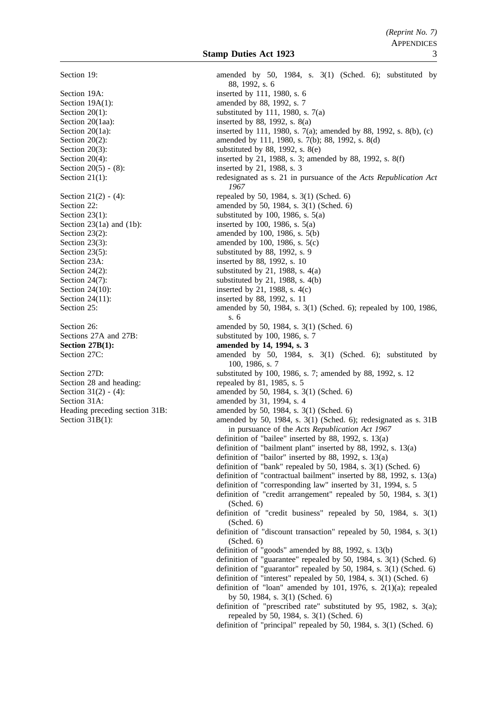Section 19A: inserted by 111, 1980, s. 6 Section 19A(1): amended by 88, 1992, s. 7 Section 20(1aa): inserted by 88, 1992, s. 8(a) Section 20(5) - (8): inserted by 21, 1988, s. 3 Section 23(1a) and (1b): inserted by 100, 1986, s.  $5(a)$ Section 23(3): amended by 100, 1986, s. 5(c) Section 23(5): substituted by 88, 1992, s. 9 Section 23A: inserted by 88, 1992, s. 10 Section 24(10): inserted by 21, 1988, s.  $4(c)$ Section 24(11): inserted by 88, 1992, s. 11 Section 27B(1): **amended by 14, 1994, s. 3** Section 28 and heading: repealed by 81, 1985, s. 5 Section 31A: amended by 31, 1994, s. 4

Section 19: **amended** by 50, 1984, s. 3(1) (Sched. 6); substituted by 88, 1992, s. 6 Section 20(1): substituted by 111, 1980, s. 7(a) Section 20(1a): inserted by 111, 1980, s. 7(a); amended by 88, 1992, s. 8(b), (c) Section 20(2): amended by 111, 1980, s. 7(b); 88, 1992, s. 8(d) Section 20(3): substituted by 88, 1992, s.  $8(e)$ Section 20(4): inserted by 21, 1988, s. 3; amended by 88, 1992, s. 8(f) Section 21(1): redesignated as s. 21 in pursuance of the *Acts Republication Act 1967* Section 21(2) - (4): repealed by 50, 1984, s. 3(1) (Sched. 6) Section 22: **amended by 50, 1984, s. 3(1) (Sched. 6)** Section  $23(1)$ : substituted by 100, 1986, s.  $5(a)$ Section 23(2): amended by 100, 1986, s. 5(b) Section 24(2): substituted by 21, 1988, s.  $4(a)$ Section 24(7): substituted by 21, 1988, s.  $4(b)$ Section 25: **amended** by 50, 1984, s. 3(1) (Sched. 6); repealed by 100, 1986, s. 6 Section 26: amended by 50, 1984, s. 3(1) (Sched. 6)<br>Sections 27A and 27B: substituted by 100, 1986, s. 7 substituted by 100, 1986, s.  $7$ Section 27C: amended by 50, 1984, s. 3(1) (Sched. 6); substituted by 100, 1986, s. 7 Section 27D: substituted by 100, 1986, s. 7; amended by 88, 1992, s. 12 Section 31(2) - (4): amended by 50, 1984, s. 3(1) (Sched. 6) Heading preceding section 31B: amended by 50, 1984, s. 3(1) (Sched. 6) Section 31B(1): amended by 50, 1984, s. 3(1) (Sched. 6); redesignated as s. 31B in pursuance of the *Acts Republication Act 1967* definition of "bailee" inserted by 88, 1992, s. 13(a) definition of "bailment plant" inserted by 88, 1992, s. 13(a) definition of "bailor" inserted by 88, 1992, s. 13(a) definition of "bank" repealed by 50, 1984, s. 3(1) (Sched. 6) definition of "contractual bailment" inserted by 88, 1992, s. 13(a) definition of "corresponding law" inserted by 31, 1994, s. 5 definition of "credit arrangement" repealed by 50, 1984, s. 3(1) (Sched. 6) definition of "credit business" repealed by 50, 1984, s. 3(1) (Sched. 6) definition of "discount transaction" repealed by 50, 1984, s. 3(1) (Sched. 6) definition of "goods" amended by 88, 1992, s. 13(b) definition of "guarantee" repealed by 50, 1984, s. 3(1) (Sched. 6) definition of "guarantor" repealed by 50, 1984, s. 3(1) (Sched. 6) definition of "interest" repealed by 50, 1984, s. 3(1) (Sched. 6) definition of "loan" amended by 101, 1976, s. 2(1)(a); repealed by 50, 1984, s. 3(1) (Sched. 6) definition of "prescribed rate" substituted by 95, 1982, s. 3(a); repealed by 50, 1984, s. 3(1) (Sched. 6) definition of "principal" repealed by 50, 1984, s. 3(1) (Sched. 6)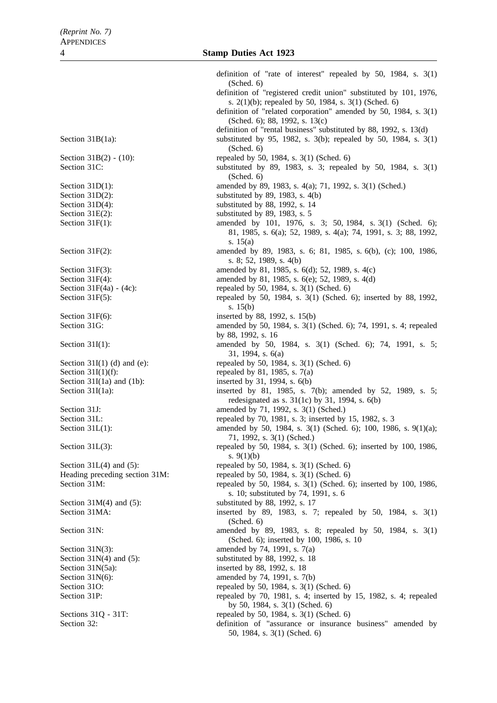definition of "rate of interest" repealed by 50, 1984, s. 3(1) (Sched. 6) definition of "registered credit union" substituted by 101, 1976, s. 2(1)(b); repealed by 50, 1984, s. 3(1) (Sched. 6) definition of "related corporation" amended by 50, 1984, s. 3(1) (Sched. 6); 88, 1992, s. 13(c) definition of "rental business" substituted by 88, 1992, s. 13(d) Section 31B(1a): substituted by 95, 1982, s. 3(b); repealed by 50, 1984, s. 3(1) (Sched. 6) Section 31B(2) - (10): repealed by 50, 1984, s. 3(1) (Sched. 6) Section 31C: substituted by 89, 1983, s. 3; repealed by 50, 1984, s. 3(1) (Sched. 6) Section 31D(1): amended by 89, 1983, s. 4(a); 71, 1992, s. 3(1) (Sched.) Section 31D(2): substituted by 89, 1983, s. 4(b) Section 31D(4): substituted by 88, 1992, s. 14 Section 31E(2): substituted by 89, 1983, s. 5 Section 31F(1): amended by 101, 1976, s. 3; 50, 1984, s. 3(1) (Sched. 6); 81, 1985, s. 6(a); 52, 1989, s. 4(a); 74, 1991, s. 3; 88, 1992, s. 15(a) Section 31F(2): amended by 89, 1983, s. 6; 81, 1985, s. 6(b), (c); 100, 1986, s. 8; 52, 1989, s. 4(b) Section 31F(3): amended by 81, 1985, s. 6(d); 52, 1989, s. 4(c) Section 31F(4): amended by 81, 1985, s. 6(e); 52, 1989, s. 4(d) Section  $31F(4a) - (4c)$ : repealed by 50, 1984, s. 3(1) (Sched. 6) Section 31F(5): repealed by 50, 1984, s. 3(1) (Sched. 6); inserted by 88, 1992, s. 15(b) Section 31F(6): inserted by 88, 1992, s. 15(b) Section 31G: amended by 50, 1984, s. 3(1) (Sched. 6); 74, 1991, s. 4; repealed by 88, 1992, s. 16 Section 31I(1): amended by 50, 1984, s. 3(1) (Sched. 6); 74, 1991, s. 5; 31, 1994, s. 6(a) Section  $31I(1)$  (d) and (e): repealed by 50, 1984, s.  $3(1)$  (Sched. 6) Section  $31I(1)(f)$ : repealed by 81, 1985, s. 7(a) Section  $31I(1a)$  and  $(1b)$ : inserted by  $31, 1994, s. 6(b)$ Section 31I(1a): inserted by 81, 1985, s. 7(b); amended by 52, 1989, s. 5; redesignated as s. 31(1c) by 31, 1994, s. 6(b) Section 31J: amended by 71, 1992, s. 3(1) (Sched.) Section 31L: repealed by 70, 1981, s. 3; inserted by 15, 1982, s. 3 Section 31L(1): amended by 50, 1984, s. 3(1) (Sched. 6); 100, 1986, s. 9(1)(a); 71, 1992, s. 3(1) (Sched.) Section 31L(3): repealed by 50, 1984, s. 3(1) (Sched. 6); inserted by 100, 1986, s. 9(1)(b) Section 31L(4) and (5): repealed by 50, 1984, s. 3(1) (Sched. 6) Heading preceding section 31M: repealed by 50, 1984, s. 3(1) (Sched. 6) Section 31M: repealed by 50, 1984, s. 3(1) (Sched. 6); inserted by 100, 1986, s. 10; substituted by 74, 1991, s. 6 Section  $31M(4)$  and  $(5)$ : substituted by 88, 1992, s. 17 Section 31MA: inserted by 89, 1983, s. 7; repealed by 50, 1984, s. 3(1) (Sched. 6) Section 31N: amended by 89, 1983, s. 8; repealed by 50, 1984, s. 3(1) (Sched. 6); inserted by 100, 1986, s. 10 Section 31N(3): amended by 74, 1991, s. 7(a) Section  $31N(4)$  and  $(5)$ : substituted by 88, 1992, s. 18 Section 31N(5a): inserted by 88, 1992, s. 18 Section  $31N(6)$ : amended by 74, 1991, s. 7(b) Section 31O: repealed by 50, 1984, s. 3(1) (Sched. 6) Section 31P: repealed by 70, 1981, s. 4; inserted by 15, 1982, s. 4; repealed by 50, 1984, s. 3(1) (Sched. 6) Sections 31Q - 31T: repealed by 50, 1984, s. 3(1) (Sched. 6) Section 32: **Section 32: definition** of "assurance or insurance business" amended by 50, 1984, s. 3(1) (Sched. 6)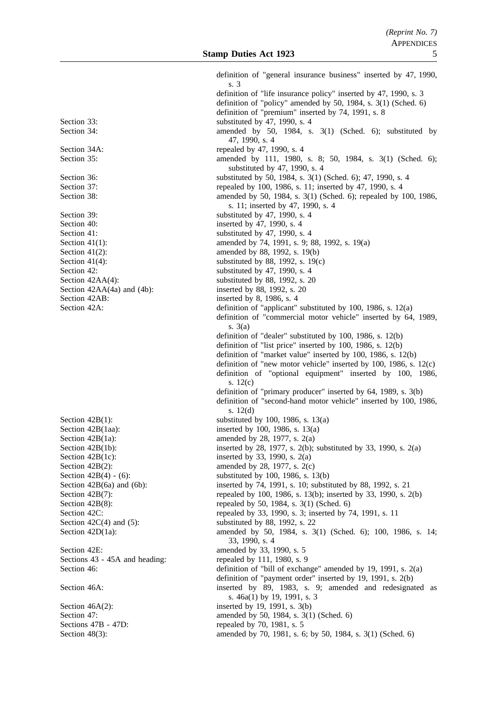definition of "general insurance business" inserted by 47, 1990, s. 3 definition of "life insurance policy" inserted by 47, 1990, s. 3 definition of "policy" amended by 50, 1984, s. 3(1) (Sched. 6) definition of "premium" inserted by 74, 1991, s. 8 Section 33: substituted by 47, 1990, s. 4 Section 34: amended by 50, 1984, s. 3(1) (Sched. 6); substituted by 47, 1990, s. 4 Section 34A: repealed by 47, 1990, s. 4 Section 35: **amended** by 111, 1980, s. 8; 50, 1984, s. 3(1) (Sched. 6); substituted by 47, 1990, s. 4 Section 36: substituted by 50, 1984, s. 3(1) (Sched. 6); 47, 1990, s. 4 Section 37: repealed by 100, 1986, s. 11; inserted by 47, 1990, s. 4 Section 38: **amended** by 50, 1984, s. 3(1) (Sched. 6); repealed by 100, 1986, s. 11; inserted by 47, 1990, s. 4 Section 39: substituted by 47, 1990, s. 4 Section 40: inserted by 47, 1990, s. 4 Section 41: substituted by 47, 1990, s. 4 Section 41(1): amended by 74, 1991, s. 9; 88, 1992, s. 19(a) Section 41(2): amended by 88, 1992, s. 19(b) Section 41(4): substituted by 88, 1992, s. 19 $(c)$ Section 42: substituted by 47, 1990, s. 4 Section 42AA(4): substituted by 88, 1992, s. 20 Section 42AA(4a) and (4b): inserted by 88, 1992, s. 20<br>Section 42AB: inserted by 8. 1986, s. 4 Section 42AB: inserted by 8, 1986, s. 4<br>Section 42A· definition of "applicant" definition of "applicant" substituted by 100, 1986, s.  $12(a)$ definition of "commercial motor vehicle" inserted by 64, 1989, s. 3(a) definition of "dealer" substituted by 100, 1986, s. 12(b) definition of "list price" inserted by 100, 1986, s. 12(b) definition of "market value" inserted by 100, 1986, s. 12(b) definition of "new motor vehicle" inserted by 100, 1986, s. 12(c) definition of "optional equipment" inserted by 100, 1986, s. 12(c) definition of "primary producer" inserted by 64, 1989, s. 3(b) definition of "second-hand motor vehicle" inserted by 100, 1986, s. 12(d) Section 42B(1): substituted by 100, 1986, s. 13(a) Section 42B(1aa): inserted by 100, 1986, s. 13(a) Section 42B(1a): amended by 28, 1977, s.  $2(a)$ Section 42B(1b): inserted by 28, 1977, s. 2(b); substituted by 33, 1990, s. 2(a) Section  $42B(1c)$ : inserted by 33, 1990, s.  $2(a)$ Section  $42B(2)$ : amended by 28, 1977, s.  $2(c)$ Section  $42B(4) - (6)$ : substituted by 100, 1986, s. 13(b) Section 42B(6a) and (6b): inserted by 74, 1991, s. 10; substituted by 88, 1992, s. 21 Section 42B(7): repealed by 100, 1986, s. 13(b); inserted by 33, 1990, s. 2(b) Section 42B(8): repealed by 50, 1984, s. 3(1) (Sched. 6) Section 42C: repealed by 33, 1990, s. 3; inserted by 74, 1991, s. 11 Section  $42C(4)$  and  $(5)$ : substituted by 88, 1992, s. 22 Section 42D(1a): amended by 50, 1984, s. 3(1) (Sched. 6); 100, 1986, s. 14; 33, 1990, s. 4 Section 42E: amended by 33, 1990, s. 5 Section 46: definition of "bill of exchange" amended by 19, 1991, s. 2(a) definition of "payment order" inserted by 19, 1991, s. 2(b) Section 46A: inserted by 89, 1983, s. 9; amended and redesignated as s. 46a(1) by 19, 1991, s. 3 Section 46A(2): inserted by 19, 1991, s. 3(b) Section 47: **amended** by 50, 1984, s. 3(1) (Sched. 6) Sections 47B - 47D: repealed by 70, 1981, s. 5 Section 48(3): amended by 70, 1981, s. 6; by 50, 1984, s. 3(1) (Sched. 6)

Sections 43 - 45A and heading: repealed by 111, 1980, s. 9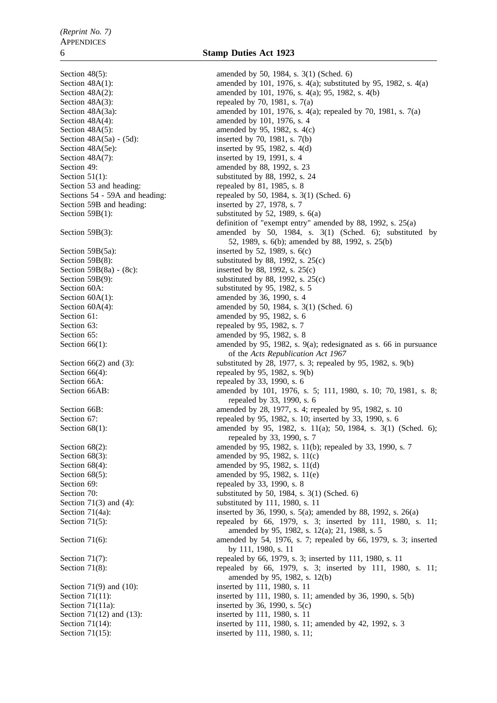Section  $48A(3)$ : repealed by 70, 1981, s. 7(a) Section 48A(4): amended by 101, 1976, s. 4 Section  $48A(5)$ : amended by 95, 1982, s.  $4(c)$ Section 48A(5a) - (5d): inserted by 70, 1981, s. 7(b) Section 48A(5e): inserted by 95, 1982, s. 4(d) Section 48A(7): inserted by 19, 1991, s. 4 Section 49: amended by 88, 1992, s. 23<br>Section 51(1): substituted by 88, 1992, s. 2 Section 53 and heading: repealed by 81, 1985, s. 8 Section 59B and heading: inserted by 27, 1978, s. 7 Section 59B(5a): inserted by 52, 1989, s.  $6(c)$ Section 60A: substituted by 95, 1982, s. 5 Section  $60A(1)$ : amended by  $36$ , 1990, s. 4 Section 61: **amended** by 95, 1982, s. 6 Section 63: repealed by 95, 1982, s. 7 Section 65: **amended** by 95, 1982, s. 8 Section 66(4): repealed by 95, 1982, s. 9(b) Section 66A: repealed by 33, 1990, s. 6 Section 69: repealed by 33, 1990, s. 8 Section 71(9) and (10): inserted by 111, 1980, s. 11 Section 71(11a): inserted by 36, 1990, s. 5(c) Section 71(12) and (13): inserted by 111, 1980, s. 11

Section 48(5): amended by 50, 1984, s. 3(1) (Sched. 6) Section 48A(1): amended by 101, 1976, s. 4(a); substituted by 95, 1982, s. 4(a) Section 48A(2): amended by 101, 1976, s. 4(a); 95, 1982, s. 4(b) Section 48A(3a): amended by 101, 1976, s. 4(a); repealed by 70, 1981, s. 7(a) substituted by 88, 1992, s. 24 Sections 54 - 59A and heading: repealed by 50, 1984, s. 3(1) (Sched. 6) Section 59B(1): substituted by 52, 1989, s.  $6(a)$ definition of "exempt entry" amended by 88, 1992, s. 25(a) Section 59B(3): amended by 50, 1984, s. 3(1) (Sched. 6); substituted by 52, 1989, s. 6(b); amended by 88, 1992, s. 25(b) Section 59B(8): substituted by 88, 1992, s. 25(c) Section 59B(8a) - (8c): inserted by 88, 1992, s. 25(c) Section 59B(9): substituted by 88, 1992, s.  $25(c)$ Section 60A(4): amended by 50, 1984, s. 3(1) (Sched. 6) Section 66(1): amended by 95, 1982, s. 9(a); redesignated as s. 66 in pursuance of the *Acts Republication Act 1967* Section 66(2) and (3): substituted by 28, 1977, s. 3; repealed by 95, 1982, s. 9(b) Section 66AB: amended by 101, 1976, s. 5; 111, 1980, s. 10; 70, 1981, s. 8; repealed by 33, 1990, s. 6 Section 66B: amended by 28, 1977, s. 4; repealed by 95, 1982, s. 10 Section 67: repealed by 95, 1982, s. 10; inserted by 33, 1990, s. 6 Section 68(1): amended by 95, 1982, s. 11(a); 50, 1984, s. 3(1) (Sched. 6); repealed by 33, 1990, s. 7 Section 68(2): amended by 95, 1982, s. 11(b); repealed by 33, 1990, s. 7 Section 68(3): amended by 95, 1982, s. 11(c) Section 68(4): amended by 95, 1982, s. 11(d) Section 68(5): amended by 95, 1982, s. 11(e) Section 70: substituted by 50, 1984, s. 3(1) (Sched. 6) Section 71(3) and (4): substituted by 111, 1980, s. 11 Section 71(4a): inserted by 36, 1990, s. 5(a); amended by 88, 1992, s. 26(a) Section 71(5): repealed by 66, 1979, s. 3; inserted by 111, 1980, s. 11; amended by 95, 1982, s. 12(a); 21, 1988, s. 5 Section 71(6): amended by 54, 1976, s. 7; repealed by 66, 1979, s. 3; inserted by 111, 1980, s. 11 Section 71(7): repealed by 66, 1979, s. 3; inserted by 111, 1980, s. 11 Section 71(8): repealed by 66, 1979, s. 3; inserted by 111, 1980, s. 11; amended by 95, 1982, s. 12(b) Section 71(11): inserted by 111, 1980, s. 11; amended by 36, 1990, s. 5(b) Section 71(14): inserted by 111, 1980, s. 11; amended by 42, 1992, s. 3 Section 71(15): inserted by 111, 1980, s. 11;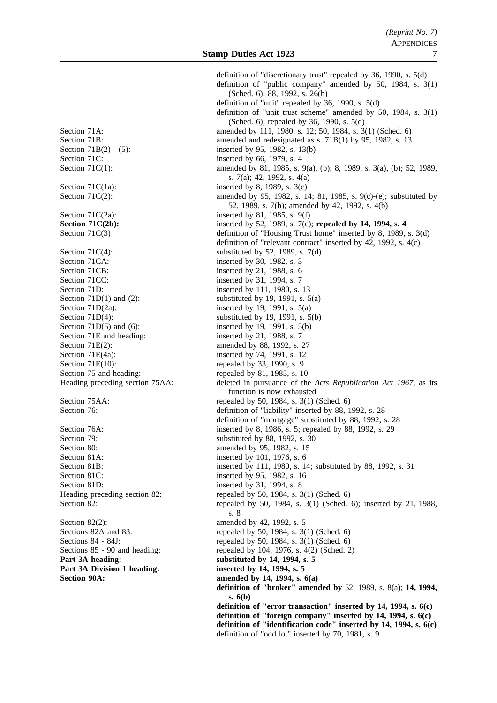Section 71B(2) - (5): inserted by 95, 1982, s. 13(b) Section 71C: inserted by 66, 1979, s. 4 Section 71 $C(1a)$ : inserted by 8, 1989, s. 3(c) Section 71 $C(2a)$ : inserted by 81, 1985, s. 9(f) Section 71CA: inserted by 30, 1982, s. 3 Section 71CB: inserted by 21, 1988, s. 6 Section 71CC: inserted by 31, 1994, s. 7 Section 71D: inserted by 111, 1980, s. 13 Section 71D(2a): inserted by 19, 1991, s.  $5(a)$ Section 71D(5) and (6): inserted by 19, 1991, s. 5(b) Section 71E and heading: inserted by 21, 1988, s. 7 Section 71E(2): amended by 88, 1992, s. 27 Section 71E(4a): inserted by 74, 1991, s. 12 Section  $71E(10)$ : repealed by 33, 1990, s. 9 Section 75 and heading: repealed by 81, 1985, s. 10 Section 79: substituted by 88, 1992, s. 30 Section 80: amended by 95, 1982, s. 15 Section 81A: inserted by 101, 1976, s. 6 Section 81C: inserted by 95, 1982, s. 16 Section 81D: inserted by 31, 1994, s. 8 Section 82(2): amended by 42, 1992, s. 5 Part 3A heading: substituted by 14, 1994, s. 5 Part 3A Division 1 heading: inserted by 14, 1994, s. 5 **Section 90A: amended by 14, 1994, s. 6(a)** 

definition of "discretionary trust" repealed by 36, 1990, s. 5(d) definition of "public company" amended by 50, 1984, s. 3(1) (Sched. 6); 88, 1992, s. 26(b) definition of "unit" repealed by 36, 1990, s. 5(d) definition of "unit trust scheme" amended by 50, 1984, s. 3(1) (Sched. 6); repealed by 36, 1990, s. 5(d) Section 71A: amended by 111, 1980, s. 12; 50, 1984, s. 3(1) (Sched. 6) Section 71B: amended and redesignated as s. 71B(1) by 95, 1982, s. 13 Section 71C(1): amended by 81, 1985, s. 9(a), (b); 8, 1989, s. 3(a), (b); 52, 1989, s. 7(a); 42, 1992, s. 4(a) Section 71C(2): amended by 95, 1982, s. 14; 81, 1985, s. 9(c)-(e); substituted by 52, 1989, s. 7(b); amended by 42, 1992, s. 4(b) **Section 71C(2b):** inserted by 52, 1989, s. 7(c); **repealed by 14, 1994, s. 4** Section 71C(3) definition of "Housing Trust home" inserted by 8, 1989, s. 3(d) definition of "relevant contract" inserted by 42, 1992, s. 4(c) Section 71 $C(4)$ : substituted by 52, 1989, s. 7(d) Section 71D(1) and (2): substituted by 19, 1991, s.  $5(a)$ Section 71D(4): substituted by 19, 1991, s.  $5(b)$ Heading preceding section 75AA: deleted in pursuance of the *Acts Republication Act 1967*, as its function is now exhausted Section 75AA: repealed by 50, 1984, s. 3(1) (Sched. 6) Section 76: definition of "liability" inserted by 88, 1992, s. 28 definition of "mortgage" substituted by 88, 1992, s. 28 Section 76A: inserted by 8, 1986, s. 5; repealed by 88, 1992, s. 29 Section 81B: inserted by 111, 1980, s. 14; substituted by 88, 1992, s. 31 Heading preceding section 82: repealed by 50, 1984, s. 3(1) (Sched. 6) Section 82: repealed by 50, 1984, s. 3(1) (Sched. 6); inserted by 21, 1988, s. 8 Sections 82A and 83: repealed by 50, 1984, s. 3(1) (Sched. 6) Sections 84 - 84J: repealed by 50, 1984, s. 3(1) (Sched. 6) Sections 85 - 90 and heading: repealed by 104, 1976, s. 4(2) (Sched. 2) **definition of "broker" amended by** 52, 1989, s. 8(a); **14, 1994, s. 6(b) definition of "error transaction" inserted by 14, 1994, s. 6(c) definition of "foreign company" inserted by 14, 1994, s. 6(c) definition of "identification code" inserted by 14, 1994, s. 6(c)** definition of "odd lot" inserted by 70, 1981, s. 9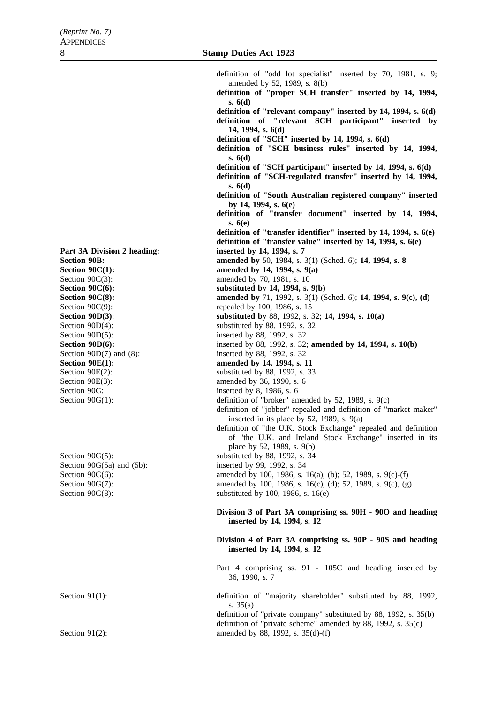Section 90C(3): amended by 70, 1981, s. 10 Section 90C(9): repealed by 100, 1986, s. 15 Section 90D(5): inserted by 88, 1992, s. 32 Section 90D(7) and (8): inserted by 88, 1992, s. 32 **Section 90E(1):** amended by 14, 1994, s. 11 Section 90E(3): amended by 36, 1990, s. 6 Section 90G: inserted by 8, 1986, s. 6

definition of "odd lot specialist" inserted by 70, 1981, s. 9; amended by 52, 1989, s. 8(b) **definition of "proper SCH transfer" inserted by 14, 1994, s. 6(d) definition of "relevant company" inserted by 14, 1994, s. 6(d) definition of "relevant SCH participant" inserted by 14, 1994, s. 6(d) definition of "SCH" inserted by 14, 1994, s. 6(d) definition of "SCH business rules" inserted by 14, 1994, s. 6(d) definition of "SCH participant" inserted by 14, 1994, s. 6(d) definition of "SCH-regulated transfer" inserted by 14, 1994, s. 6(d) definition of "South Australian registered company" inserted by 14, 1994, s. 6(e) definition of "transfer document" inserted by 14, 1994, s. 6(e) definition of "transfer identifier" inserted by 14, 1994, s. 6(e) definition of "transfer value" inserted by 14, 1994, s. 6(e)** Part 3A Division 2 heading: inserted by 14, 1994, s. 7 **Section 90B: amended by** 50, 1984, s. 3(1) (Sched. 6); **14, 1994, s. 8**<br>**Section 90C(1): amended by 14, 1994, s. 9(a)** amended by 14, 1994, s. 9(a) **Section 90C(6):** substituted by 14, 1994, s. 9(b) **Section 90C(8): amended by** 71, 1992, s. 3(1) (Sched. 6); **14, 1994, s. 9(c), (d) Section 90D(3): substituted by** 88, 1992, s. 32; **14, 1994, s. 10(a)** Section 90D(4): substituted by 88, 1992, s. 32 **Section 90D(6):** inserted by 88, 1992, s. 32; **amended by 14, 1994, s. 10(b)** Section 90E(2): substituted by 88, 1992, s. 33 Section 90G(1): definition of "broker" amended by 52, 1989, s. 9(c) definition of "jobber" repealed and definition of "market maker" inserted in its place by 52, 1989, s. 9(a) definition of "the U.K. Stock Exchange" repealed and definition of "the U.K. and Ireland Stock Exchange" inserted in its place by 52, 1989, s. 9(b) Section 90G(5): substituted by 88, 1992, s. 34 Section 90G(5a) and (5b): inserted by 99, 1992, s. 34 Section 90G(6): amended by 100, 1986, s. 16(a), (b); 52, 1989, s. 9(c)-(f) Section 90G(7): amended by 100, 1986, s. 16(c), (d); 52, 1989, s. 9(c), (g) Section 90G(8): substituted by 100, 1986, s. 16(e) **Division 3 of Part 3A comprising ss. 90H - 90O and heading inserted by 14, 1994, s. 12 Division 4 of Part 3A comprising ss. 90P - 90S and heading inserted by 14, 1994, s. 12** Part 4 comprising ss. 91 - 105C and heading inserted by 36, 1990, s. 7 Section 91(1): definition of "majority shareholder" substituted by 88, 1992, s. 35(a) definition of "private company" substituted by 88, 1992, s. 35(b) definition of "private scheme" amended by 88, 1992, s. 35(c) Section 91(2): amended by 88, 1992, s. 35(d)-(f)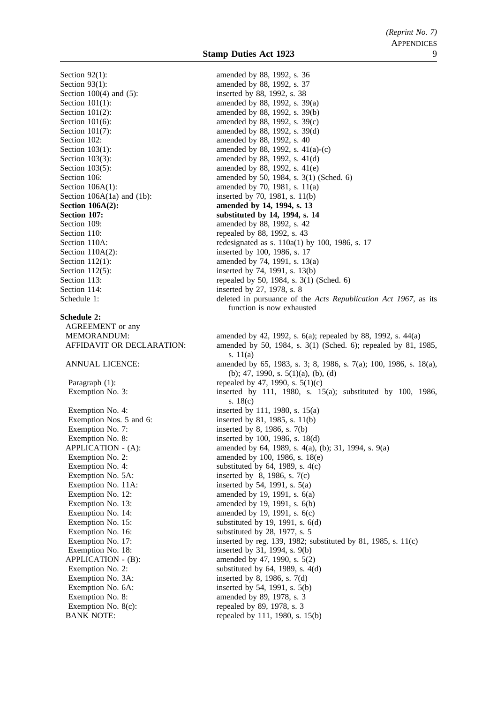Section 92(1): amended by 88, 1992, s. 36 Section 93(1): amended by 88, 1992, s. 37 Section 100(4) and (5): inserted by 88, 1992, s. 38 Section 101(1): amended by 88, 1992, s. 39(a) Section 101(2): amended by 88, 1992, s. 39(b) Section 101(6): amended by 88, 1992, s. 39(c) Section 101(7): amended by 88, 1992, s. 39(d) Section 102: **amended** by 88, 1992, s. 40 Section 103(3): amended by 88, 1992, s. 41(d) Section 103(5): amended by 88, 1992, s. 41(e) Section 106A(1): amended by 70, 1981, s. 11(a) Section  $106A(1a)$  and  $(1b)$ : inserted by 70, 1981, s. 11(b) Section 106A(2): **amended by 14, 1994, s. 13 Section 107:** substituted by 14, 1994, s. 14 Section 109: **amended** by 88, 1992, s. 42 Section 110: repealed by 88, 1992, s. 43 Section 110A(2): inserted by 100, 1986, s. 17 Section 112(1): amended by 74, 1991, s. 13(a) Section 112(5): inserted by 74, 1991, s. 13(b) Section 114: inserted by 27, 1978, s. 8<br>Schedule 1: deleted in pursuance of t **Schedule 2:** AGREEMENT or any Exemption Nos. 5 and 6: inserted by 81, 1985, s. 11(b) Exemption No. 7: inserted by 8, 1986, s. 7(b) Exemption No.  $5A$ : inserted by 8, 1986, s.  $7(c)$ Exemption No. 11A: inserted by 54, 1991, s.  $5(a)$ Exemption No. 12:  $\qquad \qquad \text{amended by 19, 1991, s. } 6(a)$ Exemption No. 13: amended by 19, 1991, s. 6(b) Exemption No.  $14$ : amended by 19, 1991, s.  $6(c)$ 

Exemption No.  $8(c)$ : repealed by 89, 1978, s. 3 BANK NOTE: repealed by 111, 1980, s. 15(b)

Section 103(1): amended by 88, 1992, s. 41(a)-(c) Section 106: amended by 50, 1984, s. 3(1) (Sched. 6) Section 110A: redesignated as s.  $110a(1)$  by 100, 1986, s. 17 Section 113: repealed by 50, 1984, s. 3(1) (Sched. 6)<br>Section 114: inserted by 27. 1978. s. 8 deleted in pursuance of the *Acts Republication Act 1967*, as its function is now exhausted MEMORANDUM: amended by 42, 1992, s. 6(a); repealed by 88, 1992, s. 44(a)<br>AFFIDAVIT OR DECLARATION: amended by 50, 1984, s. 3(1) (Sched. 6); repealed by 81. 1 amended by 50, 1984, s.  $3(1)$  (Sched. 6); repealed by 81, 1985, s. 11(a) ANNUAL LICENCE: amended by 65, 1983, s. 3; 8, 1986, s. 7(a); 100, 1986, s. 18(a), (b); 47, 1990, s. 5(1)(a), (b), (d) Paragraph (1): repealed by 47, 1990, s.  $5(1)(c)$ Exemption No. 3: inserted by 111, 1980, s. 15(a); substituted by 100, 1986, s. 18(c) Exemption No. 4: inserted by 111, 1980, s.  $15(a)$ Exemption No. 8: inserted by 100, 1986, s. 18(d) APPLICATION - (A): amended by 64, 1989, s. 4(a), (b); 31, 1994, s. 9(a) Exemption No. 2:  $\qquad \qquad \text{amended by 100, 1986, s. 18(e)}$ Exemption No. 4: substituted by 64, 1989, s. 4(c) Exemption No. 15: substituted by 19, 1991, s. 6(d) Exemption No. 16: substituted by 28, 1977, s. 5 Exemption No. 17: inserted by reg. 139, 1982; substituted by 81, 1985, s. 11(c) Exemption No. 18: inserted by 31, 1994, s. 9(b) APPLICATION -  $(B)$ : amended by 47, 1990, s. 5(2) Exemption No. 2: substituted by 64, 1989, s. 4(d) Exemption No. 3A: inserted by 8, 1986, s. 7(d) Exemption No. 6A: inserted by 54, 1991, s. 5(b) Exemption No. 8: amended by 89, 1978, s. 3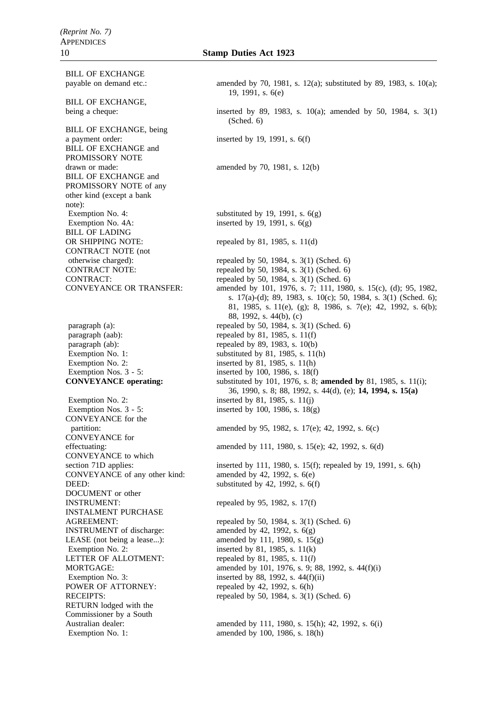BILL OF EXCHANGE BILL OF EXCHANGE, BILL OF EXCHANGE, being BILL OF EXCHANGE and PROMISSORY NOTE

BILL OF EXCHANGE and PROMISSORY NOTE of any other kind (except a bank note): Exemption No. 4: substituted by 19, 1991, s. 6(g) Exemption No. 4A: inserted by 19, 1991, s. 6(g) BILL OF LADING OR SHIPPING NOTE: repealed by 81, 1985, s. 11(d) CONTRACT NOTE (not

Exemption No. 2: inserted by 81, 1985, s.  $11(j)$ Exemption Nos.  $3 - 5$ : inserted by 100, 1986, s.  $18(g)$ CONVEYANCE for the CONVEYANCE for CONVEYANCE to which CONVEYANCE of any other kind: amended by 42, 1992, s. 6(e) DEED: substituted by 42, 1992, s.  $6(f)$ DOCUMENT or other INSTRUMENT: repealed by 95, 1982, s.  $17(f)$ INSTALMENT PURCHASE **INSTRUMENT** of discharge: amended by 42, 1992, s.  $6(g)$ LEASE (not being a lease...): amended by 111, 1980, s.  $15(g)$ Exemption No. 2: inserted by 81, 1985, s.  $11(k)$ LETTER OF ALLOTMENT: repealed by 81, 1985, s. 11(*l*) Exemption No. 3: inserted by 88, 1992, s. 44(f)(ii) POWER OF ATTORNEY: repealed by 42, 1992, s. 6(h) RETURN lodged with the Commissioner by a South Exemption No. 1: amended by 100, 1986, s. 18(h)

payable on demand etc.: amended by 70, 1981, s. 12(a); substituted by 89, 1983, s. 10(a); 19, 1991, s. 6(e) being a cheque: inserted by 89, 1983, s. 10(a); amended by 50, 1984, s. 3(1) (Sched. 6) a payment order: inserted by 19, 1991, s. 6(f) drawn or made: amended by 70, 1981, s. 12(b) otherwise charged): repealed by 50, 1984, s. 3(1) (Sched. 6) CONTRACT NOTE: repealed by 50, 1984, s. 3(1) (Sched. 6) CONTRACT: repealed by 50, 1984, s. 3(1) (Sched. 6) CONVEYANCE OR TRANSFER: amended by 101, 1976, s. 7; 111, 1980, s. 15(c), (d); 95, 1982, s. 17(a)-(d); 89, 1983, s. 10(c); 50, 1984, s. 3(1) (Sched. 6); 81, 1985, s. 11(e), (g); 8, 1986, s. 7(e); 42, 1992, s. 6(b); 88, 1992, s. 44(b), (c) paragraph (a): repealed by 50, 1984, s. 3(1) (Sched. 6) paragraph (aab): repealed by 81, 1985, s. 11(f) paragraph (ab): repealed by 89, 1983, s. 10(b) Exemption No. 1: substituted by 81, 1985, s. 11(h) Exemption No. 2: inserted by 81, 1985, s.  $11(h)$ Exemption Nos. 3 - 5: inserted by 100, 1986, s. 18(f) **CONVEYANCE operating:** substituted by 101, 1976, s. 8; **amended by** 81, 1985, s. 11(i); 36, 1990, s. 8; 88, 1992, s. 44(d), (e); **14, 1994, s. 15(a)** partition: amended by 95, 1982, s. 17(e); 42, 1992, s. 6(c) effectuating: amended by 111, 1980, s. 15(e); 42, 1992, s. 6(d) section 71D applies: inserted by 111, 1980, s. 15(f); repealed by 19, 1991, s. 6(h) AGREEMENT: repealed by 50, 1984, s. 3(1) (Sched. 6) MORTGAGE: amended by 101, 1976, s. 9; 88, 1992, s. 44(f)(i) RECEIPTS: repealed by 50, 1984, s. 3(1) (Sched. 6) Australian dealer: amended by 111, 1980, s. 15(h); 42, 1992, s. 6(i)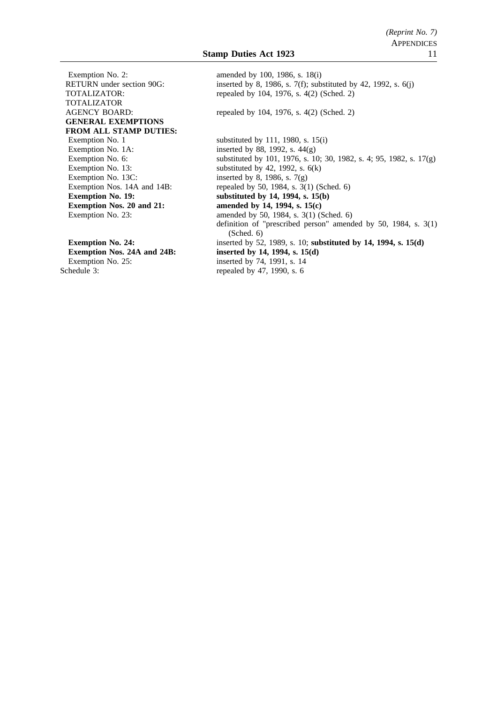Exemption No. 2:  $\qquad \qquad \text{amended by } 100, 1986, \text{ s. } 18(\text{i})$ TOTALIZATOR **GENERAL EXEMPTIONS FROM ALL STAMP DUTIES:** Exemption No. 1A: inserted by 88, 1992, s.  $44(g)$ Exemption No. 13: substituted by 42, 1992, s. 6(k) Exemption No. 13C: inserted by  $\hat{8}$ , 1986, s. 7(g) **Exemption Nos. 20 and 21: amended by 14, 1994, s. 15(c)** 

**Exemption Nos. 24A and 24B: inserted by 14, 1994, s. 15(d)** Exemption No. 25: inserted by 74, 1991, s. 14<br>Schedule 3: epealed by 47, 1990, s. 6

RETURN under section 90G: inserted by 8, 1986, s. 7(f); substituted by 42, 1992, s. 6(j) TOTALIZATOR: repealed by 104, 1976, s. 4(2) (Sched. 2)

AGENCY BOARD: repealed by 104, 1976, s. 4(2) (Sched. 2)

Exemption No. 1 substituted by 111, 1980, s. 15(i) Exemption No. 6: substituted by 101, 1976, s. 10; 30, 1982, s. 4; 95, 1982, s. 17(g) Exemption Nos. 14A and 14B: repealed by 50, 1984, s.  $3(1)$  (Sched. 6) **Exemption No. 19:** substituted by 14, 1994, s. 15(b) Exemption No. 23: amended by 50, 1984, s. 3(1) (Sched. 6) definition of "prescribed person" amended by 50, 1984, s. 3(1) (Sched. 6) **Exemption No. 24:** inserted by 52, 1989, s. 10; **substituted by 14, 1994, s. 15(d)** repealed by  $47$ , 1990, s. 6